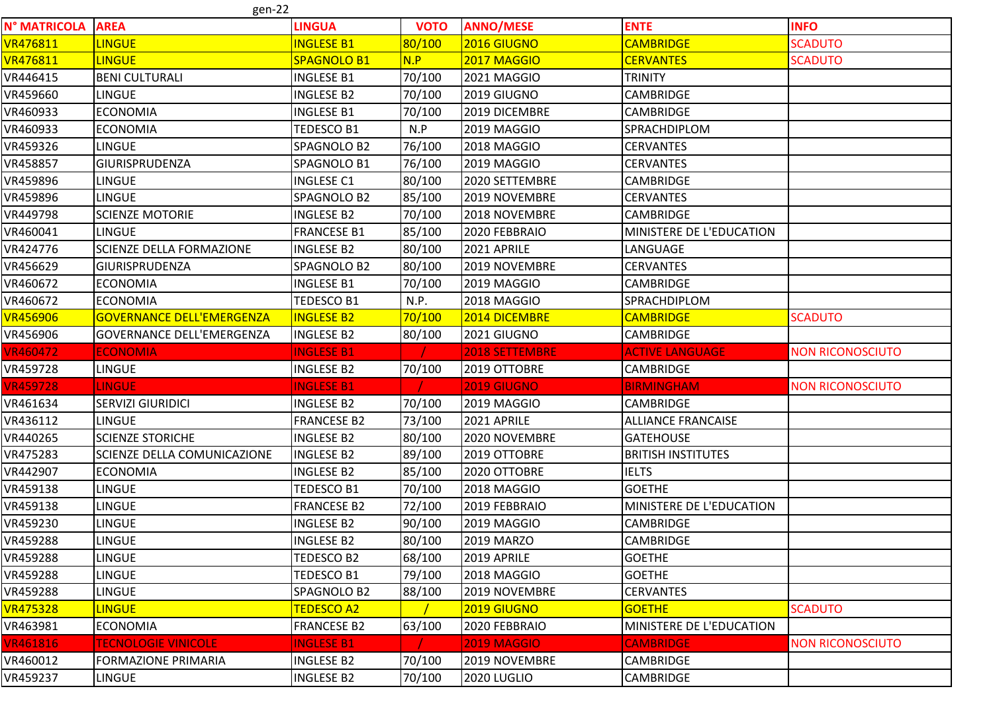gen-22

|                 | 24 וויס                          |                    |             |                       |                           |                         |
|-----------------|----------------------------------|--------------------|-------------|-----------------------|---------------------------|-------------------------|
| N° MATRICOLA    | <b>AREA</b>                      | <b>LINGUA</b>      | <b>VOTO</b> | <b>ANNO/MESE</b>      | <b>ENTE</b>               | <b>INFO</b>             |
| VR476811        | <b>LINGUE</b>                    | <b>INGLESE B1</b>  | 80/100      | 2016 GIUGNO           | <b>CAMBRIDGE</b>          | <b>SCADUTO</b>          |
| <b>VR476811</b> | <b>LINGUE</b>                    | SPAGNOLO B1        | N.P         | <b>2017 MAGGIO</b>    | <b>CERVANTES</b>          | <b>SCADUTO</b>          |
| VR446415        | <b>BENI CULTURALI</b>            | <b>INGLESE B1</b>  | 70/100      | 2021 MAGGIO           | <b>TRINITY</b>            |                         |
| VR459660        | <b>LINGUE</b>                    | <b>INGLESE B2</b>  | 70/100      | 2019 GIUGNO           | CAMBRIDGE                 |                         |
| VR460933        | <b>ECONOMIA</b>                  | <b>INGLESE B1</b>  | 70/100      | 2019 DICEMBRE         | <b>CAMBRIDGE</b>          |                         |
| VR460933        | <b>ECONOMIA</b>                  | TEDESCO B1         | N.P         | 2019 MAGGIO           | SPRACHDIPLOM              |                         |
| VR459326        | <b>LINGUE</b>                    | SPAGNOLO B2        | 76/100      | 2018 MAGGIO           | <b>CERVANTES</b>          |                         |
| VR458857        | GIURISPRUDENZA                   | SPAGNOLO B1        | 76/100      | 2019 MAGGIO           | <b>CERVANTES</b>          |                         |
| VR459896        | <b>LINGUE</b>                    | <b>INGLESE C1</b>  | 80/100      | 2020 SETTEMBRE        | <b>CAMBRIDGE</b>          |                         |
| VR459896        | <b>LINGUE</b>                    | SPAGNOLO B2        | 85/100      | 2019 NOVEMBRE         | <b>CERVANTES</b>          |                         |
| VR449798        | <b>SCIENZE MOTORIE</b>           | <b>INGLESE B2</b>  | 70/100      | 2018 NOVEMBRE         | <b>CAMBRIDGE</b>          |                         |
| VR460041        | <b>LINGUE</b>                    | FRANCESE B1        | 85/100      | 2020 FEBBRAIO         | MINISTERE DE L'EDUCATION  |                         |
| VR424776        | <b>SCIENZE DELLA FORMAZIONE</b>  | <b>INGLESE B2</b>  | 80/100      | 2021 APRILE           | LANGUAGE                  |                         |
| VR456629        | <b>GIURISPRUDENZA</b>            | SPAGNOLO B2        | 80/100      | 2019 NOVEMBRE         | <b>CERVANTES</b>          |                         |
| VR460672        | <b>ECONOMIA</b>                  | <b>INGLESE B1</b>  | 70/100      | 2019 MAGGIO           | <b>CAMBRIDGE</b>          |                         |
| VR460672        | <b>ECONOMIA</b>                  | <b>TEDESCO B1</b>  | N.P.        | 2018 MAGGIO           | SPRACHDIPLOM              |                         |
| <b>VR456906</b> | <b>GOVERNANCE DELL'EMERGENZA</b> | <b>INGLESE B2</b>  | 70/100      | 2014 DICEMBRE         | <b>CAMBRIDGE</b>          | <b>SCADUTO</b>          |
| VR456906        | <b>GOVERNANCE DELL'EMERGENZA</b> | <b>INGLESE B2</b>  | 80/100      | 2021 GIUGNO           | <b>CAMBRIDGE</b>          |                         |
| <b>VR460472</b> | <b>ECONOMIA</b>                  | <b>INGLESE B1</b>  |             | <b>2018 SETTEMBRE</b> | <b>ACTIVE LANGUAGE</b>    | <b>NON RICONOSCIUTO</b> |
| VR459728        | <b>LINGUE</b>                    | <b>INGLESE B2</b>  | 70/100      | 2019 OTTOBRE          | <b>CAMBRIDGE</b>          |                         |
| <b>VR459728</b> | <b>LINGUE</b>                    | <b>INGLESE B1</b>  |             | <b>2019 GIUGNO</b>    | <b>BIRMINGHAM</b>         | <b>NON RICONOSCIUTO</b> |
| VR461634        | <b>SERVIZI GIURIDICI</b>         | <b>INGLESE B2</b>  | 70/100      | 2019 MAGGIO           | <b>CAMBRIDGE</b>          |                         |
| VR436112        | <b>LINGUE</b>                    | <b>FRANCESE B2</b> | 73/100      | 2021 APRILE           | <b>ALLIANCE FRANCAISE</b> |                         |
| VR440265        | <b>SCIENZE STORICHE</b>          | <b>INGLESE B2</b>  | 80/100      | 2020 NOVEMBRE         | <b>GATEHOUSE</b>          |                         |
| VR475283        | SCIENZE DELLA COMUNICAZIONE      | <b>INGLESE B2</b>  | 89/100      | 2019 OTTOBRE          | <b>BRITISH INSTITUTES</b> |                         |
| VR442907        | <b>ECONOMIA</b>                  | <b>INGLESE B2</b>  | 85/100      | 2020 OTTOBRE          | <b>IELTS</b>              |                         |
| VR459138        | <b>LINGUE</b>                    | TEDESCO B1         | 70/100      | 2018 MAGGIO           | <b>GOETHE</b>             |                         |
| VR459138        | <b>LINGUE</b>                    | <b>FRANCESE B2</b> | 72/100      | 2019 FEBBRAIO         | MINISTERE DE L'EDUCATION  |                         |
| VR459230        | <b>LINGUE</b>                    | <b>INGLESE B2</b>  | 90/100      | 2019 MAGGIO           | <b>CAMBRIDGE</b>          |                         |
| VR459288        | <b>LINGUE</b>                    | <b>INGLESE B2</b>  | 80/100      | <b>2019 MARZO</b>     | <b>CAMBRIDGE</b>          |                         |
| VR459288        | <b>LINGUE</b>                    | <b>TEDESCO B2</b>  | 68/100      | 2019 APRILE           | <b>GOETHE</b>             |                         |
| VR459288        | <b>LINGUE</b>                    | <b>TEDESCO B1</b>  | 79/100      | 2018 MAGGIO           | <b>GOETHE</b>             |                         |
| VR459288        | <b>LINGUE</b>                    | SPAGNOLO B2        | 88/100      | 2019 NOVEMBRE         | <b>CERVANTES</b>          |                         |
| <b>VR475328</b> | <b>LINGUE</b>                    | <b>TEDESCO A2</b>  |             | 2019 GIUGNO           | <b>GOETHE</b>             | <b>SCADUTO</b>          |
| VR463981        | <b>ECONOMIA</b>                  | <b>FRANCESE B2</b> | 63/100      | 2020 FEBBRAIO         | MINISTERE DE L'EDUCATION  |                         |
| <b>VR461816</b> | <b>TECNOLOGIE VINICOLE</b>       | <b>INGLESE B1</b>  |             | <b>2019 MAGGIO</b>    | <b>CAMBRIDGE</b>          | <b>NON RICONOSCIUTO</b> |
| VR460012        | <b>FORMAZIONE PRIMARIA</b>       | <b>INGLESE B2</b>  | 70/100      | 2019 NOVEMBRE         | <b>CAMBRIDGE</b>          |                         |
| VR459237        | <b>LINGUE</b>                    | <b>INGLESE B2</b>  | 70/100      | 2020 LUGLIO           | <b>CAMBRIDGE</b>          |                         |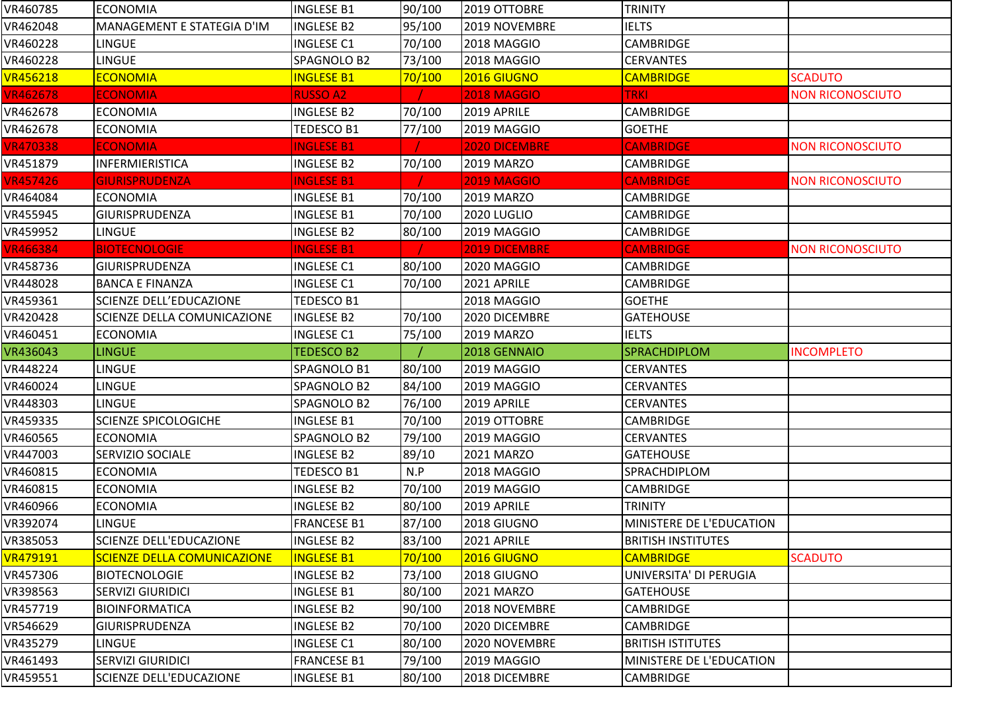| VR460785        | <b>ECONOMIA</b>                    | <b>INGLESE B1</b>  | 90/100 | 2019 OTTOBRE         | <b>TRINITY</b>                  |                         |
|-----------------|------------------------------------|--------------------|--------|----------------------|---------------------------------|-------------------------|
| VR462048        | MANAGEMENT E STATEGIA D'IM         | <b>INGLESE B2</b>  | 95/100 | 2019 NOVEMBRE        | <b>IELTS</b>                    |                         |
| VR460228        | <b>LINGUE</b>                      | <b>INGLESE C1</b>  | 70/100 | 2018 MAGGIO          | <b>CAMBRIDGE</b>                |                         |
| VR460228        | <b>LINGUE</b>                      | SPAGNOLO B2        | 73/100 | 2018 MAGGIO          | <b>CERVANTES</b>                |                         |
| <b>VR456218</b> | <b>ECONOMIA</b>                    | <b>INGLESE B1</b>  | 70/100 | 2016 GIUGNO          | <b>CAMBRIDGE</b>                | <b>SCADUTO</b>          |
| <b>VR462678</b> | <b>ECONOMIA</b>                    | <b>RUSSO A2</b>    |        | 2018 MAGGIO          | <b>TRKI</b>                     | <b>NON RICONOSCIUTO</b> |
| VR462678        | <b>ECONOMIA</b>                    | <b>INGLESE B2</b>  | 70/100 | 2019 APRILE          | <b>CAMBRIDGE</b>                |                         |
| VR462678        | <b>ECONOMIA</b>                    | TEDESCO B1         | 77/100 | 2019 MAGGIO          | <b>GOETHE</b>                   |                         |
| <b>VR470338</b> | <b>ECONOMIA</b>                    | <b>INGLESE B1</b>  |        | 2020 DICEMBRE        | <b>CAMBRIDGE</b>                | <b>NON RICONOSCIUTO</b> |
| VR451879        | <b>INFERMIERISTICA</b>             | <b>INGLESE B2</b>  | 70/100 | 2019 MARZO           | <b>CAMBRIDGE</b>                |                         |
| <b>VR457426</b> | <b>GIURISPRUDENZA</b>              | <b>INGLESE B1</b>  |        | <b>2019 MAGGIO</b>   | <b>CAMBRIDGE</b>                | <b>NON RICONOSCIUTO</b> |
| VR464084        | <b>ECONOMIA</b>                    | <b>INGLESE B1</b>  | 70/100 | <b>2019 MARZO</b>    | <b>CAMBRIDGE</b>                |                         |
| VR455945        | <b>GIURISPRUDENZA</b>              | <b>INGLESE B1</b>  | 70/100 | 2020 LUGLIO          | <b>CAMBRIDGE</b>                |                         |
| VR459952        | <b>LINGUE</b>                      | <b>INGLESE B2</b>  | 80/100 | 2019 MAGGIO          | <b>CAMBRIDGE</b>                |                         |
| <b>VR466384</b> | <b>BIOTECNOLOGIE</b>               | <b>INGLESE B1</b>  |        | <b>2019 DICEMBRE</b> | <b>CAMBRIDGE</b>                | <b>NON RICONOSCIUTO</b> |
| VR458736        | <b>GIURISPRUDENZA</b>              | <b>INGLESE C1</b>  | 80/100 | 2020 MAGGIO          | <b>CAMBRIDGE</b>                |                         |
| VR448028        | <b>BANCA E FINANZA</b>             | <b>INGLESE C1</b>  | 70/100 | 2021 APRILE          | <b>CAMBRIDGE</b>                |                         |
| VR459361        | <b>SCIENZE DELL'EDUCAZIONE</b>     | TEDESCO B1         |        | 2018 MAGGIO          | <b>GOETHE</b>                   |                         |
| VR420428        | <b>SCIENZE DELLA COMUNICAZIONE</b> | <b>INGLESE B2</b>  | 70/100 | 2020 DICEMBRE        | <b>GATEHOUSE</b>                |                         |
| VR460451        | <b>ECONOMIA</b>                    | <b>INGLESE C1</b>  | 75/100 | 2019 MARZO           | <b>IELTS</b>                    |                         |
|                 |                                    |                    |        |                      |                                 |                         |
| VR436043        | <b>LINGUE</b>                      | <b>TEDESCO B2</b>  |        | 2018 GENNAIO         | SPRACHDIPLOM                    | <b>INCOMPLETO</b>       |
| VR448224        | <b>LINGUE</b>                      | SPAGNOLO B1        | 80/100 | 2019 MAGGIO          | <b>CERVANTES</b>                |                         |
| VR460024        | LINGUE                             | SPAGNOLO B2        | 84/100 | 2019 MAGGIO          | <b>CERVANTES</b>                |                         |
| VR448303        | LINGUE                             | SPAGNOLO B2        | 76/100 | 2019 APRILE          | <b>CERVANTES</b>                |                         |
| VR459335        | <b>SCIENZE SPICOLOGICHE</b>        | <b>INGLESE B1</b>  | 70/100 | 2019 OTTOBRE         | <b>CAMBRIDGE</b>                |                         |
| VR460565        | <b>ECONOMIA</b>                    | SPAGNOLO B2        | 79/100 | 2019 MAGGIO          | <b>CERVANTES</b>                |                         |
| VR447003        | <b>SERVIZIO SOCIALE</b>            | <b>INGLESE B2</b>  | 89/10  | 2021 MARZO           | <b>GATEHOUSE</b>                |                         |
| VR460815        | <b>ECONOMIA</b>                    | TEDESCO B1         | N.P    | 2018 MAGGIO          | SPRACHDIPLOM                    |                         |
| VR460815        | <b>ECONOMIA</b>                    | <b>INGLESE B2</b>  | 70/100 | 2019 MAGGIO          | <b>CAMBRIDGE</b>                |                         |
| VR460966        | <b>ECONOMIA</b>                    | <b>INGLESE B2</b>  | 80/100 | 2019 APRILE          | <b>TRINITY</b>                  |                         |
| VR392074        | <b>LINGUE</b>                      | <b>FRANCESE B1</b> | 87/100 | 2018 GIUGNO          | <b>MINISTERE DE L'EDUCATION</b> |                         |
| VR385053        | SCIENZE DELL'EDUCAZIONE            | <b>INGLESE B2</b>  | 83/100 | 2021 APRILE          | <b>BRITISH INSTITUTES</b>       |                         |
| VR479191        | <b>SCIENZE DELLA COMUNICAZIONE</b> | <b>INGLESE B1</b>  | 70/100 | 2016 GIUGNO          | <b>CAMBRIDGE</b>                | <b>SCADUTO</b>          |
| VR457306        | <b>BIOTECNOLOGIE</b>               | <b>INGLESE B2</b>  | 73/100 | 2018 GIUGNO          | UNIVERSITA' DI PERUGIA          |                         |
| VR398563        | <b>SERVIZI GIURIDICI</b>           | <b>INGLESE B1</b>  | 80/100 | 2021 MARZO           | <b>GATEHOUSE</b>                |                         |
| VR457719        | <b>BIOINFORMATICA</b>              | <b>INGLESE B2</b>  | 90/100 | 2018 NOVEMBRE        | <b>CAMBRIDGE</b>                |                         |
| VR546629        | <b>GIURISPRUDENZA</b>              | <b>INGLESE B2</b>  | 70/100 | 2020 DICEMBRE        | <b>CAMBRIDGE</b>                |                         |
| VR435279        | LINGUE                             | <b>INGLESE C1</b>  | 80/100 | 2020 NOVEMBRE        | <b>BRITISH ISTITUTES</b>        |                         |
| VR461493        | <b>SERVIZI GIURIDICI</b>           | <b>FRANCESE B1</b> | 79/100 | 2019 MAGGIO          | <b>MINISTERE DE L'EDUCATION</b> |                         |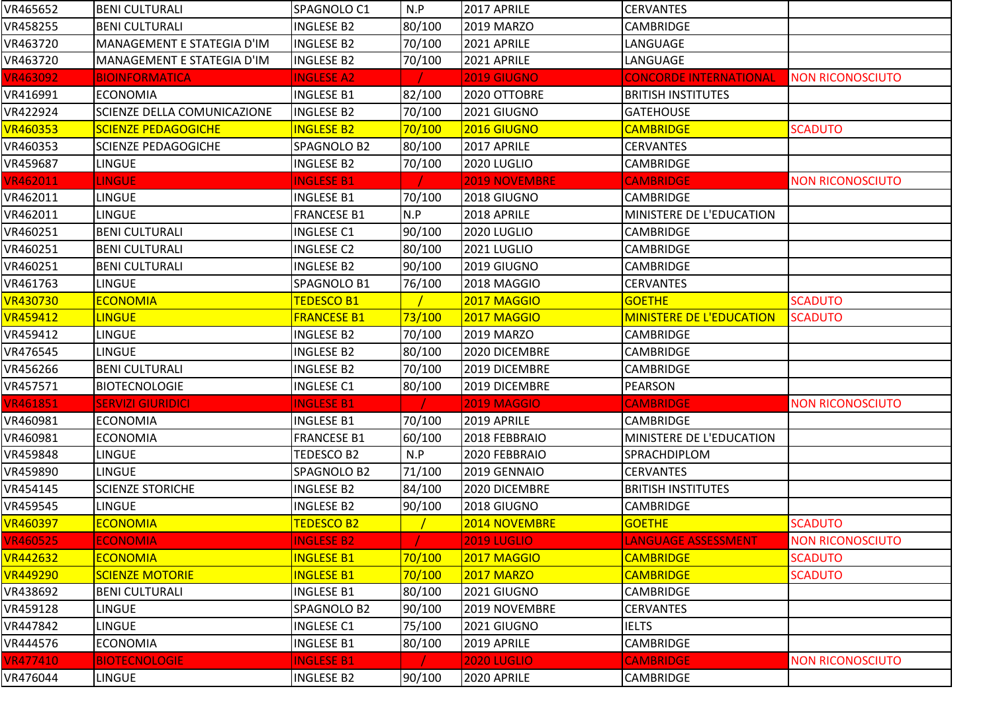| VR465652        | <b>BENI CULTURALI</b>              | SPAGNOLO C1        | N.P    | 2017 APRILE          | <b>CERVANTES</b>                |                         |
|-----------------|------------------------------------|--------------------|--------|----------------------|---------------------------------|-------------------------|
| VR458255        | <b>BENI CULTURALI</b>              | <b>INGLESE B2</b>  | 80/100 | 2019 MARZO           | <b>CAMBRIDGE</b>                |                         |
| VR463720        | MANAGEMENT E STATEGIA D'IM         | <b>INGLESE B2</b>  | 70/100 | 2021 APRILE          | LANGUAGE                        |                         |
| VR463720        | MANAGEMENT E STATEGIA D'IM         | <b>INGLESE B2</b>  | 70/100 | 2021 APRILE          | LANGUAGE                        |                         |
| <b>VR463092</b> | <b>BIOINFORMATICA</b>              | <b>INGLESE A2</b>  |        | <b>2019 GIUGNO</b>   | <b>CONCORDE INTERNATIONAL</b>   | <b>NON RICONOSCIUTO</b> |
| VR416991        | <b>ECONOMIA</b>                    | <b>INGLESE B1</b>  | 82/100 | 2020 OTTOBRE         | <b>BRITISH INSTITUTES</b>       |                         |
| VR422924        | <b>SCIENZE DELLA COMUNICAZIONE</b> | <b>INGLESE B2</b>  | 70/100 | 2021 GIUGNO          | <b>GATEHOUSE</b>                |                         |
| <b>VR460353</b> | <b>SCIENZE PEDAGOGICHE</b>         | <b>INGLESE B2</b>  | 70/100 | 2016 GIUGNO          | <b>CAMBRIDGE</b>                | <b>SCADUTO</b>          |
| VR460353        | <b>SCIENZE PEDAGOGICHE</b>         | SPAGNOLO B2        | 80/100 | 2017 APRILE          | <b>CERVANTES</b>                |                         |
| VR459687        | <b>LINGUE</b>                      | <b>INGLESE B2</b>  | 70/100 | 2020 LUGLIO          | <b>CAMBRIDGE</b>                |                         |
| <b>VR462011</b> | <b>LINGUE</b>                      | <b>INGLESE B1</b>  |        | <b>2019 NOVEMBRE</b> | <b>CAMBRIDGE</b>                | <b>NON RICONOSCIUTO</b> |
| VR462011        | <b>LINGUE</b>                      | <b>INGLESE B1</b>  | 70/100 | 2018 GIUGNO          | <b>CAMBRIDGE</b>                |                         |
| VR462011        | <b>LINGUE</b>                      | <b>FRANCESE B1</b> | N.P    | 2018 APRILE          | MINISTERE DE L'EDUCATION        |                         |
| VR460251        | <b>BENI CULTURALI</b>              | <b>INGLESE C1</b>  | 90/100 | 2020 LUGLIO          | CAMBRIDGE                       |                         |
| VR460251        | <b>BENI CULTURALI</b>              | <b>INGLESE C2</b>  | 80/100 | 2021 LUGLIO          | CAMBRIDGE                       |                         |
| VR460251        | <b>BENI CULTURALI</b>              | <b>INGLESE B2</b>  | 90/100 | 2019 GIUGNO          | <b>CAMBRIDGE</b>                |                         |
| VR461763        | <b>LINGUE</b>                      | SPAGNOLO B1        | 76/100 | 2018 MAGGIO          | <b>CERVANTES</b>                |                         |
| <b>VR430730</b> | <b>ECONOMIA</b>                    | <b>TEDESCO B1</b>  |        | 2017 MAGGIO          | <b>GOETHE</b>                   | <b>SCADUTO</b>          |
| VR459412        | <b>LINGUE</b>                      | <b>FRANCESE B1</b> | 73/100 | 2017 MAGGIO          | <b>MINISTERE DE L'EDUCATION</b> | <b>SCADUTO</b>          |
| VR459412        | <b>LINGUE</b>                      | <b>INGLESE B2</b>  | 70/100 | 2019 MARZO           | <b>CAMBRIDGE</b>                |                         |
| VR476545        | <b>LINGUE</b>                      | <b>INGLESE B2</b>  | 80/100 | 2020 DICEMBRE        | <b>CAMBRIDGE</b>                |                         |
| VR456266        | <b>BENI CULTURALI</b>              | <b>INGLESE B2</b>  | 70/100 | 2019 DICEMBRE        | <b>CAMBRIDGE</b>                |                         |
| VR457571        | <b>BIOTECNOLOGIE</b>               | <b>INGLESE C1</b>  | 80/100 | 2019 DICEMBRE        | <b>PEARSON</b>                  |                         |
| <b>VR461851</b> | <b>SERVIZI GIURIDICI</b>           | <b>INGLESE B1</b>  |        | <b>2019 MAGGIO</b>   | <b>CAMBRIDGE</b>                | <b>NON RICONOSCIUTO</b> |
| VR460981        | <b>ECONOMIA</b>                    | <b>INGLESE B1</b>  | 70/100 | 2019 APRILE          | <b>CAMBRIDGE</b>                |                         |
| VR460981        | <b>ECONOMIA</b>                    | <b>FRANCESE B1</b> | 60/100 | 2018 FEBBRAIO        | MINISTERE DE L'EDUCATION        |                         |
| VR459848        | <b>LINGUE</b>                      | TEDESCO B2         | N.P    | 2020 FEBBRAIO        | SPRACHDIPLOM                    |                         |
| VR459890        | <b>LINGUE</b>                      | SPAGNOLO B2        | 71/100 | 2019 GENNAIO         | <b>CERVANTES</b>                |                         |
| VR454145        | <b>SCIENZE STORICHE</b>            | <b>INGLESE B2</b>  | 84/100 | 2020 DICEMBRE        | <b>BRITISH INSTITUTES</b>       |                         |
| VR459545        | LINGUE                             | <b>INGLESE B2</b>  | 90/100 | 2018 GIUGNO          | CAMBRIDGE                       |                         |
| VR460397        | <b>ECONOMIA</b>                    | <b>TEDESCO B2</b>  |        | 2014 NOVEMBRE        | <b>GOETHE</b>                   | <b>SCADUTO</b>          |
| <b>VR460525</b> | <b>ECONOMIA</b>                    | <b>INGLESE B2</b>  |        | <b>2019 LUGLIO</b>   | <b>LANGUAGE ASSESSMENT</b>      | <b>NON RICONOSCIUTO</b> |
| <b>VR442632</b> | <b>ECONOMIA</b>                    | <b>INGLESE B1</b>  | 70/100 | 2017 MAGGIO          | <b>CAMBRIDGE</b>                | <b>SCADUTO</b>          |
| <b>VR449290</b> | <b>SCIENZE MOTORIE</b>             | <b>INGLESE B1</b>  | 70/100 | <b>2017 MARZO</b>    | <b>CAMBRIDGE</b>                | <b>SCADUTO</b>          |
| VR438692        | <b>BENI CULTURALI</b>              | <b>INGLESE B1</b>  | 80/100 | 2021 GIUGNO          | <b>CAMBRIDGE</b>                |                         |
| VR459128        | <b>LINGUE</b>                      | SPAGNOLO B2        | 90/100 | 2019 NOVEMBRE        | <b>CERVANTES</b>                |                         |
| VR447842        | LINGUE                             | <b>INGLESE C1</b>  | 75/100 | 2021 GIUGNO          | <b>IELTS</b>                    |                         |
| VR444576        | <b>ECONOMIA</b>                    | <b>INGLESE B1</b>  | 80/100 | 2019 APRILE          | <b>CAMBRIDGE</b>                |                         |
| <b>VR477410</b> | <b>BIOTECNOLOGIE</b>               | <b>INGLESE B1</b>  |        | <b>2020 LUGLIO</b>   | <b>CAMBRIDGE</b>                | <b>NON RICONOSCIUTO</b> |
| VR476044        | <b>LINGUE</b>                      | INGLESE B2         | 90/100 | 2020 APRILE          | <b>CAMBRIDGE</b>                |                         |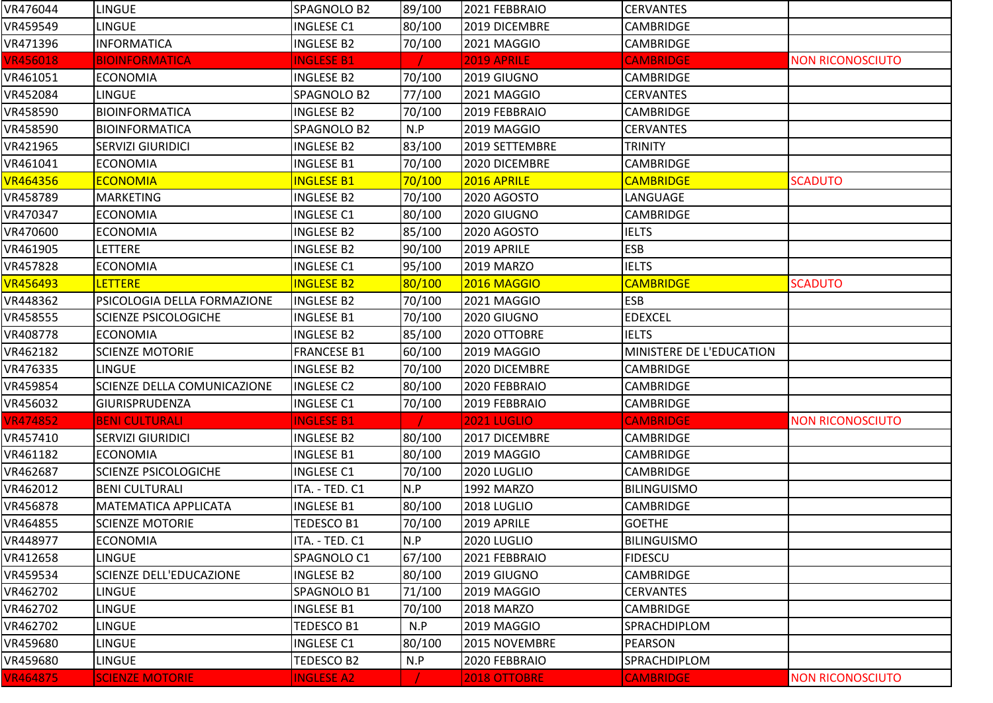| VR476044        | <b>LINGUE</b>                  | SPAGNOLO B2        | 89/100 | 2021 FEBBRAIO      | <b>CERVANTES</b>         |                         |
|-----------------|--------------------------------|--------------------|--------|--------------------|--------------------------|-------------------------|
| VR459549        | <b>LINGUE</b>                  | <b>INGLESE C1</b>  | 80/100 | 2019 DICEMBRE      | <b>CAMBRIDGE</b>         |                         |
| VR471396        | <b>INFORMATICA</b>             | <b>INGLESE B2</b>  | 70/100 | 2021 MAGGIO        | <b>CAMBRIDGE</b>         |                         |
| <b>VR456018</b> | <b>BIOINFORMATICA</b>          | <b>INGLESE B1</b>  |        | 2019 APRILE        | <b>CAMBRIDGE</b>         | <b>NON RICONOSCIUTO</b> |
| VR461051        | <b>ECONOMIA</b>                | <b>INGLESE B2</b>  | 70/100 | 2019 GIUGNO        | <b>CAMBRIDGE</b>         |                         |
| VR452084        | <b>LINGUE</b>                  | SPAGNOLO B2        | 77/100 | 2021 MAGGIO        | <b>CERVANTES</b>         |                         |
| VR458590        | <b>BIOINFORMATICA</b>          | INGLESE B2         | 70/100 | 2019 FEBBRAIO      | <b>CAMBRIDGE</b>         |                         |
| VR458590        | <b>BIOINFORMATICA</b>          | SPAGNOLO B2        | N.P    | 2019 MAGGIO        | <b>CERVANTES</b>         |                         |
| VR421965        | <b>SERVIZI GIURIDICI</b>       | <b>INGLESE B2</b>  | 83/100 | 2019 SETTEMBRE     | <b>TRINITY</b>           |                         |
| VR461041        | <b>ECONOMIA</b>                | <b>INGLESE B1</b>  | 70/100 | 2020 DICEMBRE      | <b>CAMBRIDGE</b>         |                         |
| <b>VR464356</b> | <b>ECONOMIA</b>                | <b>INGLESE B1</b>  | 70/100 | 2016 APRILE        | <b>CAMBRIDGE</b>         | <b>SCADUTO</b>          |
| VR458789        | <b>MARKETING</b>               | <b>INGLESE B2</b>  | 70/100 | 2020 AGOSTO        | LANGUAGE                 |                         |
| VR470347        | <b>ECONOMIA</b>                | <b>INGLESE C1</b>  | 80/100 | 2020 GIUGNO        | <b>CAMBRIDGE</b>         |                         |
| VR470600        | <b>ECONOMIA</b>                | <b>INGLESE B2</b>  | 85/100 | 2020 AGOSTO        | <b>IELTS</b>             |                         |
| VR461905        | LETTERE                        | <b>INGLESE B2</b>  | 90/100 | 2019 APRILE        | <b>ESB</b>               |                         |
| VR457828        | <b>ECONOMIA</b>                | <b>INGLESE C1</b>  | 95/100 | 2019 MARZO         | <b>IELTS</b>             |                         |
| VR456493        | <b>LETTERE</b>                 | <b>INGLESE B2</b>  | 80/100 | 2016 MAGGIO        | <b>CAMBRIDGE</b>         | <b>SCADUTO</b>          |
| VR448362        | PSICOLOGIA DELLA FORMAZIONE    | <b>INGLESE B2</b>  | 70/100 | 2021 MAGGIO        | <b>ESB</b>               |                         |
| VR458555        | <b>SCIENZE PSICOLOGICHE</b>    | <b>INGLESE B1</b>  | 70/100 | 2020 GIUGNO        | <b>EDEXCEL</b>           |                         |
| VR408778        | <b>ECONOMIA</b>                | <b>INGLESE B2</b>  | 85/100 | 2020 OTTOBRE       | <b>IELTS</b>             |                         |
| VR462182        | <b>SCIENZE MOTORIE</b>         | <b>FRANCESE B1</b> | 60/100 | 2019 MAGGIO        | MINISTERE DE L'EDUCATION |                         |
| VR476335        | <b>LINGUE</b>                  | <b>INGLESE B2</b>  | 70/100 | 2020 DICEMBRE      | <b>CAMBRIDGE</b>         |                         |
| VR459854        | SCIENZE DELLA COMUNICAZIONE    | <b>INGLESE C2</b>  | 80/100 | 2020 FEBBRAIO      | <b>CAMBRIDGE</b>         |                         |
| VR456032        | <b>GIURISPRUDENZA</b>          | <b>INGLESE C1</b>  | 70/100 | 2019 FEBBRAIO      | <b>CAMBRIDGE</b>         |                         |
| <b>VR474852</b> | <b>BENI CULTURALI</b>          | <b>INGLESE B1</b>  |        | <b>2021 LUGLIO</b> | <b>CAMBRIDGE</b>         | <b>NON RICONOSCIUTO</b> |
| VR457410        | <b>SERVIZI GIURIDICI</b>       | <b>INGLESE B2</b>  | 80/100 | 2017 DICEMBRE      | <b>CAMBRIDGE</b>         |                         |
| VR461182        | <b>ECONOMIA</b>                | <b>INGLESE B1</b>  | 80/100 | 2019 MAGGIO        | <b>CAMBRIDGE</b>         |                         |
| VR462687        | <b>SCIENZE PSICOLOGICHE</b>    | <b>INGLESE C1</b>  | 70/100 | 2020 LUGLIO        | CAMBRIDGE                |                         |
| VR462012        | <b>BENI CULTURALI</b>          | ITA. - TED. C1     | N.P    | 1992 MARZO         | <b>BILINGUISMO</b>       |                         |
| VR456878        | <b>MATEMATICA APPLICATA</b>    | <b>INGLESE B1</b>  | 80/100 | 2018 LUGLIO        | <b>CAMBRIDGE</b>         |                         |
| VR464855        | <b>SCIENZE MOTORIE</b>         | <b>TEDESCO B1</b>  | 70/100 | 2019 APRILE        | <b>GOETHE</b>            |                         |
| VR448977        | <b>ECONOMIA</b>                | ITA. - TED. C1     | N.P    | 2020 LUGLIO        | <b>BILINGUISMO</b>       |                         |
| VR412658        | <b>LINGUE</b>                  | SPAGNOLO C1        | 67/100 | 2021 FEBBRAIO      | <b>FIDESCU</b>           |                         |
| VR459534        | <b>SCIENZE DELL'EDUCAZIONE</b> | <b>INGLESE B2</b>  | 80/100 | 2019 GIUGNO        | <b>CAMBRIDGE</b>         |                         |
| VR462702        | <b>LINGUE</b>                  | SPAGNOLO B1        | 71/100 | 2019 MAGGIO        | <b>CERVANTES</b>         |                         |
| VR462702        | <b>LINGUE</b>                  | <b>INGLESE B1</b>  | 70/100 | <b>2018 MARZO</b>  | <b>CAMBRIDGE</b>         |                         |
| VR462702        | <b>LINGUE</b>                  | TEDESCO B1         | N.P    | 2019 MAGGIO        | SPRACHDIPLOM             |                         |
| VR459680        | <b>LINGUE</b>                  | <b>INGLESE C1</b>  | 80/100 | 2015 NOVEMBRE      | PEARSON                  |                         |
| VR459680        | LINGUE                         | TEDESCO B2         | N.P    | 2020 FEBBRAIO      | SPRACHDIPLOM             |                         |
| VR464875        | <b>SCIENZE MOTORIE</b>         | <b>INGLESE A2</b>  |        | 2018 OTTOBRE       | <b>CAMBRIDGE</b>         | <b>NON RICONOSCIUTO</b> |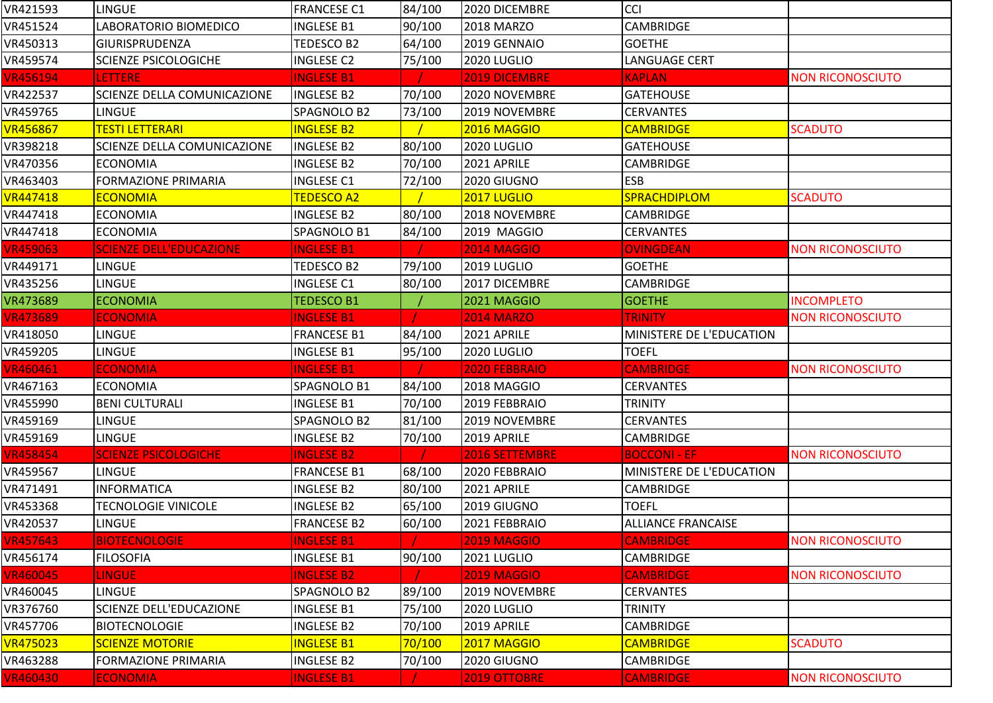| VR421593        | LINGUE                             | <b>FRANCESE C1</b> | 84/100 | 2020 DICEMBRE      | <b>CCI</b>                |                         |
|-----------------|------------------------------------|--------------------|--------|--------------------|---------------------------|-------------------------|
| VR451524        | LABORATORIO BIOMEDICO              | <b>INGLESE B1</b>  | 90/100 | <b>2018 MARZO</b>  | CAMBRIDGE                 |                         |
| VR450313        | <b>GIURISPRUDENZA</b>              | TEDESCO B2         | 64/100 | 2019 GENNAIO       | <b>GOETHE</b>             |                         |
| VR459574        | <b>SCIENZE PSICOLOGICHE</b>        | <b>INGLESE C2</b>  | 75/100 | 2020 LUGLIO        | LANGUAGE CERT             |                         |
| <b>VR456194</b> | <b>LETTERE</b>                     | <b>INGLESE B1</b>  |        | 2019 DICEMBRE      | <b>KAPLAN</b>             | <b>NON RICONOSCIUTO</b> |
| VR422537        | SCIENZE DELLA COMUNICAZIONE        | <b>INGLESE B2</b>  | 70/100 | 2020 NOVEMBRE      | <b>GATEHOUSE</b>          |                         |
| VR459765        | <b>LINGUE</b>                      | SPAGNOLO B2        | 73/100 | 2019 NOVEMBRE      | <b>CERVANTES</b>          |                         |
| <b>VR456867</b> | TESTI LETTERARI                    | <b>INGLESE B2</b>  |        | 2016 MAGGIO        | <b>CAMBRIDGE</b>          | <b>SCADUTO</b>          |
| VR398218        | <b>SCIENZE DELLA COMUNICAZIONE</b> | <b>INGLESE B2</b>  | 80/100 | 2020 LUGLIO        | <b>GATEHOUSE</b>          |                         |
| VR470356        | <b>ECONOMIA</b>                    | <b>INGLESE B2</b>  | 70/100 | 2021 APRILE        | CAMBRIDGE                 |                         |
| VR463403        | <b>FORMAZIONE PRIMARIA</b>         | <b>INGLESE C1</b>  | 72/100 | 2020 GIUGNO        | <b>ESB</b>                |                         |
| <b>VR447418</b> | <b>ECONOMIA</b>                    | <b>TEDESCO A2</b>  |        | 2017 LUGLIO        | SPRACHDIPLOM              | <b>SCADUTO</b>          |
| VR447418        | <b>ECONOMIA</b>                    | <b>INGLESE B2</b>  | 80/100 | 2018 NOVEMBRE      | CAMBRIDGE                 |                         |
| VR447418        | <b>ECONOMIA</b>                    | SPAGNOLO B1        | 84/100 | 2019 MAGGIO        | <b>CERVANTES</b>          |                         |
| <b>VR459063</b> | <b>SCIENZE DELL'EDUCAZIONE</b>     | <b>INGLESE B1</b>  |        | <b>2014 MAGGIO</b> | <b>OVINGDEAN</b>          | <b>NON RICONOSCIUTO</b> |
| VR449171        | <b>LINGUE</b>                      | TEDESCO B2         | 79/100 | 2019 LUGLIO        | <b>GOETHE</b>             |                         |
| VR435256        | <b>LINGUE</b>                      | <b>INGLESE C1</b>  | 80/100 | 2017 DICEMBRE      | <b>CAMBRIDGE</b>          |                         |
| VR473689        | <b>ECONOMIA</b>                    | <b>TEDESCO B1</b>  |        | 2021 MAGGIO        | <b>GOETHE</b>             | <b>INCOMPLETO</b>       |
| <b>VR473689</b> | <b>ECONOMIA</b>                    | <b>INGLESE B1</b>  |        | <b>2014 MARZO</b>  | <b>TRINITY</b>            | <b>NON RICONOSCIUTO</b> |
| VR418050        | <b>LINGUE</b>                      | <b>FRANCESE B1</b> | 84/100 | 2021 APRILE        | MINISTERE DE L'EDUCATION  |                         |
| VR459205        | <b>LINGUE</b>                      | <b>INGLESE B1</b>  | 95/100 | 2020 LUGLIO        | <b>TOEFL</b>              |                         |
| <b>VR460461</b> | <b>ECONOMIA</b>                    | <b>INGLESE B1</b>  |        | 2020 FEBBRAIO      | <b>CAMBRIDGE</b>          | <b>NON RICONOSCIUTO</b> |
| VR467163        | <b>ECONOMIA</b>                    | SPAGNOLO B1        | 84/100 | 2018 MAGGIO        | <b>CERVANTES</b>          |                         |
| VR455990        | <b>BENI CULTURALI</b>              | <b>INGLESE B1</b>  | 70/100 | 2019 FEBBRAIO      | TRINITY                   |                         |
| VR459169        | <b>LINGUE</b>                      | SPAGNOLO B2        | 81/100 | 2019 NOVEMBRE      | <b>CERVANTES</b>          |                         |
| VR459169        | <b>LINGUE</b>                      | <b>INGLESE B2</b>  | 70/100 | 2019 APRILE        | <b>CAMBRIDGE</b>          |                         |
| <b>VR458454</b> | <b>SCIENZE PSICOLOGICHE</b>        | <b>INGLESE B2</b>  |        | 2016 SETTEMBRE     | <b>BOCCONI - EF</b>       | <b>NON RICONOSCIUTO</b> |
| VR459567        | <b>LINGUE</b>                      | <b>FRANCESE B1</b> | 68/100 | 2020 FEBBRAIO      | MINISTERE DE L'EDUCATION  |                         |
| VR471491        | <b>INFORMATICA</b>                 | <b>INGLESE B2</b>  | 80/100 | 2021 APRILE        | <b>CAMBRIDGE</b>          |                         |
| VR453368        | <b>TECNOLOGIE VINICOLE</b>         | <b>INGLESE B2</b>  | 65/100 | 2019 GIUGNO        | <b>TOEFL</b>              |                         |
| VR420537        | <b>LINGUE</b>                      | <b>FRANCESE B2</b> | 60/100 | 2021 FEBBRAIO      | <b>ALLIANCE FRANCAISE</b> |                         |
| <b>VR457643</b> | <b>BIOTECNOLOGIE</b>               | <b>INGLESE B1</b>  | T      | <b>2019 MAGGIO</b> | <b>CAMBRIDGE</b>          | <b>NON RICONOSCIUTO</b> |
| VR456174        | <b>FILOSOFIA</b>                   | <b>INGLESE B1</b>  | 90/100 | 2021 LUGLIO        | CAMBRIDGE                 |                         |
| <b>VR460045</b> | <b>LINGUE</b>                      | <b>INGLESE B2</b>  |        | <b>2019 MAGGIO</b> | <b>CAMBRIDGE</b>          | <b>NON RICONOSCIUTO</b> |
| VR460045        | <b>LINGUE</b>                      | SPAGNOLO B2        | 89/100 | 2019 NOVEMBRE      | <b>CERVANTES</b>          |                         |
| VR376760        | <b>SCIENZE DELL'EDUCAZIONE</b>     | <b>INGLESE B1</b>  | 75/100 | 2020 LUGLIO        | <b>TRINITY</b>            |                         |
| VR457706        | <b>BIOTECNOLOGIE</b>               | <b>INGLESE B2</b>  | 70/100 | 2019 APRILE        | <b>CAMBRIDGE</b>          |                         |
| <b>VR475023</b> | <b>SCIENZE MOTORIE</b>             | <b>INGLESE B1</b>  | 70/100 | 2017 MAGGIO        | <b>CAMBRIDGE</b>          | <b>SCADUTO</b>          |
| VR463288        | <b>FORMAZIONE PRIMARIA</b>         | <b>INGLESE B2</b>  | 70/100 | 2020 GIUGNO        | CAMBRIDGE                 |                         |
| <b>VR460430</b> | <b>ECONOMIA</b>                    | <b>INGLESE B1</b>  |        | 2019 OTTOBRE       | <b>CAMBRIDGE</b>          | <b>NON RICONOSCIUTO</b> |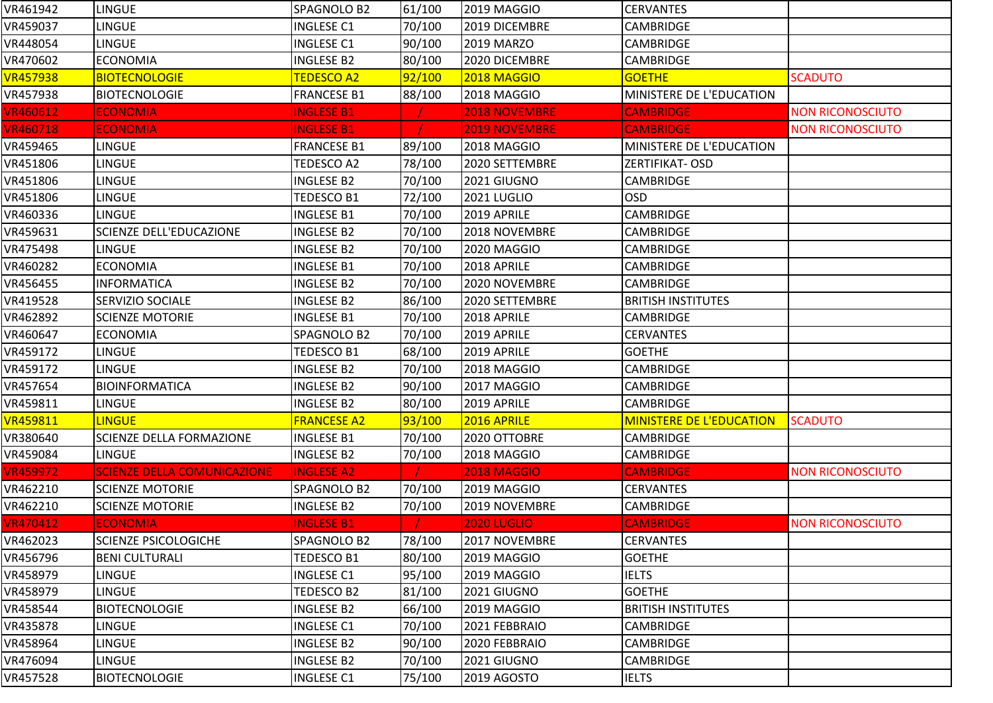| VR461942        | LINGUE                             | SPAGNOLO B2        | 61/100 | <b>2019 MAGGIO</b>   | <b>CERVANTES</b>                |                         |
|-----------------|------------------------------------|--------------------|--------|----------------------|---------------------------------|-------------------------|
| VR459037        | <b>LINGUE</b>                      | <b>INGLESE C1</b>  | 70/100 | 2019 DICEMBRE        | <b>CAMBRIDGE</b>                |                         |
| VR448054        | LINGUE                             | <b>INGLESE C1</b>  | 90/100 | 2019 MARZO           | <b>CAMBRIDGE</b>                |                         |
| VR470602        | <b>ECONOMIA</b>                    | <b>INGLESE B2</b>  | 80/100 | 2020 DICEMBRE        | <b>CAMBRIDGE</b>                |                         |
| <b>VR457938</b> | <b>BIOTECNOLOGIE</b>               | <b>TEDESCO A2</b>  | 92/100 | <b>2018 MAGGIO</b>   | <b>GOETHE</b>                   | <b>SCADUTO</b>          |
| VR457938        | <b>BIOTECNOLOGIE</b>               | <b>FRANCESE B1</b> | 88/100 | 2018 MAGGIO          | MINISTERE DE L'EDUCATION        |                         |
| <b>VR460612</b> | <b>ECONOMIA</b>                    | <b>INGLESE B1</b>  |        | <b>2018 NOVEMBRE</b> | <b>CAMBRIDGE</b>                | <b>NON RICONOSCIUTO</b> |
| <b>VR460718</b> | <b>ECONOMIA</b>                    | <b>INGLESE B1</b>  |        | <b>2019 NOVEMBRE</b> | <b>CAMBRIDGE</b>                | <b>NON RICONOSCIUTO</b> |
| VR459465        | <b>LINGUE</b>                      | <b>FRANCESE B1</b> | 89/100 | 2018 MAGGIO          | MINISTERE DE L'EDUCATION        |                         |
| VR451806        | <b>LINGUE</b>                      | TEDESCO A2         | 78/100 | 2020 SETTEMBRE       | ZERTIFIKAT- OSD                 |                         |
| VR451806        | <b>LINGUE</b>                      | <b>INGLESE B2</b>  | 70/100 | 2021 GIUGNO          | <b>CAMBRIDGE</b>                |                         |
| VR451806        | <b>LINGUE</b>                      | TEDESCO B1         | 72/100 | 2021 LUGLIO          | <b>OSD</b>                      |                         |
| VR460336        | <b>LINGUE</b>                      | <b>INGLESE B1</b>  | 70/100 | 2019 APRILE          | <b>CAMBRIDGE</b>                |                         |
| VR459631        | SCIENZE DELL'EDUCAZIONE            | <b>INGLESE B2</b>  | 70/100 | 2018 NOVEMBRE        | <b>CAMBRIDGE</b>                |                         |
| VR475498        | <b>LINGUE</b>                      | <b>INGLESE B2</b>  | 70/100 | 2020 MAGGIO          | <b>CAMBRIDGE</b>                |                         |
| VR460282        | <b>ECONOMIA</b>                    | <b>INGLESE B1</b>  | 70/100 | 2018 APRILE          | <b>CAMBRIDGE</b>                |                         |
| VR456455        | <b>INFORMATICA</b>                 | <b>INGLESE B2</b>  | 70/100 | 2020 NOVEMBRE        | <b>CAMBRIDGE</b>                |                         |
| VR419528        | <b>SERVIZIO SOCIALE</b>            | INGLESE B2         | 86/100 | 2020 SETTEMBRE       | <b>BRITISH INSTITUTES</b>       |                         |
| VR462892        | <b>SCIENZE MOTORIE</b>             | <b>INGLESE B1</b>  | 70/100 | 2018 APRILE          | CAMBRIDGE                       |                         |
| VR460647        | <b>ECONOMIA</b>                    | SPAGNOLO B2        | 70/100 | 2019 APRILE          | <b>CERVANTES</b>                |                         |
| VR459172        | <b>LINGUE</b>                      | TEDESCO B1         | 68/100 | 2019 APRILE          | <b>GOETHE</b>                   |                         |
| VR459172        | LINGUE                             | <b>INGLESE B2</b>  | 70/100 | 2018 MAGGIO          | <b>CAMBRIDGE</b>                |                         |
| VR457654        | <b>BIOINFORMATICA</b>              | <b>INGLESE B2</b>  | 90/100 | 2017 MAGGIO          | <b>CAMBRIDGE</b>                |                         |
| VR459811        | <b>LINGUE</b>                      | <b>INGLESE B2</b>  | 80/100 | 2019 APRILE          | <b>CAMBRIDGE</b>                |                         |
| <b>VR459811</b> | <b>LINGUE</b>                      | <b>FRANCESE A2</b> | 93/100 | 2016 APRILE          | <b>MINISTERE DE L'EDUCATION</b> | <b>SCADUTO</b>          |
| VR380640        | <b>SCIENZE DELLA FORMAZIONE</b>    | <b>INGLESE B1</b>  | 70/100 | 2020 OTTOBRE         | <b>CAMBRIDGE</b>                |                         |
| VR459084        | <b>LINGUE</b>                      | <b>INGLESE B2</b>  | 70/100 | 2018 MAGGIO          | CAMBRIDGE                       |                         |
| <b>VR459972</b> | <b>SCIENZE DELLA COMUNICAZIONE</b> | <b>INGLESE A2</b>  |        | <b>2018 MAGGIO</b>   | <b>CAMBRIDGE</b>                | <b>NON RICONOSCIUTO</b> |
| VR462210        | <b>SCIENZE MOTORIE</b>             | SPAGNOLO B2        | 70/100 | 2019 MAGGIO          | <b>CERVANTES</b>                |                         |
| VR462210        | <b>SCIENZE MOTORIE</b>             | <b>INGLESE B2</b>  | 70/100 | 2019 NOVEMBRE        | CAMBRIDGE                       |                         |
| <b>VR470412</b> | <b>ECONOMIA</b>                    | <b>INGLESE B1</b>  |        | <b>2020 LUGLIO</b>   | <b>CAMBRIDGE</b>                | <b>NON RICONOSCIUTO</b> |
| VR462023        | <b>SCIENZE PSICOLOGICHE</b>        | SPAGNOLO B2        | 78/100 | 2017 NOVEMBRE        | <b>CERVANTES</b>                |                         |
| VR456796        | <b>BENI CULTURALI</b>              | TEDESCO B1         | 80/100 | 2019 MAGGIO          | <b>GOETHE</b>                   |                         |
| VR458979        | <b>LINGUE</b>                      | <b>INGLESE C1</b>  | 95/100 | 2019 MAGGIO          | <b>IELTS</b>                    |                         |
| VR458979        | LINGUE                             | TEDESCO B2         | 81/100 | 2021 GIUGNO          | <b>GOETHE</b>                   |                         |
| VR458544        | <b>BIOTECNOLOGIE</b>               | <b>INGLESE B2</b>  | 66/100 | 2019 MAGGIO          | <b>BRITISH INSTITUTES</b>       |                         |
| VR435878        | LINGUE                             | <b>INGLESE C1</b>  | 70/100 | 2021 FEBBRAIO        | <b>CAMBRIDGE</b>                |                         |
| VR458964        | LINGUE                             | <b>INGLESE B2</b>  | 90/100 | 2020 FEBBRAIO        | <b>CAMBRIDGE</b>                |                         |
| VR476094        | <b>LINGUE</b>                      | INGLESE B2         | 70/100 | 2021 GIUGNO          | CAMBRIDGE                       |                         |
| VR457528        | <b>BIOTECNOLOGIE</b>               | <b>INGLESE C1</b>  | 75/100 | 2019 AGOSTO          | <b>IELTS</b>                    |                         |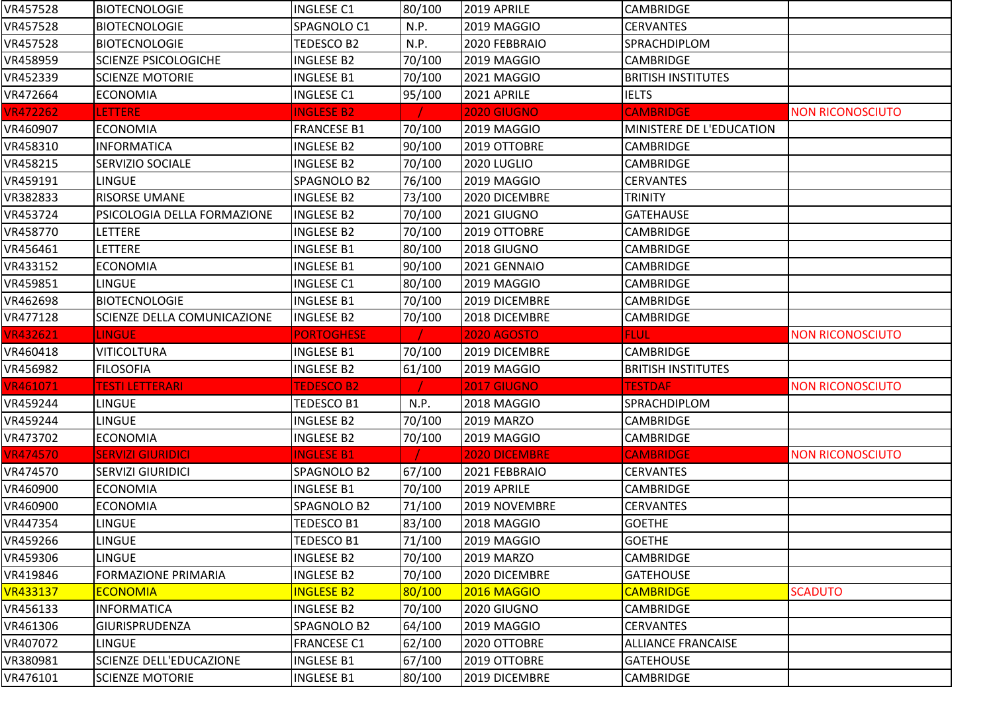| VR457528        | <b>BIOTECNOLOGIE</b>               | <b>INGLESE C1</b>  | 80/100 | 2019 APRILE          | <b>CAMBRIDGE</b>          |                         |
|-----------------|------------------------------------|--------------------|--------|----------------------|---------------------------|-------------------------|
| VR457528        | <b>BIOTECNOLOGIE</b>               | SPAGNOLO C1        | N.P.   | 2019 MAGGIO          | <b>CERVANTES</b>          |                         |
| VR457528        | <b>BIOTECNOLOGIE</b>               | TEDESCO B2         | N.P.   | 2020 FEBBRAIO        | SPRACHDIPLOM              |                         |
| VR458959        | <b>SCIENZE PSICOLOGICHE</b>        | <b>INGLESE B2</b>  | 70/100 | 2019 MAGGIO          | <b>CAMBRIDGE</b>          |                         |
| VR452339        | <b>SCIENZE MOTORIE</b>             | <b>INGLESE B1</b>  | 70/100 | 2021 MAGGIO          | <b>BRITISH INSTITUTES</b> |                         |
| VR472664        | <b>ECONOMIA</b>                    | <b>INGLESE C1</b>  | 95/100 | 2021 APRILE          | <b>IELTS</b>              |                         |
| <b>VR472262</b> | <b>LETTERE</b>                     | <b>INGLESE B2</b>  |        | 2020 GIUGNO          | <b>CAMBRIDGE</b>          | <b>NON RICONOSCIUTO</b> |
| VR460907        | <b>ECONOMIA</b>                    | <b>FRANCESE B1</b> | 70/100 | 2019 MAGGIO          | MINISTERE DE L'EDUCATION  |                         |
| VR458310        | <b>INFORMATICA</b>                 | <b>INGLESE B2</b>  | 90/100 | 2019 OTTOBRE         | <b>CAMBRIDGE</b>          |                         |
| VR458215        | <b>SERVIZIO SOCIALE</b>            | <b>INGLESE B2</b>  | 70/100 | 2020 LUGLIO          | <b>CAMBRIDGE</b>          |                         |
| VR459191        | LINGUE                             | SPAGNOLO B2        | 76/100 | 2019 MAGGIO          | <b>CERVANTES</b>          |                         |
| VR382833        | <b>RISORSE UMANE</b>               | <b>INGLESE B2</b>  | 73/100 | 2020 DICEMBRE        | <b>TRINITY</b>            |                         |
| VR453724        | <b>PSICOLOGIA DELLA FORMAZIONE</b> | <b>INGLESE B2</b>  | 70/100 | 2021 GIUGNO          | <b>GATEHAUSE</b>          |                         |
| VR458770        | <b>LETTERE</b>                     | <b>INGLESE B2</b>  | 70/100 | 2019 OTTOBRE         | <b>CAMBRIDGE</b>          |                         |
| VR456461        | <b>LETTERE</b>                     | <b>INGLESE B1</b>  | 80/100 | 2018 GIUGNO          | <b>CAMBRIDGE</b>          |                         |
| VR433152        | <b>ECONOMIA</b>                    | <b>INGLESE B1</b>  | 90/100 | 2021 GENNAIO         | <b>CAMBRIDGE</b>          |                         |
| VR459851        | <b>LINGUE</b>                      | <b>INGLESE C1</b>  | 80/100 | 2019 MAGGIO          | <b>CAMBRIDGE</b>          |                         |
| VR462698        | <b>BIOTECNOLOGIE</b>               | <b>INGLESE B1</b>  | 70/100 | 2019 DICEMBRE        | <b>CAMBRIDGE</b>          |                         |
| VR477128        | <b>SCIENZE DELLA COMUNICAZIONE</b> | <b>INGLESE B2</b>  | 70/100 | 2018 DICEMBRE        | CAMBRIDGE                 |                         |
| <b>VR432621</b> | <b>LINGUE</b>                      | <b>PORTOGHESE</b>  |        | <b>2020 AGOSTO</b>   | <b>FLUL</b>               | <b>NON RICONOSCIUTO</b> |
| VR460418        | <b>VITICOLTURA</b>                 | <b>INGLESE B1</b>  | 70/100 | 2019 DICEMBRE        | CAMBRIDGE                 |                         |
| VR456982        | <b>FILOSOFIA</b>                   | <b>INGLESE B2</b>  | 61/100 | 2019 MAGGIO          | <b>BRITISH INSTITUTES</b> |                         |
| VR461071        | <b>TESTI LETTERARI</b>             | <b>TEDESCO B2</b>  |        | <b>2017 GIUGNO</b>   | <b>TESTDAF</b>            | <b>NON RICONOSCIUTO</b> |
| VR459244        | <b>LINGUE</b>                      | <b>TEDESCO B1</b>  | N.P.   | 2018 MAGGIO          | SPRACHDIPLOM              |                         |
| VR459244        | <b>LINGUE</b>                      | <b>INGLESE B2</b>  | 70/100 | 2019 MARZO           | <b>CAMBRIDGE</b>          |                         |
| VR473702        | <b>ECONOMIA</b>                    | <b>INGLESE B2</b>  | 70/100 | 2019 MAGGIO          | <b>CAMBRIDGE</b>          |                         |
| <b>VR474570</b> | <b>SERVIZI GIURIDICI</b>           | <b>INGLESE B1</b>  |        | <b>2020 DICEMBRE</b> | <b>CAMBRIDGE</b>          | <b>NON RICONOSCIUTO</b> |
| VR474570        | <b>SERVIZI GIURIDICI</b>           | SPAGNOLO B2        | 67/100 | 2021 FEBBRAIO        | <b>CERVANTES</b>          |                         |
| VR460900        | <b>ECONOMIA</b>                    | <b>INGLESE B1</b>  | 70/100 | 2019 APRILE          | <b>CAMBRIDGE</b>          |                         |
| VR460900        | <b>ECONOMIA</b>                    | SPAGNOLO B2        | 71/100 | 2019 NOVEMBRE        | <b>CERVANTES</b>          |                         |
| VR447354        | <b>LINGUE</b>                      | TEDESCO B1         | 83/100 | 2018 MAGGIO          | <b>GOETHE</b>             |                         |
| VR459266        | <b>LINGUE</b>                      | TEDESCO B1         | 71/100 | 2019 MAGGIO          | <b>GOETHE</b>             |                         |
| VR459306        | <b>LINGUE</b>                      | <b>INGLESE B2</b>  | 70/100 | 2019 MARZO           | <b>CAMBRIDGE</b>          |                         |
| VR419846        | <b>FORMAZIONE PRIMARIA</b>         | <b>INGLESE B2</b>  | 70/100 | 2020 DICEMBRE        | <b>GATEHOUSE</b>          |                         |
| <b>VR433137</b> | <b>ECONOMIA</b>                    | <b>INGLESE B2</b>  | 80/100 | <b>2016 MAGGIO</b>   | <b>CAMBRIDGE</b>          | <b>SCADUTO</b>          |
| VR456133        | <b>INFORMATICA</b>                 | INGLESE B2         | 70/100 | 2020 GIUGNO          | <b>CAMBRIDGE</b>          |                         |
| VR461306        | <b>GIURISPRUDENZA</b>              | SPAGNOLO B2        | 64/100 | 2019 MAGGIO          | CERVANTES                 |                         |
| VR407072        | <b>LINGUE</b>                      | <b>FRANCESE C1</b> | 62/100 | 2020 OTTOBRE         | <b>ALLIANCE FRANCAISE</b> |                         |
| VR380981        | <b>SCIENZE DELL'EDUCAZIONE</b>     | <b>INGLESE B1</b>  | 67/100 | 2019 OTTOBRE         | <b>GATEHOUSE</b>          |                         |
| VR476101        | <b>SCIENZE MOTORIE</b>             | <b>INGLESE B1</b>  | 80/100 | 2019 DICEMBRE        | CAMBRIDGE                 |                         |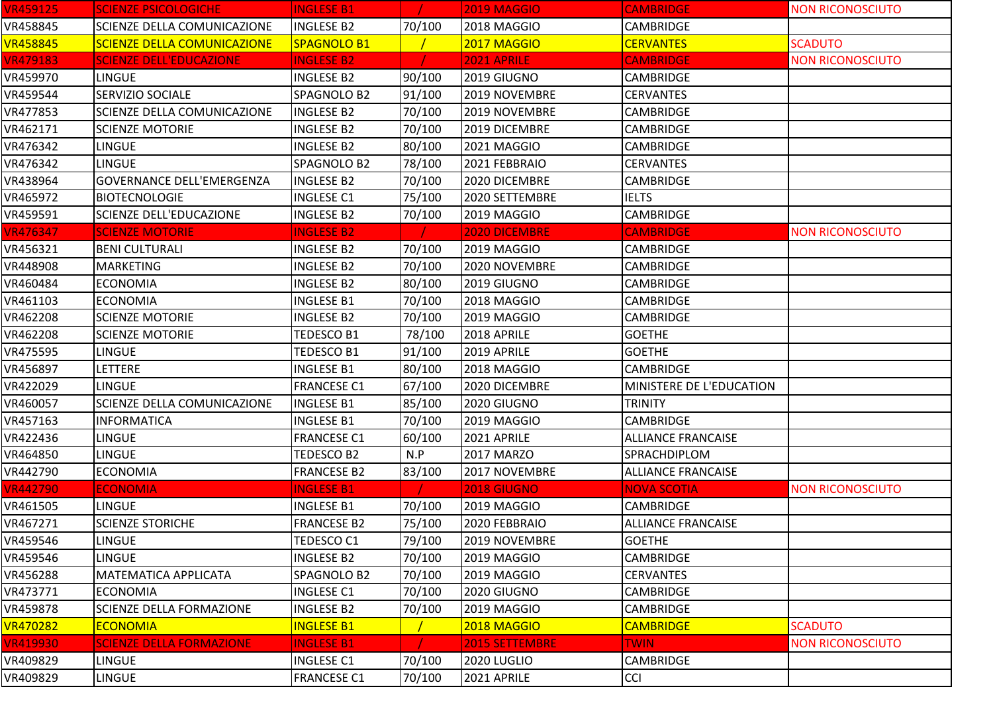| <b>VR459125</b> | <b>SCIENZE PSICOLOGICHE</b>        | <b>INGLESE B1</b>  |        | <b>2019 MAGGIO</b> | <b>CAMBRIDGE</b>          | <b>NON RICONOSCIUTO</b> |
|-----------------|------------------------------------|--------------------|--------|--------------------|---------------------------|-------------------------|
| VR458845        | SCIENZE DELLA COMUNICAZIONE        | <b>INGLESE B2</b>  | 70/100 | 2018 MAGGIO        | <b>CAMBRIDGE</b>          |                         |
| <b>VR458845</b> | <b>SCIENZE DELLA COMUNICAZIONE</b> | SPAGNOLO B1        |        | 2017 MAGGIO        | <b>CERVANTES</b>          | <b>SCADUTO</b>          |
| <b>VR479183</b> | <b>SCIENZE DELL'EDUCAZIONE</b>     | <b>INGLESE B2</b>  |        | 2021 APRILE        | <b>CAMBRIDGE</b>          | <b>NON RICONOSCIUTO</b> |
| VR459970        | <b>LINGUE</b>                      | <b>INGLESE B2</b>  | 90/100 | 2019 GIUGNO        | CAMBRIDGE                 |                         |
| VR459544        | <b>SERVIZIO SOCIALE</b>            | SPAGNOLO B2        | 91/100 | 2019 NOVEMBRE      | <b>CERVANTES</b>          |                         |
| VR477853        | SCIENZE DELLA COMUNICAZIONE        | <b>INGLESE B2</b>  | 70/100 | 2019 NOVEMBRE      | <b>CAMBRIDGE</b>          |                         |
| VR462171        | <b>SCIENZE MOTORIE</b>             | <b>INGLESE B2</b>  | 70/100 | 2019 DICEMBRE      | <b>CAMBRIDGE</b>          |                         |
| VR476342        | <b>LINGUE</b>                      | <b>INGLESE B2</b>  | 80/100 | 2021 MAGGIO        | <b>CAMBRIDGE</b>          |                         |
| VR476342        | <b>LINGUE</b>                      | SPAGNOLO B2        | 78/100 | 2021 FEBBRAIO      | <b>CERVANTES</b>          |                         |
| VR438964        | <b>GOVERNANCE DELL'EMERGENZA</b>   | <b>INGLESE B2</b>  | 70/100 | 2020 DICEMBRE      | <b>CAMBRIDGE</b>          |                         |
| VR465972        | <b>BIOTECNOLOGIE</b>               | <b>INGLESE C1</b>  | 75/100 | 2020 SETTEMBRE     | <b>IELTS</b>              |                         |
| VR459591        | <b>SCIENZE DELL'EDUCAZIONE</b>     | <b>INGLESE B2</b>  | 70/100 | 2019 MAGGIO        | CAMBRIDGE                 |                         |
| <b>VR476347</b> | <b>SCIENZE MOTORIE</b>             | <b>INGLESE B2</b>  |        | 2020 DICEMBRE      | <b>CAMBRIDGE</b>          | <b>NON RICONOSCIUTO</b> |
| VR456321        | <b>BENI CULTURALI</b>              | <b>INGLESE B2</b>  | 70/100 | 2019 MAGGIO        | <b>CAMBRIDGE</b>          |                         |
| VR448908        | <b>MARKETING</b>                   | <b>INGLESE B2</b>  | 70/100 | 2020 NOVEMBRE      | <b>CAMBRIDGE</b>          |                         |
| VR460484        | <b>ECONOMIA</b>                    | <b>INGLESE B2</b>  | 80/100 | 2019 GIUGNO        | <b>CAMBRIDGE</b>          |                         |
| VR461103        | <b>ECONOMIA</b>                    | <b>INGLESE B1</b>  | 70/100 | 2018 MAGGIO        | <b>CAMBRIDGE</b>          |                         |
| VR462208        | <b>SCIENZE MOTORIE</b>             | <b>INGLESE B2</b>  | 70/100 | 2019 MAGGIO        | CAMBRIDGE                 |                         |
| VR462208        | <b>SCIENZE MOTORIE</b>             | TEDESCO B1         | 78/100 | 2018 APRILE        | <b>GOETHE</b>             |                         |
| VR475595        | <b>LINGUE</b>                      | <b>TEDESCO B1</b>  | 91/100 | 2019 APRILE        | <b>GOETHE</b>             |                         |
| VR456897        | LETTERE                            | <b>INGLESE B1</b>  | 80/100 | 2018 MAGGIO        | <b>CAMBRIDGE</b>          |                         |
| VR422029        | <b>LINGUE</b>                      | <b>FRANCESE C1</b> | 67/100 | 2020 DICEMBRE      | MINISTERE DE L'EDUCATION  |                         |
| VR460057        | SCIENZE DELLA COMUNICAZIONE        | <b>INGLESE B1</b>  | 85/100 | 2020 GIUGNO        | <b>TRINITY</b>            |                         |
| VR457163        | <b>INFORMATICA</b>                 | <b>INGLESE B1</b>  | 70/100 | 2019 MAGGIO        | <b>CAMBRIDGE</b>          |                         |
| VR422436        | <b>LINGUE</b>                      | <b>FRANCESE C1</b> | 60/100 | 2021 APRILE        | <b>ALLIANCE FRANCAISE</b> |                         |
| VR464850        | <b>LINGUE</b>                      | TEDESCO B2         | N.P    | 2017 MARZO         | SPRACHDIPLOM              |                         |
| VR442790        | <b>ECONOMIA</b>                    | <b>FRANCESE B2</b> | 83/100 | 2017 NOVEMBRE      | <b>ALLIANCE FRANCAISE</b> |                         |
| <b>VR442790</b> | <b>ECONOMIA</b>                    | <b>INGLESE B1</b>  |        | 2018 GIUGNO        | <b>NOVA SCOTIA</b>        | <b>NON RICONOSCIUTO</b> |
| VR461505        | <b>LINGUE</b>                      | <b>INGLESE B1</b>  | 70/100 | 2019 MAGGIO        | <b>CAMBRIDGE</b>          |                         |
| VR467271        | <b>SCIENZE STORICHE</b>            | <b>FRANCESE B2</b> | 75/100 | 2020 FEBBRAIO      | <b>ALLIANCE FRANCAISE</b> |                         |
| VR459546        | <b>LINGUE</b>                      | <b>TEDESCO C1</b>  | 79/100 | 2019 NOVEMBRE      | <b>GOETHE</b>             |                         |
| VR459546        | <b>LINGUE</b>                      | <b>INGLESE B2</b>  | 70/100 | 2019 MAGGIO        | <b>CAMBRIDGE</b>          |                         |
| VR456288        | <b>MATEMATICA APPLICATA</b>        | SPAGNOLO B2        | 70/100 | 2019 MAGGIO        | <b>CERVANTES</b>          |                         |
| VR473771        | <b>ECONOMIA</b>                    | <b>INGLESE C1</b>  | 70/100 | 2020 GIUGNO        | <b>CAMBRIDGE</b>          |                         |
| VR459878        | <b>SCIENZE DELLA FORMAZIONE</b>    | <b>INGLESE B2</b>  | 70/100 | 2019 MAGGIO        | <b>CAMBRIDGE</b>          |                         |
| <b>VR470282</b> | <b>ECONOMIA</b>                    | <b>INGLESE B1</b>  |        | 2018 MAGGIO        | <b>CAMBRIDGE</b>          | <b>SCADUTO</b>          |
| <b>VR419930</b> | <b>SCIENZE DELLA FORMAZIONE</b>    | <b>INGLESE B1</b>  |        | 2015 SETTEMBRE     | <b>TWIN</b>               | <b>NON RICONOSCIUTO</b> |
| VR409829        | <b>LINGUE</b>                      | <b>INGLESE C1</b>  | 70/100 | 2020 LUGLIO        | <b>CAMBRIDGE</b>          |                         |
| VR409829        | <b>LINGUE</b>                      | <b>FRANCESE C1</b> | 70/100 | 2021 APRILE        | <b>CCI</b>                |                         |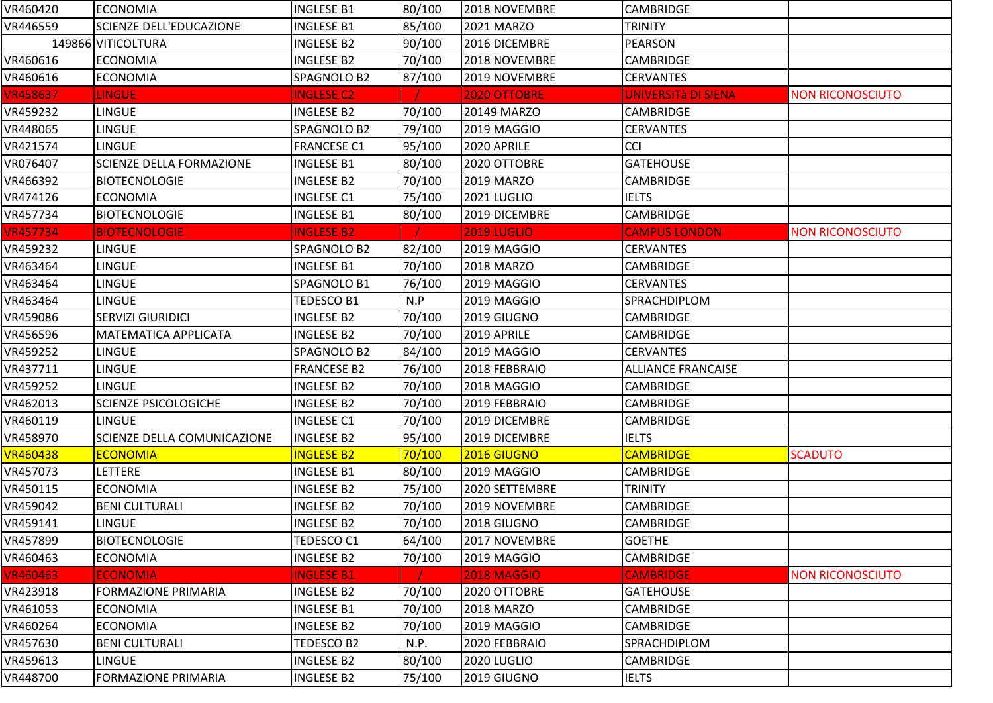| VR460420        | <b>ECONOMIA</b>                 | <b>INGLESE B1</b>  | 80/100 | 2018 NOVEMBRE      | <b>CAMBRIDGE</b>          |                         |
|-----------------|---------------------------------|--------------------|--------|--------------------|---------------------------|-------------------------|
| VR446559        | SCIENZE DELL'EDUCAZIONE         | <b>INGLESE B1</b>  | 85/100 | 2021 MARZO         | <b>TRINITY</b>            |                         |
|                 | 149866 VITICOLTURA              | <b>INGLESE B2</b>  | 90/100 | 2016 DICEMBRE      | <b>PEARSON</b>            |                         |
| VR460616        | <b>ECONOMIA</b>                 | <b>INGLESE B2</b>  | 70/100 | 2018 NOVEMBRE      | <b>CAMBRIDGE</b>          |                         |
| VR460616        | <b>ECONOMIA</b>                 | SPAGNOLO B2        | 87/100 | 2019 NOVEMBRE      | <b>CERVANTES</b>          |                         |
| <b>VR458637</b> | <b>LINGUE</b>                   | <b>INGLESE C2</b>  |        | 2020 OTTOBRE       | UNIVERSITà DI SIENA       | <b>NON RICONOSCIUTO</b> |
| VR459232        | LINGUE                          | <b>INGLESE B2</b>  | 70/100 | 20149 MARZO        | <b>CAMBRIDGE</b>          |                         |
| VR448065        | LINGUE                          | SPAGNOLO B2        | 79/100 | 2019 MAGGIO        | <b>CERVANTES</b>          |                         |
| VR421574        | LINGUE                          | <b>FRANCESE C1</b> | 95/100 | 2020 APRILE        | <b>CCI</b>                |                         |
| VR076407        | <b>SCIENZE DELLA FORMAZIONE</b> | <b>INGLESE B1</b>  | 80/100 | 2020 OTTOBRE       | <b>GATEHOUSE</b>          |                         |
| VR466392        | <b>BIOTECNOLOGIE</b>            | <b>INGLESE B2</b>  | 70/100 | <b>2019 MARZO</b>  | <b>CAMBRIDGE</b>          |                         |
| VR474126        | <b>ECONOMIA</b>                 | <b>INGLESE C1</b>  | 75/100 | 2021 LUGLIO        | <b>IELTS</b>              |                         |
| VR457734        | <b>BIOTECNOLOGIE</b>            | <b>INGLESE B1</b>  | 80/100 | 2019 DICEMBRE      | <b>CAMBRIDGE</b>          |                         |
| <b>VR457734</b> | <b>BIOTECNOLOGIE</b>            | <b>INGLESE B2</b>  |        | <b>2019 LUGLIO</b> | <b>CAMPUS LONDON</b>      | <b>NON RICONOSCIUTO</b> |
| VR459232        | <b>LINGUE</b>                   | SPAGNOLO B2        | 82/100 | 2019 MAGGIO        | <b>CERVANTES</b>          |                         |
| VR463464        | <b>LINGUE</b>                   | <b>INGLESE B1</b>  | 70/100 | <b>2018 MARZO</b>  | <b>CAMBRIDGE</b>          |                         |
| VR463464        | <b>LINGUE</b>                   | SPAGNOLO B1        | 76/100 | 2019 MAGGIO        | <b>CERVANTES</b>          |                         |
| VR463464        | LINGUE                          | TEDESCO B1         | N.P    | 2019 MAGGIO        | SPRACHDIPLOM              |                         |
| VR459086        | <b>SERVIZI GIURIDICI</b>        | <b>INGLESE B2</b>  | 70/100 | 2019 GIUGNO        | <b>CAMBRIDGE</b>          |                         |
| VR456596        | MATEMATICA APPLICATA            | <b>INGLESE B2</b>  | 70/100 | 2019 APRILE        | <b>CAMBRIDGE</b>          |                         |
| VR459252        | LINGUE                          | SPAGNOLO B2        | 84/100 | 2019 MAGGIO        | <b>CERVANTES</b>          |                         |
| VR437711        | LINGUE                          | <b>FRANCESE B2</b> | 76/100 | 2018 FEBBRAIO      | <b>ALLIANCE FRANCAISE</b> |                         |
| VR459252        | LINGUE                          | <b>INGLESE B2</b>  | 70/100 | 2018 MAGGIO        | <b>CAMBRIDGE</b>          |                         |
| VR462013        | <b>SCIENZE PSICOLOGICHE</b>     | <b>INGLESE B2</b>  | 70/100 | 2019 FEBBRAIO      | <b>CAMBRIDGE</b>          |                         |
| VR460119        | LINGUE                          | <b>INGLESE C1</b>  | 70/100 | 2019 DICEMBRE      | CAMBRIDGE                 |                         |
| VR458970        | SCIENZE DELLA COMUNICAZIONE     | <b>INGLESE B2</b>  | 95/100 | 2019 DICEMBRE      | <b>IELTS</b>              |                         |
| <b>VR460438</b> | <b>ECONOMIA</b>                 | <b>INGLESE B2</b>  | 70/100 | 2016 GIUGNO        | <b>CAMBRIDGE</b>          | <b>SCADUTO</b>          |
| VR457073        | LETTERE                         | <b>INGLESE B1</b>  | 80/100 | 2019 MAGGIO        | <b>CAMBRIDGE</b>          |                         |
| VR450115        | <b>ECONOMIA</b>                 | <b>INGLESE B2</b>  | 75/100 | 2020 SETTEMBRE     | <b>TRINITY</b>            |                         |
| VR459042        | <b>BENI CULTURALI</b>           | <b>INGLESE B2</b>  | 70/100 | 2019 NOVEMBRE      | <b>CAMBRIDGE</b>          |                         |
| VR459141        | <b>LINGUE</b>                   | <b>INGLESE B2</b>  | 70/100 | 2018 GIUGNO        | <b>CAMBRIDGE</b>          |                         |
| VR457899        | <b>BIOTECNOLOGIE</b>            | TEDESCO C1         | 64/100 | 2017 NOVEMBRE      | <b>GOETHE</b>             |                         |
| VR460463        | <b>ECONOMIA</b>                 | <b>INGLESE B2</b>  | 70/100 | 2019 MAGGIO        | <b>CAMBRIDGE</b>          |                         |
| <b>VR460463</b> | <b>ECONOMIA</b>                 | <b>INGLESE B1</b>  |        | <b>2018 MAGGIO</b> | <b>CAMBRIDGE</b>          | <b>NON RICONOSCIUTO</b> |
| VR423918        | <b>FORMAZIONE PRIMARIA</b>      | INGLESE B2         | 70/100 | 2020 OTTOBRE       | <b>GATEHOUSE</b>          |                         |
| VR461053        | <b>ECONOMIA</b>                 | <b>INGLESE B1</b>  | 70/100 | <b>2018 MARZO</b>  | <b>CAMBRIDGE</b>          |                         |
| VR460264        | <b>ECONOMIA</b>                 | <b>INGLESE B2</b>  | 70/100 | 2019 MAGGIO        | <b>CAMBRIDGE</b>          |                         |
| VR457630        | <b>BENI CULTURALI</b>           | TEDESCO B2         | N.P.   | 2020 FEBBRAIO      | SPRACHDIPLOM              |                         |
| VR459613        | <b>LINGUE</b>                   | <b>INGLESE B2</b>  | 80/100 | 2020 LUGLIO        | <b>CAMBRIDGE</b>          |                         |
| VR448700        | <b>FORMAZIONE PRIMARIA</b>      | <b>INGLESE B2</b>  | 75/100 | 2019 GIUGNO        | <b>IELTS</b>              |                         |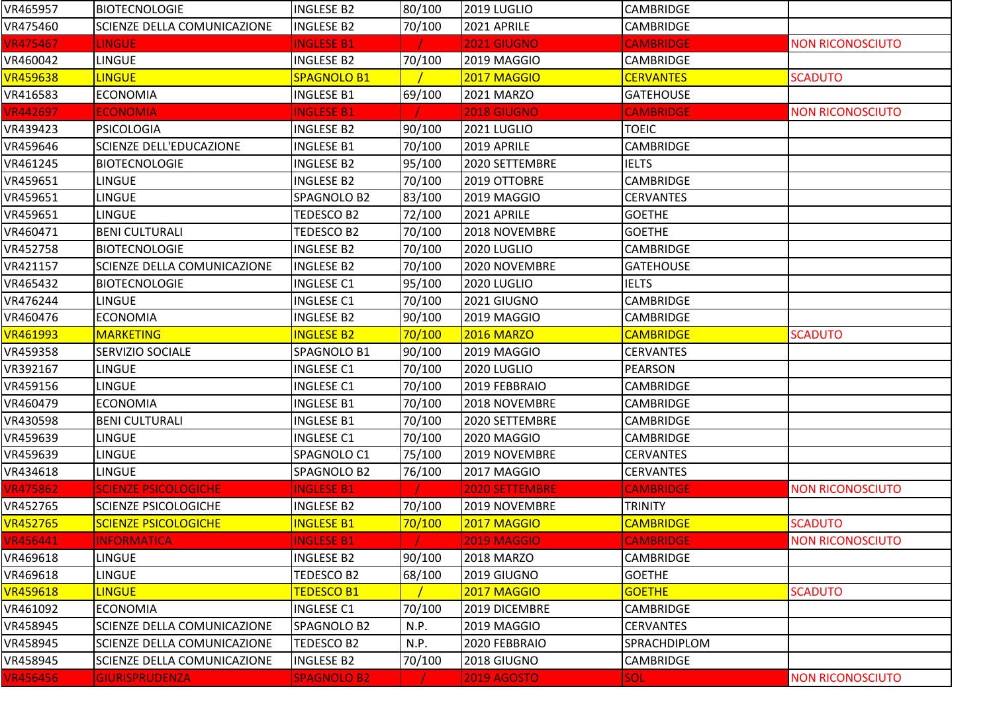| VR465957        | <b>BIOTECNOLOGIE</b>               | <b>INGLESE B2</b>  | 80/100 | 2019 LUGLIO           | <b>CAMBRIDGE</b> |                         |
|-----------------|------------------------------------|--------------------|--------|-----------------------|------------------|-------------------------|
| VR475460        | SCIENZE DELLA COMUNICAZIONE        | <b>INGLESE B2</b>  | 70/100 | 2021 APRILE           | <b>CAMBRIDGE</b> |                         |
| <b>VR475467</b> | <b>LINGUE</b>                      | <b>INGLESE B1</b>  |        | <b>2021 GIUGNO</b>    | <b>CAMBRIDGE</b> | <b>NON RICONOSCIUTO</b> |
| VR460042        | <b>LINGUE</b>                      | <b>INGLESE B2</b>  | 70/100 | 2019 MAGGIO           | <b>CAMBRIDGE</b> |                         |
| <b>VR459638</b> | <b>LINGUE</b>                      | SPAGNOLO B1        |        | 2017 MAGGIO           | <b>CERVANTES</b> | <b>SCADUTO</b>          |
| VR416583        | <b>ECONOMIA</b>                    | <b>INGLESE B1</b>  | 69/100 | 2021 MARZO            | <b>GATEHOUSE</b> |                         |
| <b>VR442697</b> | <b>ECONOMIA</b>                    | <b>INGLESE B1</b>  |        | 2018 GIUGNO           | <b>CAMBRIDGE</b> | <b>NON RICONOSCIUTO</b> |
| VR439423        | <b>PSICOLOGIA</b>                  | <b>INGLESE B2</b>  | 90/100 | <b>2021 LUGLIO</b>    | <b>TOEIC</b>     |                         |
| VR459646        | <b>SCIENZE DELL'EDUCAZIONE</b>     | <b>INGLESE B1</b>  | 70/100 | 2019 APRILE           | <b>CAMBRIDGE</b> |                         |
| VR461245        | <b>BIOTECNOLOGIE</b>               | <b>INGLESE B2</b>  | 95/100 | 2020 SETTEMBRE        | <b>IELTS</b>     |                         |
| VR459651        | <b>LINGUE</b>                      | <b>INGLESE B2</b>  | 70/100 | 2019 OTTOBRE          | <b>CAMBRIDGE</b> |                         |
| VR459651        | <b>LINGUE</b>                      | SPAGNOLO B2        | 83/100 | 2019 MAGGIO           | <b>CERVANTES</b> |                         |
| VR459651        | LINGUE                             | TEDESCO B2         | 72/100 | 2021 APRILE           | <b>GOETHE</b>    |                         |
| VR460471        | <b>BENI CULTURALI</b>              | TEDESCO B2         | 70/100 | 2018 NOVEMBRE         | <b>GOETHE</b>    |                         |
| VR452758        | <b>BIOTECNOLOGIE</b>               | <b>INGLESE B2</b>  | 70/100 | 2020 LUGLIO           | CAMBRIDGE        |                         |
| VR421157        | <b>SCIENZE DELLA COMUNICAZIONE</b> | <b>INGLESE B2</b>  | 70/100 | 2020 NOVEMBRE         | <b>GATEHOUSE</b> |                         |
| VR465432        | <b>BIOTECNOLOGIE</b>               | <b>INGLESE C1</b>  | 95/100 | 2020 LUGLIO           | <b>IELTS</b>     |                         |
| VR476244        | <b>LINGUE</b>                      | <b>INGLESE C1</b>  | 70/100 | 2021 GIUGNO           | <b>CAMBRIDGE</b> |                         |
| VR460476        | <b>ECONOMIA</b>                    | <b>INGLESE B2</b>  | 90/100 | 2019 MAGGIO           | <b>CAMBRIDGE</b> |                         |
| <b>VR461993</b> | <b>MARKETING</b>                   | <b>INGLESE B2</b>  | 70/100 | <b>2016 MARZO</b>     | <b>CAMBRIDGE</b> | <b>SCADUTO</b>          |
| VR459358        | <b>SERVIZIO SOCIALE</b>            | SPAGNOLO B1        | 90/100 | 2019 MAGGIO           | <b>CERVANTES</b> |                         |
| VR392167        | <b>LINGUE</b>                      | <b>INGLESE C1</b>  | 70/100 | 2020 LUGLIO           | PEARSON          |                         |
| VR459156        | <b>LINGUE</b>                      | <b>INGLESE C1</b>  | 70/100 | 2019 FEBBRAIO         | <b>CAMBRIDGE</b> |                         |
| VR460479        | <b>ECONOMIA</b>                    | <b>INGLESE B1</b>  | 70/100 | 2018 NOVEMBRE         | <b>CAMBRIDGE</b> |                         |
| VR430598        | <b>BENI CULTURALI</b>              | <b>INGLESE B1</b>  | 70/100 | 2020 SETTEMBRE        | <b>CAMBRIDGE</b> |                         |
| VR459639        | <b>LINGUE</b>                      | <b>INGLESE C1</b>  | 70/100 | 2020 MAGGIO           | <b>CAMBRIDGE</b> |                         |
| VR459639        | <b>LINGUE</b>                      | SPAGNOLO C1        | 75/100 | 2019 NOVEMBRE         | <b>CERVANTES</b> |                         |
| VR434618        | <b>LINGUE</b>                      | SPAGNOLO B2        | 76/100 | 2017 MAGGIO           | <b>CERVANTES</b> |                         |
| <b>VR475862</b> | <b>SCIENZE PSICOLOGICHE</b>        | <b>INGLESE B1</b>  |        | <b>2020 SETTEMBRE</b> | <b>CAMBRIDGE</b> | <b>NON RICONOSCIUTO</b> |
| VR452765        | <b>SCIENZE PSICOLOGICHE</b>        | <b>INGLESE B2</b>  | 70/100 | 2019 NOVEMBRE         | <b>TRINITY</b>   |                         |
| <b>VR452765</b> | <b>SCIENZE PSICOLOGICHE</b>        | <b>INGLESE B1</b>  | 70/100 | <b>2017 MAGGIO</b>    | <b>CAMBRIDGE</b> | <b>SCADUTO</b>          |
| VR456441        | <b>INFORMATICA</b>                 | <b>INGLESE B1</b>  |        | <b>2019 MAGGIO</b>    | <b>CAMBRIDGE</b> | <b>NON RICONOSCIUTO</b> |
| VR469618        | <b>LINGUE</b>                      | <b>INGLESE B2</b>  | 90/100 | <b>2018 MARZO</b>     | <b>CAMBRIDGE</b> |                         |
| VR469618        | LINGUE                             | <b>TEDESCO B2</b>  | 68/100 | 2019 GIUGNO           | <b>GOETHE</b>    |                         |
| <b>VR459618</b> | <b>LINGUE</b>                      | <b>TEDESCO B1</b>  |        | 2017 MAGGIO           | <b>GOETHE</b>    | <b>SCADUTO</b>          |
| VR461092        | <b>ECONOMIA</b>                    | <b>INGLESE C1</b>  | 70/100 | 2019 DICEMBRE         | <b>CAMBRIDGE</b> |                         |
| VR458945        | <b>SCIENZE DELLA COMUNICAZIONE</b> | SPAGNOLO B2        | N.P.   | 2019 MAGGIO           | <b>CERVANTES</b> |                         |
| VR458945        | <b>SCIENZE DELLA COMUNICAZIONE</b> | TEDESCO B2         | N.P.   | 2020 FEBBRAIO         | SPRACHDIPLOM     |                         |
| VR458945        | <b>SCIENZE DELLA COMUNICAZIONE</b> | <b>INGLESE B2</b>  | 70/100 | 2018 GIUGNO           | <b>CAMBRIDGE</b> |                         |
| <b>VR456456</b> | <b>GIURISPRUDENZA</b>              | <b>SPAGNOLO B2</b> |        | <b>2019 AGOSTO</b>    | <b>SOL</b>       | <b>NON RICONOSCIUTO</b> |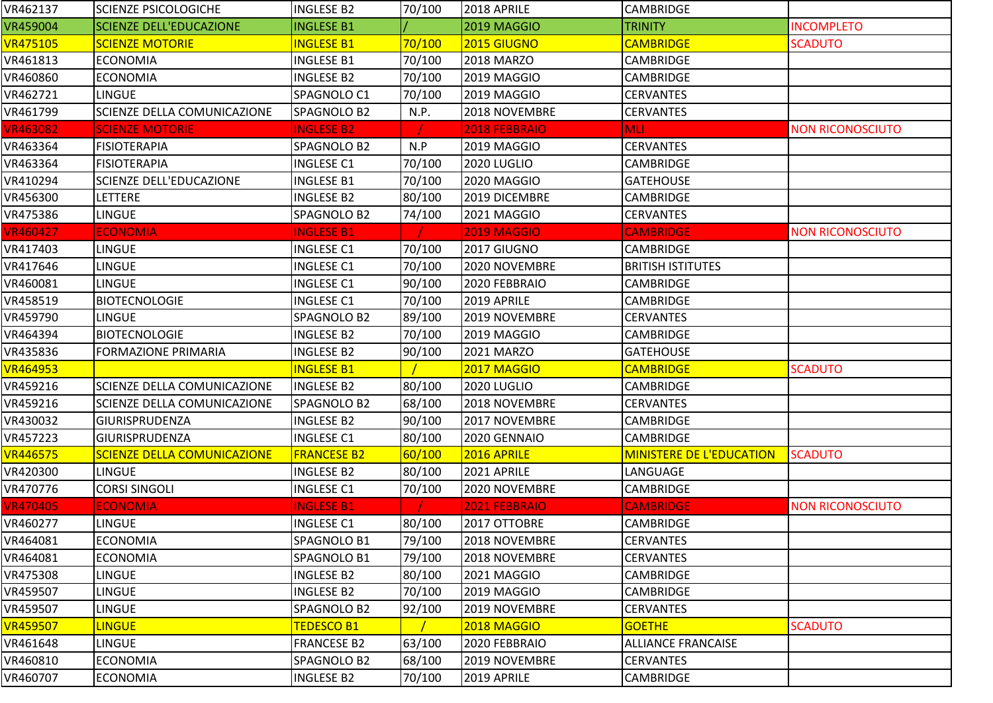| VR462137        | <b>SCIENZE PSICOLOGICHE</b>        | <b>INGLESE B2</b>  | 70/100 | 2018 APRILE          | <b>CAMBRIDGE</b>                |                         |
|-----------------|------------------------------------|--------------------|--------|----------------------|---------------------------------|-------------------------|
| VR459004        | <b>SCIENZE DELL'EDUCAZIONE</b>     | <b>INGLESE B1</b>  |        | 2019 MAGGIO          | <b>TRINITY</b>                  | <b>INCOMPLETO</b>       |
| <b>VR475105</b> | <b>SCIENZE MOTORIE</b>             | <b>INGLESE B1</b>  | 70/100 | 2015 GIUGNO          | <b>CAMBRIDGE</b>                | <b>SCADUTO</b>          |
| VR461813        | <b>ECONOMIA</b>                    | <b>INGLESE B1</b>  | 70/100 | 2018 MARZO           | <b>CAMBRIDGE</b>                |                         |
| VR460860        | <b>ECONOMIA</b>                    | <b>INGLESE B2</b>  | 70/100 | 2019 MAGGIO          | <b>CAMBRIDGE</b>                |                         |
| VR462721        | <b>LINGUE</b>                      | SPAGNOLO C1        | 70/100 | 2019 MAGGIO          | <b>CERVANTES</b>                |                         |
| VR461799        | SCIENZE DELLA COMUNICAZIONE        | SPAGNOLO B2        | N.P.   | 2018 NOVEMBRE        | <b>CERVANTES</b>                |                         |
| <b>VR463082</b> | <b>SCIENZE MOTORIE</b>             | <b>INGLESE B2</b>  |        | <b>2018 FEBBRAIO</b> | <b>MLI</b>                      | <b>NON RICONOSCIUTO</b> |
| VR463364        | <b>FISIOTERAPIA</b>                | SPAGNOLO B2        | N.P    | 2019 MAGGIO          | <b>CERVANTES</b>                |                         |
| VR463364        | <b>FISIOTERAPIA</b>                | <b>INGLESE C1</b>  | 70/100 | 2020 LUGLIO          | <b>CAMBRIDGE</b>                |                         |
| VR410294        | <b>SCIENZE DELL'EDUCAZIONE</b>     | <b>INGLESE B1</b>  | 70/100 | 2020 MAGGIO          | <b>GATEHOUSE</b>                |                         |
| VR456300        | <b>LETTERE</b>                     | <b>INGLESE B2</b>  | 80/100 | 2019 DICEMBRE        | <b>CAMBRIDGE</b>                |                         |
| VR475386        | LINGUE                             | SPAGNOLO B2        | 74/100 | 2021 MAGGIO          | <b>CERVANTES</b>                |                         |
| <b>VR460427</b> | <b>ECONOMIA</b>                    | <b>INGLESE B1</b>  |        | <b>2019 MAGGIO</b>   | <b>CAMBRIDGE</b>                | <b>NON RICONOSCIUTO</b> |
| VR417403        | <b>LINGUE</b>                      | <b>INGLESE C1</b>  | 70/100 | 2017 GIUGNO          | <b>CAMBRIDGE</b>                |                         |
| VR417646        | <b>LINGUE</b>                      | <b>INGLESE C1</b>  | 70/100 | 2020 NOVEMBRE        | <b>BRITISH ISTITUTES</b>        |                         |
| VR460081        | <b>LINGUE</b>                      | <b>INGLESE C1</b>  | 90/100 | 2020 FEBBRAIO        | <b>CAMBRIDGE</b>                |                         |
| VR458519        | <b>BIOTECNOLOGIE</b>               | <b>INGLESE C1</b>  | 70/100 | 2019 APRILE          | <b>CAMBRIDGE</b>                |                         |
| VR459790        | <b>LINGUE</b>                      | SPAGNOLO B2        | 89/100 | 2019 NOVEMBRE        | <b>CERVANTES</b>                |                         |
| VR464394        | <b>BIOTECNOLOGIE</b>               | <b>INGLESE B2</b>  | 70/100 | 2019 MAGGIO          | <b>CAMBRIDGE</b>                |                         |
| VR435836        | <b>FORMAZIONE PRIMARIA</b>         | <b>INGLESE B2</b>  | 90/100 | 2021 MARZO           | <b>GATEHOUSE</b>                |                         |
| <b>VR464953</b> |                                    | <b>INGLESE B1</b>  |        | 2017 MAGGIO          | <b>CAMBRIDGE</b>                | <b>SCADUTO</b>          |
| VR459216        | <b>SCIENZE DELLA COMUNICAZIONE</b> | <b>INGLESE B2</b>  | 80/100 | 2020 LUGLIO          | <b>CAMBRIDGE</b>                |                         |
| VR459216        | <b>SCIENZE DELLA COMUNICAZIONE</b> | SPAGNOLO B2        | 68/100 | 2018 NOVEMBRE        | <b>CERVANTES</b>                |                         |
| VR430032        | <b>GIURISPRUDENZA</b>              | <b>INGLESE B2</b>  | 90/100 | 2017 NOVEMBRE        | <b>CAMBRIDGE</b>                |                         |
| VR457223        | <b>GIURISPRUDENZA</b>              | <b>INGLESE C1</b>  | 80/100 | 2020 GENNAIO         | <b>CAMBRIDGE</b>                |                         |
| <b>VR446575</b> | <b>SCIENZE DELLA COMUNICAZIONE</b> | <b>FRANCESE B2</b> | 60/100 | 2016 APRILE          | <b>MINISTERE DE L'EDUCATION</b> | <b>SCADUTO</b>          |
| VR420300        | LINGUE                             | <b>INGLESE B2</b>  | 80/100 | 2021 APRILE          | LANGUAGE                        |                         |
| VR470776        | <b>CORSI SINGOLI</b>               | <b>INGLESE C1</b>  | 70/100 | 2020 NOVEMBRE        | <b>CAMBRIDGE</b>                |                         |
| <b>VR470405</b> | <b>ECONOMIA</b>                    | <b>INGLESE B1</b>  |        | <b>2021 FEBBRAIO</b> | <b>CAMBRIDGE</b>                | <b>NON RICONOSCIUTO</b> |
| VR460277        | <b>LINGUE</b>                      | <b>INGLESE C1</b>  | 80/100 | 2017 OTTOBRE         | <b>CAMBRIDGE</b>                |                         |
| VR464081        | <b>ECONOMIA</b>                    | SPAGNOLO B1        | 79/100 | 2018 NOVEMBRE        | <b>CERVANTES</b>                |                         |
| VR464081        | <b>ECONOMIA</b>                    | SPAGNOLO B1        | 79/100 | 2018 NOVEMBRE        | <b>CERVANTES</b>                |                         |
| VR475308        | <b>LINGUE</b>                      | <b>INGLESE B2</b>  | 80/100 | 2021 MAGGIO          | <b>CAMBRIDGE</b>                |                         |
| VR459507        | LINGUE                             | <b>INGLESE B2</b>  | 70/100 | 2019 MAGGIO          | <b>CAMBRIDGE</b>                |                         |
| VR459507        | <b>LINGUE</b>                      | SPAGNOLO B2        | 92/100 | 2019 NOVEMBRE        | <b>CERVANTES</b>                |                         |
| <b>VR459507</b> | <b>LINGUE</b>                      | TEDESCO B1         |        | 2018 MAGGIO          | <b>GOETHE</b>                   | <b>SCADUTO</b>          |
| VR461648        | <b>LINGUE</b>                      | <b>FRANCESE B2</b> | 63/100 | 2020 FEBBRAIO        | <b>ALLIANCE FRANCAISE</b>       |                         |
| VR460810        | <b>ECONOMIA</b>                    | SPAGNOLO B2        | 68/100 | 2019 NOVEMBRE        | <b>CERVANTES</b>                |                         |
| VR460707        | <b>ECONOMIA</b>                    | <b>INGLESE B2</b>  | 70/100 | 2019 APRILE          | <b>CAMBRIDGE</b>                |                         |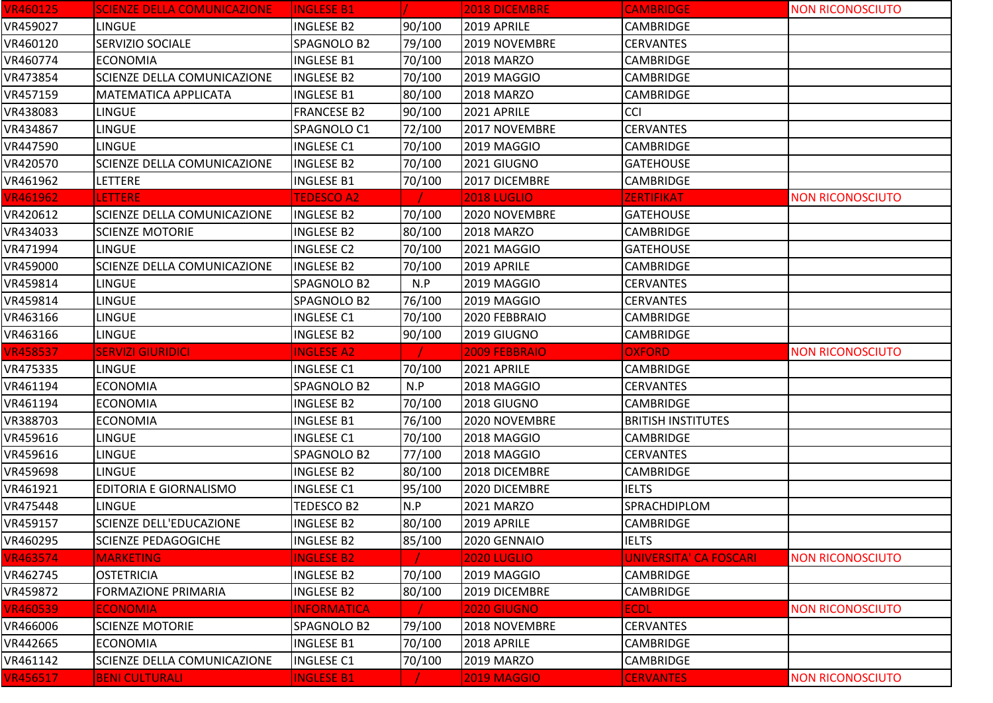| <b>VR460125</b> | <b>SCIENZE DELLA COMUNICAZIONE</b> | <b>INGLESE B1</b>  |        | 2018 DICEMBRE      | <b>CAMBRIDGE</b>          | <b>NON RICONOSCIUTO</b> |
|-----------------|------------------------------------|--------------------|--------|--------------------|---------------------------|-------------------------|
| VR459027        | <b>LINGUE</b>                      | <b>INGLESE B2</b>  | 90/100 | 2019 APRILE        | <b>CAMBRIDGE</b>          |                         |
| VR460120        | SERVIZIO SOCIALE                   | SPAGNOLO B2        | 79/100 | 2019 NOVEMBRE      | <b>CERVANTES</b>          |                         |
| VR460774        | <b>ECONOMIA</b>                    | <b>INGLESE B1</b>  | 70/100 | 2018 MARZO         | <b>CAMBRIDGE</b>          |                         |
| VR473854        | SCIENZE DELLA COMUNICAZIONE        | <b>INGLESE B2</b>  | 70/100 | 2019 MAGGIO        | CAMBRIDGE                 |                         |
| VR457159        | MATEMATICA APPLICATA               | <b>INGLESE B1</b>  | 80/100 | 2018 MARZO         | <b>CAMBRIDGE</b>          |                         |
| VR438083        | <b>LINGUE</b>                      | <b>FRANCESE B2</b> | 90/100 | 2021 APRILE        | <b>CCI</b>                |                         |
| VR434867        | LINGUE                             | SPAGNOLO C1        | 72/100 | 2017 NOVEMBRE      | <b>CERVANTES</b>          |                         |
| VR447590        | <b>LINGUE</b>                      | <b>INGLESE C1</b>  | 70/100 | 2019 MAGGIO        | <b>CAMBRIDGE</b>          |                         |
| VR420570        | SCIENZE DELLA COMUNICAZIONE        | <b>INGLESE B2</b>  | 70/100 | 2021 GIUGNO        | <b>GATEHOUSE</b>          |                         |
| VR461962        | LETTERE                            | <b>INGLESE B1</b>  | 70/100 | 2017 DICEMBRE      | CAMBRIDGE                 |                         |
| <b>VR461962</b> | <b>LETTERE</b>                     | <b>TEDESCO A2</b>  |        | <b>2018 LUGLIO</b> | <b>ZERTIFIKAT</b>         | <b>NON RICONOSCIUTO</b> |
| VR420612        | SCIENZE DELLA COMUNICAZIONE        | <b>INGLESE B2</b>  | 70/100 | 2020 NOVEMBRE      | <b>GATEHOUSE</b>          |                         |
| VR434033        | <b>SCIENZE MOTORIE</b>             | <b>INGLESE B2</b>  | 80/100 | 2018 MARZO         | <b>CAMBRIDGE</b>          |                         |
| VR471994        | <b>LINGUE</b>                      | <b>INGLESE C2</b>  | 70/100 | 2021 MAGGIO        | <b>GATEHOUSE</b>          |                         |
| VR459000        | SCIENZE DELLA COMUNICAZIONE        | <b>INGLESE B2</b>  | 70/100 | 2019 APRILE        | <b>CAMBRIDGE</b>          |                         |
| VR459814        | <b>LINGUE</b>                      | SPAGNOLO B2        | N.P    | 2019 MAGGIO        | <b>CERVANTES</b>          |                         |
| VR459814        | <b>LINGUE</b>                      | SPAGNOLO B2        | 76/100 | 2019 MAGGIO        | <b>CERVANTES</b>          |                         |
| VR463166        | LINGUE                             | <b>INGLESE C1</b>  | 70/100 | 2020 FEBBRAIO      | CAMBRIDGE                 |                         |
| VR463166        | LINGUE                             | <b>INGLESE B2</b>  | 90/100 | 2019 GIUGNO        | CAMBRIDGE                 |                         |
|                 |                                    |                    |        |                    |                           |                         |
| <b>VR458537</b> | <b>SERVIZI GIURIDICI</b>           | <b>INGLESE A2</b>  |        | 2009 FEBBRAIO      | <b>OXFORD</b>             | <b>NON RICONOSCIUTO</b> |
| VR475335        | <b>LINGUE</b>                      | <b>INGLESE C1</b>  | 70/100 | 2021 APRILE        | <b>CAMBRIDGE</b>          |                         |
| VR461194        | <b>ECONOMIA</b>                    | SPAGNOLO B2        | N.P    | 2018 MAGGIO        | <b>CERVANTES</b>          |                         |
| VR461194        | <b>ECONOMIA</b>                    | <b>INGLESE B2</b>  | 70/100 | 2018 GIUGNO        | <b>CAMBRIDGE</b>          |                         |
| VR388703        | <b>ECONOMIA</b>                    | <b>INGLESE B1</b>  | 76/100 | 2020 NOVEMBRE      | <b>BRITISH INSTITUTES</b> |                         |
| VR459616        | <b>LINGUE</b>                      | <b>INGLESE C1</b>  | 70/100 | 2018 MAGGIO        | <b>CAMBRIDGE</b>          |                         |
| VR459616        | LINGUE                             | SPAGNOLO B2        | 77/100 | 2018 MAGGIO        | <b>CERVANTES</b>          |                         |
| VR459698        | <b>LINGUE</b>                      | <b>INGLESE B2</b>  | 80/100 | 2018 DICEMBRE      | <b>CAMBRIDGE</b>          |                         |
| VR461921        | <b>EDITORIA E GIORNALISMO</b>      | <b>INGLESE C1</b>  | 95/100 | 2020 DICEMBRE      | <b>IELTS</b>              |                         |
| VR475448        | LINGUE                             | TEDESCO B2         | N.P    | 2021 MARZO         | SPRACHDIPLOM              |                         |
| VR459157        | SCIENZE DELL'EDUCAZIONE            | <b>INGLESE B2</b>  | 80/100 | 2019 APRILE        | <b>CAMBRIDGE</b>          |                         |
| VR460295        | <b>SCIENZE PEDAGOGICHE</b>         | <b>INGLESE B2</b>  | 85/100 | 2020 GENNAIO       | <b>IELTS</b>              |                         |
| <b>VR463574</b> | <b>MARKETING</b>                   | <b>INGLESE B2</b>  |        | <b>2020 LUGLIO</b> | UNIVERSITA' CA FOSCARI    | <b>NON RICONOSCIUTO</b> |
| VR462745        | <b>OSTETRICIA</b>                  | <b>INGLESE B2</b>  | 70/100 | 2019 MAGGIO        | CAMBRIDGE                 |                         |
| VR459872        | <b>FORMAZIONE PRIMARIA</b>         | <b>INGLESE B2</b>  | 80/100 | 2019 DICEMBRE      | CAMBRIDGE                 |                         |
| <b>VR460539</b> | <b>ECONOMIA</b>                    | <b>INFORMATICA</b> |        | 2020 GIUGNO        | <b>ECDL</b>               | <b>NON RICONOSCIUTO</b> |
| VR466006        | <b>SCIENZE MOTORIE</b>             | SPAGNOLO B2        | 79/100 | 2018 NOVEMBRE      | <b>CERVANTES</b>          |                         |
| VR442665        | <b>ECONOMIA</b>                    | <b>INGLESE B1</b>  | 70/100 | 2018 APRILE        | CAMBRIDGE                 |                         |
| VR461142        | SCIENZE DELLA COMUNICAZIONE        | <b>INGLESE C1</b>  | 70/100 | 2019 MARZO         | <b>CAMBRIDGE</b>          |                         |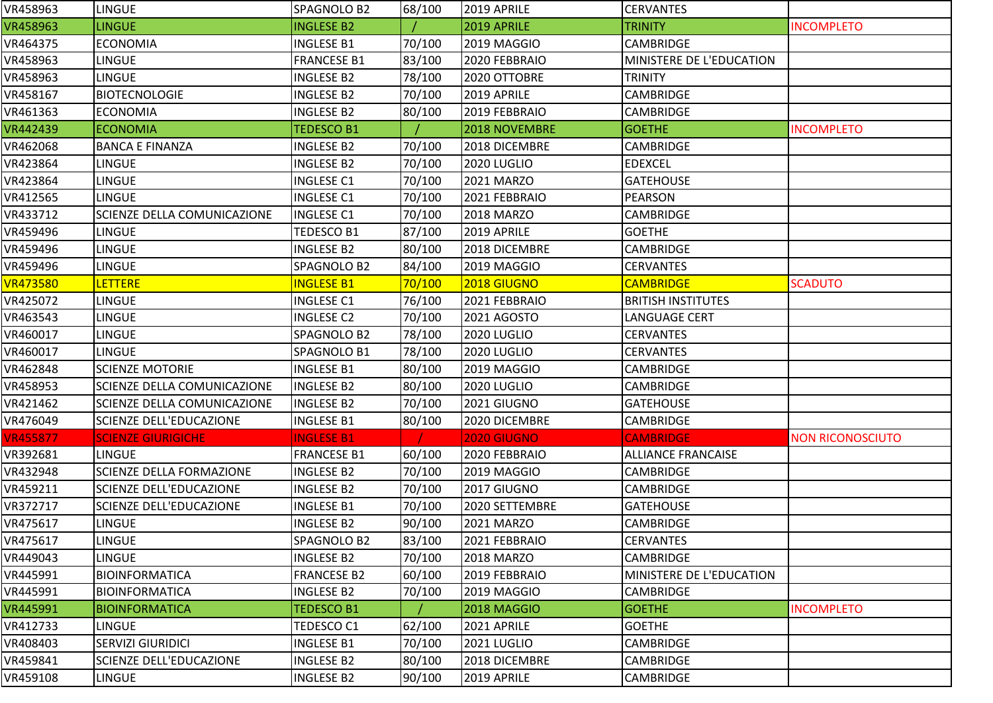| VR458963        | LINGUE                             | SPAGNOLO B2        | 68/100 | 2019 APRILE        | <b>CERVANTES</b>                |                         |
|-----------------|------------------------------------|--------------------|--------|--------------------|---------------------------------|-------------------------|
| VR458963        | <b>LINGUE</b>                      | <b>INGLESE B2</b>  |        | 2019 APRILE        | <b>TRINITY</b>                  | <b>INCOMPLETO</b>       |
| VR464375        | <b>ECONOMIA</b>                    | <b>INGLESE B1</b>  | 70/100 | 2019 MAGGIO        | <b>CAMBRIDGE</b>                |                         |
| VR458963        | <b>LINGUE</b>                      | <b>FRANCESE B1</b> | 83/100 | 2020 FEBBRAIO      | <b>MINISTERE DE L'EDUCATION</b> |                         |
| VR458963        | <b>LINGUE</b>                      | <b>INGLESE B2</b>  | 78/100 | 2020 OTTOBRE       | <b>TRINITY</b>                  |                         |
| VR458167        | <b>BIOTECNOLOGIE</b>               | INGLESE B2         | 70/100 | 2019 APRILE        | <b>CAMBRIDGE</b>                |                         |
| VR461363        | <b>ECONOMIA</b>                    | <b>INGLESE B2</b>  | 80/100 | 2019 FEBBRAIO      | <b>CAMBRIDGE</b>                |                         |
| VR442439        | <b>ECONOMIA</b>                    | <b>TEDESCO B1</b>  |        | 2018 NOVEMBRE      | <b>GOETHE</b>                   | <b>INCOMPLETO</b>       |
| VR462068        | <b>BANCA E FINANZA</b>             | <b>INGLESE B2</b>  | 70/100 | 2018 DICEMBRE      | <b>CAMBRIDGE</b>                |                         |
| VR423864        | <b>LINGUE</b>                      | <b>INGLESE B2</b>  | 70/100 | 2020 LUGLIO        | <b>EDEXCEL</b>                  |                         |
| VR423864        | LINGUE                             | <b>INGLESE C1</b>  | 70/100 | 2021 MARZO         | <b>GATEHOUSE</b>                |                         |
| VR412565        | <b>LINGUE</b>                      | <b>INGLESE C1</b>  | 70/100 | 2021 FEBBRAIO      | <b>PEARSON</b>                  |                         |
| VR433712        | SCIENZE DELLA COMUNICAZIONE        | <b>INGLESE C1</b>  | 70/100 | 2018 MARZO         | <b>CAMBRIDGE</b>                |                         |
| VR459496        | LINGUE                             | TEDESCO B1         | 87/100 | 2019 APRILE        | <b>GOETHE</b>                   |                         |
| VR459496        | LINGUE                             | <b>INGLESE B2</b>  | 80/100 | 2018 DICEMBRE      | <b>CAMBRIDGE</b>                |                         |
| VR459496        | LINGUE                             | SPAGNOLO B2        | 84/100 | 2019 MAGGIO        | <b>CERVANTES</b>                |                         |
| <b>VR473580</b> | <b>LETTERE</b>                     | <b>INGLESE B1</b>  | 70/100 | 2018 GIUGNO        | <b>CAMBRIDGE</b>                | <b>SCADUTO</b>          |
| VR425072        | LINGUE                             | <b>INGLESE C1</b>  | 76/100 | 2021 FEBBRAIO      | <b>BRITISH INSTITUTES</b>       |                         |
| VR463543        | LINGUE                             | <b>INGLESE C2</b>  | 70/100 | 2021 AGOSTO        | <b>LANGUAGE CERT</b>            |                         |
| VR460017        | LINGUE                             | SPAGNOLO B2        | 78/100 | 2020 LUGLIO        | <b>CERVANTES</b>                |                         |
| VR460017        | LINGUE                             | SPAGNOLO B1        | 78/100 | 2020 LUGLIO        | <b>CERVANTES</b>                |                         |
| VR462848        | <b>SCIENZE MOTORIE</b>             | <b>INGLESE B1</b>  | 80/100 | 2019 MAGGIO        | <b>CAMBRIDGE</b>                |                         |
| VR458953        | SCIENZE DELLA COMUNICAZIONE        | <b>INGLESE B2</b>  | 80/100 | 2020 LUGLIO        | <b>CAMBRIDGE</b>                |                         |
| VR421462        | <b>SCIENZE DELLA COMUNICAZIONE</b> | <b>INGLESE B2</b>  | 70/100 | 2021 GIUGNO        | <b>GATEHOUSE</b>                |                         |
| VR476049        | SCIENZE DELL'EDUCAZIONE            | <b>INGLESE B1</b>  | 80/100 | 2020 DICEMBRE      | <b>CAMBRIDGE</b>                |                         |
| <b>VR455877</b> | <b>SCIENZE GIURIGICHE</b>          | <b>INGLESE B1</b>  |        | <b>2020 GIUGNO</b> | <b>CAMBRIDGE</b>                | <b>NON RICONOSCIUTO</b> |
| VR392681        | LINGUE                             | <b>FRANCESE B1</b> | 60/100 | 2020 FEBBRAIO      | <b>ALLIANCE FRANCAISE</b>       |                         |
| VR432948        | <b>SCIENZE DELLA FORMAZIONE</b>    | <b>INGLESE B2</b>  | 70/100 | 2019 MAGGIO        | <b>CAMBRIDGE</b>                |                         |
| VR459211        | <b>SCIENZE DELL'EDUCAZIONE</b>     | <b>INGLESE B2</b>  | 70/100 | 2017 GIUGNO        | <b>CAMBRIDGE</b>                |                         |
| VR372717        | <b>SCIENZE DELL'EDUCAZIONE</b>     | <b>INGLESE B1</b>  | 70/100 | 2020 SETTEMBRE     | <b>GATEHOUSE</b>                |                         |
| VR475617        | <b>LINGUE</b>                      | <b>INGLESE B2</b>  | 90/100 | 2021 MARZO         | <b>CAMBRIDGE</b>                |                         |
| VR475617        | LINGUE                             | SPAGNOLO B2        | 83/100 | 2021 FEBBRAIO      | <b>CERVANTES</b>                |                         |
| VR449043        | LINGUE                             | <b>INGLESE B2</b>  | 70/100 | 2018 MARZO         | <b>CAMBRIDGE</b>                |                         |
| VR445991        | <b>BIOINFORMATICA</b>              | <b>FRANCESE B2</b> | 60/100 | 2019 FEBBRAIO      | MINISTERE DE L'EDUCATION        |                         |
| VR445991        | BIOINFORMATICA                     | <b>INGLESE B2</b>  | 70/100 | 2019 MAGGIO        | <b>CAMBRIDGE</b>                |                         |
| VR445991        | <b>BIOINFORMATICA</b>              | <b>TEDESCO B1</b>  |        | 2018 MAGGIO        | <b>GOETHE</b>                   | <b>INCOMPLETO</b>       |
| VR412733        | <b>LINGUE</b>                      | TEDESCO C1         | 62/100 | 2021 APRILE        | <b>GOETHE</b>                   |                         |
| VR408403        | <b>SERVIZI GIURIDICI</b>           | <b>INGLESE B1</b>  | 70/100 | 2021 LUGLIO        | <b>CAMBRIDGE</b>                |                         |
| VR459841        | SCIENZE DELL'EDUCAZIONE            | <b>INGLESE B2</b>  | 80/100 | 2018 DICEMBRE      | <b>CAMBRIDGE</b>                |                         |
| VR459108        | <b>LINGUE</b>                      | <b>INGLESE B2</b>  | 90/100 | 2019 APRILE        | <b>CAMBRIDGE</b>                |                         |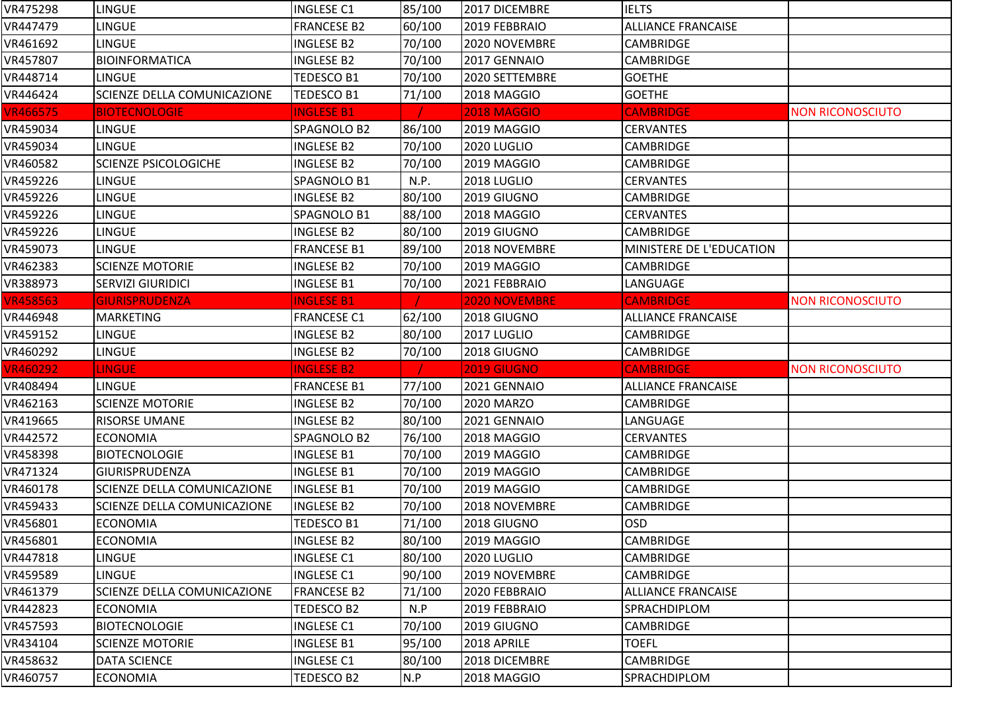| VR475298        | <b>LINGUE</b>               | <b>INGLESE C1</b>  | 85/100 | 2017 DICEMBRE        | <b>IELTS</b>              |                         |
|-----------------|-----------------------------|--------------------|--------|----------------------|---------------------------|-------------------------|
| VR447479        | LINGUE                      | <b>FRANCESE B2</b> | 60/100 | 2019 FEBBRAIO        | <b>ALLIANCE FRANCAISE</b> |                         |
| VR461692        | LINGUE                      | <b>INGLESE B2</b>  | 70/100 | 2020 NOVEMBRE        | <b>CAMBRIDGE</b>          |                         |
| VR457807        | <b>BIOINFORMATICA</b>       | <b>INGLESE B2</b>  | 70/100 | 2017 GENNAIO         | CAMBRIDGE                 |                         |
| VR448714        | <b>LINGUE</b>               | TEDESCO B1         | 70/100 | 2020 SETTEMBRE       | <b>GOETHE</b>             |                         |
| VR446424        | SCIENZE DELLA COMUNICAZIONE | TEDESCO B1         | 71/100 | 2018 MAGGIO          | <b>GOETHE</b>             |                         |
| <b>VR466575</b> | <b>BIOTECNOLOGIE</b>        | <b>INGLESE B1</b>  |        | <b>2018 MAGGIO</b>   | <b>CAMBRIDGE</b>          | <b>NON RICONOSCIUTO</b> |
| VR459034        | LINGUE                      | SPAGNOLO B2        | 86/100 | 2019 MAGGIO          | <b>CERVANTES</b>          |                         |
| VR459034        | <b>LINGUE</b>               | <b>INGLESE B2</b>  | 70/100 | 2020 LUGLIO          | <b>CAMBRIDGE</b>          |                         |
| VR460582        | <b>SCIENZE PSICOLOGICHE</b> | <b>INGLESE B2</b>  | 70/100 | 2019 MAGGIO          | <b>CAMBRIDGE</b>          |                         |
| VR459226        | LINGUE                      | SPAGNOLO B1        | N.P.   | 2018 LUGLIO          | <b>CERVANTES</b>          |                         |
| VR459226        | LINGUE                      | <b>INGLESE B2</b>  | 80/100 | 2019 GIUGNO          | CAMBRIDGE                 |                         |
| VR459226        | LINGUE                      | SPAGNOLO B1        | 88/100 | 2018 MAGGIO          | <b>CERVANTES</b>          |                         |
| VR459226        | LINGUE                      | <b>INGLESE B2</b>  | 80/100 | 2019 GIUGNO          | <b>CAMBRIDGE</b>          |                         |
| VR459073        | LINGUE                      | <b>FRANCESE B1</b> | 89/100 | 2018 NOVEMBRE        | MINISTERE DE L'EDUCATION  |                         |
| VR462383        | <b>SCIENZE MOTORIE</b>      | <b>INGLESE B2</b>  | 70/100 | 2019 MAGGIO          | <b>CAMBRIDGE</b>          |                         |
| VR388973        | <b>SERVIZI GIURIDICI</b>    | <b>INGLESE B1</b>  | 70/100 | 2021 FEBBRAIO        | LANGUAGE                  |                         |
| <b>VR458563</b> | <b>GIURISPRUDENZA</b>       | <b>INGLESE B1</b>  |        | <b>2020 NOVEMBRE</b> | <b>CAMBRIDGE</b>          | <b>NON RICONOSCIUTO</b> |
| VR446948        | <b>MARKETING</b>            | <b>FRANCESE C1</b> | 62/100 | 2018 GIUGNO          | <b>ALLIANCE FRANCAISE</b> |                         |
| VR459152        | LINGUE                      | <b>INGLESE B2</b>  | 80/100 | 2017 LUGLIO          | <b>CAMBRIDGE</b>          |                         |
| VR460292        | LINGUE                      | <b>INGLESE B2</b>  | 70/100 | 2018 GIUGNO          | CAMBRIDGE                 |                         |
| <b>VR460292</b> | <b>LINGUE</b>               | <b>INGLESE B2</b>  |        | <b>2019 GIUGNO</b>   | <b>CAMBRIDGE</b>          | <b>NON RICONOSCIUTO</b> |
| VR408494        | <b>LINGUE</b>               | <b>FRANCESE B1</b> | 77/100 | 2021 GENNAIO         | <b>ALLIANCE FRANCAISE</b> |                         |
| VR462163        | <b>SCIENZE MOTORIE</b>      | <b>INGLESE B2</b>  | 70/100 | <b>2020 MARZO</b>    | <b>CAMBRIDGE</b>          |                         |
| VR419665        | RISORSE UMANE               | <b>INGLESE B2</b>  | 80/100 | 2021 GENNAIO         | LANGUAGE                  |                         |
| VR442572        | <b>ECONOMIA</b>             | SPAGNOLO B2        | 76/100 | 2018 MAGGIO          | <b>CERVANTES</b>          |                         |
| VR458398        | <b>BIOTECNOLOGIE</b>        | <b>INGLESE B1</b>  | 70/100 | 2019 MAGGIO          | CAMBRIDGE                 |                         |
| VR471324        | GIURISPRUDENZA              | <b>INGLESE B1</b>  | 70/100 | 2019 MAGGIO          | CAMBRIDGE                 |                         |
| VR460178        | SCIENZE DELLA COMUNICAZIONE | <b>INGLESE B1</b>  | 70/100 | 2019 MAGGIO          | <b>CAMBRIDGE</b>          |                         |
| VR459433        | SCIENZE DELLA COMUNICAZIONE | <b>INGLESE B2</b>  | 70/100 | 2018 NOVEMBRE        | <b>CAMBRIDGE</b>          |                         |
| VR456801        | <b>ECONOMIA</b>             | <b>TEDESCO B1</b>  | 71/100 | 2018 GIUGNO          | <b>OSD</b>                |                         |
| VR456801        | <b>ECONOMIA</b>             | <b>INGLESE B2</b>  | 80/100 | 2019 MAGGIO          | CAMBRIDGE                 |                         |
| VR447818        | LINGUE                      | <b>INGLESE C1</b>  | 80/100 | 2020 LUGLIO          | <b>CAMBRIDGE</b>          |                         |
| VR459589        | LINGUE                      | <b>INGLESE C1</b>  | 90/100 | 2019 NOVEMBRE        | <b>CAMBRIDGE</b>          |                         |
| VR461379        | SCIENZE DELLA COMUNICAZIONE | <b>FRANCESE B2</b> | 71/100 | 2020 FEBBRAIO        | <b>ALLIANCE FRANCAISE</b> |                         |
| VR442823        |                             |                    |        | 2019 FEBBRAIO        | SPRACHDIPLOM              |                         |
|                 | <b>ECONOMIA</b>             | TEDESCO B2         | N.P    |                      |                           |                         |
| VR457593        | <b>BIOTECNOLOGIE</b>        | <b>INGLESE C1</b>  | 70/100 | 2019 GIUGNO          | <b>CAMBRIDGE</b>          |                         |
| VR434104        | <b>SCIENZE MOTORIE</b>      | <b>INGLESE B1</b>  | 95/100 | 2018 APRILE          | <b>TOEFL</b>              |                         |
| VR458632        | <b>DATA SCIENCE</b>         | <b>INGLESE C1</b>  | 80/100 | 2018 DICEMBRE        | CAMBRIDGE                 |                         |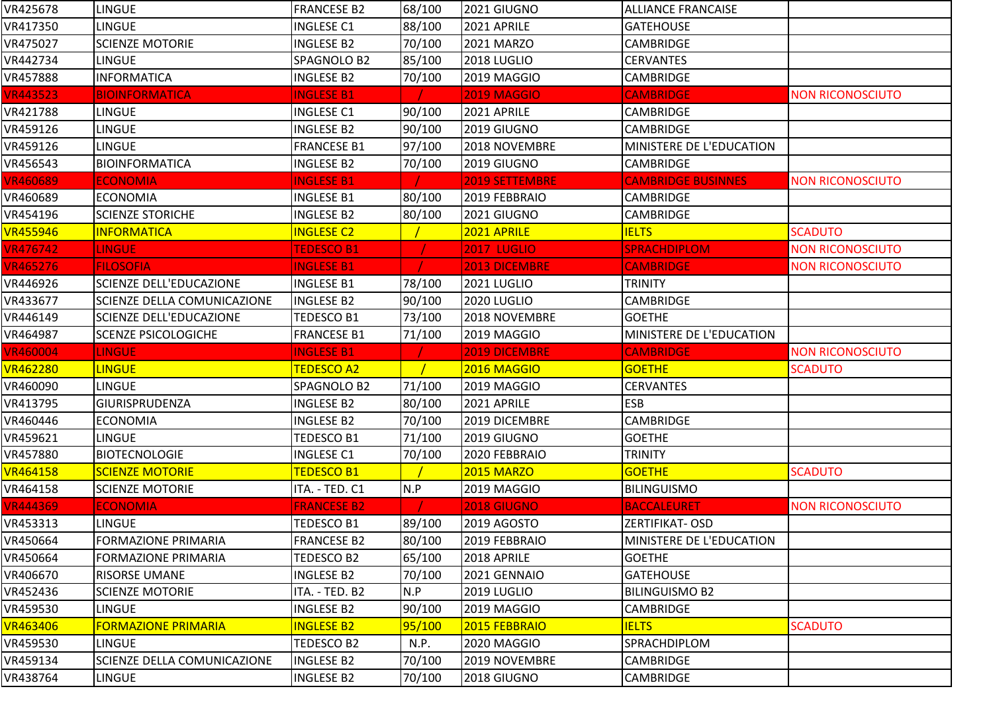| VR425678                                                                                                                           | LINGUE                             | <b>FRANCESE B2</b> | 68/100 | 2021 GIUGNO           | <b>ALLIANCE FRANCAISE</b> |                         |
|------------------------------------------------------------------------------------------------------------------------------------|------------------------------------|--------------------|--------|-----------------------|---------------------------|-------------------------|
| VR417350                                                                                                                           | LINGUE                             | <b>INGLESE C1</b>  | 88/100 | 2021 APRILE           | <b>GATEHOUSE</b>          |                         |
| VR475027                                                                                                                           | <b>SCIENZE MOTORIE</b>             | <b>INGLESE B2</b>  | 70/100 | 2021 MARZO            | <b>CAMBRIDGE</b>          |                         |
| VR442734                                                                                                                           | <b>LINGUE</b>                      | SPAGNOLO B2        | 85/100 | 2018 LUGLIO           | <b>CERVANTES</b>          |                         |
| VR457888                                                                                                                           | <b>INFORMATICA</b>                 | <b>INGLESE B2</b>  | 70/100 | 2019 MAGGIO           | CAMBRIDGE                 |                         |
| <b>VR443523</b>                                                                                                                    | <b>BIOINFORMATICA</b>              | <b>INGLESE B1</b>  |        | <b>2019 MAGGIO</b>    | <b>CAMBRIDGE</b>          | <b>NON RICONOSCIUTO</b> |
| VR421788                                                                                                                           | <b>LINGUE</b>                      | <b>INGLESE C1</b>  | 90/100 | 2021 APRILE           | <b>CAMBRIDGE</b>          |                         |
| VR459126                                                                                                                           | LINGUE                             | <b>INGLESE B2</b>  | 90/100 | 2019 GIUGNO           | <b>CAMBRIDGE</b>          |                         |
| VR459126                                                                                                                           | <b>LINGUE</b>                      | <b>FRANCESE B1</b> | 97/100 | 2018 NOVEMBRE         | MINISTERE DE L'EDUCATION  |                         |
| VR456543                                                                                                                           | <b>BIOINFORMATICA</b>              | <b>INGLESE B2</b>  | 70/100 | 2019 GIUGNO           | <b>CAMBRIDGE</b>          |                         |
| <b>VR460689</b>                                                                                                                    | <b>ECONOMIA</b>                    | <b>INGLESE B1</b>  |        | <b>2019 SETTEMBRE</b> | <b>CAMBRIDGE BUSINNES</b> | <b>NON RICONOSCIUTO</b> |
| VR460689                                                                                                                           | <b>ECONOMIA</b>                    | <b>INGLESE B1</b>  | 80/100 | 2019 FEBBRAIO         | <b>CAMBRIDGE</b>          |                         |
| VR454196                                                                                                                           | <b>SCIENZE STORICHE</b>            | <b>INGLESE B2</b>  | 80/100 | 2021 GIUGNO           | CAMBRIDGE                 |                         |
| <b>VR455946</b>                                                                                                                    | <b>INFORMATICA</b>                 | <b>INGLESE C2</b>  |        | 2021 APRILE           | <b>IELTS</b>              | <b>SCADUTO</b>          |
| <b>VR476742</b>                                                                                                                    | <b>LINGUE</b>                      | <b>TEDESCO B1</b>  |        | <b>2017 LUGLIO</b>    | <b>SPRACHDIPLOM</b>       | <b>NON RICONOSCIUTO</b> |
| <b>VR465276</b>                                                                                                                    | <b>FILOSOFIA</b>                   | <b>INGLESE B1</b>  |        | <b>2013 DICEMBRE</b>  | <b>CAMBRIDGE</b>          | <b>NON RICONOSCIUTO</b> |
| VR446926                                                                                                                           | <b>SCIENZE DELL'EDUCAZIONE</b>     | <b>INGLESE B1</b>  | 78/100 | 2021 LUGLIO           | <b>TRINITY</b>            |                         |
| VR433677                                                                                                                           | <b>SCIENZE DELLA COMUNICAZIONE</b> | <b>INGLESE B2</b>  | 90/100 | 2020 LUGLIO           | <b>CAMBRIDGE</b>          |                         |
| VR446149                                                                                                                           | <b>SCIENZE DELL'EDUCAZIONE</b>     | <b>TEDESCO B1</b>  | 73/100 | 2018 NOVEMBRE         | <b>GOETHE</b>             |                         |
| VR464987                                                                                                                           | <b>SCENZE PSICOLOGICHE</b>         | <b>FRANCESE B1</b> | 71/100 | 2019 MAGGIO           | MINISTERE DE L'EDUCATION  |                         |
|                                                                                                                                    |                                    |                    |        |                       |                           |                         |
|                                                                                                                                    | <b>LINGUE</b>                      | <b>INGLESE B1</b>  |        | 2019 DICEMBRE         | <b>CAMBRIDGE</b>          | <b>NON RICONOSCIUTO</b> |
| <b>VR460004</b><br><b>VR462280</b>                                                                                                 | <b>LINGUE</b>                      | <b>TEDESCO A2</b>  |        | 2016 MAGGIO           | <b>GOETHE</b>             | <b>SCADUTO</b>          |
| VR460090                                                                                                                           | <b>LINGUE</b>                      | SPAGNOLO B2        | 71/100 | 2019 MAGGIO           | <b>CERVANTES</b>          |                         |
|                                                                                                                                    | <b>GIURISPRUDENZA</b>              | <b>INGLESE B2</b>  | 80/100 | 2021 APRILE           | <b>ESB</b>                |                         |
| VR413795<br>VR460446                                                                                                               | <b>ECONOMIA</b>                    | <b>INGLESE B2</b>  | 70/100 | 2019 DICEMBRE         | <b>CAMBRIDGE</b>          |                         |
|                                                                                                                                    | <b>LINGUE</b>                      | TEDESCO B1         | 71/100 | 2019 GIUGNO           | <b>GOETHE</b>             |                         |
|                                                                                                                                    | <b>BIOTECNOLOGIE</b>               | <b>INGLESE C1</b>  | 70/100 | 2020 FEBBRAIO         | <b>TRINITY</b>            |                         |
|                                                                                                                                    | <b>SCIENZE MOTORIE</b>             | <b>TEDESCO B1</b>  |        | <b>2015 MARZO</b>     | <b>GOETHE</b>             | <b>SCADUTO</b>          |
|                                                                                                                                    | <b>SCIENZE MOTORIE</b>             | ITA. - TED. C1     | N.P    | 2019 MAGGIO           | <b>BILINGUISMO</b>        |                         |
|                                                                                                                                    | <b>ECONOMIA</b>                    | <b>FRANCESE B2</b> |        | <b>2018 GIUGNO</b>    | <b>BACCALEURET</b>        | <b>NON RICONOSCIUTO</b> |
|                                                                                                                                    | <b>LINGUE</b>                      | <b>TEDESCO B1</b>  | 89/100 | 2019 AGOSTO           | <b>ZERTIFIKAT- OSD</b>    |                         |
|                                                                                                                                    | <b>FORMAZIONE PRIMARIA</b>         | <b>FRANCESE B2</b> | 80/100 | 2019 FEBBRAIO         | MINISTERE DE L'EDUCATION  |                         |
|                                                                                                                                    | <b>FORMAZIONE PRIMARIA</b>         | TEDESCO B2         | 65/100 | 2018 APRILE           | <b>GOETHE</b>             |                         |
|                                                                                                                                    | <b>RISORSE UMANE</b>               | <b>INGLESE B2</b>  | 70/100 | 2021 GENNAIO          | <b>GATEHOUSE</b>          |                         |
| VR459621<br>VR457880<br><b>VR464158</b><br>VR464158<br><b>VR444369</b><br>VR453313<br>VR450664<br>VR450664<br>VR406670<br>VR452436 | <b>SCIENZE MOTORIE</b>             | ITA. - TED. B2     | N.P    | 2019 LUGLIO           | <b>BILINGUISMO B2</b>     |                         |
|                                                                                                                                    | <b>LINGUE</b>                      | <b>INGLESE B2</b>  | 90/100 | 2019 MAGGIO           | <b>CAMBRIDGE</b>          |                         |
|                                                                                                                                    | <b>FORMAZIONE PRIMARIA</b>         | <b>INGLESE B2</b>  | 95/100 | 2015 FEBBRAIO         | <b>IELTS</b>              | <b>SCADUTO</b>          |
| VR459530<br><b>VR463406</b><br>VR459530                                                                                            | <b>LINGUE</b>                      | <b>TEDESCO B2</b>  | N.P.   | 2020 MAGGIO           | SPRACHDIPLOM              |                         |
| VR459134                                                                                                                           | <b>SCIENZE DELLA COMUNICAZIONE</b> | <b>INGLESE B2</b>  | 70/100 | 2019 NOVEMBRE         | <b>CAMBRIDGE</b>          |                         |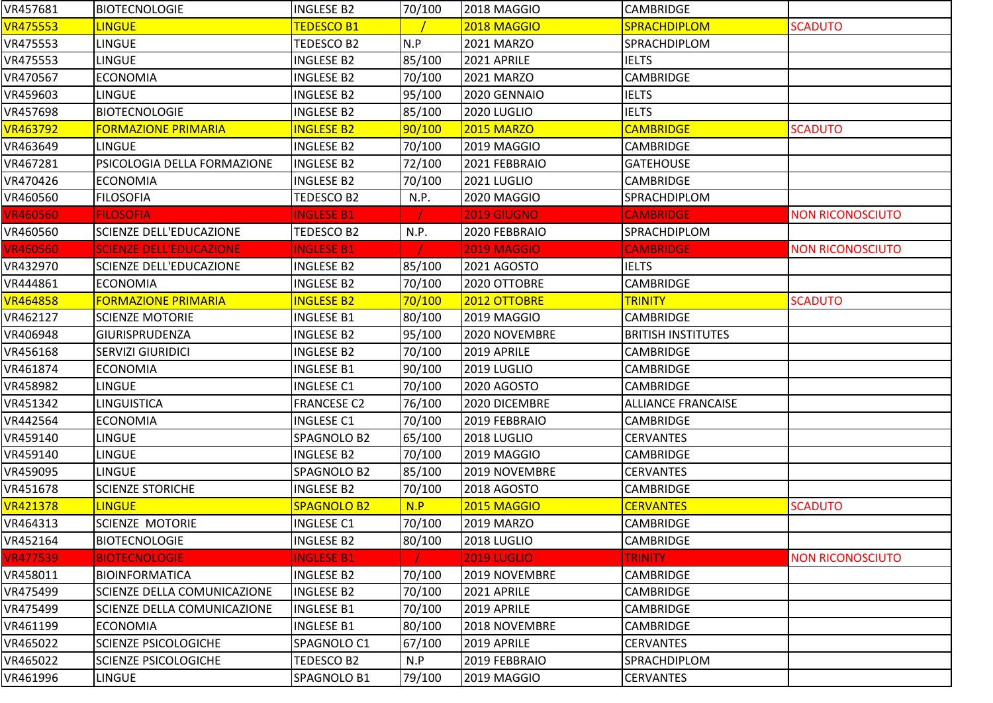| VR457681        | <b>BIOTECNOLOGIE</b>               | <b>INGLESE B2</b>  | 70/100 | 2018 MAGGIO        | <b>CAMBRIDGE</b>          |                         |
|-----------------|------------------------------------|--------------------|--------|--------------------|---------------------------|-------------------------|
| <b>VR475553</b> | <b>LINGUE</b>                      | <b>TEDESCO B1</b>  |        | <b>2018 MAGGIO</b> | SPRACHDIPLOM              | <b>SCADUTO</b>          |
| VR475553        | <b>LINGUE</b>                      | TEDESCO B2         | N.P    | 2021 MARZO         | <b>SPRACHDIPLOM</b>       |                         |
| VR475553        | <b>LINGUE</b>                      | <b>INGLESE B2</b>  | 85/100 | 2021 APRILE        | <b>IELTS</b>              |                         |
| VR470567        | <b>ECONOMIA</b>                    | <b>INGLESE B2</b>  | 70/100 | 2021 MARZO         | <b>CAMBRIDGE</b>          |                         |
| VR459603        | LINGUE                             | INGLESE B2         | 95/100 | 2020 GENNAIO       | <b>IELTS</b>              |                         |
| VR457698        | <b>BIOTECNOLOGIE</b>               | <b>INGLESE B2</b>  | 85/100 | 2020 LUGLIO        | <b>IELTS</b>              |                         |
| <b>VR463792</b> | <b>FORMAZIONE PRIMARIA</b>         | <b>INGLESE B2</b>  | 90/100 | <b>2015 MARZO</b>  | <b>CAMBRIDGE</b>          | <b>SCADUTO</b>          |
| VR463649        | <b>LINGUE</b>                      | <b>INGLESE B2</b>  | 70/100 | 2019 MAGGIO        | <b>CAMBRIDGE</b>          |                         |
| VR467281        | <b>PSICOLOGIA DELLA FORMAZIONE</b> | <b>INGLESE B2</b>  | 72/100 | 2021 FEBBRAIO      | <b>GATEHOUSE</b>          |                         |
| VR470426        | <b>ECONOMIA</b>                    | <b>INGLESE B2</b>  | 70/100 | 2021 LUGLIO        | <b>CAMBRIDGE</b>          |                         |
| VR460560        | <b>FILOSOFIA</b>                   | <b>TEDESCO B2</b>  | N.P.   | 2020 MAGGIO        | <b>SPRACHDIPLOM</b>       |                         |
| <b>VR460560</b> | <b>FILOSOFIA</b>                   | <b>INGLESE B1</b>  |        | <b>2019 GIUGNO</b> | <b>CAMBRIDGE</b>          | <b>NON RICONOSCIUTO</b> |
| VR460560        | <b>SCIENZE DELL'EDUCAZIONE</b>     | <b>TEDESCO B2</b>  | N.P.   | 2020 FEBBRAIO      | SPRACHDIPLOM              |                         |
| <b>VR460560</b> | <b>SCIENZE DELL'EDUCAZIONE</b>     | <b>INGLESE B1</b>  |        | <b>2019 MAGGIO</b> | <b>CAMBRIDGE</b>          | <b>NON RICONOSCIUTO</b> |
| VR432970        | <b>SCIENZE DELL'EDUCAZIONE</b>     | <b>INGLESE B2</b>  | 85/100 | 2021 AGOSTO        | <b>IELTS</b>              |                         |
| VR444861        | <b>ECONOMIA</b>                    | <b>INGLESE B2</b>  | 70/100 | 2020 OTTOBRE       | <b>CAMBRIDGE</b>          |                         |
| <b>VR464858</b> | <b>FORMAZIONE PRIMARIA</b>         | <b>INGLESE B2</b>  | 70/100 | 2012 OTTOBRE       | <b>TRINITY</b>            | <b>SCADUTO</b>          |
| VR462127        | <b>SCIENZE MOTORIE</b>             | <b>INGLESE B1</b>  | 80/100 | 2019 MAGGIO        | <b>CAMBRIDGE</b>          |                         |
| VR406948        | <b>GIURISPRUDENZA</b>              | <b>INGLESE B2</b>  | 95/100 | 2020 NOVEMBRE      | <b>BRITISH INSTITUTES</b> |                         |
| VR456168        | <b>SERVIZI GIURIDICI</b>           | <b>INGLESE B2</b>  | 70/100 | 2019 APRILE        | <b>CAMBRIDGE</b>          |                         |
| VR461874        | <b>ECONOMIA</b>                    | <b>INGLESE B1</b>  | 90/100 | 2019 LUGLIO        | <b>CAMBRIDGE</b>          |                         |
| VR458982        | <b>LINGUE</b>                      | <b>INGLESE C1</b>  | 70/100 | 2020 AGOSTO        | <b>CAMBRIDGE</b>          |                         |
| VR451342        | <b>LINGUISTICA</b>                 | <b>FRANCESE C2</b> | 76/100 | 2020 DICEMBRE      | <b>ALLIANCE FRANCAISE</b> |                         |
| VR442564        | <b>ECONOMIA</b>                    | <b>INGLESE C1</b>  | 70/100 | 2019 FEBBRAIO      | CAMBRIDGE                 |                         |
| VR459140        | LINGUE                             | SPAGNOLO B2        | 65/100 | 2018 LUGLIO        | <b>CERVANTES</b>          |                         |
| VR459140        | LINGUE                             | <b>INGLESE B2</b>  | 70/100 | 2019 MAGGIO        | CAMBRIDGE                 |                         |
| VR459095        | <b>LINGUE</b>                      | SPAGNOLO B2        | 85/100 | 2019 NOVEMBRE      | <b>CERVANTES</b>          |                         |
| VR451678        | <b>SCIENZE STORICHE</b>            | <b>INGLESE B2</b>  | 70/100 | <b>2018 AGOSTO</b> | <b>CAMBRIDGE</b>          |                         |
| <b>VR421378</b> | <b>LINGUE</b>                      | <b>SPAGNOLO B2</b> | N.P    | 2015 MAGGIO        | <b>CERVANTES</b>          | <b>SCADUTO</b>          |
| VR464313        | SCIENZE MOTORIE                    | <b>INGLESE C1</b>  | 70/100 | <b>2019 MARZO</b>  | <b>CAMBRIDGE</b>          |                         |
| VR452164        | <b>BIOTECNOLOGIE</b>               | <b>INGLESE B2</b>  | 80/100 | 2018 LUGLIO        | <b>CAMBRIDGE</b>          |                         |
| <b>VR477539</b> | <b>BIOTECNOLOGIE</b>               | <b>INGLESE B1</b>  |        | <b>2019 LUGLIO</b> | <b>TRINITY</b>            | <b>NON RICONOSCIUTO</b> |
| VR458011        | <b>BIOINFORMATICA</b>              | <b>INGLESE B2</b>  | 70/100 | 2019 NOVEMBRE      | <b>CAMBRIDGE</b>          |                         |
| VR475499        | <b>SCIENZE DELLA COMUNICAZIONE</b> | <b>INGLESE B2</b>  | 70/100 | 2021 APRILE        | <b>CAMBRIDGE</b>          |                         |
| VR475499        | SCIENZE DELLA COMUNICAZIONE        | <b>INGLESE B1</b>  | 70/100 | 2019 APRILE        | <b>CAMBRIDGE</b>          |                         |
| VR461199        | <b>ECONOMIA</b>                    | <b>INGLESE B1</b>  | 80/100 | 2018 NOVEMBRE      | <b>CAMBRIDGE</b>          |                         |
| VR465022        | <b>SCIENZE PSICOLOGICHE</b>        | SPAGNOLO C1        | 67/100 | 2019 APRILE        | <b>CERVANTES</b>          |                         |
| VR465022        | <b>SCIENZE PSICOLOGICHE</b>        | TEDESCO B2         | N.P    | 2019 FEBBRAIO      | <b>SPRACHDIPLOM</b>       |                         |
| VR461996        | <b>LINGUE</b>                      | SPAGNOLO B1        | 79/100 | 2019 MAGGIO        | <b>CERVANTES</b>          |                         |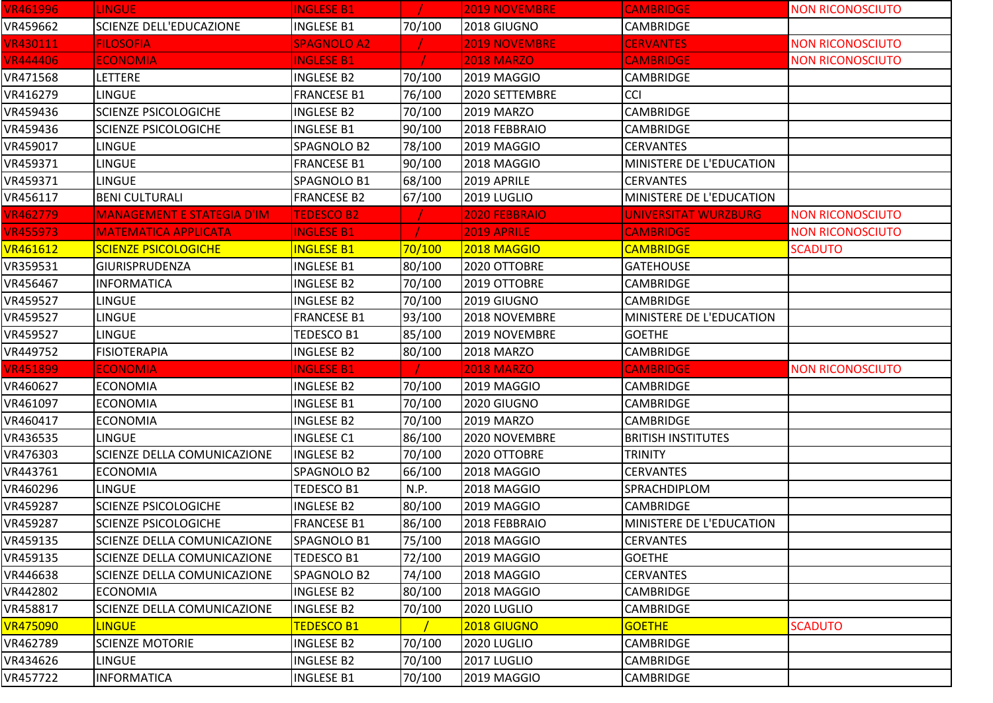| <b>VR461996</b> | LINGUE                             | <b>INGLESE B1</b>  |        | <b>2019 NOVEMBRE</b> | <b>CAMBRIDGE</b>          | <b>NON RICONOSCIUTO</b> |
|-----------------|------------------------------------|--------------------|--------|----------------------|---------------------------|-------------------------|
| VR459662        | <b>SCIENZE DELL'EDUCAZIONE</b>     | <b>INGLESE B1</b>  | 70/100 | 2018 GIUGNO          | CAMBRIDGE                 |                         |
| <b>VR430111</b> | <b>FILOSOFIA</b>                   | <b>SPAGNOLO A2</b> |        | <b>2019 NOVEMBRE</b> | <b>CERVANTES</b>          | <b>NON RICONOSCIUTO</b> |
| <b>VR444406</b> | <b>ECONOMIA</b>                    | <b>INGLESE B1</b>  |        | <b>2018 MARZO</b>    | <b>CAMBRIDGE</b>          | <b>NON RICONOSCIUTO</b> |
| VR471568        | <b>LETTERE</b>                     | <b>INGLESE B2</b>  | 70/100 | 2019 MAGGIO          | <b>CAMBRIDGE</b>          |                         |
| VR416279        | <b>LINGUE</b>                      | <b>FRANCESE B1</b> | 76/100 | 2020 SETTEMBRE       | CCI                       |                         |
| VR459436        | <b>SCIENZE PSICOLOGICHE</b>        | <b>INGLESE B2</b>  | 70/100 | <b>2019 MARZO</b>    | <b>CAMBRIDGE</b>          |                         |
| VR459436        | <b>SCIENZE PSICOLOGICHE</b>        | <b>INGLESE B1</b>  | 90/100 | 2018 FEBBRAIO        | <b>CAMBRIDGE</b>          |                         |
| VR459017        | <b>LINGUE</b>                      | SPAGNOLO B2        | 78/100 | 2019 MAGGIO          | <b>CERVANTES</b>          |                         |
| VR459371        | LINGUE                             | <b>FRANCESE B1</b> | 90/100 | 2018 MAGGIO          | MINISTERE DE L'EDUCATION  |                         |
| VR459371        | <b>LINGUE</b>                      | SPAGNOLO B1        | 68/100 | 2019 APRILE          | <b>CERVANTES</b>          |                         |
| VR456117        | <b>BENI CULTURALI</b>              | <b>FRANCESE B2</b> | 67/100 | 2019 LUGLIO          | MINISTERE DE L'EDUCATION  |                         |
| <b>VR462779</b> | <b>MANAGEMENT E STATEGIA D'IM</b>  | <b>TEDESCO B2</b>  |        | 2020 FEBBRAIO        | UNIVERSITAT WURZBURG      | <b>NON RICONOSCIUTO</b> |
| <b>VR455973</b> | <b>MATEMATICA APPLICATA</b>        | <b>INGLESE B1</b>  |        | <b>2019 APRILE</b>   | <b>CAMBRIDGE</b>          | <b>NON RICONOSCIUTO</b> |
| <b>VR461612</b> | <b>SCIENZE PSICOLOGICHE</b>        | <b>INGLESE B1</b>  | 70/100 | 2018 MAGGIO          | <b>CAMBRIDGE</b>          | <b>SCADUTO</b>          |
| VR359531        | GIURISPRUDENZA                     | <b>INGLESE B1</b>  | 80/100 | 2020 OTTOBRE         | <b>GATEHOUSE</b>          |                         |
| VR456467        | <b>INFORMATICA</b>                 | <b>INGLESE B2</b>  | 70/100 | 2019 OTTOBRE         | <b>CAMBRIDGE</b>          |                         |
| VR459527        | <b>LINGUE</b>                      | <b>INGLESE B2</b>  | 70/100 | 2019 GIUGNO          | <b>CAMBRIDGE</b>          |                         |
| VR459527        | <b>LINGUE</b>                      | <b>FRANCESE B1</b> | 93/100 | 2018 NOVEMBRE        | MINISTERE DE L'EDUCATION  |                         |
| VR459527        | LINGUE                             | TEDESCO B1         | 85/100 | 2019 NOVEMBRE        | <b>GOETHE</b>             |                         |
| VR449752        | <b>FISIOTERAPIA</b>                | <b>INGLESE B2</b>  | 80/100 | <b>2018 MARZO</b>    | <b>CAMBRIDGE</b>          |                         |
| <b>VR451899</b> | <b>ECONOMIA</b>                    | <b>INGLESE B1</b>  |        | <b>2018 MARZO</b>    | <b>CAMBRIDGE</b>          | <b>NON RICONOSCIUTO</b> |
| VR460627        | <b>ECONOMIA</b>                    | <b>INGLESE B2</b>  | 70/100 | 2019 MAGGIO          | <b>CAMBRIDGE</b>          |                         |
| VR461097        | <b>ECONOMIA</b>                    | <b>INGLESE B1</b>  | 70/100 | 2020 GIUGNO          | <b>CAMBRIDGE</b>          |                         |
| VR460417        | <b>ECONOMIA</b>                    | <b>INGLESE B2</b>  | 70/100 | <b>2019 MARZO</b>    | <b>CAMBRIDGE</b>          |                         |
| VR436535        | LINGUE                             | <b>INGLESE C1</b>  | 86/100 | 2020 NOVEMBRE        | <b>BRITISH INSTITUTES</b> |                         |
| VR476303        | SCIENZE DELLA COMUNICAZIONE        | <b>INGLESE B2</b>  | 70/100 | 2020 OTTOBRE         | TRINITY                   |                         |
| VR443761        | <b>ECONOMIA</b>                    | SPAGNOLO B2        | 66/100 | 2018 MAGGIO          | <b>CERVANTES</b>          |                         |
| VR460296        | LINGUE                             | TEDESCO B1         | N.P.   | 2018 MAGGIO          | SPRACHDIPLOM              |                         |
| VR459287        | <b>SCIENZE PSICOLOGICHE</b>        | <b>INGLESE B2</b>  | 80/100 | 2019 MAGGIO          | <b>CAMBRIDGE</b>          |                         |
| VR459287        | <b>SCIENZE PSICOLOGICHE</b>        | <b>FRANCESE B1</b> | 86/100 | 2018 FEBBRAIO        | MINISTERE DE L'EDUCATION  |                         |
| VR459135        | SCIENZE DELLA COMUNICAZIONE        | SPAGNOLO B1        | 75/100 | 2018 MAGGIO          | <b>CERVANTES</b>          |                         |
| VR459135        | <b>SCIENZE DELLA COMUNICAZIONE</b> | TEDESCO B1         | 72/100 | 2019 MAGGIO          | <b>GOETHE</b>             |                         |
| VR446638        | SCIENZE DELLA COMUNICAZIONE        | SPAGNOLO B2        | 74/100 | 2018 MAGGIO          | <b>CERVANTES</b>          |                         |
| VR442802        | <b>ECONOMIA</b>                    | <b>INGLESE B2</b>  | 80/100 | 2018 MAGGIO          | <b>CAMBRIDGE</b>          |                         |
| VR458817        | SCIENZE DELLA COMUNICAZIONE        | <b>INGLESE B2</b>  | 70/100 | 2020 LUGLIO          | <b>CAMBRIDGE</b>          |                         |
| <b>VR475090</b> | <b>LINGUE</b>                      | TEDESCO B1         |        | 2018 GIUGNO          | <b>GOETHE</b>             | <b>SCADUTO</b>          |
| VR462789        | <b>SCIENZE MOTORIE</b>             | <b>INGLESE B2</b>  | 70/100 | 2020 LUGLIO          | <b>CAMBRIDGE</b>          |                         |
| VR434626        | <b>LINGUE</b>                      | <b>INGLESE B2</b>  | 70/100 | 2017 LUGLIO          | <b>CAMBRIDGE</b>          |                         |
| VR457722        | <b>INFORMATICA</b>                 | <b>INGLESE B1</b>  | 70/100 | 2019 MAGGIO          | <b>CAMBRIDGE</b>          |                         |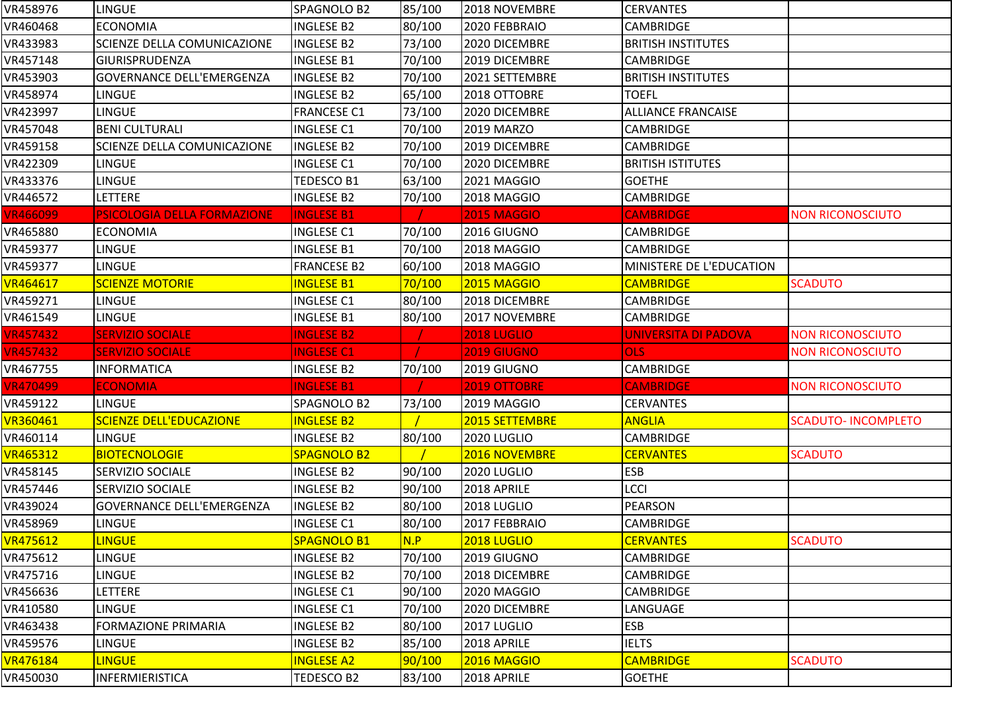| VR458976                         | <b>LINGUE</b>                      | SPAGNOLO B2        | 85/100 | 2018 NOVEMBRE              | <b>CERVANTES</b>            |                            |
|----------------------------------|------------------------------------|--------------------|--------|----------------------------|-----------------------------|----------------------------|
| VR460468                         | <b>ECONOMIA</b>                    | <b>INGLESE B2</b>  | 80/100 | 2020 FEBBRAIO              | <b>CAMBRIDGE</b>            |                            |
| VR433983                         | SCIENZE DELLA COMUNICAZIONE        | <b>INGLESE B2</b>  | 73/100 | 2020 DICEMBRE              | <b>BRITISH INSTITUTES</b>   |                            |
| VR457148                         | GIURISPRUDENZA                     | <b>INGLESE B1</b>  | 70/100 | 2019 DICEMBRE              | <b>CAMBRIDGE</b>            |                            |
| VR453903                         | <b>GOVERNANCE DELL'EMERGENZA</b>   | <b>INGLESE B2</b>  | 70/100 | 2021 SETTEMBRE             | <b>BRITISH INSTITUTES</b>   |                            |
| VR458974                         | <b>LINGUE</b>                      | <b>INGLESE B2</b>  | 65/100 | 2018 OTTOBRE               | <b>TOEFL</b>                |                            |
| VR423997                         | <b>LINGUE</b>                      | <b>FRANCESE C1</b> | 73/100 | 2020 DICEMBRE              | <b>ALLIANCE FRANCAISE</b>   |                            |
| VR457048                         | <b>BENI CULTURALI</b>              | <b>INGLESE C1</b>  | 70/100 | <b>2019 MARZO</b>          | <b>CAMBRIDGE</b>            |                            |
| VR459158                         | SCIENZE DELLA COMUNICAZIONE        | <b>INGLESE B2</b>  | 70/100 | 2019 DICEMBRE              | <b>CAMBRIDGE</b>            |                            |
| VR422309                         | <b>LINGUE</b>                      | <b>INGLESE C1</b>  | 70/100 | 2020 DICEMBRE              | <b>BRITISH ISTITUTES</b>    |                            |
| VR433376                         | <b>LINGUE</b>                      | TEDESCO B1         | 63/100 | 2021 MAGGIO                | <b>GOETHE</b>               |                            |
| VR446572                         | LETTERE                            | <b>INGLESE B2</b>  | 70/100 | 2018 MAGGIO                | <b>CAMBRIDGE</b>            |                            |
| <b>VR466099</b>                  | <b>PSICOLOGIA DELLA FORMAZIONE</b> | <b>INGLESE B1</b>  |        | <b>2015 MAGGIO</b>         | <b>CAMBRIDGE</b>            | <b>NON RICONOSCIUTO</b>    |
| VR465880                         | <b>ECONOMIA</b>                    | <b>INGLESE C1</b>  | 70/100 | 2016 GIUGNO                | <b>CAMBRIDGE</b>            |                            |
| VR459377                         | <b>LINGUE</b>                      | <b>INGLESE B1</b>  | 70/100 | 2018 MAGGIO                | <b>CAMBRIDGE</b>            |                            |
| VR459377                         | <b>LINGUE</b>                      | <b>FRANCESE B2</b> | 60/100 | 2018 MAGGIO                | MINISTERE DE L'EDUCATION    |                            |
| VR464617                         | <b>SCIENZE MOTORIE</b>             | <b>INGLESE B1</b>  | 70/100 | <b>2015 MAGGIO</b>         | <b>CAMBRIDGE</b>            | <b>SCADUTO</b>             |
| VR459271                         | <b>LINGUE</b>                      | <b>INGLESE C1</b>  | 80/100 | 2018 DICEMBRE              | <b>CAMBRIDGE</b>            |                            |
| VR461549                         | <b>LINGUE</b>                      | <b>INGLESE B1</b>  | 80/100 | 2017 NOVEMBRE              | <b>CAMBRIDGE</b>            |                            |
| <b>VR457432</b>                  | <b>SERVIZIO SOCIALE</b>            | <b>INGLESE B2</b>  |        | <b>2018 LUGLIO</b>         | <b>UNIVERSITA DI PADOVA</b> | <b>NON RICONOSCIUTO</b>    |
|                                  |                                    |                    |        |                            |                             |                            |
| <b>VR457432</b>                  | <b>SERVIZIO SOCIALE</b>            | <b>INGLESE C1</b>  |        | <b>2019 GIUGNO</b>         | <b>OLS</b>                  | <b>NON RICONOSCIUTO</b>    |
| VR467755                         | <b>INFORMATICA</b>                 | <b>INGLESE B2</b>  | 70/100 | 2019 GIUGNO                | <b>CAMBRIDGE</b>            |                            |
| VR470499                         | <b>ECONOMIA</b>                    | <b>INGLESE B1</b>  |        | 2019 OTTOBRE               | <b>CAMBRIDGE</b>            | <b>NON RICONOSCIUTO</b>    |
| VR459122                         | <b>LINGUE</b>                      | SPAGNOLO B2        | 73/100 | 2019 MAGGIO                | <b>CERVANTES</b>            |                            |
| VR360461                         | <b>SCIENZE DELL'EDUCAZIONE</b>     | <b>INGLESE B2</b>  |        | 2015 SETTEMBRE             | <b>ANGLIA</b>               | <b>SCADUTO- INCOMPLETO</b> |
| VR460114                         | <b>LINGUE</b>                      | <b>INGLESE B2</b>  | 80/100 | 2020 LUGLIO                | <b>CAMBRIDGE</b>            |                            |
| VR465312                         | <b>BIOTECNOLOGIE</b>               | <b>SPAGNOLO B2</b> |        | 2016 NOVEMBRE              | <b>CERVANTES</b>            | <b>SCADUTO</b>             |
| VR458145                         | <b>SERVIZIO SOCIALE</b>            | <b>INGLESE B2</b>  | 90/100 | 2020 LUGLIO                | <b>ESB</b>                  |                            |
|                                  | <b>SERVIZIO SOCIALE</b>            | <b>INGLESE B2</b>  | 90/100 | 2018 APRILE                | <b>LCCI</b>                 |                            |
| VR439024                         | <b>GOVERNANCE DELL'EMERGENZA</b>   | <b>INGLESE B2</b>  | 80/100 | 2018 LUGLIO                | <b>PEARSON</b>              |                            |
|                                  | <b>LINGUE</b>                      | <b>INGLESE C1</b>  | 80/100 | 2017 FEBBRAIO              | <b>CAMBRIDGE</b>            |                            |
| <b>VR475612</b>                  | <b>LINGUE</b>                      | SPAGNOLO B1        | N.P    | 2018 LUGLIO                | <b>CERVANTES</b>            | <b>SCADUTO</b>             |
| VR457446<br>VR458969<br>VR475612 | <b>LINGUE</b>                      | <b>INGLESE B2</b>  | 70/100 | 2019 GIUGNO                | <b>CAMBRIDGE</b>            |                            |
| VR475716                         | <b>LINGUE</b>                      | <b>INGLESE B2</b>  | 70/100 | 2018 DICEMBRE              | <b>CAMBRIDGE</b>            |                            |
| VR456636                         | LETTERE                            | <b>INGLESE C1</b>  | 90/100 | 2020 MAGGIO                | <b>CAMBRIDGE</b>            |                            |
| VR410580                         | <b>LINGUE</b>                      | <b>INGLESE C1</b>  | 70/100 | 2020 DICEMBRE              | LANGUAGE                    |                            |
| VR463438                         | <b>FORMAZIONE PRIMARIA</b>         | <b>INGLESE B2</b>  | 80/100 | 2017 LUGLIO                | <b>ESB</b>                  |                            |
| VR459576                         | <b>LINGUE</b>                      | <b>INGLESE B2</b>  | 85/100 | 2018 APRILE                | <b>IELTS</b>                |                            |
| VR476184                         | <b>LINGUE</b>                      | <b>INGLESE A2</b>  | 90/100 | 2016 MAGGIO<br>2018 APRILE | <b>CAMBRIDGE</b>            | <b>SCADUTO</b>             |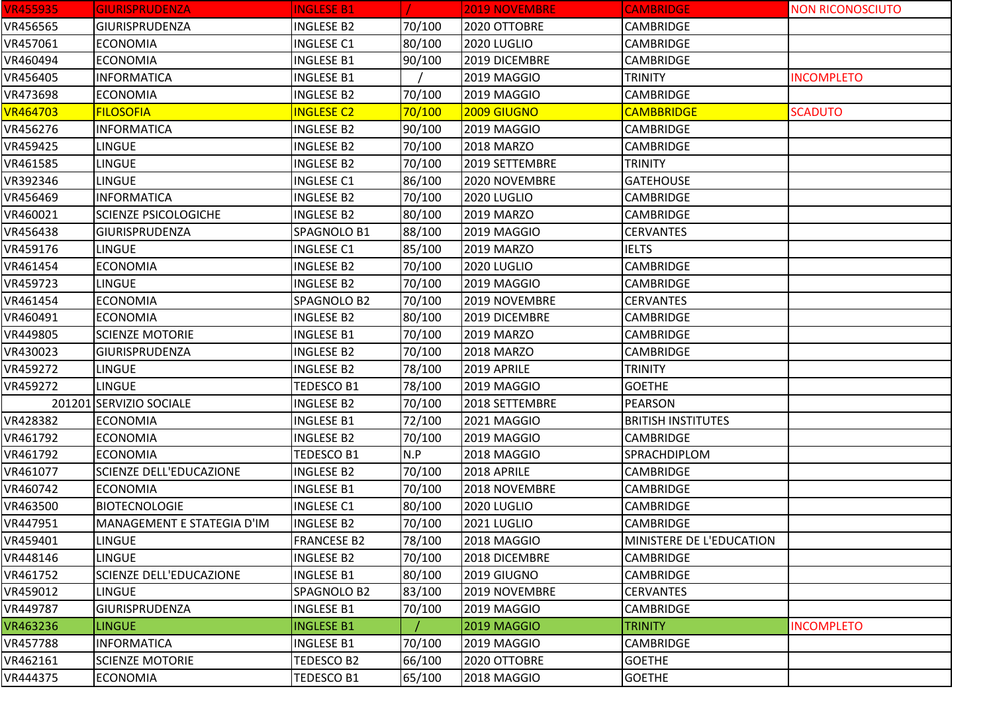| <b>VR455935</b> | <b>GIURISPRUDENZA</b>          | <b>INGLESE B1</b>  |        | <b>2019 NOVEMBRE</b> | <b>CAMBRIDGE</b>          | <b>NON RICONOSCIUTO</b> |
|-----------------|--------------------------------|--------------------|--------|----------------------|---------------------------|-------------------------|
| VR456565        | <b>GIURISPRUDENZA</b>          | <b>INGLESE B2</b>  | 70/100 | 2020 OTTOBRE         | CAMBRIDGE                 |                         |
| VR457061        | <b>ECONOMIA</b>                | <b>INGLESE C1</b>  | 80/100 | 2020 LUGLIO          | <b>CAMBRIDGE</b>          |                         |
| VR460494        | <b>ECONOMIA</b>                | <b>INGLESE B1</b>  | 90/100 | 2019 DICEMBRE        | <b>CAMBRIDGE</b>          |                         |
| VR456405        | <b>INFORMATICA</b>             | <b>INGLESE B1</b>  |        | 2019 MAGGIO          | <b>TRINITY</b>            | <b>INCOMPLETO</b>       |
| VR473698        | <b>ECONOMIA</b>                | <b>INGLESE B2</b>  | 70/100 | 2019 MAGGIO          | CAMBRIDGE                 |                         |
| <b>VR464703</b> | <b>FILOSOFIA</b>               | <b>INGLESE C2</b>  | 70/100 | 2009 GIUGNO          | <b>CAMBBRIDGE</b>         | <b>SCADUTO</b>          |
| VR456276        | <b>INFORMATICA</b>             | <b>INGLESE B2</b>  | 90/100 | 2019 MAGGIO          | <b>CAMBRIDGE</b>          |                         |
| VR459425        | <b>LINGUE</b>                  | <b>INGLESE B2</b>  | 70/100 | <b>2018 MARZO</b>    | <b>CAMBRIDGE</b>          |                         |
| VR461585        | <b>LINGUE</b>                  | <b>INGLESE B2</b>  | 70/100 | 2019 SETTEMBRE       | <b>TRINITY</b>            |                         |
| VR392346        | <b>LINGUE</b>                  | <b>INGLESE C1</b>  | 86/100 | 2020 NOVEMBRE        | <b>GATEHOUSE</b>          |                         |
| VR456469        | <b>INFORMATICA</b>             | <b>INGLESE B2</b>  | 70/100 | 2020 LUGLIO          | <b>CAMBRIDGE</b>          |                         |
| VR460021        | <b>SCIENZE PSICOLOGICHE</b>    | <b>INGLESE B2</b>  | 80/100 | 2019 MARZO           | <b>CAMBRIDGE</b>          |                         |
| VR456438        | GIURISPRUDENZA                 | SPAGNOLO B1        | 88/100 | 2019 MAGGIO          | <b>CERVANTES</b>          |                         |
| VR459176        | <b>LINGUE</b>                  | <b>INGLESE C1</b>  | 85/100 | 2019 MARZO           | <b>IELTS</b>              |                         |
| VR461454        | <b>ECONOMIA</b>                | <b>INGLESE B2</b>  | 70/100 | 2020 LUGLIO          | <b>CAMBRIDGE</b>          |                         |
| VR459723        | <b>LINGUE</b>                  | <b>INGLESE B2</b>  | 70/100 | 2019 MAGGIO          | CAMBRIDGE                 |                         |
| VR461454        | <b>ECONOMIA</b>                | SPAGNOLO B2        | 70/100 | 2019 NOVEMBRE        | <b>CERVANTES</b>          |                         |
| VR460491        | <b>ECONOMIA</b>                | <b>INGLESE B2</b>  | 80/100 | 2019 DICEMBRE        | <b>CAMBRIDGE</b>          |                         |
| VR449805        | <b>SCIENZE MOTORIE</b>         | <b>INGLESE B1</b>  | 70/100 | 2019 MARZO           | <b>CAMBRIDGE</b>          |                         |
| VR430023        | GIURISPRUDENZA                 | <b>INGLESE B2</b>  | 70/100 | 2018 MARZO           | CAMBRIDGE                 |                         |
| VR459272        | <b>LINGUE</b>                  | <b>INGLESE B2</b>  | 78/100 | 2019 APRILE          | <b>TRINITY</b>            |                         |
| VR459272        | <b>LINGUE</b>                  | <b>TEDESCO B1</b>  | 78/100 | 2019 MAGGIO          | <b>GOETHE</b>             |                         |
|                 | 201201 SERVIZIO SOCIALE        | <b>INGLESE B2</b>  | 70/100 | 2018 SETTEMBRE       | <b>PEARSON</b>            |                         |
| VR428382        | <b>ECONOMIA</b>                | <b>INGLESE B1</b>  | 72/100 | 2021 MAGGIO          | <b>BRITISH INSTITUTES</b> |                         |
| VR461792        | <b>ECONOMIA</b>                | <b>INGLESE B2</b>  | 70/100 | 2019 MAGGIO          | <b>CAMBRIDGE</b>          |                         |
| VR461792        | <b>ECONOMIA</b>                | <b>TEDESCO B1</b>  | N.P    | 2018 MAGGIO          | SPRACHDIPLOM              |                         |
| VR461077        | <b>SCIENZE DELL'EDUCAZIONE</b> | <b>INGLESE B2</b>  | 70/100 | 2018 APRILE          | CAMBRIDGE                 |                         |
| VR460742        | <b>ECONOMIA</b>                | <b>INGLESE B1</b>  | 70/100 | 2018 NOVEMBRE        | <b>CAMBRIDGE</b>          |                         |
| VR463500        | <b>BIOTECNOLOGIE</b>           | <b>INGLESE C1</b>  | 80/100 | 2020 LUGLIO          | CAMBRIDGE                 |                         |
| VR447951        | MANAGEMENT E STATEGIA D'IM     | <b>INGLESE B2</b>  | 70/100 | 2021 LUGLIO          | CAMBRIDGE                 |                         |
| VR459401        | <b>LINGUE</b>                  | <b>FRANCESE B2</b> | 78/100 | 2018 MAGGIO          | MINISTERE DE L'EDUCATION  |                         |
| VR448146        | <b>LINGUE</b>                  | <b>INGLESE B2</b>  | 70/100 | 2018 DICEMBRE        | <b>CAMBRIDGE</b>          |                         |
| VR461752        | <b>SCIENZE DELL'EDUCAZIONE</b> | <b>INGLESE B1</b>  | 80/100 | 2019 GIUGNO          | CAMBRIDGE                 |                         |
| VR459012        | <b>LINGUE</b>                  | SPAGNOLO B2        | 83/100 | 2019 NOVEMBRE        | <b>CERVANTES</b>          |                         |
| VR449787        | <b>GIURISPRUDENZA</b>          | <b>INGLESE B1</b>  | 70/100 | 2019 MAGGIO          | <b>CAMBRIDGE</b>          |                         |
| VR463236        | <b>LINGUE</b>                  | <b>INGLESE B1</b>  |        | 2019 MAGGIO          | <b>TRINITY</b>            | <b>INCOMPLETO</b>       |
| VR457788        | <b>INFORMATICA</b>             | <b>INGLESE B1</b>  | 70/100 | 2019 MAGGIO          | CAMBRIDGE                 |                         |
| VR462161        | <b>SCIENZE MOTORIE</b>         | TEDESCO B2         | 66/100 | 2020 OTTOBRE         | <b>GOETHE</b>             |                         |
| VR444375        | <b>ECONOMIA</b>                | <b>TEDESCO B1</b>  | 65/100 | 2018 MAGGIO          | <b>GOETHE</b>             |                         |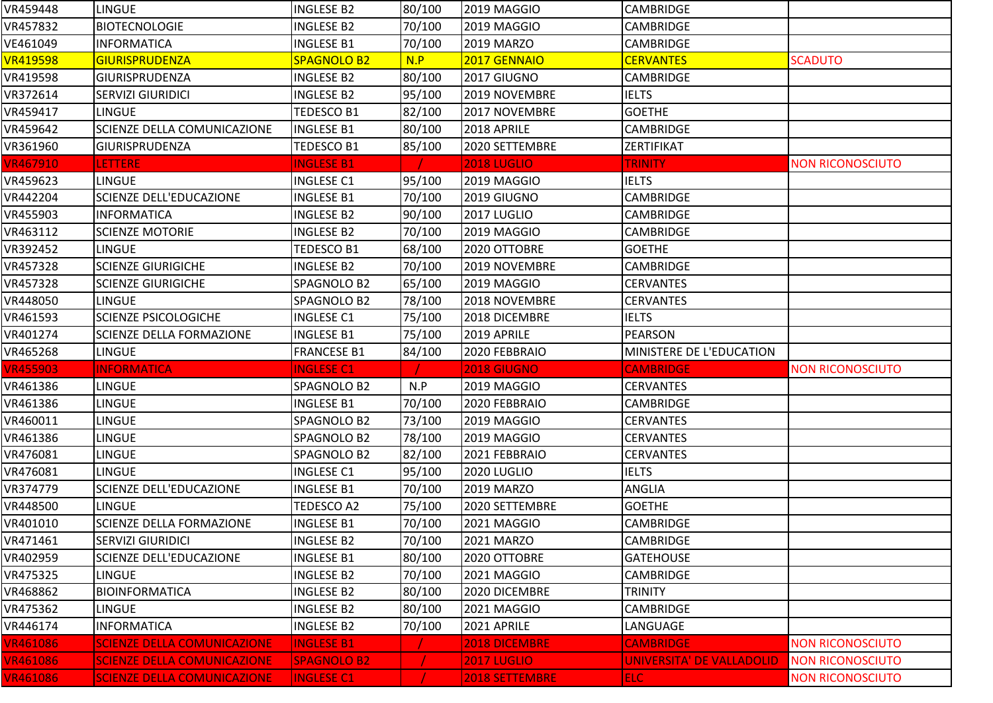| VR459448                    | <b>LINGUE</b>                      | <b>INGLESE B2</b>  | 80/100 | 2019 MAGGIO        | <b>CAMBRIDGE</b>          |                         |
|-----------------------------|------------------------------------|--------------------|--------|--------------------|---------------------------|-------------------------|
| VR457832                    | <b>BIOTECNOLOGIE</b>               | <b>INGLESE B2</b>  | 70/100 | 2019 MAGGIO        | <b>CAMBRIDGE</b>          |                         |
| VE461049                    | <b>INFORMATICA</b>                 | <b>INGLESE B1</b>  | 70/100 | 2019 MARZO         | CAMBRIDGE                 |                         |
| <b>VR419598</b>             | <b>GIURISPRUDENZA</b>              | <b>SPAGNOLO B2</b> | N.P    | 2017 GENNAIO       | <b>CERVANTES</b>          | <b>SCADUTO</b>          |
| VR419598                    | GIURISPRUDENZA                     | <b>INGLESE B2</b>  | 80/100 | 2017 GIUGNO        | <b>CAMBRIDGE</b>          |                         |
| VR372614                    | <b>SERVIZI GIURIDICI</b>           | <b>INGLESE B2</b>  | 95/100 | 2019 NOVEMBRE      | <b>IELTS</b>              |                         |
| VR459417                    | <b>LINGUE</b>                      | <b>TEDESCO B1</b>  | 82/100 | 2017 NOVEMBRE      | <b>GOETHE</b>             |                         |
| VR459642                    | SCIENZE DELLA COMUNICAZIONE        | <b>INGLESE B1</b>  | 80/100 | 2018 APRILE        | CAMBRIDGE                 |                         |
| VR361960                    | GIURISPRUDENZA                     | TEDESCO B1         | 85/100 | 2020 SETTEMBRE     | ZERTIFIKAT                |                         |
| VR467910                    | LETTERE                            | <b>INGLESE B1</b>  |        | <b>2018 LUGLIO</b> | <b>TRINITY</b>            | <b>NON RICONOSCIUTO</b> |
| VR459623                    | <b>LINGUE</b>                      | <b>INGLESE C1</b>  | 95/100 | 2019 MAGGIO        | <b>IELTS</b>              |                         |
| VR442204                    | <b>SCIENZE DELL'EDUCAZIONE</b>     | <b>INGLESE B1</b>  | 70/100 | 2019 GIUGNO        | CAMBRIDGE                 |                         |
| VR455903                    | <b>INFORMATICA</b>                 | <b>INGLESE B2</b>  | 90/100 | 2017 LUGLIO        | <b>CAMBRIDGE</b>          |                         |
| VR463112                    | <b>SCIENZE MOTORIE</b>             | <b>INGLESE B2</b>  | 70/100 | 2019 MAGGIO        | CAMBRIDGE                 |                         |
| VR392452                    | <b>LINGUE</b>                      | TEDESCO B1         | 68/100 | 2020 OTTOBRE       | <b>GOETHE</b>             |                         |
| VR457328                    | <b>SCIENZE GIURIGICHE</b>          | <b>INGLESE B2</b>  | 70/100 | 2019 NOVEMBRE      | <b>CAMBRIDGE</b>          |                         |
| VR457328                    | <b>SCIENZE GIURIGICHE</b>          | SPAGNOLO B2        | 65/100 | 2019 MAGGIO        | <b>CERVANTES</b>          |                         |
| VR448050                    | <b>LINGUE</b>                      | SPAGNOLO B2        | 78/100 | 2018 NOVEMBRE      | <b>CERVANTES</b>          |                         |
| VR461593                    | <b>SCIENZE PSICOLOGICHE</b>        | <b>INGLESE C1</b>  | 75/100 | 2018 DICEMBRE      | <b>IELTS</b>              |                         |
| VR401274                    | SCIENZE DELLA FORMAZIONE           | <b>INGLESE B1</b>  | 75/100 | 2019 APRILE        | <b>PEARSON</b>            |                         |
|                             |                                    |                    |        |                    |                           |                         |
| VR465268                    | <b>LINGUE</b>                      | <b>FRANCESE B1</b> | 84/100 | 2020 FEBBRAIO      | MINISTERE DE L'EDUCATION  |                         |
| <b>VR455903</b>             | <b>INFORMATICA</b>                 | <b>INGLESE C1</b>  |        | <b>2018 GIUGNO</b> | <b>CAMBRIDGE</b>          | <b>NON RICONOSCIUTO</b> |
| VR461386                    | <b>LINGUE</b>                      | SPAGNOLO B2        | N.P    | 2019 MAGGIO        | <b>CERVANTES</b>          |                         |
| VR461386                    | <b>LINGUE</b>                      | <b>INGLESE B1</b>  | 70/100 | 2020 FEBBRAIO      | <b>CAMBRIDGE</b>          |                         |
| VR460011                    | <b>LINGUE</b>                      | SPAGNOLO B2        | 73/100 | 2019 MAGGIO        | <b>CERVANTES</b>          |                         |
| VR461386                    | <b>LINGUE</b>                      | SPAGNOLO B2        | 78/100 | 2019 MAGGIO        | <b>CERVANTES</b>          |                         |
| VR476081                    | <b>LINGUE</b>                      | SPAGNOLO B2        | 82/100 | 2021 FEBBRAIO      | <b>CERVANTES</b>          |                         |
| VR476081                    | <b>LINGUE</b>                      | <b>INGLESE C1</b>  | 95/100 | 2020 LUGLIO        | <b>IELTS</b>              |                         |
| VR374779                    | SCIENZE DELL'EDUCAZIONE            | <b>INGLESE B1</b>  | 70/100 | 2019 MARZO         | ANGLIA                    |                         |
| VR448500                    | <b>LINGUE</b>                      | TEDESCO A2         | 75/100 | 2020 SETTEMBRE     | <b>GOETHE</b>             |                         |
| VR401010                    | <b>SCIENZE DELLA FORMAZIONE</b>    | <b>INGLESE B1</b>  | 70/100 | 2021 MAGGIO        | <b>CAMBRIDGE</b>          |                         |
| VR471461                    | <b>SERVIZI GIURIDICI</b>           | <b>INGLESE B2</b>  | 70/100 | 2021 MARZO         | <b>CAMBRIDGE</b>          |                         |
| VR402959                    | SCIENZE DELL'EDUCAZIONE            | <b>INGLESE B1</b>  | 80/100 | 2020 OTTOBRE       | <b>GATEHOUSE</b>          |                         |
| VR475325                    | <b>LINGUE</b>                      | <b>INGLESE B2</b>  | 70/100 | 2021 MAGGIO        | <b>CAMBRIDGE</b>          |                         |
| VR468862                    | <b>BIOINFORMATICA</b>              | INGLESE B2         | 80/100 | 2020 DICEMBRE      | <b>TRINITY</b>            |                         |
| VR475362                    | <b>LINGUE</b>                      | <b>INGLESE B2</b>  | 80/100 | 2021 MAGGIO        | <b>CAMBRIDGE</b>          |                         |
|                             | <b>INFORMATICA</b>                 | <b>INGLESE B2</b>  | 70/100 | 2021 APRILE        | LANGUAGE                  |                         |
| VR446174<br><b>VR461086</b> | <b>SCIENZE DELLA COMUNICAZIONE</b> | <b>INGLESE B1</b>  |        | 2018 DICEMBRE      | <b>CAMBRIDGE</b>          | <b>NON RICONOSCIUTO</b> |
| <b>VR461086</b>             | <b>SCIENZE DELLA COMUNICAZIONE</b> | <b>SPAGNOLO B2</b> |        | <b>2017 LUGLIO</b> | UNIVERSITA' DE VALLADOLID | <b>NON RICONOSCIUTO</b> |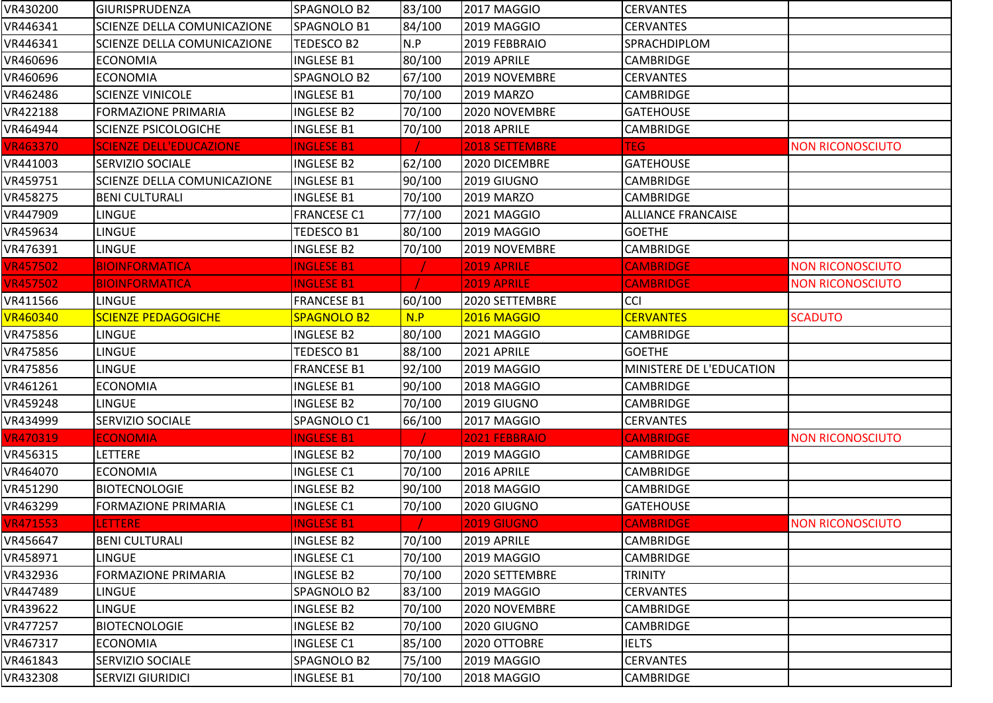| VR430200        | <b>GIURISPRUDENZA</b>          | SPAGNOLO B2        | 83/100 | 2017 MAGGIO        | <b>CERVANTES</b>          |                         |
|-----------------|--------------------------------|--------------------|--------|--------------------|---------------------------|-------------------------|
| VR446341        | SCIENZE DELLA COMUNICAZIONE    | SPAGNOLO B1        | 84/100 | 2019 MAGGIO        | <b>CERVANTES</b>          |                         |
| VR446341        | SCIENZE DELLA COMUNICAZIONE    | TEDESCO B2         | N.P    | 2019 FEBBRAIO      | SPRACHDIPLOM              |                         |
| VR460696        | <b>ECONOMIA</b>                | <b>INGLESE B1</b>  | 80/100 | 2019 APRILE        | <b>CAMBRIDGE</b>          |                         |
| VR460696        | <b>ECONOMIA</b>                | SPAGNOLO B2        | 67/100 | 2019 NOVEMBRE      | <b>CERVANTES</b>          |                         |
| VR462486        | <b>SCIENZE VINICOLE</b>        | <b>INGLESE B1</b>  | 70/100 | 2019 MARZO         | <b>CAMBRIDGE</b>          |                         |
| VR422188        | <b>FORMAZIONE PRIMARIA</b>     | <b>INGLESE B2</b>  | 70/100 | 2020 NOVEMBRE      | <b>GATEHOUSE</b>          |                         |
| VR464944        | <b>SCIENZE PSICOLOGICHE</b>    | <b>INGLESE B1</b>  | 70/100 | 2018 APRILE        | <b>CAMBRIDGE</b>          |                         |
| <b>VR463370</b> | <b>SCIENZE DELL'EDUCAZIONE</b> | <b>INGLESE B1</b>  |        | 2018 SETTEMBRE     | <b>TEG</b>                | <b>NON RICONOSCIUTO</b> |
| VR441003        | <b>SERVIZIO SOCIALE</b>        | <b>INGLESE B2</b>  | 62/100 | 2020 DICEMBRE      | <b>GATEHOUSE</b>          |                         |
| VR459751        | SCIENZE DELLA COMUNICAZIONE    | <b>INGLESE B1</b>  | 90/100 | 2019 GIUGNO        | <b>CAMBRIDGE</b>          |                         |
| VR458275        | <b>BENI CULTURALI</b>          | <b>INGLESE B1</b>  | 70/100 | <b>2019 MARZO</b>  | <b>CAMBRIDGE</b>          |                         |
| VR447909        | LINGUE                         | <b>FRANCESE C1</b> | 77/100 | 2021 MAGGIO        | <b>ALLIANCE FRANCAISE</b> |                         |
| VR459634        | <b>LINGUE</b>                  | TEDESCO B1         | 80/100 | 2019 MAGGIO        | <b>GOETHE</b>             |                         |
| VR476391        | <b>LINGUE</b>                  | <b>INGLESE B2</b>  | 70/100 | 2019 NOVEMBRE      | CAMBRIDGE                 |                         |
| <b>VR457502</b> | <b>BIOINFORMATICA</b>          | <b>INGLESE B1</b>  |        | 2019 APRILE        | <b>CAMBRIDGE</b>          | <b>NON RICONOSCIUTO</b> |
| <b>VR457502</b> | <b>BIOINFORMATICA</b>          | <b>INGLESE B1</b>  |        | 2019 APRILE        | <b>CAMBRIDGE</b>          | <b>NON RICONOSCIUTO</b> |
| VR411566        | <b>LINGUE</b>                  | <b>FRANCESE B1</b> | 60/100 | 2020 SETTEMBRE     | CCI                       |                         |
| <b>VR460340</b> | <b>SCIENZE PEDAGOGICHE</b>     | <b>SPAGNOLO B2</b> | N.P    | 2016 MAGGIO        | <b>CERVANTES</b>          | <b>SCADUTO</b>          |
| VR475856        | <b>LINGUE</b>                  | <b>INGLESE B2</b>  | 80/100 | 2021 MAGGIO        | <b>CAMBRIDGE</b>          |                         |
| VR475856        | LINGUE                         | TEDESCO B1         | 88/100 | 2021 APRILE        | <b>GOETHE</b>             |                         |
| VR475856        | <b>LINGUE</b>                  | <b>FRANCESE B1</b> | 92/100 | 2019 MAGGIO        | MINISTERE DE L'EDUCATION  |                         |
| VR461261        | <b>ECONOMIA</b>                | <b>INGLESE B1</b>  | 90/100 | 2018 MAGGIO        | <b>CAMBRIDGE</b>          |                         |
| VR459248        | <b>LINGUE</b>                  | INGLESE B2         | 70/100 | 2019 GIUGNO        | <b>CAMBRIDGE</b>          |                         |
| VR434999        | SERVIZIO SOCIALE               | SPAGNOLO C1        | 66/100 | 2017 MAGGIO        | <b>CERVANTES</b>          |                         |
| <b>VR470319</b> | <b>ECONOMIA</b>                | <b>INGLESE B1</b>  |        | 2021 FEBBRAIO      | <b>CAMBRIDGE</b>          | <b>NON RICONOSCIUTO</b> |
| VR456315        | LETTERE                        | <b>INGLESE B2</b>  | 70/100 | 2019 MAGGIO        | CAMBRIDGE                 |                         |
| VR464070        | <b>ECONOMIA</b>                | <b>INGLESE C1</b>  | 70/100 | 2016 APRILE        | CAMBRIDGE                 |                         |
| VR451290        | <b>BIOTECNOLOGIE</b>           | <b>INGLESE B2</b>  | 90/100 | 2018 MAGGIO        | <b>CAMBRIDGE</b>          |                         |
| VR463299        | <b>FORMAZIONE PRIMARIA</b>     | <b>INGLESE C1</b>  | 70/100 | 2020 GIUGNO        | <b>GATEHOUSE</b>          |                         |
| <b>VR471553</b> | <b>LETTERE</b>                 | <b>INGLESE B1</b>  |        | <b>2019 GIUGNO</b> | <b>CAMBRIDGE</b>          | <b>NON RICONOSCIUTO</b> |
| VR456647        | <b>BENI CULTURALI</b>          | <b>INGLESE B2</b>  | 70/100 | 2019 APRILE        | <b>CAMBRIDGE</b>          |                         |
| VR458971        | <b>LINGUE</b>                  | <b>INGLESE C1</b>  | 70/100 | 2019 MAGGIO        | <b>CAMBRIDGE</b>          |                         |
| VR432936        | <b>FORMAZIONE PRIMARIA</b>     | <b>INGLESE B2</b>  | 70/100 | 2020 SETTEMBRE     | <b>TRINITY</b>            |                         |
| VR447489        | <b>LINGUE</b>                  | SPAGNOLO B2        | 83/100 | 2019 MAGGIO        | <b>CERVANTES</b>          |                         |
| VR439622        | <b>LINGUE</b>                  | INGLESE B2         | 70/100 | 2020 NOVEMBRE      | <b>CAMBRIDGE</b>          |                         |
| VR477257        | <b>BIOTECNOLOGIE</b>           | <b>INGLESE B2</b>  | 70/100 | 2020 GIUGNO        | <b>CAMBRIDGE</b>          |                         |
| VR467317        | <b>ECONOMIA</b>                | <b>INGLESE C1</b>  | 85/100 | 2020 OTTOBRE       | <b>IELTS</b>              |                         |
| VR461843        | SERVIZIO SOCIALE               | SPAGNOLO B2        | 75/100 | 2019 MAGGIO        | <b>CERVANTES</b>          |                         |
| VR432308        | <b>SERVIZI GIURIDICI</b>       | <b>INGLESE B1</b>  | 70/100 | 2018 MAGGIO        | <b>CAMBRIDGE</b>          |                         |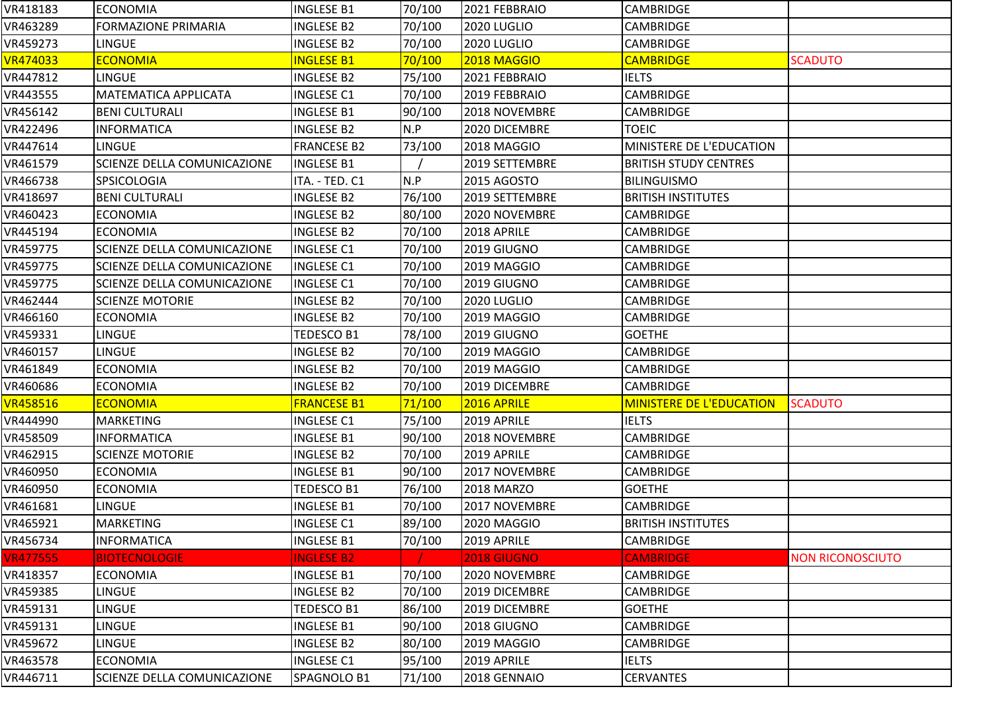| VR418183        | <b>ECONOMIA</b>                    | <b>INGLESE B1</b>  | 70/100 | 2021 FEBBRAIO     | <b>CAMBRIDGE</b>                |                         |
|-----------------|------------------------------------|--------------------|--------|-------------------|---------------------------------|-------------------------|
| VR463289        | <b>FORMAZIONE PRIMARIA</b>         | <b>INGLESE B2</b>  | 70/100 | 2020 LUGLIO       | <b>CAMBRIDGE</b>                |                         |
| VR459273        | <b>LINGUE</b>                      | <b>INGLESE B2</b>  | 70/100 | 2020 LUGLIO       | <b>CAMBRIDGE</b>                |                         |
| <b>VR474033</b> | <b>ECONOMIA</b>                    | <b>INGLESE B1</b>  | 70/100 | 2018 MAGGIO       | <b>CAMBRIDGE</b>                | <b>SCADUTO</b>          |
| VR447812        | <b>LINGUE</b>                      | <b>INGLESE B2</b>  | 75/100 | 2021 FEBBRAIO     | <b>IELTS</b>                    |                         |
| VR443555        | MATEMATICA APPLICATA               | <b>INGLESE C1</b>  | 70/100 | 2019 FEBBRAIO     | CAMBRIDGE                       |                         |
| VR456142        | <b>BENI CULTURALI</b>              | <b>INGLESE B1</b>  | 90/100 | 2018 NOVEMBRE     | CAMBRIDGE                       |                         |
| VR422496        | <b>INFORMATICA</b>                 | <b>INGLESE B2</b>  | N.P    | 2020 DICEMBRE     | <b>TOEIC</b>                    |                         |
| VR447614        | <b>LINGUE</b>                      | <b>FRANCESE B2</b> | 73/100 | 2018 MAGGIO       | MINISTERE DE L'EDUCATION        |                         |
| VR461579        | <b>SCIENZE DELLA COMUNICAZIONE</b> | <b>INGLESE B1</b>  |        | 2019 SETTEMBRE    | <b>BRITISH STUDY CENTRES</b>    |                         |
| VR466738        | SPSICOLOGIA                        | ITA. - TED. C1     | N.P    | 2015 AGOSTO       | <b>BILINGUISMO</b>              |                         |
| VR418697        | <b>BENI CULTURALI</b>              | <b>INGLESE B2</b>  | 76/100 | 2019 SETTEMBRE    | <b>BRITISH INSTITUTES</b>       |                         |
| VR460423        | <b>ECONOMIA</b>                    | <b>INGLESE B2</b>  | 80/100 | 2020 NOVEMBRE     | <b>CAMBRIDGE</b>                |                         |
| VR445194        | <b>ECONOMIA</b>                    | <b>INGLESE B2</b>  | 70/100 | 2018 APRILE       | <b>CAMBRIDGE</b>                |                         |
| VR459775        | SCIENZE DELLA COMUNICAZIONE        | <b>INGLESE C1</b>  | 70/100 | 2019 GIUGNO       | CAMBRIDGE                       |                         |
| VR459775        | SCIENZE DELLA COMUNICAZIONE        | <b>INGLESE C1</b>  | 70/100 | 2019 MAGGIO       | <b>CAMBRIDGE</b>                |                         |
| VR459775        | <b>SCIENZE DELLA COMUNICAZIONE</b> | <b>INGLESE C1</b>  | 70/100 | 2019 GIUGNO       | <b>CAMBRIDGE</b>                |                         |
| VR462444        | <b>SCIENZE MOTORIE</b>             | <b>INGLESE B2</b>  | 70/100 | 2020 LUGLIO       | <b>CAMBRIDGE</b>                |                         |
| VR466160        | <b>ECONOMIA</b>                    | <b>INGLESE B2</b>  | 70/100 | 2019 MAGGIO       | CAMBRIDGE                       |                         |
| VR459331        | <b>LINGUE</b>                      | TEDESCO B1         | 78/100 | 2019 GIUGNO       | <b>GOETHE</b>                   |                         |
| VR460157        | <b>LINGUE</b>                      | <b>INGLESE B2</b>  | 70/100 | 2019 MAGGIO       | CAMBRIDGE                       |                         |
| VR461849        | <b>ECONOMIA</b>                    | <b>INGLESE B2</b>  | 70/100 | 2019 MAGGIO       | <b>CAMBRIDGE</b>                |                         |
| VR460686        | <b>ECONOMIA</b>                    | <b>INGLESE B2</b>  | 70/100 | 2019 DICEMBRE     | <b>CAMBRIDGE</b>                |                         |
| <b>VR458516</b> | <b>ECONOMIA</b>                    | <b>FRANCESE B1</b> | 71/100 | 2016 APRILE       | <b>MINISTERE DE L'EDUCATION</b> | <b>SCADUTO</b>          |
| VR444990        | MARKETING                          | <b>INGLESE C1</b>  | 75/100 | 2019 APRILE       | <b>IELTS</b>                    |                         |
| VR458509        | <b>INFORMATICA</b>                 | <b>INGLESE B1</b>  | 90/100 | 2018 NOVEMBRE     | CAMBRIDGE                       |                         |
| VR462915        | <b>SCIENZE MOTORIE</b>             | <b>INGLESE B2</b>  | 70/100 | 2019 APRILE       | CAMBRIDGE                       |                         |
| VR460950        | <b>ECONOMIA</b>                    | <b>INGLESE B1</b>  | 90/100 | 2017 NOVEMBRE     | <b>CAMBRIDGE</b>                |                         |
| VR460950        | <b>ECONOMIA</b>                    | TEDESCO B1         | 76/100 | <b>2018 MARZO</b> | <b>GOETHE</b>                   |                         |
| VR461681        | LINGUE                             | INGLESE B1         | 70/100 | 2017 NOVEMBRE     | <b>CAMBRIDGE</b>                |                         |
| VR465921        | <b>MARKETING</b>                   | <b>INGLESE C1</b>  | 89/100 | 2020 MAGGIO       | <b>BRITISH INSTITUTES</b>       |                         |
| VR456734        | <b>INFORMATICA</b>                 | <b>INGLESE B1</b>  | 70/100 | 2019 APRILE       | <b>CAMBRIDGE</b>                |                         |
| <b>VR477555</b> | <b>BIOTECNOLOGIE</b>               | <b>INGLESE B2</b>  |        | 2018 GIUGNO       | <b>CAMBRIDGE</b>                | <b>NON RICONOSCIUTO</b> |
| VR418357        | <b>ECONOMIA</b>                    | <b>INGLESE B1</b>  | 70/100 | 2020 NOVEMBRE     | <b>CAMBRIDGE</b>                |                         |
| VR459385        | <b>LINGUE</b>                      | <b>INGLESE B2</b>  | 70/100 | 2019 DICEMBRE     | <b>CAMBRIDGE</b>                |                         |
| VR459131        | <b>LINGUE</b>                      | TEDESCO B1         | 86/100 | 2019 DICEMBRE     | <b>GOETHE</b>                   |                         |
| VR459131        | LINGUE                             | <b>INGLESE B1</b>  | 90/100 | 2018 GIUGNO       | <b>CAMBRIDGE</b>                |                         |
| VR459672        | <b>LINGUE</b>                      | <b>INGLESE B2</b>  | 80/100 | 2019 MAGGIO       | <b>CAMBRIDGE</b>                |                         |
| VR463578        | <b>ECONOMIA</b>                    | <b>INGLESE C1</b>  | 95/100 | 2019 APRILE       | <b>IELTS</b>                    |                         |
| VR446711        | SCIENZE DELLA COMUNICAZIONE        | SPAGNOLO B1        | 71/100 | 2018 GENNAIO      | <b>CERVANTES</b>                |                         |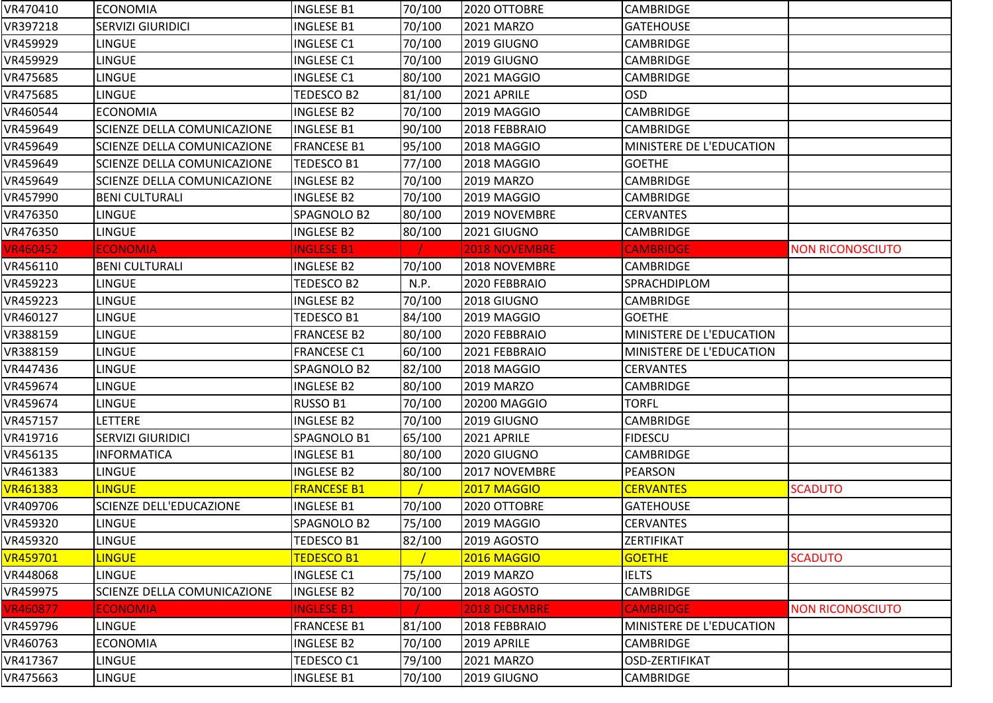| VR470410        | <b>ECONOMIA</b>             | <b>INGLESE B1</b>  | 70/100 | 2020 OTTOBRE         | <b>CAMBRIDGE</b>         |                         |
|-----------------|-----------------------------|--------------------|--------|----------------------|--------------------------|-------------------------|
| VR397218        | <b>SERVIZI GIURIDICI</b>    | <b>INGLESE B1</b>  | 70/100 | 2021 MARZO           | <b>GATEHOUSE</b>         |                         |
| VR459929        | <b>LINGUE</b>               | <b>INGLESE C1</b>  | 70/100 | 2019 GIUGNO          | <b>CAMBRIDGE</b>         |                         |
| VR459929        | <b>LINGUE</b>               | <b>INGLESE C1</b>  | 70/100 | 2019 GIUGNO          | <b>CAMBRIDGE</b>         |                         |
| VR475685        | <b>LINGUE</b>               | <b>INGLESE C1</b>  | 80/100 | 2021 MAGGIO          | <b>CAMBRIDGE</b>         |                         |
| VR475685        | LINGUE                      | TEDESCO B2         | 81/100 | 2021 APRILE          | <b>OSD</b>               |                         |
| VR460544        | <b>ECONOMIA</b>             | <b>INGLESE B2</b>  | 70/100 | 2019 MAGGIO          | <b>CAMBRIDGE</b>         |                         |
| VR459649        | SCIENZE DELLA COMUNICAZIONE | <b>INGLESE B1</b>  | 90/100 | 2018 FEBBRAIO        | <b>CAMBRIDGE</b>         |                         |
| VR459649        | SCIENZE DELLA COMUNICAZIONE | <b>FRANCESE B1</b> | 95/100 | 2018 MAGGIO          | MINISTERE DE L'EDUCATION |                         |
| VR459649        | SCIENZE DELLA COMUNICAZIONE | TEDESCO B1         | 77/100 | 2018 MAGGIO          | <b>GOETHE</b>            |                         |
| VR459649        | SCIENZE DELLA COMUNICAZIONE | <b>INGLESE B2</b>  | 70/100 | <b>2019 MARZO</b>    | <b>CAMBRIDGE</b>         |                         |
| VR457990        | <b>BENI CULTURALI</b>       | <b>INGLESE B2</b>  | 70/100 | 2019 MAGGIO          | <b>CAMBRIDGE</b>         |                         |
| VR476350        | <b>LINGUE</b>               | SPAGNOLO B2        | 80/100 | 2019 NOVEMBRE        | <b>CERVANTES</b>         |                         |
| VR476350        | <b>LINGUE</b>               | <b>INGLESE B2</b>  | 80/100 | 2021 GIUGNO          | <b>CAMBRIDGE</b>         |                         |
| <b>VR460452</b> | <b>ECONOMIA</b>             | <b>INGLESE B1</b>  |        | <b>2018 NOVEMBRE</b> | <b>CAMBRIDGE</b>         | <b>NON RICONOSCIUTO</b> |
| VR456110        | <b>BENI CULTURALI</b>       | <b>INGLESE B2</b>  | 70/100 | 2018 NOVEMBRE        | <b>CAMBRIDGE</b>         |                         |
| VR459223        | <b>LINGUE</b>               | TEDESCO B2         | N.P.   | 2020 FEBBRAIO        | SPRACHDIPLOM             |                         |
| VR459223        | LINGUE                      | <b>INGLESE B2</b>  | 70/100 | 2018 GIUGNO          | <b>CAMBRIDGE</b>         |                         |
| VR460127        | <b>LINGUE</b>               | TEDESCO B1         | 84/100 | 2019 MAGGIO          | <b>GOETHE</b>            |                         |
| VR388159        | <b>LINGUE</b>               | <b>FRANCESE B2</b> | 80/100 | 2020 FEBBRAIO        | MINISTERE DE L'EDUCATION |                         |
| VR388159        | <b>LINGUE</b>               | <b>FRANCESE C1</b> | 60/100 | 2021 FEBBRAIO        | MINISTERE DE L'EDUCATION |                         |
| VR447436        | <b>LINGUE</b>               | SPAGNOLO B2        | 82/100 | 2018 MAGGIO          | <b>CERVANTES</b>         |                         |
| VR459674        | <b>LINGUE</b>               | <b>INGLESE B2</b>  | 80/100 | <b>2019 MARZO</b>    | <b>CAMBRIDGE</b>         |                         |
| VR459674        | <b>LINGUE</b>               | RUSSO B1           | 70/100 | 20200 MAGGIO         | <b>TORFL</b>             |                         |
| VR457157        | LETTERE                     | <b>INGLESE B2</b>  | 70/100 | 2019 GIUGNO          | <b>CAMBRIDGE</b>         |                         |
| VR419716        | SERVIZI GIURIDICI           | SPAGNOLO B1        | 65/100 | 2021 APRILE          | <b>FIDESCU</b>           |                         |
| VR456135        | <b>INFORMATICA</b>          | <b>INGLESE B1</b>  | 80/100 | 2020 GIUGNO          | <b>CAMBRIDGE</b>         |                         |
| VR461383        | <b>LINGUE</b>               | <b>INGLESE B2</b>  | 80/100 | 2017 NOVEMBRE        | <b>PEARSON</b>           |                         |
| <b>VR461383</b> | <b>LINGUE</b>               | <b>FRANCESE B1</b> |        | 2017 MAGGIO          | <b>CERVANTES</b>         | <b>SCADUTO</b>          |
| VR409706        | SCIENZE DELL'EDUCAZIONE     | <b>INGLESE B1</b>  | 70/100 | 2020 OTTOBRE         | <b>GATEHOUSE</b>         |                         |
| VR459320        | <b>LINGUE</b>               | SPAGNOLO B2        | 75/100 | 2019 MAGGIO          | <b>CERVANTES</b>         |                         |
| VR459320        | <b>LINGUE</b>               | TEDESCO B1         | 82/100 | 2019 AGOSTO          | ZERTIFIKAT               |                         |
| VR459701        | <b>LINGUE</b>               | <b>TEDESCO B1</b>  |        | 2016 MAGGIO          | <b>GOETHE</b>            | <b>SCADUTO</b>          |
| VR448068        | <b>LINGUE</b>               | <b>INGLESE C1</b>  | 75/100 | 2019 MARZO           | <b>IELTS</b>             |                         |
| VR459975        | SCIENZE DELLA COMUNICAZIONE | <b>INGLESE B2</b>  | 70/100 | <b>2018 AGOSTO</b>   | <b>CAMBRIDGE</b>         |                         |
| <b>VR460877</b> | <b>ECONOMIA</b>             | <b>INGLESE B1</b>  |        | 2018 DICEMBRE        | <b>CAMBRIDGE</b>         | <b>NON RICONOSCIUTO</b> |
| VR459796        | <b>LINGUE</b>               | <b>FRANCESE B1</b> | 81/100 | 2018 FEBBRAIO        | MINISTERE DE L'EDUCATION |                         |
| VR460763        | <b>ECONOMIA</b>             | <b>INGLESE B2</b>  | 70/100 | 2019 APRILE          | <b>CAMBRIDGE</b>         |                         |
| VR417367        | <b>LINGUE</b>               | TEDESCO C1         | 79/100 | 2021 MARZO           | <b>OSD-ZERTIFIKAT</b>    |                         |
| VR475663        | <b>LINGUE</b>               | <b>INGLESE B1</b>  | 70/100 | 2019 GIUGNO          | <b>CAMBRIDGE</b>         |                         |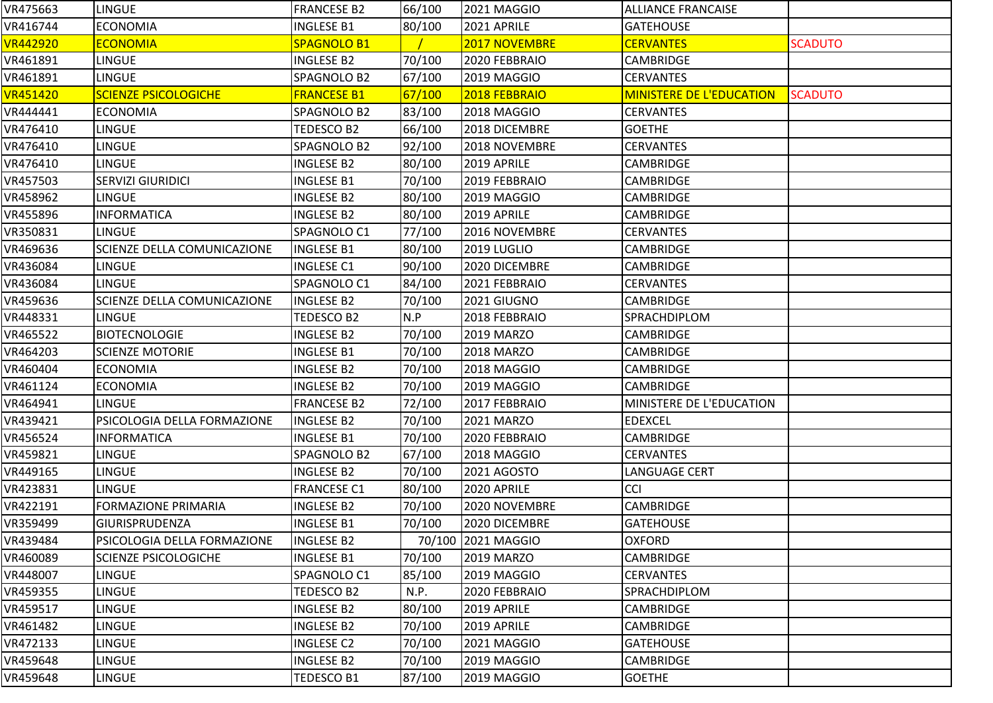| VR475663        | <b>LINGUE</b>               | <b>FRANCESE B2</b> | 66/100 | 2021 MAGGIO        | <b>ALLIANCE FRANCAISE</b>       |                |
|-----------------|-----------------------------|--------------------|--------|--------------------|---------------------------------|----------------|
| VR416744        | <b>ECONOMIA</b>             | <b>INGLESE B1</b>  | 80/100 | 2021 APRILE        | <b>GATEHOUSE</b>                |                |
| <b>VR442920</b> | <b>ECONOMIA</b>             | <b>SPAGNOLO B1</b> |        | 2017 NOVEMBRE      | <b>CERVANTES</b>                | <b>SCADUTO</b> |
| VR461891        | <b>LINGUE</b>               | <b>INGLESE B2</b>  | 70/100 | 2020 FEBBRAIO      | <b>CAMBRIDGE</b>                |                |
| VR461891        | <b>LINGUE</b>               | SPAGNOLO B2        | 67/100 | 2019 MAGGIO        | <b>CERVANTES</b>                |                |
| VR451420        | <b>SCIENZE PSICOLOGICHE</b> | <b>FRANCESE B1</b> | 67/100 | 2018 FEBBRAIO      | <b>MINISTERE DE L'EDUCATION</b> | <b>SCADUTO</b> |
| VR444441        | <b>ECONOMIA</b>             | SPAGNOLO B2        | 83/100 | 2018 MAGGIO        | <b>CERVANTES</b>                |                |
| VR476410        | <b>LINGUE</b>               | TEDESCO B2         | 66/100 | 2018 DICEMBRE      | <b>GOETHE</b>                   |                |
| VR476410        | <b>LINGUE</b>               | SPAGNOLO B2        | 92/100 | 2018 NOVEMBRE      | <b>CERVANTES</b>                |                |
| VR476410        | <b>LINGUE</b>               | <b>INGLESE B2</b>  | 80/100 | 2019 APRILE        | <b>CAMBRIDGE</b>                |                |
| VR457503        | <b>SERVIZI GIURIDICI</b>    | <b>INGLESE B1</b>  | 70/100 | 2019 FEBBRAIO      | <b>CAMBRIDGE</b>                |                |
| VR458962        | <b>LINGUE</b>               | <b>INGLESE B2</b>  | 80/100 | 2019 MAGGIO        | CAMBRIDGE                       |                |
| VR455896        | <b>INFORMATICA</b>          | <b>INGLESE B2</b>  | 80/100 | 2019 APRILE        | <b>CAMBRIDGE</b>                |                |
| VR350831        | <b>LINGUE</b>               | SPAGNOLO C1        | 77/100 | 2016 NOVEMBRE      | <b>CERVANTES</b>                |                |
| VR469636        | SCIENZE DELLA COMUNICAZIONE | <b>INGLESE B1</b>  | 80/100 | 2019 LUGLIO        | <b>CAMBRIDGE</b>                |                |
| VR436084        | <b>LINGUE</b>               | <b>INGLESE C1</b>  | 90/100 | 2020 DICEMBRE      | <b>CAMBRIDGE</b>                |                |
| VR436084        | <b>LINGUE</b>               | SPAGNOLO C1        | 84/100 | 2021 FEBBRAIO      | <b>CERVANTES</b>                |                |
| VR459636        | SCIENZE DELLA COMUNICAZIONE | <b>INGLESE B2</b>  | 70/100 | 2021 GIUGNO        | <b>CAMBRIDGE</b>                |                |
| VR448331        | <b>LINGUE</b>               | TEDESCO B2         | N.P    | 2018 FEBBRAIO      | SPRACHDIPLOM                    |                |
| VR465522        | <b>BIOTECNOLOGIE</b>        | <b>INGLESE B2</b>  | 70/100 | <b>2019 MARZO</b>  | <b>CAMBRIDGE</b>                |                |
| VR464203        | <b>SCIENZE MOTORIE</b>      | <b>INGLESE B1</b>  | 70/100 | <b>2018 MARZO</b>  | CAMBRIDGE                       |                |
| VR460404        | <b>ECONOMIA</b>             | <b>INGLESE B2</b>  | 70/100 | 2018 MAGGIO        | <b>CAMBRIDGE</b>                |                |
| VR461124        | <b>ECONOMIA</b>             | <b>INGLESE B2</b>  | 70/100 | 2019 MAGGIO        | <b>CAMBRIDGE</b>                |                |
| VR464941        | <b>LINGUE</b>               | <b>FRANCESE B2</b> | 72/100 | 2017 FEBBRAIO      | MINISTERE DE L'EDUCATION        |                |
| VR439421        | PSICOLOGIA DELLA FORMAZIONE | <b>INGLESE B2</b>  | 70/100 | 2021 MARZO         | <b>EDEXCEL</b>                  |                |
| VR456524        | <b>INFORMATICA</b>          | <b>INGLESE B1</b>  | 70/100 | 2020 FEBBRAIO      | CAMBRIDGE                       |                |
| VR459821        | <b>LINGUE</b>               | SPAGNOLO B2        | 67/100 | 2018 MAGGIO        | <b>CERVANTES</b>                |                |
| VR449165        | <b>LINGUE</b>               | <b>INGLESE B2</b>  | 70/100 | 2021 AGOSTO        | LANGUAGE CERT                   |                |
| VR423831        | <b>LINGUE</b>               | <b>FRANCESE C1</b> | 80/100 | 2020 APRILE        | <b>CCI</b>                      |                |
| VR422191        | <b>FORMAZIONE PRIMARIA</b>  | <b>INGLESE B2</b>  | 70/100 | 2020 NOVEMBRE      | CAMBRIDGE                       |                |
| VR359499        | GIURISPRUDENZA              | <b>INGLESE B1</b>  | 70/100 | 2020 DICEMBRE      | <b>GATEHOUSE</b>                |                |
| VR439484        | PSICOLOGIA DELLA FORMAZIONE | <b>INGLESE B2</b>  |        | 70/100 2021 MAGGIO | <b>OXFORD</b>                   |                |
| VR460089        | SCIENZE PSICOLOGICHE        | <b>INGLESE B1</b>  | 70/100 | <b>2019 MARZO</b>  | CAMBRIDGE                       |                |
| VR448007        | <b>LINGUE</b>               | SPAGNOLO C1        | 85/100 | 2019 MAGGIO        | <b>CERVANTES</b>                |                |
| VR459355        | <b>LINGUE</b>               | TEDESCO B2         | N.P.   | 2020 FEBBRAIO      | <b>SPRACHDIPLOM</b>             |                |
| VR459517        | <b>LINGUE</b>               | <b>INGLESE B2</b>  | 80/100 | 2019 APRILE        | <b>CAMBRIDGE</b>                |                |
| VR461482        | <b>LINGUE</b>               | <b>INGLESE B2</b>  | 70/100 | 2019 APRILE        | <b>CAMBRIDGE</b>                |                |
| VR472133        | <b>LINGUE</b>               | <b>INGLESE C2</b>  | 70/100 | 2021 MAGGIO        | <b>GATEHOUSE</b>                |                |
| VR459648        | <b>LINGUE</b>               | <b>INGLESE B2</b>  | 70/100 | 2019 MAGGIO        | <b>CAMBRIDGE</b>                |                |
| VR459648        | <b>LINGUE</b>               | TEDESCO B1         | 87/100 | 2019 MAGGIO        | <b>GOETHE</b>                   |                |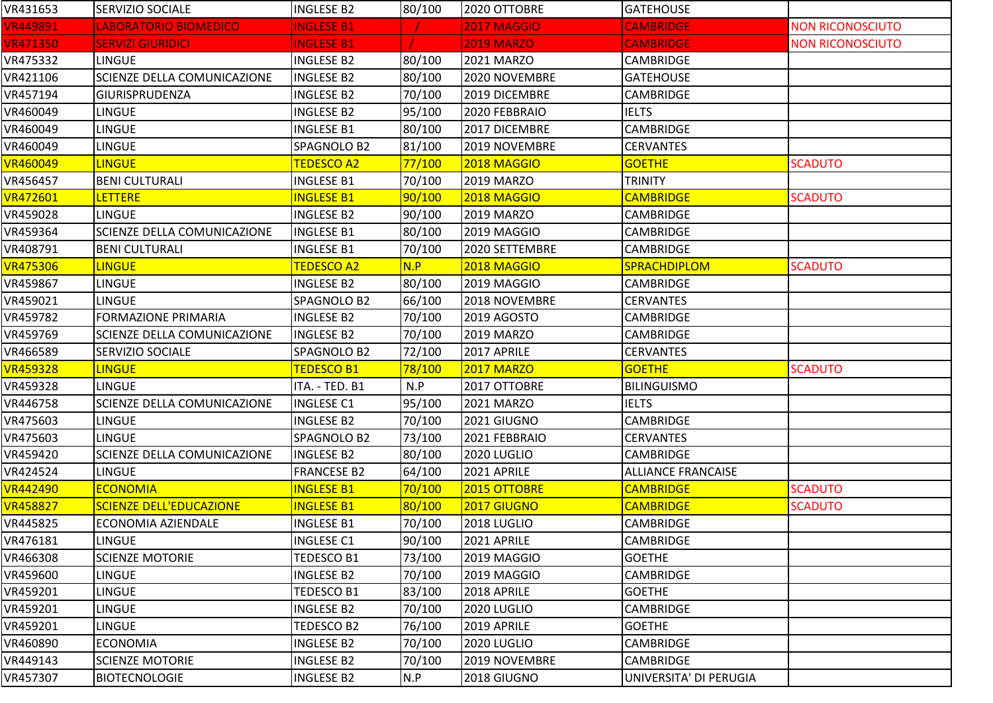| VR431653        | <b>SERVIZIO SOCIALE</b>            | <b>INGLESE B2</b>  | 80/100 | 2020 OTTOBRE       | <b>GATEHOUSE</b>          |                         |
|-----------------|------------------------------------|--------------------|--------|--------------------|---------------------------|-------------------------|
| <b>VR449891</b> | LABORATORIO BIOMEDICO              | <b>INGLESE B1</b>  |        | <b>2017 MAGGIO</b> | <b>CAMBRIDGE</b>          | <b>NON RICONOSCIUTO</b> |
| <b>VR471350</b> | <b>SERVIZI GIURIDICI</b>           | <b>INGLESE B1</b>  |        | <b>2019 MARZO</b>  | <b>CAMBRIDGE</b>          | <b>NON RICONOSCIUTO</b> |
| VR475332        | LINGUE                             | <b>INGLESE B2</b>  | 80/100 | 2021 MARZO         | <b>CAMBRIDGE</b>          |                         |
| VR421106        | <b>SCIENZE DELLA COMUNICAZIONE</b> | <b>INGLESE B2</b>  | 80/100 | 2020 NOVEMBRE      | <b>GATEHOUSE</b>          |                         |
| VR457194        | <b>GIURISPRUDENZA</b>              | <b>INGLESE B2</b>  | 70/100 | 2019 DICEMBRE      | <b>CAMBRIDGE</b>          |                         |
| VR460049        | <b>LINGUE</b>                      | <b>INGLESE B2</b>  | 95/100 | 2020 FEBBRAIO      | <b>IELTS</b>              |                         |
| VR460049        | LINGUE                             | <b>INGLESE B1</b>  | 80/100 | 2017 DICEMBRE      | CAMBRIDGE                 |                         |
| VR460049        | <b>LINGUE</b>                      | SPAGNOLO B2        | 81/100 | 2019 NOVEMBRE      | <b>CERVANTES</b>          |                         |
| <b>VR460049</b> | <b>LINGUE</b>                      | <b>TEDESCO A2</b>  | 77/100 | 2018 MAGGIO        | <b>GOETHE</b>             | <b>SCADUTO</b>          |
| VR456457        | <b>BENI CULTURALI</b>              | <b>INGLESE B1</b>  | 70/100 | 2019 MARZO         | <b>TRINITY</b>            |                         |
| <b>VR472601</b> | <b>LETTERE</b>                     | <b>INGLESE B1</b>  | 90/100 | 2018 MAGGIO        | <b>CAMBRIDGE</b>          | <b>SCADUTO</b>          |
| VR459028        | <b>LINGUE</b>                      | <b>INGLESE B2</b>  | 90/100 | 2019 MARZO         | <b>CAMBRIDGE</b>          |                         |
| VR459364        | <b>SCIENZE DELLA COMUNICAZIONE</b> | <b>INGLESE B1</b>  | 80/100 | 2019 MAGGIO        | CAMBRIDGE                 |                         |
| VR408791        | <b>BENI CULTURALI</b>              | <b>INGLESE B1</b>  | 70/100 | 2020 SETTEMBRE     | <b>CAMBRIDGE</b>          |                         |
| <b>VR475306</b> | <b>LINGUE</b>                      | <b>TEDESCO A2</b>  | N.P    | 2018 MAGGIO        | <b>SPRACHDIPLOM</b>       | <b>SCADUTO</b>          |
| VR459867        | <b>LINGUE</b>                      | <b>INGLESE B2</b>  | 80/100 | 2019 MAGGIO        | <b>CAMBRIDGE</b>          |                         |
| VR459021        | <b>LINGUE</b>                      | SPAGNOLO B2        | 66/100 | 2018 NOVEMBRE      | <b>CERVANTES</b>          |                         |
| VR459782        | <b>FORMAZIONE PRIMARIA</b>         | <b>INGLESE B2</b>  | 70/100 | 2019 AGOSTO        | <b>CAMBRIDGE</b>          |                         |
| VR459769        | SCIENZE DELLA COMUNICAZIONE        | <b>INGLESE B2</b>  | 70/100 | 2019 MARZO         | <b>CAMBRIDGE</b>          |                         |
| VR466589        | SERVIZIO SOCIALE                   | SPAGNOLO B2        | 72/100 | 2017 APRILE        | <b>CERVANTES</b>          |                         |
| <b>VR459328</b> | <b>LINGUE</b>                      | <b>TEDESCO B1</b>  | 78/100 | <b>2017 MARZO</b>  | <b>GOETHE</b>             | <b>SCADUTO</b>          |
| VR459328        | <b>LINGUE</b>                      | ITA. - TED. B1     | N.P    | 2017 OTTOBRE       | <b>BILINGUISMO</b>        |                         |
| VR446758        | <b>SCIENZE DELLA COMUNICAZIONE</b> | <b>INGLESE C1</b>  | 95/100 | 2021 MARZO         | <b>IELTS</b>              |                         |
| VR475603        | <b>LINGUE</b>                      | <b>INGLESE B2</b>  | 70/100 | 2021 GIUGNO        | <b>CAMBRIDGE</b>          |                         |
| VR475603        | <b>LINGUE</b>                      | SPAGNOLO B2        | 73/100 | 2021 FEBBRAIO      | <b>CERVANTES</b>          |                         |
| VR459420        | SCIENZE DELLA COMUNICAZIONE        | <b>INGLESE B2</b>  | 80/100 | 2020 LUGLIO        | <b>CAMBRIDGE</b>          |                         |
| VR424524        | <b>LINGUE</b>                      | <b>FRANCESE B2</b> | 64/100 | 2021 APRILE        | <b>ALLIANCE FRANCAISE</b> |                         |
| <b>VR442490</b> | <b>ECONOMIA</b>                    | <b>INGLESE B1</b>  | 70/100 | 2015 OTTOBRE       | <b>CAMBRIDGE</b>          | <b>SCADUTO</b>          |
| <b>VR458827</b> | <b>SCIENZE DELL'EDUCAZIONE</b>     | <b>INGLESE B1</b>  | 80/100 | 2017 GIUGNO        | <b>CAMBRIDGE</b>          | <b>SCADUTO</b>          |
| VR445825        | lECONOMIA AZIENDALE                | <b>INGLESE B1</b>  | 70/100 | 2018 LUGLIO        | <b>CAMBRIDGE</b>          |                         |
| VR476181        | <b>LINGUE</b>                      | <b>INGLESE C1</b>  | 90/100 | 2021 APRILE        | <b>CAMBRIDGE</b>          |                         |
| VR466308        | <b>SCIENZE MOTORIE</b>             | TEDESCO B1         | 73/100 | 2019 MAGGIO        | <b>GOETHE</b>             |                         |
| VR459600        | LINGUE                             | <b>INGLESE B2</b>  | 70/100 | 2019 MAGGIO        | <b>CAMBRIDGE</b>          |                         |
| VR459201        | <b>LINGUE</b>                      | TEDESCO B1         | 83/100 | 2018 APRILE        | <b>GOETHE</b>             |                         |
| VR459201        | <b>LINGUE</b>                      | <b>INGLESE B2</b>  | 70/100 | 2020 LUGLIO        | <b>CAMBRIDGE</b>          |                         |
| VR459201        | <b>LINGUE</b>                      | <b>TEDESCO B2</b>  | 76/100 | 2019 APRILE        | <b>GOETHE</b>             |                         |
| VR460890        | <b>ECONOMIA</b>                    | <b>INGLESE B2</b>  | 70/100 | 2020 LUGLIO        | <b>CAMBRIDGE</b>          |                         |
| VR449143        | <b>SCIENZE MOTORIE</b>             | <b>INGLESE B2</b>  | 70/100 | 2019 NOVEMBRE      | <b>CAMBRIDGE</b>          |                         |
| VR457307        | <b>BIOTECNOLOGIE</b>               | <b>INGLESE B2</b>  | N.P    | 2018 GIUGNO        | UNIVERSITA' DI PERUGIA    |                         |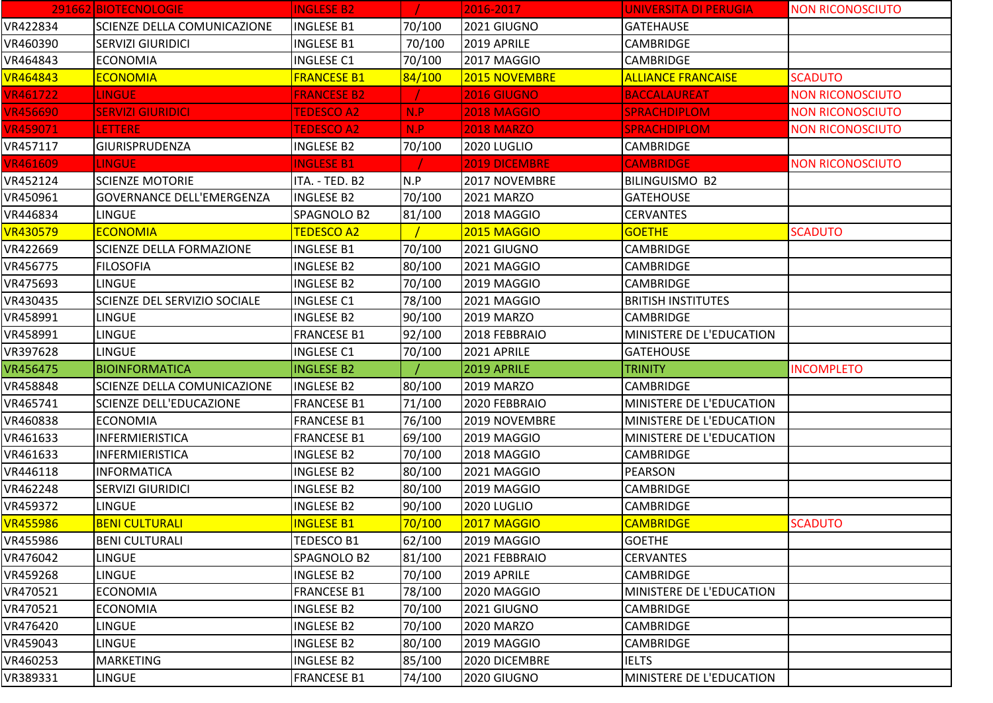|                 | 291662 BIOTECNOLOGIE               | <b>INGLESE B2</b>  |        | 2016-2017          | <b>UNIVERSITA DI PERUGIA</b> | <b>NON RICONOSCIUTO</b> |
|-----------------|------------------------------------|--------------------|--------|--------------------|------------------------------|-------------------------|
| VR422834        | <b>SCIENZE DELLA COMUNICAZIONE</b> | <b>INGLESE B1</b>  | 70/100 | 2021 GIUGNO        | <b>GATEHAUSE</b>             |                         |
| VR460390        | <b>SERVIZI GIURIDICI</b>           | <b>INGLESE B1</b>  | 70/100 | 2019 APRILE        | <b>CAMBRIDGE</b>             |                         |
| VR464843        | <b>ECONOMIA</b>                    | <b>INGLESE C1</b>  | 70/100 | 2017 MAGGIO        | <b>CAMBRIDGE</b>             |                         |
| <b>VR464843</b> | <b>ECONOMIA</b>                    | <b>FRANCESE B1</b> | 84/100 | 2015 NOVEMBRE      | <b>ALLIANCE FRANCAISE</b>    | <b>SCADUTO</b>          |
| <b>VR461722</b> | <b>LINGUE</b>                      | <b>FRANCESE B2</b> |        | <b>2016 GIUGNO</b> | <b>BACCALAUREAT</b>          | <b>NON RICONOSCIUTO</b> |
| <b>VR456690</b> | <b>SERVIZI GIURIDICI</b>           | <b>TEDESCO A2</b>  | N.P    | <b>2018 MAGGIO</b> | <b>SPRACHDIPLOM</b>          | <b>NON RICONOSCIUTO</b> |
| <b>VR459071</b> | <b>LETTERE</b>                     | <b>TEDESCO A2</b>  | N.P    | <b>2018 MARZO</b>  | <b>SPRACHDIPLOM</b>          | <b>NON RICONOSCIUTO</b> |
| VR457117        | <b>GIURISPRUDENZA</b>              | <b>INGLESE B2</b>  | 70/100 | 2020 LUGLIO        | <b>CAMBRIDGE</b>             |                         |
| <b>VR461609</b> | <b>LINGUE</b>                      | <b>INGLESE B1</b>  |        | 2019 DICEMBRE      | <b>CAMBRIDGE</b>             | <b>NON RICONOSCIUTO</b> |
| VR452124        | <b>SCIENZE MOTORIE</b>             | ITA. - TED. B2     | N.P    | 2017 NOVEMBRE      | <b>BILINGUISMO B2</b>        |                         |
| VR450961        | <b>GOVERNANCE DELL'EMERGENZA</b>   | <b>INGLESE B2</b>  | 70/100 | 2021 MARZO         | <b>GATEHOUSE</b>             |                         |
| VR446834        | <b>LINGUE</b>                      | SPAGNOLO B2        | 81/100 | 2018 MAGGIO        | <b>CERVANTES</b>             |                         |
| <b>VR430579</b> | <b>ECONOMIA</b>                    | <b>TEDESCO A2</b>  |        | 2015 MAGGIO        | <b>GOETHE</b>                | <b>SCADUTO</b>          |
| VR422669        | <b>SCIENZE DELLA FORMAZIONE</b>    | <b>INGLESE B1</b>  | 70/100 | 2021 GIUGNO        | <b>CAMBRIDGE</b>             |                         |
| VR456775        | <b>FILOSOFIA</b>                   | <b>INGLESE B2</b>  | 80/100 | 2021 MAGGIO        | <b>CAMBRIDGE</b>             |                         |
| VR475693        | <b>LINGUE</b>                      | <b>INGLESE B2</b>  | 70/100 | 2019 MAGGIO        | CAMBRIDGE                    |                         |
| VR430435        | SCIENZE DEL SERVIZIO SOCIALE       | <b>INGLESE C1</b>  | 78/100 | 2021 MAGGIO        | <b>BRITISH INSTITUTES</b>    |                         |
| VR458991        | LINGUE                             | <b>INGLESE B2</b>  | 90/100 | 2019 MARZO         | <b>CAMBRIDGE</b>             |                         |
| VR458991        | <b>LINGUE</b>                      | <b>FRANCESE B1</b> | 92/100 | 2018 FEBBRAIO      | MINISTERE DE L'EDUCATION     |                         |
| VR397628        | <b>LINGUE</b>                      | <b>INGLESE C1</b>  | 70/100 | 2021 APRILE        | <b>GATEHOUSE</b>             |                         |
| VR456475        | <b>BIOINFORMATICA</b>              | <b>INGLESE B2</b>  |        | 2019 APRILE        | <b>TRINITY</b>               | <b>INCOMPLETO</b>       |
| VR458848        | <b>SCIENZE DELLA COMUNICAZIONE</b> | <b>INGLESE B2</b>  | 80/100 | 2019 MARZO         | <b>CAMBRIDGE</b>             |                         |
| VR465741        | <b>SCIENZE DELL'EDUCAZIONE</b>     | <b>FRANCESE B1</b> | 71/100 | 2020 FEBBRAIO      | MINISTERE DE L'EDUCATION     |                         |
| VR460838        | <b>ECONOMIA</b>                    | <b>FRANCESE B1</b> | 76/100 | 2019 NOVEMBRE      | MINISTERE DE L'EDUCATION     |                         |
| VR461633        | <b>INFERMIERISTICA</b>             | <b>FRANCESE B1</b> | 69/100 | 2019 MAGGIO        | MINISTERE DE L'EDUCATION     |                         |
| VR461633        | INFERMIERISTICA                    | <b>INGLESE B2</b>  | 70/100 | 2018 MAGGIO        | <b>CAMBRIDGE</b>             |                         |
| VR446118        | <b>INFORMATICA</b>                 | <b>INGLESE B2</b>  | 80/100 | 2021 MAGGIO        | <b>PEARSON</b>               |                         |
| VR462248        | <b>SERVIZI GIURIDICI</b>           | <b>INGLESE B2</b>  | 80/100 | 2019 MAGGIO        | CAMBRIDGE                    |                         |
| VR459372        | LINGUE                             | <b>INGLESE B2</b>  | 90/100 | 2020 LUGLIO        | CAMBRIDGE                    |                         |
| <b>VR455986</b> | <b>BENI CULTURALI</b>              | <b>INGLESE B1</b>  | 70/100 | <b>2017 MAGGIO</b> | <b>CAMBRIDGE</b>             | <b>SCADUTO</b>          |
| VR455986        | <b>BENI CULTURALI</b>              | <b>TEDESCO B1</b>  | 62/100 | 2019 MAGGIO        | <b>GOETHE</b>                |                         |
| VR476042        | <b>LINGUE</b>                      | SPAGNOLO B2        | 81/100 | 2021 FEBBRAIO      | <b>CERVANTES</b>             |                         |
| VR459268        | <b>LINGUE</b>                      | <b>INGLESE B2</b>  | 70/100 | 2019 APRILE        | CAMBRIDGE                    |                         |
| VR470521        | <b>ECONOMIA</b>                    | <b>FRANCESE B1</b> | 78/100 | 2020 MAGGIO        | MINISTERE DE L'EDUCATION     |                         |
| VR470521        | <b>ECONOMIA</b>                    | <b>INGLESE B2</b>  | 70/100 | 2021 GIUGNO        | <b>CAMBRIDGE</b>             |                         |
| VR476420        | LINGUE                             | <b>INGLESE B2</b>  | 70/100 | 2020 MARZO         | <b>CAMBRIDGE</b>             |                         |
| VR459043        | <b>LINGUE</b>                      | <b>INGLESE B2</b>  | 80/100 | 2019 MAGGIO        | <b>CAMBRIDGE</b>             |                         |
| VR460253        | <b>MARKETING</b>                   | <b>INGLESE B2</b>  | 85/100 | 2020 DICEMBRE      | <b>IELTS</b>                 |                         |
| VR389331        | <b>LINGUE</b>                      | <b>FRANCESE B1</b> | 74/100 | 2020 GIUGNO        | MINISTERE DE L'EDUCATION     |                         |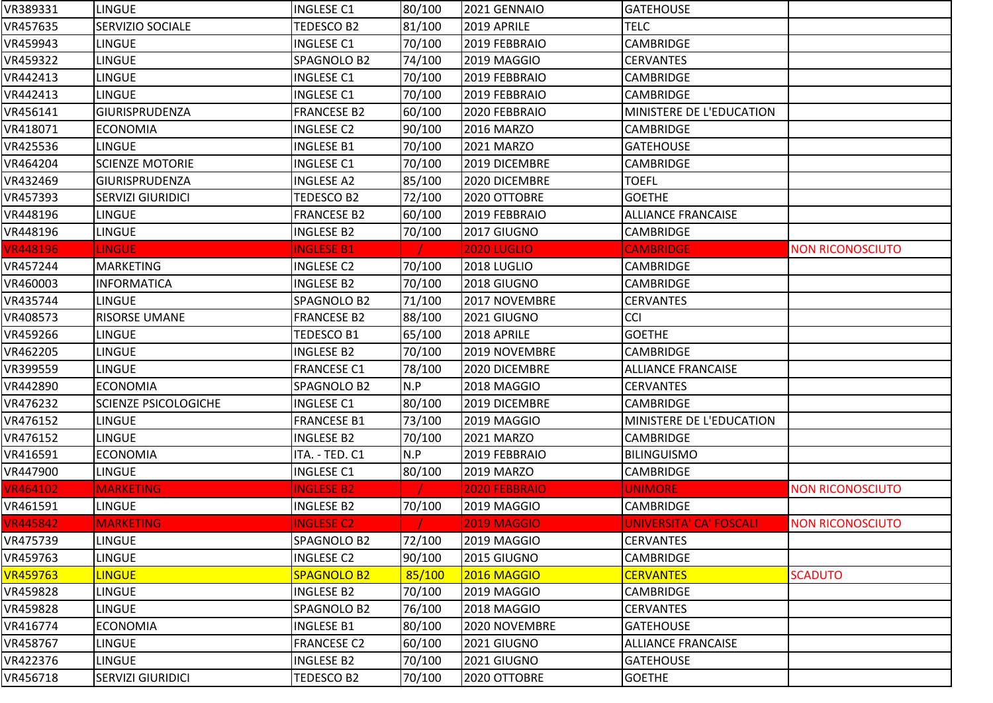| VR389331        | <b>LINGUE</b>               | <b>INGLESE C1</b>  | 80/100 | 2021 GENNAIO       | <b>GATEHOUSE</b>          |                         |
|-----------------|-----------------------------|--------------------|--------|--------------------|---------------------------|-------------------------|
| VR457635        | SERVIZIO SOCIALE            | TEDESCO B2         | 81/100 | 2019 APRILE        | <b>TELC</b>               |                         |
| VR459943        | <b>LINGUE</b>               | <b>INGLESE C1</b>  | 70/100 | 2019 FEBBRAIO      | CAMBRIDGE                 |                         |
| VR459322        | <b>LINGUE</b>               | SPAGNOLO B2        | 74/100 | 2019 MAGGIO        | <b>CERVANTES</b>          |                         |
| VR442413        | <b>LINGUE</b>               | <b>INGLESE C1</b>  | 70/100 | 2019 FEBBRAIO      | CAMBRIDGE                 |                         |
| VR442413        | LINGUE                      | <b>INGLESE C1</b>  | 70/100 | 2019 FEBBRAIO      | CAMBRIDGE                 |                         |
| VR456141        | GIURISPRUDENZA              | <b>FRANCESE B2</b> | 60/100 | 2020 FEBBRAIO      | MINISTERE DE L'EDUCATION  |                         |
| VR418071        | <b>ECONOMIA</b>             | <b>INGLESE C2</b>  | 90/100 | 2016 MARZO         | <b>CAMBRIDGE</b>          |                         |
| VR425536        | <b>LINGUE</b>               | <b>INGLESE B1</b>  | 70/100 | 2021 MARZO         | <b>GATEHOUSE</b>          |                         |
| VR464204        | <b>SCIENZE MOTORIE</b>      | <b>INGLESE C1</b>  | 70/100 | 2019 DICEMBRE      | <b>CAMBRIDGE</b>          |                         |
| VR432469        | GIURISPRUDENZA              | <b>INGLESE A2</b>  | 85/100 | 2020 DICEMBRE      | <b>TOEFL</b>              |                         |
| VR457393        | <b>SERVIZI GIURIDICI</b>    | TEDESCO B2         | 72/100 | 2020 OTTOBRE       | <b>GOETHE</b>             |                         |
| VR448196        | LINGUE                      | <b>FRANCESE B2</b> | 60/100 | 2019 FEBBRAIO      | <b>ALLIANCE FRANCAISE</b> |                         |
| VR448196        | LINGUE                      | <b>INGLESE B2</b>  | 70/100 | 2017 GIUGNO        | CAMBRIDGE                 |                         |
| <b>VR448196</b> | <b>LINGUE</b>               | <b>INGLESE B1</b>  |        | <b>2020 LUGLIO</b> | <b>CAMBRIDGE</b>          | <b>NON RICONOSCIUTO</b> |
| VR457244        | <b>MARKETING</b>            | <b>INGLESE C2</b>  | 70/100 | 2018 LUGLIO        | <b>CAMBRIDGE</b>          |                         |
| VR460003        | <b>INFORMATICA</b>          | <b>INGLESE B2</b>  | 70/100 | 2018 GIUGNO        | <b>CAMBRIDGE</b>          |                         |
| VR435744        | <b>LINGUE</b>               | SPAGNOLO B2        | 71/100 | 2017 NOVEMBRE      | <b>CERVANTES</b>          |                         |
| VR408573        | <b>RISORSE UMANE</b>        | <b>FRANCESE B2</b> | 88/100 | 2021 GIUGNO        | <b>CCI</b>                |                         |
| VR459266        | <b>LINGUE</b>               | TEDESCO B1         | 65/100 | 2018 APRILE        | <b>GOETHE</b>             |                         |
| VR462205        | <b>LINGUE</b>               | <b>INGLESE B2</b>  | 70/100 | 2019 NOVEMBRE      | <b>CAMBRIDGE</b>          |                         |
| VR399559        | <b>LINGUE</b>               | <b>FRANCESE C1</b> | 78/100 | 2020 DICEMBRE      | <b>ALLIANCE FRANCAISE</b> |                         |
| VR442890        | <b>ECONOMIA</b>             | SPAGNOLO B2        | N.P    | 2018 MAGGIO        | <b>CERVANTES</b>          |                         |
| VR476232        | <b>SCIENZE PSICOLOGICHE</b> | <b>INGLESE C1</b>  | 80/100 | 2019 DICEMBRE      | CAMBRIDGE                 |                         |
| VR476152        | LINGUE                      | <b>FRANCESE B1</b> | 73/100 | 2019 MAGGIO        | MINISTERE DE L'EDUCATION  |                         |
| VR476152        | <b>LINGUE</b>               | <b>INGLESE B2</b>  | 70/100 | 2021 MARZO         | CAMBRIDGE                 |                         |
| VR416591        | <b>ECONOMIA</b>             | ITA. - TED. C1     | N.P    | 2019 FEBBRAIO      | <b>BILINGUISMO</b>        |                         |
| VR447900        | <b>LINGUE</b>               | <b>INGLESE C1</b>  | 80/100 | <b>2019 MARZO</b>  | CAMBRIDGE                 |                         |
| <b>VR464102</b> | <b>MARKETING</b>            | <b>INGLESE B2</b>  |        | 2020 FEBBRAIO      | <b>UNIMORE</b>            | <b>NON RICONOSCIUTO</b> |
| VR461591        | LINGUE                      | <b>INGLESE B2</b>  | 70/100 | 2019 MAGGIO        | CAMBRIDGE                 |                         |
| <b>VR445842</b> | <b>MARKETING</b>            | <b>INGLESE C2</b>  |        | <b>2019 MAGGIO</b> | UNIVERSITA' CA' FOSCALI   | <b>NON RICONOSCIUTO</b> |
| VR475739        | <b>LINGUE</b>               | SPAGNOLO B2        | 72/100 | 2019 MAGGIO        | <b>CERVANTES</b>          |                         |
| VR459763        | <b>LINGUE</b>               | <b>INGLESE C2</b>  | 90/100 | 2015 GIUGNO        | CAMBRIDGE                 |                         |
| VR459763        | <b>LINGUE</b>               | <b>SPAGNOLO B2</b> | 85/100 | 2016 MAGGIO        | <b>CERVANTES</b>          | <b>SCADUTO</b>          |
| VR459828        | <b>LINGUE</b>               | <b>INGLESE B2</b>  | 70/100 | 2019 MAGGIO        | <b>CAMBRIDGE</b>          |                         |
| VR459828        | <b>LINGUE</b>               | SPAGNOLO B2        | 76/100 | 2018 MAGGIO        | <b>CERVANTES</b>          |                         |
| VR416774        | <b>ECONOMIA</b>             | <b>INGLESE B1</b>  | 80/100 | 2020 NOVEMBRE      | <b>GATEHOUSE</b>          |                         |
| VR458767        | <b>LINGUE</b>               | <b>FRANCESE C2</b> | 60/100 | 2021 GIUGNO        | <b>ALLIANCE FRANCAISE</b> |                         |
| VR422376        | <b>LINGUE</b>               | <b>INGLESE B2</b>  | 70/100 | 2021 GIUGNO        | <b>GATEHOUSE</b>          |                         |
| VR456718        | <b>SERVIZI GIURIDICI</b>    | TEDESCO B2         | 70/100 | 2020 OTTOBRE       | <b>GOETHE</b>             |                         |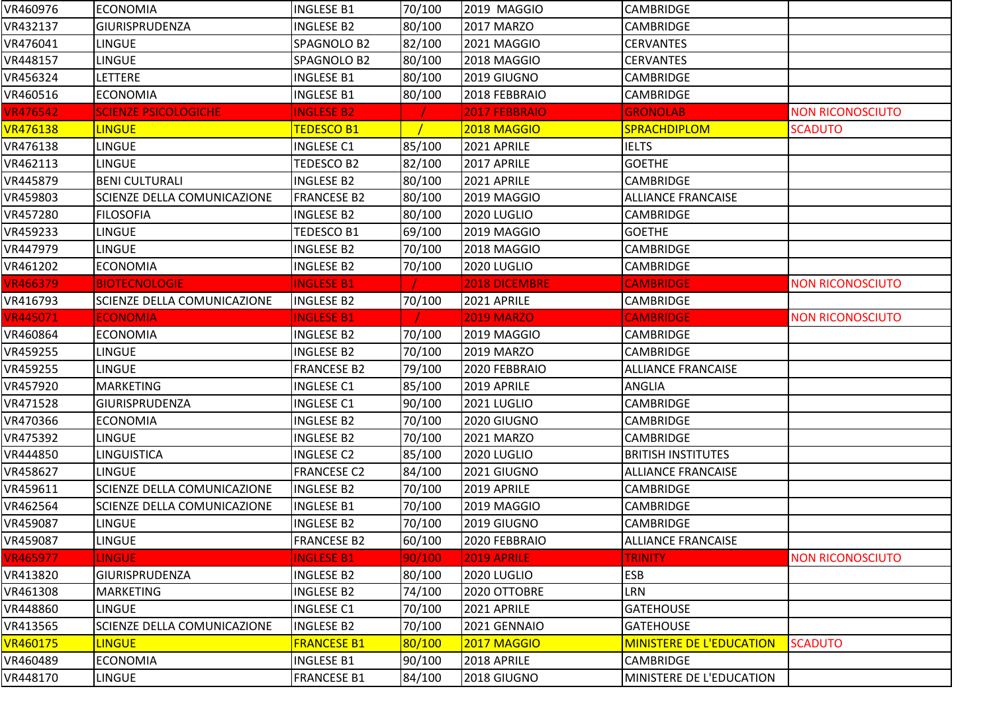| VR460976        | <b>ECONOMIA</b>                    | <b>INGLESE B1</b>  | 70/100 | 2019 MAGGIO       | CAMBRIDGE                       |                         |
|-----------------|------------------------------------|--------------------|--------|-------------------|---------------------------------|-------------------------|
| VR432137        | GIURISPRUDENZA                     | <b>INGLESE B2</b>  | 80/100 | 2017 MARZO        | <b>CAMBRIDGE</b>                |                         |
| VR476041        | LINGUE                             | SPAGNOLO B2        | 82/100 | 2021 MAGGIO       | <b>CERVANTES</b>                |                         |
| VR448157        | <b>LINGUE</b>                      | SPAGNOLO B2        | 80/100 | 2018 MAGGIO       | <b>CERVANTES</b>                |                         |
| VR456324        | <b>LETTERE</b>                     | <b>INGLESE B1</b>  | 80/100 | 2019 GIUGNO       | <b>CAMBRIDGE</b>                |                         |
| VR460516        | <b>ECONOMIA</b>                    | <b>INGLESE B1</b>  | 80/100 | 2018 FEBBRAIO     | CAMBRIDGE                       |                         |
| <b>VR476542</b> | <b>SCIENZE PSICOLOGICHE</b>        | <b>INGLESE B2</b>  |        | 2017 FEBBRAIO     | <b>GRONOLAB</b>                 | <b>NON RICONOSCIUTO</b> |
| <b>VR476138</b> | <b>LINGUE</b>                      | <b>TEDESCO B1</b>  |        | 2018 MAGGIO       | <b>SPRACHDIPLOM</b>             | <b>SCADUTO</b>          |
| VR476138        | <b>LINGUE</b>                      | <b>INGLESE C1</b>  | 85/100 | 2021 APRILE       | <b>IELTS</b>                    |                         |
| VR462113        | <b>LINGUE</b>                      | TEDESCO B2         | 82/100 | 2017 APRILE       | <b>GOETHE</b>                   |                         |
| VR445879        | <b>BENI CULTURALI</b>              | <b>INGLESE B2</b>  | 80/100 | 2021 APRILE       | <b>CAMBRIDGE</b>                |                         |
| VR459803        | <b>SCIENZE DELLA COMUNICAZIONE</b> | <b>FRANCESE B2</b> | 80/100 | 2019 MAGGIO       | <b>ALLIANCE FRANCAISE</b>       |                         |
| VR457280        | <b>FILOSOFIA</b>                   | <b>INGLESE B2</b>  | 80/100 | 2020 LUGLIO       | <b>CAMBRIDGE</b>                |                         |
| VR459233        | <b>LINGUE</b>                      | TEDESCO B1         | 69/100 | 2019 MAGGIO       | <b>GOETHE</b>                   |                         |
| VR447979        | <b>LINGUE</b>                      | <b>INGLESE B2</b>  | 70/100 | 2018 MAGGIO       | <b>CAMBRIDGE</b>                |                         |
| VR461202        | <b>ECONOMIA</b>                    | <b>INGLESE B2</b>  | 70/100 | 2020 LUGLIO       | <b>CAMBRIDGE</b>                |                         |
| <b>VR466379</b> | <b>BIOTECNOLOGIE</b>               | <b>INGLESE B1</b>  |        | 2018 DICEMBRE     | <b>CAMBRIDGE</b>                | <b>NON RICONOSCIUTO</b> |
| VR416793        | <b>SCIENZE DELLA COMUNICAZIONE</b> | <b>INGLESE B2</b>  | 70/100 | 2021 APRILE       | <b>CAMBRIDGE</b>                |                         |
| <b>VR445071</b> | <b>ECONOMIA</b>                    | <b>INGLESE B1</b>  |        | <b>2019 MARZO</b> | <b>CAMBRIDGE</b>                | <b>NON RICONOSCIUTO</b> |
| VR460864        | <b>ECONOMIA</b>                    | <b>INGLESE B2</b>  | 70/100 | 2019 MAGGIO       | <b>CAMBRIDGE</b>                |                         |
| VR459255        | LINGUE                             | <b>INGLESE B2</b>  | 70/100 | 2019 MARZO        | <b>CAMBRIDGE</b>                |                         |
| VR459255        | LINGUE                             | <b>FRANCESE B2</b> | 79/100 | 2020 FEBBRAIO     | <b>ALLIANCE FRANCAISE</b>       |                         |
| VR457920        | <b>MARKETING</b>                   | <b>INGLESE C1</b>  | 85/100 | 2019 APRILE       | ANGLIA                          |                         |
| VR471528        | <b>GIURISPRUDENZA</b>              | <b>INGLESE C1</b>  | 90/100 | 2021 LUGLIO       | <b>CAMBRIDGE</b>                |                         |
| VR470366        | <b>ECONOMIA</b>                    | <b>INGLESE B2</b>  | 70/100 | 2020 GIUGNO       | <b>CAMBRIDGE</b>                |                         |
| VR475392        | <b>LINGUE</b>                      | <b>INGLESE B2</b>  | 70/100 | 2021 MARZO        | <b>CAMBRIDGE</b>                |                         |
| VR444850        | <b>LINGUISTICA</b>                 | <b>INGLESE C2</b>  | 85/100 | 2020 LUGLIO       | <b>BRITISH INSTITUTES</b>       |                         |
| VR458627        | <b>LINGUE</b>                      | <b>FRANCESE C2</b> | 84/100 | 2021 GIUGNO       | <b>ALLIANCE FRANCAISE</b>       |                         |
| VR459611        | <b>SCIENZE DELLA COMUNICAZIONE</b> | <b>INGLESE B2</b>  | 70/100 | 2019 APRILE       | <b>CAMBRIDGE</b>                |                         |
| VR462564        | <b>SCIENZE DELLA COMUNICAZIONE</b> | <b>INGLESE B1</b>  | 70/100 | 2019 MAGGIO       | <b>CAMBRIDGE</b>                |                         |
| VR459087        | <b>LINGUE</b>                      | <b>INGLESE B2</b>  | 70/100 | 2019 GIUGNO       | <b>CAMBRIDGE</b>                |                         |
| VR459087        | <b>LINGUE</b>                      | <b>FRANCESE B2</b> | 60/100 | 2020 FEBBRAIO     | <b>ALLIANCE FRANCAISE</b>       |                         |
| <b>VR465977</b> | <b>LINGUE</b>                      | <b>INGLESE B1</b>  | 90/100 | 2019 APRILE       | <b>TRINITY</b>                  | <b>NON RICONOSCIUTO</b> |
| VR413820        | <b>GIURISPRUDENZA</b>              | <b>INGLESE B2</b>  | 80/100 | 2020 LUGLIO       | <b>ESB</b>                      |                         |
| VR461308        | <b>MARKETING</b>                   | INGLESE B2         | 74/100 | 2020 OTTOBRE      | LRN                             |                         |
| VR448860        | LINGUE                             | <b>INGLESE C1</b>  | 70/100 | 2021 APRILE       | <b>GATEHOUSE</b>                |                         |
| VR413565        | <b>SCIENZE DELLA COMUNICAZIONE</b> | <b>INGLESE B2</b>  | 70/100 | 2021 GENNAIO      | <b>GATEHOUSE</b>                |                         |
| VR460175        | <b>LINGUE</b>                      | <b>FRANCESE B1</b> | 80/100 | 2017 MAGGIO       | <b>MINISTERE DE L'EDUCATION</b> | <b>SCADUTO</b>          |
| VR460489        | <b>ECONOMIA</b>                    | <b>INGLESE B1</b>  | 90/100 | 2018 APRILE       | <b>CAMBRIDGE</b>                |                         |
| VR448170        | <b>LINGUE</b>                      | <b>FRANCESE B1</b> | 84/100 | 2018 GIUGNO       | MINISTERE DE L'EDUCATION        |                         |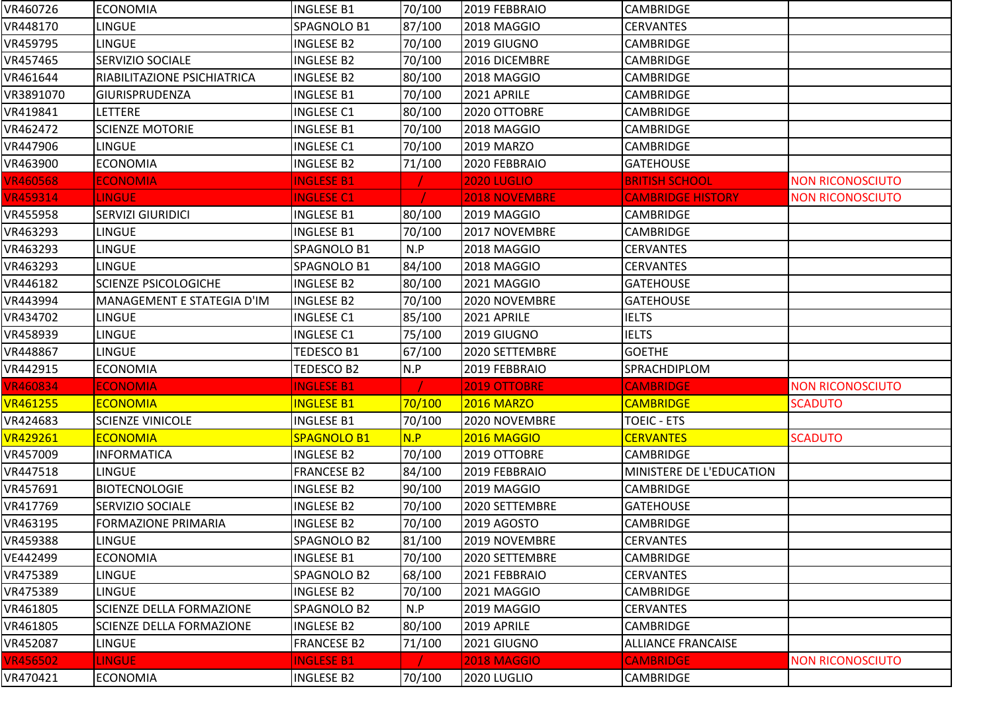| VR460726        | <b>ECONOMIA</b>             | <b>INGLESE B1</b>  | 70/100 | 2019 FEBBRAIO        | <b>CAMBRIDGE</b>          |                         |
|-----------------|-----------------------------|--------------------|--------|----------------------|---------------------------|-------------------------|
| VR448170        | <b>LINGUE</b>               | SPAGNOLO B1        | 87/100 | 2018 MAGGIO          | <b>CERVANTES</b>          |                         |
| VR459795        | <b>LINGUE</b>               | <b>INGLESE B2</b>  | 70/100 | 2019 GIUGNO          | <b>CAMBRIDGE</b>          |                         |
| VR457465        | <b>SERVIZIO SOCIALE</b>     | <b>INGLESE B2</b>  | 70/100 | 2016 DICEMBRE        | <b>CAMBRIDGE</b>          |                         |
| VR461644        | RIABILITAZIONE PSICHIATRICA | <b>INGLESE B2</b>  | 80/100 | 2018 MAGGIO          | <b>CAMBRIDGE</b>          |                         |
| VR3891070       | <b>GIURISPRUDENZA</b>       | <b>INGLESE B1</b>  | 70/100 | 2021 APRILE          | <b>CAMBRIDGE</b>          |                         |
| VR419841        | LETTERE                     | <b>INGLESE C1</b>  | 80/100 | 2020 OTTOBRE         | <b>CAMBRIDGE</b>          |                         |
| VR462472        | <b>SCIENZE MOTORIE</b>      | <b>INGLESE B1</b>  | 70/100 | 2018 MAGGIO          | CAMBRIDGE                 |                         |
| VR447906        | <b>LINGUE</b>               | <b>INGLESE C1</b>  | 70/100 | 2019 MARZO           | <b>CAMBRIDGE</b>          |                         |
| VR463900        | <b>ECONOMIA</b>             | <b>INGLESE B2</b>  | 71/100 | 2020 FEBBRAIO        | <b>GATEHOUSE</b>          |                         |
| <b>VR460568</b> | <b>ECONOMIA</b>             | <b>INGLESE B1</b>  |        | <b>2020 LUGLIO</b>   | <b>BRITISH SCHOOL</b>     | <b>NON RICONOSCIUTO</b> |
| <b>VR459314</b> | <b>LINGUE</b>               | <b>INGLESE C1</b>  |        | <b>2018 NOVEMBRE</b> | <b>CAMBRIDGE HISTORY</b>  | <b>NON RICONOSCIUTO</b> |
| VR455958        | <b>SERVIZI GIURIDICI</b>    | <b>INGLESE B1</b>  | 80/100 | 2019 MAGGIO          | CAMBRIDGE                 |                         |
| VR463293        | <b>LINGUE</b>               | <b>INGLESE B1</b>  | 70/100 | 2017 NOVEMBRE        | CAMBRIDGE                 |                         |
| VR463293        | <b>LINGUE</b>               | SPAGNOLO B1        | N.P    | 2018 MAGGIO          | <b>CERVANTES</b>          |                         |
| VR463293        | <b>LINGUE</b>               | SPAGNOLO B1        | 84/100 | 2018 MAGGIO          | <b>CERVANTES</b>          |                         |
| VR446182        | <b>SCIENZE PSICOLOGICHE</b> | <b>INGLESE B2</b>  | 80/100 | 2021 MAGGIO          | <b>GATEHOUSE</b>          |                         |
| VR443994        | MANAGEMENT E STATEGIA D'IM  | <b>INGLESE B2</b>  | 70/100 | 2020 NOVEMBRE        | <b>GATEHOUSE</b>          |                         |
| VR434702        | <b>LINGUE</b>               | <b>INGLESE C1</b>  | 85/100 | 2021 APRILE          | <b>IELTS</b>              |                         |
| VR458939        | <b>LINGUE</b>               | <b>INGLESE C1</b>  | 75/100 | 2019 GIUGNO          | <b>IELTS</b>              |                         |
| VR448867        | <b>LINGUE</b>               | TEDESCO B1         | 67/100 | 2020 SETTEMBRE       | <b>GOETHE</b>             |                         |
| VR442915        | <b>ECONOMIA</b>             | TEDESCO B2         | N.P    | 2019 FEBBRAIO        | SPRACHDIPLOM              |                         |
| <b>VR460834</b> | <b>ECONOMIA</b>             | <b>INGLESE B1</b>  |        | 2019 OTTOBRE         | <b>CAMBRIDGE</b>          | <b>NON RICONOSCIUTO</b> |
| <b>VR461255</b> | <b>ECONOMIA</b>             | <b>INGLESE B1</b>  | 70/100 | <b>2016 MARZO</b>    | <b>CAMBRIDGE</b>          | <b>SCADUTO</b>          |
| VR424683        | <b>SCIENZE VINICOLE</b>     | <b>INGLESE B1</b>  | 70/100 | 2020 NOVEMBRE        | <b>TOEIC - ETS</b>        |                         |
| VR429261        | <b>ECONOMIA</b>             | SPAGNOLO B1        | N.P    | 2016 MAGGIO          | <b>CERVANTES</b>          | <b>SCADUTO</b>          |
| VR457009        | <b>INFORMATICA</b>          | <b>INGLESE B2</b>  | 70/100 | 2019 OTTOBRE         | CAMBRIDGE                 |                         |
| VR447518        | <b>LINGUE</b>               | <b>FRANCESE B2</b> | 84/100 | 2019 FEBBRAIO        | MINISTERE DE L'EDUCATION  |                         |
| VR457691        | <b>BIOTECNOLOGIE</b>        | <b>INGLESE B2</b>  | 90/100 | 2019 MAGGIO          | <b>CAMBRIDGE</b>          |                         |
| VR417769        | <b>SERVIZIO SOCIALE</b>     | <b>INGLESE B2</b>  | 70/100 | 2020 SETTEMBRE       | <b>GATEHOUSE</b>          |                         |
| VR463195        | <b>FORMAZIONE PRIMARIA</b>  | <b>INGLESE B2</b>  | 70/100 | 2019 AGOSTO          | <b>CAMBRIDGE</b>          |                         |
| VR459388        | <b>LINGUE</b>               | SPAGNOLO B2        | 81/100 | 2019 NOVEMBRE        | <b>CERVANTES</b>          |                         |
| VE442499        | <b>ECONOMIA</b>             | <b>INGLESE B1</b>  | 70/100 | 2020 SETTEMBRE       | CAMBRIDGE                 |                         |
| VR475389        | <b>LINGUE</b>               | SPAGNOLO B2        | 68/100 | 2021 FEBBRAIO        | <b>CERVANTES</b>          |                         |
| VR475389        | <b>LINGUE</b>               | <b>INGLESE B2</b>  | 70/100 | 2021 MAGGIO          | <b>CAMBRIDGE</b>          |                         |
| VR461805        | SCIENZE DELLA FORMAZIONE    | SPAGNOLO B2        | N.P    | 2019 MAGGIO          | <b>CERVANTES</b>          |                         |
| VR461805        | SCIENZE DELLA FORMAZIONE    | <b>INGLESE B2</b>  | 80/100 | 2019 APRILE          | <b>CAMBRIDGE</b>          |                         |
| VR452087        | <b>LINGUE</b>               | <b>FRANCESE B2</b> | 71/100 | 2021 GIUGNO          | <b>ALLIANCE FRANCAISE</b> |                         |
| <b>VR456502</b> | <b>LINGUE</b>               | <b>INGLESE B1</b>  |        | <b>2018 MAGGIO</b>   | <b>CAMBRIDGE</b>          | <b>NON RICONOSCIUTO</b> |
| VR470421        | <b>ECONOMIA</b>             | <b>INGLESE B2</b>  | 70/100 | 2020 LUGLIO          | CAMBRIDGE                 |                         |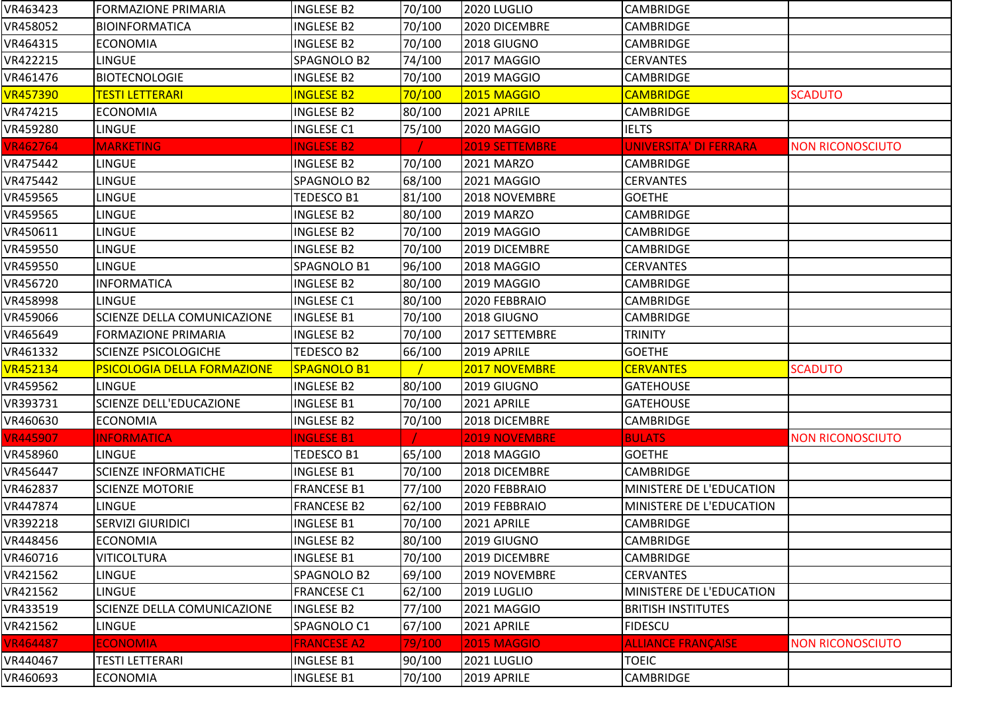| VR463423        | <b>FORMAZIONE PRIMARIA</b>         | <b>INGLESE B2</b>  | 70/100 | 2020 LUGLIO        | <b>CAMBRIDGE</b>          |                         |
|-----------------|------------------------------------|--------------------|--------|--------------------|---------------------------|-------------------------|
| VR458052        | BIOINFORMATICA                     | <b>INGLESE B2</b>  | 70/100 | 2020 DICEMBRE      | <b>CAMBRIDGE</b>          |                         |
| VR464315        | <b>ECONOMIA</b>                    | <b>INGLESE B2</b>  | 70/100 | 2018 GIUGNO        | <b>CAMBRIDGE</b>          |                         |
| VR422215        | <b>LINGUE</b>                      | SPAGNOLO B2        | 74/100 | 2017 MAGGIO        | <b>CERVANTES</b>          |                         |
| VR461476        | <b>BIOTECNOLOGIE</b>               | INGLESE B2         | 70/100 | 2019 MAGGIO        | <b>CAMBRIDGE</b>          |                         |
| <b>VR457390</b> | <mark>TESTI LETTERARI</mark>       | <b>INGLESE B2</b>  | 70/100 | 2015 MAGGIO        | <b>CAMBRIDGE</b>          | <b>SCADUTO</b>          |
| VR474215        | <b>ECONOMIA</b>                    | <b>INGLESE B2</b>  | 80/100 | 2021 APRILE        | <b>CAMBRIDGE</b>          |                         |
| VR459280        | <b>LINGUE</b>                      | <b>INGLESE C1</b>  | 75/100 | 2020 MAGGIO        | <b>IELTS</b>              |                         |
| <b>VR462764</b> | <b>MARKETING</b>                   | <b>INGLESE B2</b>  |        | 2019 SETTEMBRE     | UNIVERSITA' DI FERRARA    | <b>NON RICONOSCIUTO</b> |
| VR475442        | <b>LINGUE</b>                      | INGLESE B2         | 70/100 | 2021 MARZO         | <b>CAMBRIDGE</b>          |                         |
| VR475442        | LINGUE                             | SPAGNOLO B2        | 68/100 | 2021 MAGGIO        | <b>CERVANTES</b>          |                         |
| VR459565        | <b>LINGUE</b>                      | TEDESCO B1         | 81/100 | 2018 NOVEMBRE      | <b>GOETHE</b>             |                         |
| VR459565        | <b>LINGUE</b>                      | <b>INGLESE B2</b>  | 80/100 | 2019 MARZO         | <b>CAMBRIDGE</b>          |                         |
| VR450611        | <b>LINGUE</b>                      | <b>INGLESE B2</b>  | 70/100 | 2019 MAGGIO        | <b>CAMBRIDGE</b>          |                         |
| VR459550        | <b>LINGUE</b>                      | <b>INGLESE B2</b>  | 70/100 | 2019 DICEMBRE      | <b>CAMBRIDGE</b>          |                         |
| VR459550        | <b>LINGUE</b>                      | SPAGNOLO B1        | 96/100 | 2018 MAGGIO        | <b>CERVANTES</b>          |                         |
| VR456720        | <b>INFORMATICA</b>                 | <b>INGLESE B2</b>  | 80/100 | 2019 MAGGIO        | <b>CAMBRIDGE</b>          |                         |
| VR458998        | <b>LINGUE</b>                      | <b>INGLESE C1</b>  | 80/100 | 2020 FEBBRAIO      | <b>CAMBRIDGE</b>          |                         |
| VR459066        | SCIENZE DELLA COMUNICAZIONE        | <b>INGLESE B1</b>  | 70/100 | 2018 GIUGNO        | <b>CAMBRIDGE</b>          |                         |
| VR465649        | <b>FORMAZIONE PRIMARIA</b>         | <b>INGLESE B2</b>  | 70/100 | 2017 SETTEMBRE     | <b>TRINITY</b>            |                         |
| VR461332        | <b>SCIENZE PSICOLOGICHE</b>        | TEDESCO B2         | 66/100 | 2019 APRILE        | <b>GOETHE</b>             |                         |
| <b>VR452134</b> | <b>PSICOLOGIA DELLA FORMAZIONE</b> | <b>SPAGNOLO B1</b> |        | 2017 NOVEMBRE      | <b>CERVANTES</b>          | <b>SCADUTO</b>          |
| VR459562        | <b>LINGUE</b>                      | <b>INGLESE B2</b>  | 80/100 | 2019 GIUGNO        | <b>GATEHOUSE</b>          |                         |
| VR393731        | <b>SCIENZE DELL'EDUCAZIONE</b>     | <b>INGLESE B1</b>  | 70/100 | 2021 APRILE        | <b>GATEHOUSE</b>          |                         |
| VR460630        | <b>ECONOMIA</b>                    | <b>INGLESE B2</b>  | 70/100 | 2018 DICEMBRE      | CAMBRIDGE                 |                         |
| <b>VR445907</b> | <b>INFORMATICA</b>                 | <b>INGLESE B1</b>  |        | 2019 NOVEMBRE      | <b>BULATS</b>             | <b>NON RICONOSCIUTO</b> |
| VR458960        | <b>LINGUE</b>                      | TEDESCO B1         | 65/100 | 2018 MAGGIO        | <b>GOETHE</b>             |                         |
| VR456447        | <b>SCIENZE INFORMATICHE</b>        | <b>INGLESE B1</b>  | 70/100 | 2018 DICEMBRE      | <b>CAMBRIDGE</b>          |                         |
| VR462837        | <b>SCIENZE MOTORIE</b>             | <b>FRANCESE B1</b> | 77/100 | 2020 FEBBRAIO      | MINISTERE DE L'EDUCATION  |                         |
| VR447874        | LINGUE                             | <b>FRANCESE B2</b> | 62/100 | 2019 FEBBRAIO      | MINISTERE DE L'EDUCATION  |                         |
| VR392218        | <b>SERVIZI GIURIDICI</b>           | <b>INGLESE B1</b>  | 70/100 | 2021 APRILE        | <b>CAMBRIDGE</b>          |                         |
| VR448456        | <b>ECONOMIA</b>                    | <b>INGLESE B2</b>  | 80/100 | 2019 GIUGNO        | <b>CAMBRIDGE</b>          |                         |
| VR460716        | <b>VITICOLTURA</b>                 | <b>INGLESE B1</b>  | 70/100 | 2019 DICEMBRE      | <b>CAMBRIDGE</b>          |                         |
| VR421562        | LINGUE                             | SPAGNOLO B2        | 69/100 | 2019 NOVEMBRE      | <b>CERVANTES</b>          |                         |
| VR421562        | <b>LINGUE</b>                      | <b>FRANCESE C1</b> | 62/100 | 2019 LUGLIO        | MINISTERE DE L'EDUCATION  |                         |
| VR433519        | SCIENZE DELLA COMUNICAZIONE        | INGLESE B2         | 77/100 | 2021 MAGGIO        | <b>BRITISH INSTITUTES</b> |                         |
| VR421562        | <b>LINGUE</b>                      | SPAGNOLO C1        | 67/100 | 2021 APRILE        | <b>FIDESCU</b>            |                         |
| <b>VR464487</b> | <b>ECONOMIA</b>                    | <b>FRANCESE A2</b> | 79/100 | <b>2015 MAGGIO</b> | <b>ALLIANCE FRANÇAISE</b> | <b>NON RICONOSCIUTO</b> |
| VR440467        | TESTI LETTERARI                    | <b>INGLESE B1</b>  | 90/100 | 2021 LUGLIO        | <b>TOEIC</b>              |                         |
| VR460693        | <b>ECONOMIA</b>                    | <b>INGLESE B1</b>  | 70/100 | 2019 APRILE        | <b>CAMBRIDGE</b>          |                         |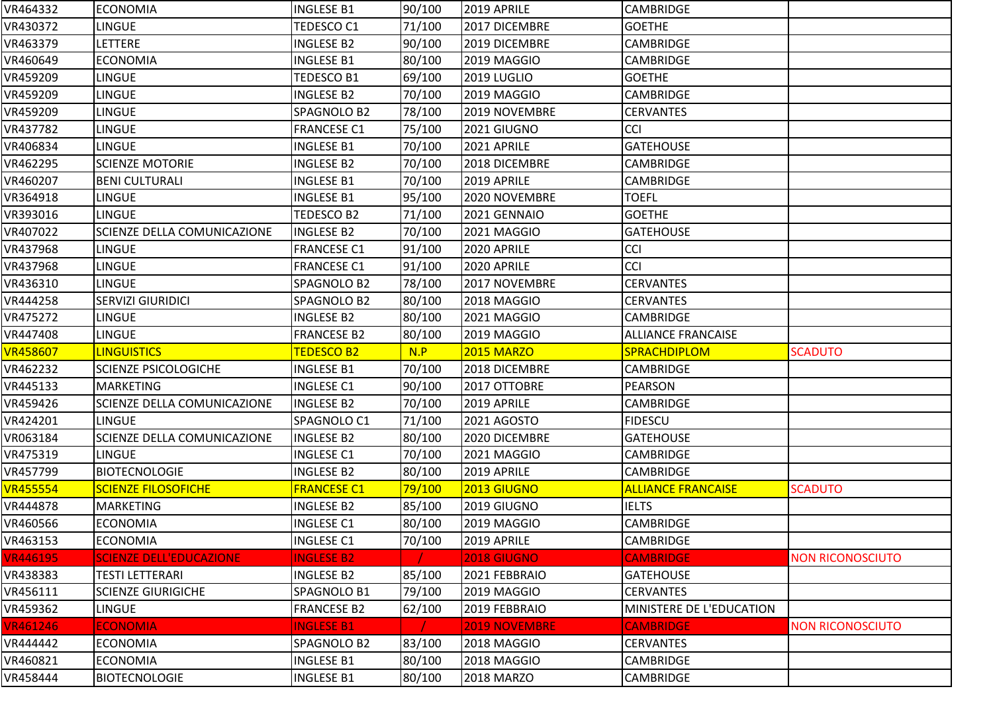| VR464332                    | <b>ECONOMIA</b>                    | <b>INGLESE B1</b>  | 90/100 | 2019 APRILE          | <b>CAMBRIDGE</b>          |                         |
|-----------------------------|------------------------------------|--------------------|--------|----------------------|---------------------------|-------------------------|
| VR430372                    | LINGUE                             | TEDESCO C1         | 71/100 | 2017 DICEMBRE        | <b>GOETHE</b>             |                         |
| VR463379                    | <b>LETTERE</b>                     | <b>INGLESE B2</b>  | 90/100 | 2019 DICEMBRE        | CAMBRIDGE                 |                         |
| VR460649                    | <b>ECONOMIA</b>                    | <b>INGLESE B1</b>  | 80/100 | 2019 MAGGIO          | <b>CAMBRIDGE</b>          |                         |
| VR459209                    | <b>LINGUE</b>                      | TEDESCO B1         | 69/100 | 2019 LUGLIO          | <b>GOETHE</b>             |                         |
| VR459209                    | <b>LINGUE</b>                      | <b>INGLESE B2</b>  | 70/100 | 2019 MAGGIO          | CAMBRIDGE                 |                         |
| VR459209                    | <b>LINGUE</b>                      | SPAGNOLO B2        | 78/100 | 2019 NOVEMBRE        | <b>CERVANTES</b>          |                         |
| VR437782                    | LINGUE                             | <b>FRANCESE C1</b> | 75/100 | 2021 GIUGNO          | <b>CCI</b>                |                         |
| VR406834                    | <b>LINGUE</b>                      | <b>INGLESE B1</b>  | 70/100 | 2021 APRILE          | <b>GATEHOUSE</b>          |                         |
| VR462295                    | <b>SCIENZE MOTORIE</b>             | INGLESE B2         | 70/100 | 2018 DICEMBRE        | <b>CAMBRIDGE</b>          |                         |
| VR460207                    | <b>BENI CULTURALI</b>              | <b>INGLESE B1</b>  | 70/100 | 2019 APRILE          | <b>CAMBRIDGE</b>          |                         |
| VR364918                    | <b>LINGUE</b>                      | <b>INGLESE B1</b>  | 95/100 | 2020 NOVEMBRE        | <b>TOEFL</b>              |                         |
| VR393016                    | LINGUE                             | TEDESCO B2         | 71/100 | 2021 GENNAIO         | <b>GOETHE</b>             |                         |
| VR407022                    | <b>SCIENZE DELLA COMUNICAZIONE</b> | <b>INGLESE B2</b>  | 70/100 | 2021 MAGGIO          | <b>GATEHOUSE</b>          |                         |
| VR437968                    | <b>LINGUE</b>                      | <b>FRANCESE C1</b> | 91/100 | 2020 APRILE          | <b>CCI</b>                |                         |
| VR437968                    | <b>LINGUE</b>                      | <b>FRANCESE C1</b> | 91/100 | 2020 APRILE          | CCI                       |                         |
| VR436310                    | <b>LINGUE</b>                      | SPAGNOLO B2        | 78/100 | 2017 NOVEMBRE        | <b>CERVANTES</b>          |                         |
| VR444258                    | <b>SERVIZI GIURIDICI</b>           | SPAGNOLO B2        | 80/100 | 2018 MAGGIO          | <b>CERVANTES</b>          |                         |
| VR475272                    | <b>LINGUE</b>                      | <b>INGLESE B2</b>  | 80/100 | 2021 MAGGIO          | <b>CAMBRIDGE</b>          |                         |
| VR447408                    | <b>LINGUE</b>                      | <b>FRANCESE B2</b> | 80/100 | 2019 MAGGIO          | <b>ALLIANCE FRANCAISE</b> |                         |
|                             |                                    |                    |        |                      |                           |                         |
| <b>VR458607</b>             | <b>LINGUISTICS</b>                 | <b>TEDESCO B2</b>  | N.P    | <b>2015 MARZO</b>    | <b>SPRACHDIPLOM</b>       | <b>SCADUTO</b>          |
| VR462232                    | <b>SCIENZE PSICOLOGICHE</b>        | <b>INGLESE B1</b>  | 70/100 | 2018 DICEMBRE        | <b>CAMBRIDGE</b>          |                         |
| VR445133                    | <b>MARKETING</b>                   | <b>INGLESE C1</b>  | 90/100 | 2017 OTTOBRE         | <b>PEARSON</b>            |                         |
| VR459426                    | <b>SCIENZE DELLA COMUNICAZIONE</b> | <b>INGLESE B2</b>  | 70/100 | 2019 APRILE          | <b>CAMBRIDGE</b>          |                         |
| VR424201                    | <b>LINGUE</b>                      | SPAGNOLO C1        | 71/100 | 2021 AGOSTO          | <b>FIDESCU</b>            |                         |
| VR063184                    | SCIENZE DELLA COMUNICAZIONE        | <b>INGLESE B2</b>  | 80/100 | 2020 DICEMBRE        | <b>GATEHOUSE</b>          |                         |
| VR475319                    | <b>LINGUE</b>                      | <b>INGLESE C1</b>  | 70/100 | 2021 MAGGIO          | <b>CAMBRIDGE</b>          |                         |
| VR457799                    | <b>BIOTECNOLOGIE</b>               | <b>INGLESE B2</b>  | 80/100 | 2019 APRILE          | <b>CAMBRIDGE</b>          |                         |
|                             | <b>SCIENZE FILOSOFICHE</b>         | <b>FRANCESE C1</b> | 79/100 | 2013 GIUGNO          | <b>ALLIANCE FRANCAISE</b> | <b>SCADUTO</b>          |
| <b>VR455554</b><br>VR444878 | <b>MARKETING</b>                   | INGLESE B2         | 85/100 | 2019 GIUGNO          | <b>IELTS</b>              |                         |
| VR460566                    | <b>ECONOMIA</b>                    | <b>INGLESE C1</b>  | 80/100 | 2019 MAGGIO          | <b>CAMBRIDGE</b>          |                         |
| VR463153                    | <b>ECONOMIA</b>                    | <b>INGLESE C1</b>  | 70/100 | 2019 APRILE          | <b>CAMBRIDGE</b>          |                         |
| <b>VR446195</b>             | <b>SCIENZE DELL'EDUCAZIONE</b>     | <b>INGLESE B2</b>  |        | 2018 GIUGNO          | <b>CAMBRIDGE</b>          | <b>NON RICONOSCIUTO</b> |
| VR438383                    | <b>TESTI LETTERARI</b>             | <b>INGLESE B2</b>  | 85/100 | 2021 FEBBRAIO        | <b>GATEHOUSE</b>          |                         |
| VR456111                    | <b>SCIENZE GIURIGICHE</b>          | SPAGNOLO B1        | 79/100 | 2019 MAGGIO          | <b>CERVANTES</b>          |                         |
| VR459362                    | <b>LINGUE</b>                      | <b>FRANCESE B2</b> | 62/100 | 2019 FEBBRAIO        | MINISTERE DE L'EDUCATION  |                         |
| <b>VR461246</b>             | <b>ECONOMIA</b>                    | <b>INGLESE B1</b>  |        | <b>2019 NOVEMBRE</b> | <b>CAMBRIDGE</b>          | <b>NON RICONOSCIUTO</b> |
| VR444442                    | <b>ECONOMIA</b>                    | SPAGNOLO B2        | 83/100 | 2018 MAGGIO          | <b>CERVANTES</b>          |                         |
| VR460821                    | <b>ECONOMIA</b>                    | <b>INGLESE B1</b>  | 80/100 | 2018 MAGGIO          | CAMBRIDGE                 |                         |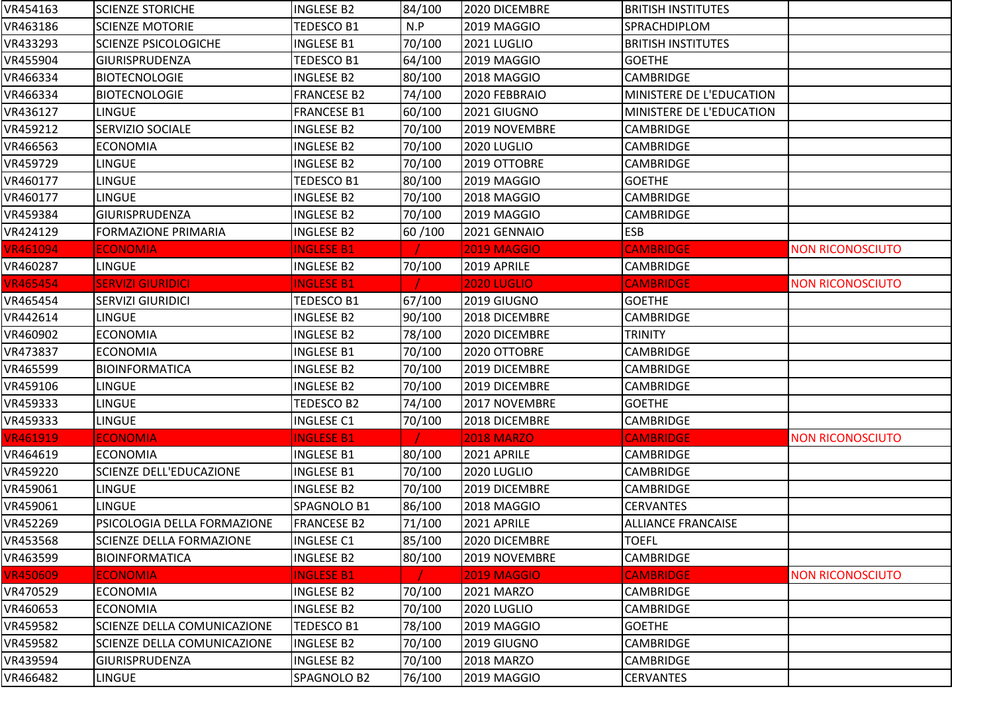| VR454163        | <b>SCIENZE STORICHE</b>     | <b>INGLESE B2</b>  | 84/100 | 2020 DICEMBRE      | <b>BRITISH INSTITUTES</b> |                         |
|-----------------|-----------------------------|--------------------|--------|--------------------|---------------------------|-------------------------|
| VR463186        | <b>SCIENZE MOTORIE</b>      | TEDESCO B1         | N.P    | 2019 MAGGIO        | SPRACHDIPLOM              |                         |
| VR433293        | <b>SCIENZE PSICOLOGICHE</b> | <b>INGLESE B1</b>  | 70/100 | 2021 LUGLIO        | <b>BRITISH INSTITUTES</b> |                         |
| VR455904        | <b>GIURISPRUDENZA</b>       | TEDESCO B1         | 64/100 | 2019 MAGGIO        | <b>GOETHE</b>             |                         |
| VR466334        | <b>BIOTECNOLOGIE</b>        | <b>INGLESE B2</b>  | 80/100 | 2018 MAGGIO        | <b>CAMBRIDGE</b>          |                         |
| VR466334        | <b>BIOTECNOLOGIE</b>        | <b>FRANCESE B2</b> | 74/100 | 2020 FEBBRAIO      | MINISTERE DE L'EDUCATION  |                         |
| VR436127        | <b>LINGUE</b>               | <b>FRANCESE B1</b> | 60/100 | 2021 GIUGNO        | MINISTERE DE L'EDUCATION  |                         |
| VR459212        | <b>SERVIZIO SOCIALE</b>     | <b>INGLESE B2</b>  | 70/100 | 2019 NOVEMBRE      | <b>CAMBRIDGE</b>          |                         |
| VR466563        | <b>ECONOMIA</b>             | <b>INGLESE B2</b>  | 70/100 | 2020 LUGLIO        | <b>CAMBRIDGE</b>          |                         |
| VR459729        | <b>LINGUE</b>               | <b>INGLESE B2</b>  | 70/100 | 2019 OTTOBRE       | <b>CAMBRIDGE</b>          |                         |
| VR460177        | <b>LINGUE</b>               | TEDESCO B1         | 80/100 | 2019 MAGGIO        | <b>GOETHE</b>             |                         |
| VR460177        | <b>LINGUE</b>               | <b>INGLESE B2</b>  | 70/100 | 2018 MAGGIO        | <b>CAMBRIDGE</b>          |                         |
| VR459384        | <b>GIURISPRUDENZA</b>       | <b>INGLESE B2</b>  | 70/100 | 2019 MAGGIO        | <b>CAMBRIDGE</b>          |                         |
| VR424129        | <b>FORMAZIONE PRIMARIA</b>  | <b>INGLESE B2</b>  | 60/100 | 2021 GENNAIO       | <b>ESB</b>                |                         |
| <b>VR461094</b> | <b>ECONOMIA</b>             | <b>INGLESE B1</b>  |        | <b>2019 MAGGIO</b> | <b>CAMBRIDGE</b>          | <b>NON RICONOSCIUTO</b> |
| VR460287        | LINGUE                      | INGLESE B2         | 70/100 | 2019 APRILE        | <b>CAMBRIDGE</b>          |                         |
| <b>VR465454</b> | <b>SERVIZI GIURIDICI</b>    | <b>INGLESE B1</b>  |        | <b>2020 LUGLIO</b> | <b>CAMBRIDGE</b>          | <b>NON RICONOSCIUTO</b> |
| VR465454        | <b>SERVIZI GIURIDICI</b>    | TEDESCO B1         | 67/100 | 2019 GIUGNO        | <b>GOETHE</b>             |                         |
| VR442614        | <b>LINGUE</b>               | <b>INGLESE B2</b>  | 90/100 | 2018 DICEMBRE      | CAMBRIDGE                 |                         |
| VR460902        | <b>ECONOMIA</b>             | INGLESE B2         | 78/100 | 2020 DICEMBRE      | <b>TRINITY</b>            |                         |
| VR473837        | <b>ECONOMIA</b>             | <b>INGLESE B1</b>  | 70/100 | 2020 OTTOBRE       | <b>CAMBRIDGE</b>          |                         |
| VR465599        | <b>BIOINFORMATICA</b>       | <b>INGLESE B2</b>  | 70/100 | 2019 DICEMBRE      | <b>CAMBRIDGE</b>          |                         |
| VR459106        | <b>LINGUE</b>               | <b>INGLESE B2</b>  | 70/100 | 2019 DICEMBRE      | <b>CAMBRIDGE</b>          |                         |
| VR459333        | <b>LINGUE</b>               | TEDESCO B2         | 74/100 | 2017 NOVEMBRE      | <b>GOETHE</b>             |                         |
| VR459333        | <b>LINGUE</b>               | <b>INGLESE C1</b>  | 70/100 | 2018 DICEMBRE      | CAMBRIDGE                 |                         |
| <b>VR461919</b> | <b>ECONOMIA</b>             | <b>INGLESE B1</b>  |        | <b>2018 MARZO</b>  | <b>CAMBRIDGE</b>          | <b>NON RICONOSCIUTO</b> |
| VR464619        | <b>ECONOMIA</b>             | <b>INGLESE B1</b>  | 80/100 | 2021 APRILE        | <b>CAMBRIDGE</b>          |                         |
| VR459220        | SCIENZE DELL'EDUCAZIONE     | <b>INGLESE B1</b>  | 70/100 | 2020 LUGLIO        | <b>CAMBRIDGE</b>          |                         |
| VR459061        | <b>LINGUE</b>               | <b>INGLESE B2</b>  | 70/100 | 2019 DICEMBRE      | <b>CAMBRIDGE</b>          |                         |
| VR459061        | LINGUE                      | SPAGNOLO B1        | 86/100 | 2018 MAGGIO        | <b>CERVANTES</b>          |                         |
| VR452269        | PSICOLOGIA DELLA FORMAZIONE | <b>FRANCESE B2</b> | 71/100 | 2021 APRILE        | <b>ALLIANCE FRANCAISE</b> |                         |
| VR453568        | SCIENZE DELLA FORMAZIONE    | <b>INGLESE C1</b>  | 85/100 | 2020 DICEMBRE      | <b>TOEFL</b>              |                         |
| VR463599        | <b>BIOINFORMATICA</b>       | <b>INGLESE B2</b>  | 80/100 | 2019 NOVEMBRE      | CAMBRIDGE                 |                         |
| <b>VR450609</b> | <b>ECONOMIA</b>             | <b>INGLESE B1</b>  |        | <b>2019 MAGGIO</b> | <b>CAMBRIDGE</b>          | <b>NON RICONOSCIUTO</b> |
| VR470529        | <b>ECONOMIA</b>             | <b>INGLESE B2</b>  | 70/100 | 2021 MARZO         | <b>CAMBRIDGE</b>          |                         |
| VR460653        | <b>ECONOMIA</b>             | <b>INGLESE B2</b>  | 70/100 | 2020 LUGLIO        | <b>CAMBRIDGE</b>          |                         |
| VR459582        | SCIENZE DELLA COMUNICAZIONE | TEDESCO B1         | 78/100 | 2019 MAGGIO        | <b>GOETHE</b>             |                         |
| VR459582        | SCIENZE DELLA COMUNICAZIONE | <b>INGLESE B2</b>  | 70/100 | 2019 GIUGNO        | CAMBRIDGE                 |                         |
| VR439594        | <b>GIURISPRUDENZA</b>       | INGLESE B2         | 70/100 | 2018 MARZO         | CAMBRIDGE                 |                         |
| VR466482        | LINGUE                      | SPAGNOLO B2        | 76/100 | 2019 MAGGIO        | <b>CERVANTES</b>          |                         |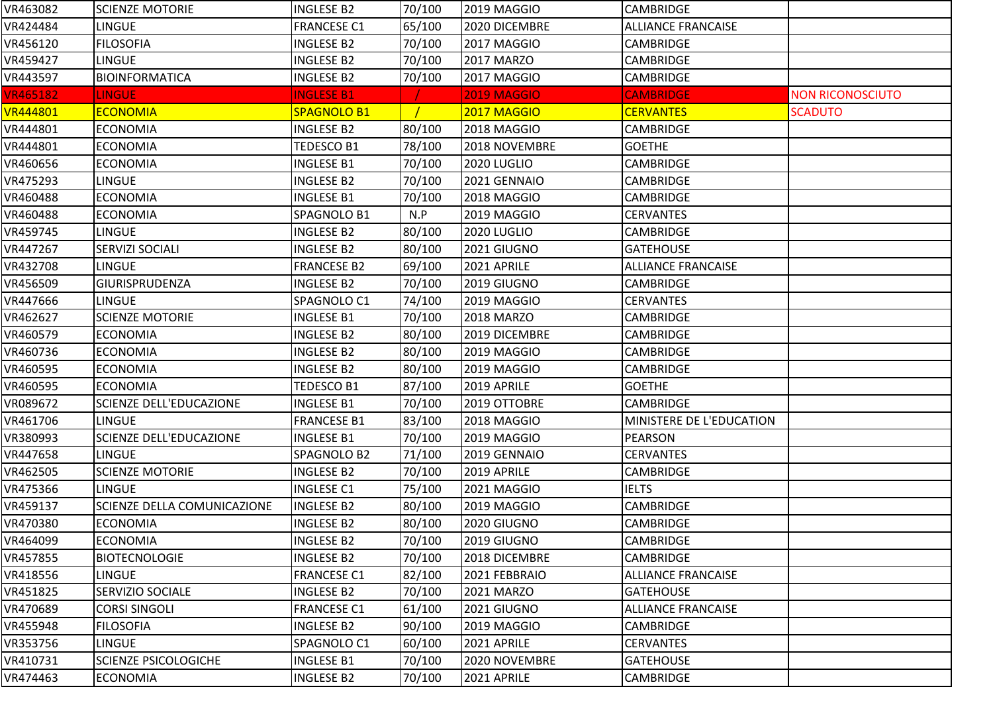| VR463082        | <b>SCIENZE MOTORIE</b>             | <b>INGLESE B2</b>  | 70/100 | <b>2019 MAGGIO</b> | <b>CAMBRIDGE</b>          |                         |
|-----------------|------------------------------------|--------------------|--------|--------------------|---------------------------|-------------------------|
| VR424484        | <b>LINGUE</b>                      | <b>FRANCESE C1</b> | 65/100 | 2020 DICEMBRE      | <b>ALLIANCE FRANCAISE</b> |                         |
| VR456120        | <b>FILOSOFIA</b>                   | <b>INGLESE B2</b>  | 70/100 | 2017 MAGGIO        | <b>CAMBRIDGE</b>          |                         |
| VR459427        | LINGUE                             | <b>INGLESE B2</b>  | 70/100 | 2017 MARZO         | <b>CAMBRIDGE</b>          |                         |
| VR443597        | <b>BIOINFORMATICA</b>              | <b>INGLESE B2</b>  | 70/100 | 2017 MAGGIO        | <b>CAMBRIDGE</b>          |                         |
| <b>VR465182</b> | <b>LINGUE</b>                      | <b>INGLESE B1</b>  |        | <b>2019 MAGGIO</b> | <b>CAMBRIDGE</b>          | <b>NON RICONOSCIUTO</b> |
| <b>VR444801</b> | <b>ECONOMIA</b>                    | SPAGNOLO B1        |        | 2017 MAGGIO        | <b>CERVANTES</b>          | <b>SCADUTO</b>          |
| VR444801        | <b>ECONOMIA</b>                    | <b>INGLESE B2</b>  | 80/100 | 2018 MAGGIO        | <b>CAMBRIDGE</b>          |                         |
| VR444801        | <b>ECONOMIA</b>                    | TEDESCO B1         | 78/100 | 2018 NOVEMBRE      | <b>GOETHE</b>             |                         |
| VR460656        | <b>ECONOMIA</b>                    | <b>INGLESE B1</b>  | 70/100 | 2020 LUGLIO        | <b>CAMBRIDGE</b>          |                         |
| VR475293        | <b>LINGUE</b>                      | <b>INGLESE B2</b>  | 70/100 | 2021 GENNAIO       | <b>CAMBRIDGE</b>          |                         |
| VR460488        | <b>ECONOMIA</b>                    | <b>INGLESE B1</b>  | 70/100 | 2018 MAGGIO        | <b>CAMBRIDGE</b>          |                         |
| VR460488        | <b>ECONOMIA</b>                    | SPAGNOLO B1        | N.P    | 2019 MAGGIO        | <b>CERVANTES</b>          |                         |
| VR459745        | <b>LINGUE</b>                      | <b>INGLESE B2</b>  | 80/100 | 2020 LUGLIO        | <b>CAMBRIDGE</b>          |                         |
| VR447267        | <b>SERVIZI SOCIALI</b>             | <b>INGLESE B2</b>  | 80/100 | 2021 GIUGNO        | <b>GATEHOUSE</b>          |                         |
| VR432708        | LINGUE                             | <b>FRANCESE B2</b> | 69/100 | 2021 APRILE        | <b>ALLIANCE FRANCAISE</b> |                         |
| VR456509        | <b>GIURISPRUDENZA</b>              | <b>INGLESE B2</b>  | 70/100 | 2019 GIUGNO        | CAMBRIDGE                 |                         |
| VR447666        | LINGUE                             | SPAGNOLO C1        | 74/100 | 2019 MAGGIO        | <b>CERVANTES</b>          |                         |
| VR462627        | <b>SCIENZE MOTORIE</b>             | <b>INGLESE B1</b>  | 70/100 | <b>2018 MARZO</b>  | <b>CAMBRIDGE</b>          |                         |
| VR460579        | <b>ECONOMIA</b>                    | <b>INGLESE B2</b>  | 80/100 | 2019 DICEMBRE      | <b>CAMBRIDGE</b>          |                         |
| VR460736        | <b>ECONOMIA</b>                    | <b>INGLESE B2</b>  | 80/100 | 2019 MAGGIO        | <b>CAMBRIDGE</b>          |                         |
| VR460595        | <b>ECONOMIA</b>                    | <b>INGLESE B2</b>  | 80/100 | 2019 MAGGIO        | <b>CAMBRIDGE</b>          |                         |
| VR460595        | <b>ECONOMIA</b>                    | <b>TEDESCO B1</b>  | 87/100 | 2019 APRILE        | <b>GOETHE</b>             |                         |
| VR089672        | <b>SCIENZE DELL'EDUCAZIONE</b>     | <b>INGLESE B1</b>  | 70/100 | 2019 OTTOBRE       | <b>CAMBRIDGE</b>          |                         |
| VR461706        | <b>LINGUE</b>                      | <b>FRANCESE B1</b> | 83/100 | 2018 MAGGIO        | MINISTERE DE L'EDUCATION  |                         |
| VR380993        | <b>SCIENZE DELL'EDUCAZIONE</b>     | <b>INGLESE B1</b>  | 70/100 | 2019 MAGGIO        | <b>PEARSON</b>            |                         |
| VR447658        | <b>LINGUE</b>                      | SPAGNOLO B2        | 71/100 | 2019 GENNAIO       | <b>CERVANTES</b>          |                         |
| VR462505        | <b>SCIENZE MOTORIE</b>             | <b>INGLESE B2</b>  | 70/100 | 2019 APRILE        | <b>CAMBRIDGE</b>          |                         |
| VR475366        | <b>LINGUE</b>                      | <b>INGLESE C1</b>  | 75/100 | 2021 MAGGIO        | <b>IELTS</b>              |                         |
| VR459137        | <b>SCIENZE DELLA COMUNICAZIONE</b> | INGLESE B2         | 80/100 | 2019 MAGGIO        | <b>CAMBRIDGE</b>          |                         |
| VR470380        | <b>ECONOMIA</b>                    | <b>INGLESE B2</b>  | 80/100 | 2020 GIUGNO        | <b>CAMBRIDGE</b>          |                         |
| VR464099        | <b>ECONOMIA</b>                    | <b>INGLESE B2</b>  | 70/100 | 2019 GIUGNO        | <b>CAMBRIDGE</b>          |                         |
| VR457855        | <b>BIOTECNOLOGIE</b>               | <b>INGLESE B2</b>  | 70/100 | 2018 DICEMBRE      | <b>CAMBRIDGE</b>          |                         |
| VR418556        | LINGUE                             | <b>FRANCESE C1</b> | 82/100 | 2021 FEBBRAIO      | <b>ALLIANCE FRANCAISE</b> |                         |
| VR451825        | <b>SERVIZIO SOCIALE</b>            | <b>INGLESE B2</b>  | 70/100 | 2021 MARZO         | <b>GATEHOUSE</b>          |                         |
| VR470689        | <b>CORSI SINGOLI</b>               | <b>FRANCESE C1</b> | 61/100 | 2021 GIUGNO        | <b>ALLIANCE FRANCAISE</b> |                         |
| VR455948        | <b>FILOSOFIA</b>                   | INGLESE B2         | 90/100 | 2019 MAGGIO        | <b>CAMBRIDGE</b>          |                         |
| VR353756        | <b>LINGUE</b>                      | SPAGNOLO C1        | 60/100 | 2021 APRILE        | <b>CERVANTES</b>          |                         |
| VR410731        | <b>SCIENZE PSICOLOGICHE</b>        | <b>INGLESE B1</b>  | 70/100 | 2020 NOVEMBRE      | <b>GATEHOUSE</b>          |                         |
| VR474463        | <b>ECONOMIA</b>                    | <b>INGLESE B2</b>  | 70/100 | 2021 APRILE        | <b>CAMBRIDGE</b>          |                         |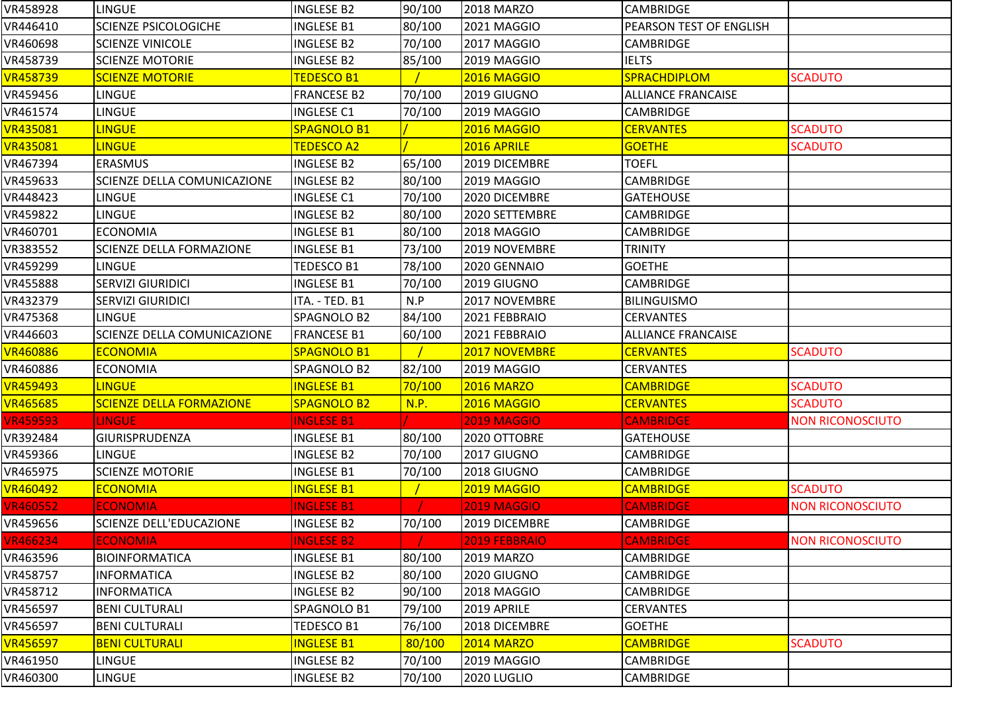| VR458928                                                                    | <b>LINGUE</b>                   | <b>INGLESE B2</b>  | 90/100 | <b>2018 MARZO</b>  | <b>CAMBRIDGE</b>          |                         |
|-----------------------------------------------------------------------------|---------------------------------|--------------------|--------|--------------------|---------------------------|-------------------------|
| VR446410                                                                    | <b>SCIENZE PSICOLOGICHE</b>     | <b>INGLESE B1</b>  | 80/100 | 2021 MAGGIO        | PEARSON TEST OF ENGLISH   |                         |
| VR460698                                                                    | <b>SCIENZE VINICOLE</b>         | <b>INGLESE B2</b>  | 70/100 | 2017 MAGGIO        | CAMBRIDGE                 |                         |
| VR458739                                                                    | <b>SCIENZE MOTORIE</b>          | <b>INGLESE B2</b>  | 85/100 | 2019 MAGGIO        | <b>IELTS</b>              |                         |
| <b>VR458739</b>                                                             | <b>SCIENZE MOTORIE</b>          | <b>TEDESCO B1</b>  |        | 2016 MAGGIO        | <b>SPRACHDIPLOM</b>       | <b>SCADUTO</b>          |
| VR459456                                                                    | LINGUE                          | <b>FRANCESE B2</b> | 70/100 | 2019 GIUGNO        | <b>ALLIANCE FRANCAISE</b> |                         |
| VR461574                                                                    | LINGUE                          | <b>INGLESE C1</b>  | 70/100 | 2019 MAGGIO        | CAMBRIDGE                 |                         |
| VR435081                                                                    | <b>LINGUE</b>                   | SPAGNOLO B1        |        | 2016 MAGGIO        | <b>CERVANTES</b>          | <b>SCADUTO</b>          |
| VR435081                                                                    | <b>LINGUE</b>                   | <b>TEDESCO A2</b>  |        | 2016 APRILE        | <b>GOETHE</b>             | <b>SCADUTO</b>          |
| VR467394                                                                    | ERASMUS                         | <b>INGLESE B2</b>  | 65/100 | 2019 DICEMBRE      | <b>TOEFL</b>              |                         |
| VR459633                                                                    | SCIENZE DELLA COMUNICAZIONE     | <b>INGLESE B2</b>  | 80/100 | 2019 MAGGIO        | CAMBRIDGE                 |                         |
| VR448423                                                                    | <b>LINGUE</b>                   | <b>INGLESE C1</b>  | 70/100 | 2020 DICEMBRE      | <b>GATEHOUSE</b>          |                         |
| VR459822                                                                    | LINGUE                          | <b>INGLESE B2</b>  | 80/100 | 2020 SETTEMBRE     | <b>CAMBRIDGE</b>          |                         |
| VR460701                                                                    | <b>ECONOMIA</b>                 | <b>INGLESE B1</b>  | 80/100 | 2018 MAGGIO        | CAMBRIDGE                 |                         |
| VR383552                                                                    | SCIENZE DELLA FORMAZIONE        | <b>INGLESE B1</b>  | 73/100 | 2019 NOVEMBRE      | <b>TRINITY</b>            |                         |
| VR459299                                                                    | <b>LINGUE</b>                   | TEDESCO B1         | 78/100 | 2020 GENNAIO       | <b>GOETHE</b>             |                         |
| VR455888                                                                    | <b>SERVIZI GIURIDICI</b>        | <b>INGLESE B1</b>  | 70/100 | 2019 GIUGNO        | <b>CAMBRIDGE</b>          |                         |
| VR432379                                                                    | <b>SERVIZI GIURIDICI</b>        | ITA. - TED. B1     | N.P    | 2017 NOVEMBRE      | <b>BILINGUISMO</b>        |                         |
| VR475368                                                                    | <b>LINGUE</b>                   | SPAGNOLO B2        | 84/100 | 2021 FEBBRAIO      | <b>CERVANTES</b>          |                         |
| VR446603                                                                    | SCIENZE DELLA COMUNICAZIONE     | <b>FRANCESE B1</b> | 60/100 | 2021 FEBBRAIO      | <b>ALLIANCE FRANCAISE</b> |                         |
| <b>VR460886</b>                                                             | <b>ECONOMIA</b>                 | SPAGNOLO B1        |        | 2017 NOVEMBRE      | <b>CERVANTES</b>          | <b>SCADUTO</b>          |
| VR460886                                                                    | <b>ECONOMIA</b>                 | SPAGNOLO B2        | 82/100 | 2019 MAGGIO        | <b>CERVANTES</b>          |                         |
| <b>VR459493</b>                                                             | <b>LINGUE</b>                   | <b>INGLESE B1</b>  | 70/100 | <b>2016 MARZO</b>  | <b>CAMBRIDGE</b>          | <b>SCADUTO</b>          |
| <b>VR465685</b>                                                             | <b>SCIENZE DELLA FORMAZIONE</b> | <b>SPAGNOLO B2</b> | N.P.   | <b>2016 MAGGIO</b> | <b>CERVANTES</b>          | <b>SCADUTO</b>          |
| <b>VR459593</b>                                                             | LINGUE                          | <b>INGLESE B1</b>  |        | <b>2019 MAGGIO</b> | <b>CAMBRIDGE</b>          | <b>NON RICONOSCIUTO</b> |
| VR392484                                                                    | GIURISPRUDENZA                  |                    |        |                    |                           |                         |
| VR459366                                                                    |                                 | <b>INGLESE B1</b>  | 80/100 | 2020 OTTOBRE       | <b>GATEHOUSE</b>          |                         |
|                                                                             | LINGUE                          | <b>INGLESE B2</b>  | 70/100 | 2017 GIUGNO        | CAMBRIDGE                 |                         |
|                                                                             | <b>SCIENZE MOTORIE</b>          | <b>INGLESE B1</b>  | 70/100 | 2018 GIUGNO        | CAMBRIDGE                 |                         |
| <b>VR460492</b>                                                             | <b>ECONOMIA</b>                 | <b>INGLESE B1</b>  |        | 2019 MAGGIO        | <b>CAMBRIDGE</b>          | <b>SCADUTO</b>          |
| <b>VR460552</b>                                                             | <b>ECONOMIA</b>                 | <b>INGLESE B1</b>  |        | <b>2019 MAGGIO</b> | <b>CAMBRIDGE</b>          | <b>NON RICONOSCIUTO</b> |
|                                                                             | SCIENZE DELL'EDUCAZIONE         | <b>INGLESE B2</b>  | 70/100 | 2019 DICEMBRE      | <b>CAMBRIDGE</b>          |                         |
|                                                                             | <b>ECONOMIA</b>                 | <b>INGLESE B2</b>  |        | 2019 FEBBRAIO      | <b>CAMBRIDGE</b>          | <b>NON RICONOSCIUTO</b> |
|                                                                             | <b>BIOINFORMATICA</b>           | <b>INGLESE B1</b>  | 80/100 | <b>2019 MARZO</b>  | CAMBRIDGE                 |                         |
|                                                                             | <b>INFORMATICA</b>              | <b>INGLESE B2</b>  | 80/100 | 2020 GIUGNO        | <b>CAMBRIDGE</b>          |                         |
| VR465975<br>VR459656<br><b>VR466234</b><br>VR463596<br>VR458757<br>VR458712 | <b>INFORMATICA</b>              | <b>INGLESE B2</b>  | 90/100 | 2018 MAGGIO        | <b>CAMBRIDGE</b>          |                         |
| VR456597                                                                    | <b>BENI CULTURALI</b>           | SPAGNOLO B1        | 79/100 | 2019 APRILE        | <b>CERVANTES</b>          |                         |
| VR456597                                                                    | <b>BENI CULTURALI</b>           | TEDESCO B1         | 76/100 | 2018 DICEMBRE      | <b>GOETHE</b>             |                         |
| <b>VR456597</b>                                                             | <b>BENI CULTURALI</b>           | <b>INGLESE B1</b>  | 80/100 | <b>2014 MARZO</b>  | <b>CAMBRIDGE</b>          | <b>SCADUTO</b>          |
| VR461950                                                                    | LINGUE                          | <b>INGLESE B2</b>  | 70/100 | 2019 MAGGIO        | <b>CAMBRIDGE</b>          |                         |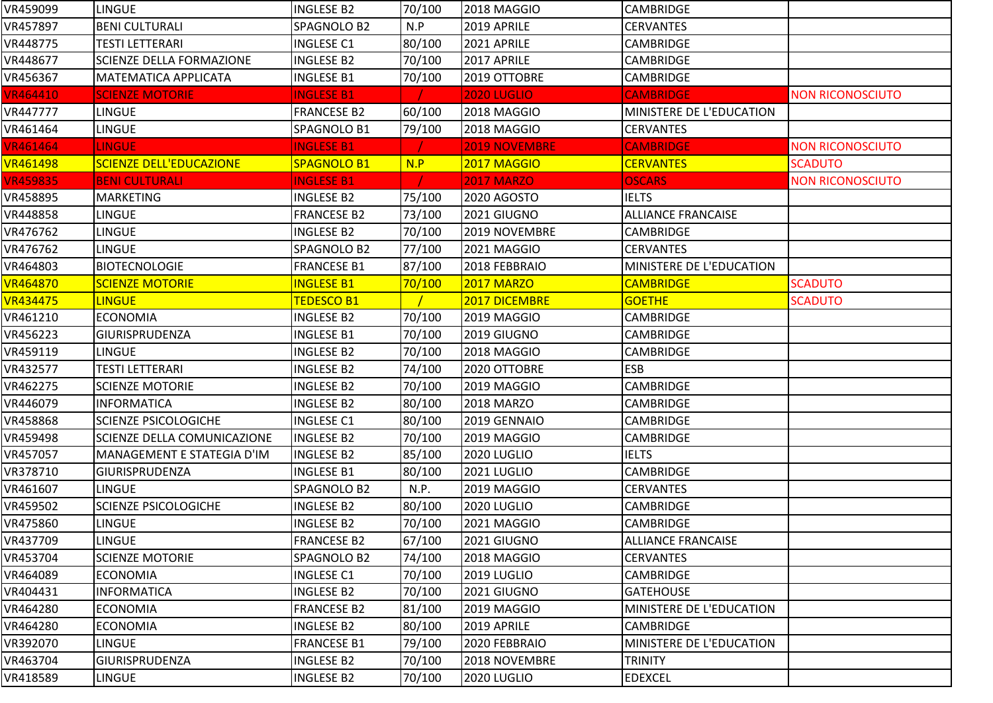| VR459099        | LINGUE                             | <b>INGLESE B2</b>  | 70/100 | 2018 MAGGIO          | <b>CAMBRIDGE</b>          |                         |
|-----------------|------------------------------------|--------------------|--------|----------------------|---------------------------|-------------------------|
| VR457897        | <b>BENI CULTURALI</b>              | SPAGNOLO B2        | N.P    | 2019 APRILE          | <b>CERVANTES</b>          |                         |
| VR448775        | TESTI LETTERARI                    | <b>INGLESE C1</b>  | 80/100 | 2021 APRILE          | CAMBRIDGE                 |                         |
| VR448677        | <b>SCIENZE DELLA FORMAZIONE</b>    | <b>INGLESE B2</b>  | 70/100 | 2017 APRILE          | <b>CAMBRIDGE</b>          |                         |
| VR456367        | <b>MATEMATICA APPLICATA</b>        | <b>INGLESE B1</b>  | 70/100 | 2019 OTTOBRE         | <b>CAMBRIDGE</b>          |                         |
| <b>VR464410</b> | <b>SCIENZE MOTORIE</b>             | <b>INGLESE B1</b>  |        | <b>2020 LUGLIO</b>   | <b>CAMBRIDGE</b>          | <b>NON RICONOSCIUTO</b> |
| VR447777        | <b>LINGUE</b>                      | <b>FRANCESE B2</b> | 60/100 | 2018 MAGGIO          | MINISTERE DE L'EDUCATION  |                         |
| VR461464        | LINGUE                             | SPAGNOLO B1        | 79/100 | 2018 MAGGIO          | <b>CERVANTES</b>          |                         |
| <b>VR461464</b> | <b>LINGUE</b>                      | <b>INGLESE B1</b>  |        | <b>2019 NOVEMBRE</b> | <b>CAMBRIDGE</b>          | <b>NON RICONOSCIUTO</b> |
| <b>VR461498</b> | <b>SCIENZE DELL'EDUCAZIONE</b>     | SPAGNOLO B1        | N.P    | 2017 MAGGIO          | <b>CERVANTES</b>          | <b>SCADUTO</b>          |
| <b>VR459835</b> | <b>BENI CULTURALI</b>              | <b>INGLESE B1</b>  |        | <b>2017 MARZO</b>    | <b>OSCARS</b>             | <b>NON RICONOSCIUTO</b> |
| VR458895        | <b>MARKETING</b>                   | <b>INGLESE B2</b>  | 75/100 | 2020 AGOSTO          | <b>IELTS</b>              |                         |
| VR448858        | LINGUE                             | <b>FRANCESE B2</b> | 73/100 | 2021 GIUGNO          | ALLIANCE FRANCAISE        |                         |
| VR476762        | <b>LINGUE</b>                      | <b>INGLESE B2</b>  | 70/100 | 2019 NOVEMBRE        | CAMBRIDGE                 |                         |
| VR476762        | LINGUE                             | SPAGNOLO B2        | 77/100 | 2021 MAGGIO          | <b>CERVANTES</b>          |                         |
| VR464803        | <b>BIOTECNOLOGIE</b>               | <b>FRANCESE B1</b> | 87/100 | 2018 FEBBRAIO        | MINISTERE DE L'EDUCATION  |                         |
| <b>VR464870</b> | <b>SCIENZE MOTORIE</b>             | <b>INGLESE B1</b>  | 70/100 | <b>2017 MARZO</b>    | <b>CAMBRIDGE</b>          | <b>SCADUTO</b>          |
| <b>VR434475</b> | <b>LINGUE</b>                      | <b>TEDESCO B1</b>  |        | 2017 DICEMBRE        | <b>GOETHE</b>             | <b>SCADUTO</b>          |
| VR461210        | <b>ECONOMIA</b>                    | <b>INGLESE B2</b>  | 70/100 | 2019 MAGGIO          | <b>CAMBRIDGE</b>          |                         |
| VR456223        | <b>GIURISPRUDENZA</b>              | <b>INGLESE B1</b>  | 70/100 | 2019 GIUGNO          | <b>CAMBRIDGE</b>          |                         |
| VR459119        | <b>LINGUE</b>                      | <b>INGLESE B2</b>  | 70/100 | 2018 MAGGIO          | CAMBRIDGE                 |                         |
| VR432577        | TESTI LETTERARI                    | <b>INGLESE B2</b>  | 74/100 | 2020 OTTOBRE         | <b>ESB</b>                |                         |
| VR462275        | <b>SCIENZE MOTORIE</b>             | <b>INGLESE B2</b>  | 70/100 | 2019 MAGGIO          | <b>CAMBRIDGE</b>          |                         |
| VR446079        | <b>INFORMATICA</b>                 | <b>INGLESE B2</b>  | 80/100 | <b>2018 MARZO</b>    | <b>CAMBRIDGE</b>          |                         |
| VR458868        | <b>SCIENZE PSICOLOGICHE</b>        | <b>INGLESE C1</b>  | 80/100 | 2019 GENNAIO         | <b>CAMBRIDGE</b>          |                         |
| VR459498        | <b>SCIENZE DELLA COMUNICAZIONE</b> | <b>INGLESE B2</b>  | 70/100 | 2019 MAGGIO          | <b>CAMBRIDGE</b>          |                         |
| VR457057        | MANAGEMENT E STATEGIA D'IM         | <b>INGLESE B2</b>  | 85/100 | 2020 LUGLIO          | <b>IELTS</b>              |                         |
| VR378710        | GIURISPRUDENZA                     | <b>INGLESE B1</b>  | 80/100 | 2021 LUGLIO          | CAMBRIDGE                 |                         |
| VR461607        | <b>LINGUE</b>                      | SPAGNOLO B2        | N.P.   | 2019 MAGGIO          | <b>CERVANTES</b>          |                         |
| VR459502        | <b>SCIENZE PSICOLOGICHE</b>        | <b>INGLESE B2</b>  | 80/100 | 2020 LUGLIO          | <b>CAMBRIDGE</b>          |                         |
| VR475860        | <b>LINGUE</b>                      | <b>INGLESE B2</b>  | 70/100 | 2021 MAGGIO          | <b>CAMBRIDGE</b>          |                         |
| VR437709        | <b>LINGUE</b>                      | <b>FRANCESE B2</b> | 67/100 | 2021 GIUGNO          | <b>ALLIANCE FRANCAISE</b> |                         |
| VR453704        | <b>SCIENZE MOTORIE</b>             | SPAGNOLO B2        | 74/100 | 2018 MAGGIO          | <b>CERVANTES</b>          |                         |
| VR464089        | <b>ECONOMIA</b>                    | <b>INGLESE C1</b>  | 70/100 | 2019 LUGLIO          | <b>CAMBRIDGE</b>          |                         |
| VR404431        | <b>INFORMATICA</b>                 | <b>INGLESE B2</b>  | 70/100 | 2021 GIUGNO          | <b>GATEHOUSE</b>          |                         |
| VR464280        | <b>ECONOMIA</b>                    | <b>FRANCESE B2</b> | 81/100 | 2019 MAGGIO          | MINISTERE DE L'EDUCATION  |                         |
| VR464280        | <b>ECONOMIA</b>                    | <b>INGLESE B2</b>  | 80/100 | 2019 APRILE          | <b>CAMBRIDGE</b>          |                         |
| VR392070        | <b>LINGUE</b>                      | <b>FRANCESE B1</b> | 79/100 | 2020 FEBBRAIO        | MINISTERE DE L'EDUCATION  |                         |
| VR463704        | <b>GIURISPRUDENZA</b>              | <b>INGLESE B2</b>  | 70/100 | 2018 NOVEMBRE        | <b>TRINITY</b>            |                         |
| VR418589        | <b>LINGUE</b>                      | <b>INGLESE B2</b>  | 70/100 | 2020 LUGLIO          | <b>EDEXCEL</b>            |                         |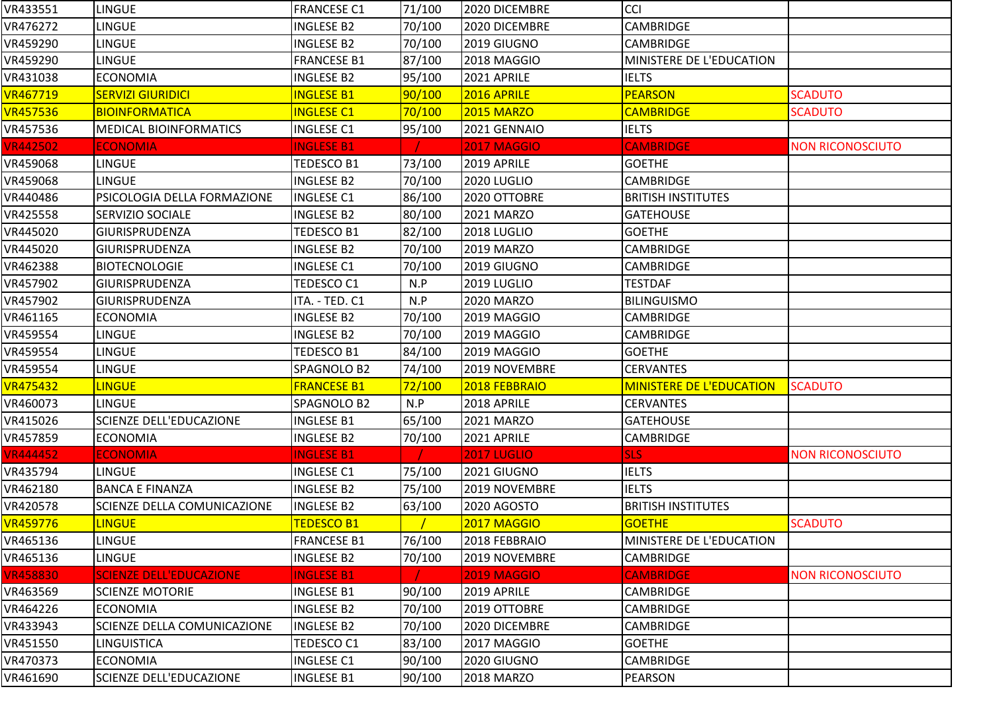| VR433551        | LINGUE                             | <b>FRANCESE C1</b> | 71/100 | 2020 DICEMBRE      | CCI                             |                         |
|-----------------|------------------------------------|--------------------|--------|--------------------|---------------------------------|-------------------------|
| VR476272        | <b>LINGUE</b>                      | <b>INGLESE B2</b>  | 70/100 | 2020 DICEMBRE      | <b>CAMBRIDGE</b>                |                         |
| VR459290        | <b>LINGUE</b>                      | <b>INGLESE B2</b>  | 70/100 | 2019 GIUGNO        | CAMBRIDGE                       |                         |
| VR459290        | <b>LINGUE</b>                      | <b>FRANCESE B1</b> | 87/100 | 2018 MAGGIO        | MINISTERE DE L'EDUCATION        |                         |
| VR431038        | <b>ECONOMIA</b>                    | <b>INGLESE B2</b>  | 95/100 | 2021 APRILE        | <b>IELTS</b>                    |                         |
| <b>VR467719</b> | <b>SERVIZI GIURIDICI</b>           | <b>INGLESE B1</b>  | 90/100 | 2016 APRILE        | <b>PEARSON</b>                  | <b>SCADUTO</b>          |
| <b>VR457536</b> | BIOINFORMATICA                     | <b>INGLESE C1</b>  | 70/100 | <b>2015 MARZO</b>  | <b>CAMBRIDGE</b>                | <b>SCADUTO</b>          |
| VR457536        | <b>MEDICAL BIOINFORMATICS</b>      | <b>INGLESE C1</b>  | 95/100 | 2021 GENNAIO       | <b>IELTS</b>                    |                         |
| <b>VR442502</b> | <b>ECONOMIA</b>                    | <b>INGLESE B1</b>  |        | <b>2017 MAGGIO</b> | <b>CAMBRIDGE</b>                | <b>NON RICONOSCIUTO</b> |
| VR459068        | <b>LINGUE</b>                      | TEDESCO B1         | 73/100 | 2019 APRILE        | <b>GOETHE</b>                   |                         |
| VR459068        | <b>LINGUE</b>                      | <b>INGLESE B2</b>  | 70/100 | 2020 LUGLIO        | CAMBRIDGE                       |                         |
| VR440486        | PSICOLOGIA DELLA FORMAZIONE        | <b>INGLESE C1</b>  | 86/100 | 2020 OTTOBRE       | <b>BRITISH INSTITUTES</b>       |                         |
| VR425558        | <b>SERVIZIO SOCIALE</b>            | INGLESE B2         | 80/100 | 2021 MARZO         | <b>GATEHOUSE</b>                |                         |
| VR445020        | <b>GIURISPRUDENZA</b>              | TEDESCO B1         | 82/100 | 2018 LUGLIO        | <b>GOETHE</b>                   |                         |
| VR445020        | <b>GIURISPRUDENZA</b>              | <b>INGLESE B2</b>  | 70/100 | 2019 MARZO         | CAMBRIDGE                       |                         |
| VR462388        | <b>BIOTECNOLOGIE</b>               | <b>INGLESE C1</b>  | 70/100 | 2019 GIUGNO        | CAMBRIDGE                       |                         |
| VR457902        | <b>GIURISPRUDENZA</b>              | TEDESCO C1         | N.P    | 2019 LUGLIO        | <b>TESTDAF</b>                  |                         |
| VR457902        | <b>GIURISPRUDENZA</b>              | ITA. - TED. C1     | N.P    | 2020 MARZO         | <b>BILINGUISMO</b>              |                         |
| VR461165        | <b>ECONOMIA</b>                    | <b>INGLESE B2</b>  | 70/100 | 2019 MAGGIO        | <b>CAMBRIDGE</b>                |                         |
| VR459554        | <b>LINGUE</b>                      | <b>INGLESE B2</b>  | 70/100 | 2019 MAGGIO        | <b>CAMBRIDGE</b>                |                         |
| VR459554        | <b>LINGUE</b>                      | TEDESCO B1         | 84/100 | 2019 MAGGIO        | <b>GOETHE</b>                   |                         |
| VR459554        | LINGUE                             | SPAGNOLO B2        | 74/100 | 2019 NOVEMBRE      | <b>CERVANTES</b>                |                         |
| <b>VR475432</b> | <b>LINGUE</b>                      | <b>FRANCESE B1</b> | 72/100 | 2018 FEBBRAIO      | <b>MINISTERE DE L'EDUCATION</b> | <b>SCADUTO</b>          |
| VR460073        | <b>LINGUE</b>                      | SPAGNOLO B2        | N.P    | 2018 APRILE        | <b>CERVANTES</b>                |                         |
| VR415026        | <b>SCIENZE DELL'EDUCAZIONE</b>     | <b>INGLESE B1</b>  | 65/100 | 2021 MARZO         | <b>GATEHOUSE</b>                |                         |
| VR457859        | <b>ECONOMIA</b>                    | <b>INGLESE B2</b>  | 70/100 | 2021 APRILE        | CAMBRIDGE                       |                         |
| <b>VR444452</b> | <b>ECONOMIA</b>                    | <b>INGLESE B1</b>  |        | <b>2017 LUGLIO</b> | <b>SLS</b>                      | <b>NON RICONOSCIUTO</b> |
| VR435794        | <b>LINGUE</b>                      | <b>INGLESE C1</b>  | 75/100 | 2021 GIUGNO        | <b>IELTS</b>                    |                         |
| VR462180        | <b>BANCA E FINANZA</b>             | <b>INGLESE B2</b>  | 75/100 | 2019 NOVEMBRE      | <b>IELTS</b>                    |                         |
| VR420578        | <b>SCIENZE DELLA COMUNICAZIONE</b> | <b>INGLESE B2</b>  | 63/100 | <b>2020 AGOSTO</b> | <b>BRITISH INSTITUTES</b>       |                         |
| VR459776        | <b>LINGUE</b>                      | <b>TEDESCO B1</b>  |        | <b>2017 MAGGIO</b> | <b>GOETHE</b>                   | <b>SCADUTO</b>          |
| VR465136        | <b>LINGUE</b>                      | <b>FRANCESE B1</b> | 76/100 | 2018 FEBBRAIO      | MINISTERE DE L'EDUCATION        |                         |
| VR465136        | <b>LINGUE</b>                      | <b>INGLESE B2</b>  | 70/100 | 2019 NOVEMBRE      | CAMBRIDGE                       |                         |
| <b>VR458830</b> | <b>SCIENZE DELL'EDUCAZIONE</b>     | <b>INGLESE B1</b>  |        | <b>2019 MAGGIO</b> | <b>CAMBRIDGE</b>                | <b>NON RICONOSCIUTO</b> |
| VR463569        | <b>SCIENZE MOTORIE</b>             | <b>INGLESE B1</b>  | 90/100 | 2019 APRILE        | <b>CAMBRIDGE</b>                |                         |
| VR464226        | <b>ECONOMIA</b>                    | <b>INGLESE B2</b>  | 70/100 | 2019 OTTOBRE       | CAMBRIDGE                       |                         |
| VR433943        | <b>SCIENZE DELLA COMUNICAZIONE</b> | <b>INGLESE B2</b>  | 70/100 | 2020 DICEMBRE      | <b>CAMBRIDGE</b>                |                         |
| VR451550        | <b>LINGUISTICA</b>                 | TEDESCO C1         | 83/100 | 2017 MAGGIO        | <b>GOETHE</b>                   |                         |
| VR470373        | <b>ECONOMIA</b>                    | <b>INGLESE C1</b>  | 90/100 | 2020 GIUGNO        | <b>CAMBRIDGE</b>                |                         |
| VR461690        | SCIENZE DELL'EDUCAZIONE            | <b>INGLESE B1</b>  | 90/100 | <b>2018 MARZO</b>  | <b>PEARSON</b>                  |                         |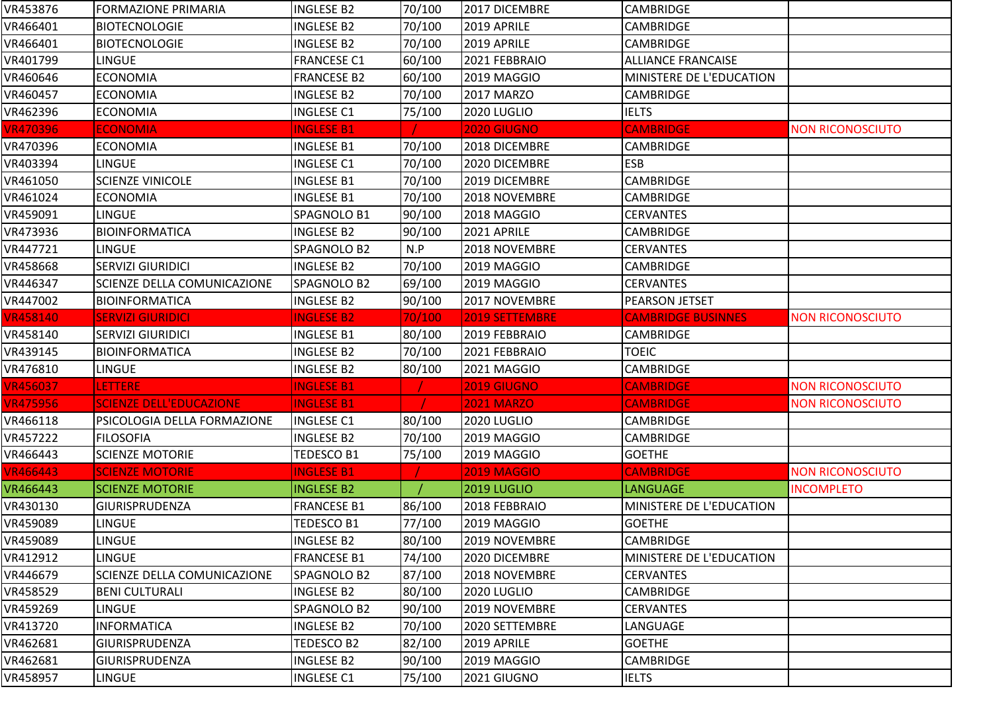| VR453876        | <b>FORMAZIONE PRIMARIA</b>         | <b>INGLESE B2</b>  | 70/100 | 2017 DICEMBRE      | <b>CAMBRIDGE</b>          |                         |
|-----------------|------------------------------------|--------------------|--------|--------------------|---------------------------|-------------------------|
| VR466401        | <b>BIOTECNOLOGIE</b>               | <b>INGLESE B2</b>  | 70/100 | 2019 APRILE        | CAMBRIDGE                 |                         |
| VR466401        | <b>BIOTECNOLOGIE</b>               | <b>INGLESE B2</b>  | 70/100 | 2019 APRILE        | <b>CAMBRIDGE</b>          |                         |
| VR401799        | LINGUE                             | <b>FRANCESE C1</b> | 60/100 | 2021 FEBBRAIO      | <b>ALLIANCE FRANCAISE</b> |                         |
| VR460646        | <b>ECONOMIA</b>                    | <b>FRANCESE B2</b> | 60/100 | 2019 MAGGIO        | MINISTERE DE L'EDUCATION  |                         |
| VR460457        | <b>ECONOMIA</b>                    | <b>INGLESE B2</b>  | 70/100 | 2017 MARZO         | <b>CAMBRIDGE</b>          |                         |
| VR462396        | <b>ECONOMIA</b>                    | <b>INGLESE C1</b>  | 75/100 | 2020 LUGLIO        | <b>IELTS</b>              |                         |
| <b>VR470396</b> | <b>ECONOMIA</b>                    | <b>INGLESE B1</b>  |        | 2020 GIUGNO        | <b>CAMBRIDGE</b>          | <b>NON RICONOSCIUTO</b> |
| VR470396        | <b>ECONOMIA</b>                    | <b>INGLESE B1</b>  | 70/100 | 2018 DICEMBRE      | <b>CAMBRIDGE</b>          |                         |
| VR403394        | <b>LINGUE</b>                      | <b>INGLESE C1</b>  | 70/100 | 2020 DICEMBRE      | <b>ESB</b>                |                         |
| VR461050        | <b>SCIENZE VINICOLE</b>            | <b>INGLESE B1</b>  | 70/100 | 2019 DICEMBRE      | <b>CAMBRIDGE</b>          |                         |
| VR461024        | <b>ECONOMIA</b>                    | <b>INGLESE B1</b>  | 70/100 | 2018 NOVEMBRE      | <b>CAMBRIDGE</b>          |                         |
| VR459091        | LINGUE                             | SPAGNOLO B1        | 90/100 | 2018 MAGGIO        | <b>CERVANTES</b>          |                         |
| VR473936        | <b>BIOINFORMATICA</b>              | <b>INGLESE B2</b>  | 90/100 | 2021 APRILE        | <b>CAMBRIDGE</b>          |                         |
| VR447721        | <b>LINGUE</b>                      | SPAGNOLO B2        | N.P    | 2018 NOVEMBRE      | <b>CERVANTES</b>          |                         |
| VR458668        | <b>SERVIZI GIURIDICI</b>           | <b>INGLESE B2</b>  | 70/100 | 2019 MAGGIO        | <b>CAMBRIDGE</b>          |                         |
| VR446347        | SCIENZE DELLA COMUNICAZIONE        | SPAGNOLO B2        | 69/100 | 2019 MAGGIO        | <b>CERVANTES</b>          |                         |
| VR447002        | <b>BIOINFORMATICA</b>              | <b>INGLESE B2</b>  | 90/100 | 2017 NOVEMBRE      | PEARSON JETSET            |                         |
| <b>VR458140</b> | <b>SERVIZI GIURIDICI</b>           | <b>INGLESE B2</b>  | 70/100 | 2019 SETTEMBRE     | <b>CAMBRIDGE BUSINNES</b> | <b>NON RICONOSCIUTO</b> |
| VR458140        | <b>SERVIZI GIURIDICI</b>           | <b>INGLESE B1</b>  | 80/100 | 2019 FEBBRAIO      | <b>CAMBRIDGE</b>          |                         |
| VR439145        | <b>BIOINFORMATICA</b>              | <b>INGLESE B2</b>  | 70/100 | 2021 FEBBRAIO      | <b>TOEIC</b>              |                         |
| VR476810        | <b>LINGUE</b>                      | <b>INGLESE B2</b>  | 80/100 | 2021 MAGGIO        | <b>CAMBRIDGE</b>          |                         |
| <b>VR456037</b> | <b>LETTERE</b>                     | <b>INGLESE B1</b>  |        | <b>2019 GIUGNO</b> | <b>CAMBRIDGE</b>          | <b>NON RICONOSCIUTO</b> |
| <b>VR475956</b> | <b>SCIENZE DELL'EDUCAZIONE</b>     | <b>INGLESE B1</b>  |        | <b>2021 MARZO</b>  | <b>CAMBRIDGE</b>          | <b>NON RICONOSCIUTO</b> |
| VR466118        | PSICOLOGIA DELLA FORMAZIONE        | <b>INGLESE C1</b>  | 80/100 | 2020 LUGLIO        | <b>CAMBRIDGE</b>          |                         |
| VR457222        | <b>FILOSOFIA</b>                   | <b>INGLESE B2</b>  | 70/100 | 2019 MAGGIO        | CAMBRIDGE                 |                         |
| VR466443        | <b>SCIENZE MOTORIE</b>             | <b>TEDESCO B1</b>  | 75/100 | 2019 MAGGIO        | <b>GOETHE</b>             |                         |
| <b>VR466443</b> | <b>SCIENZE MOTORIE</b>             | <b>INGLESE B1</b>  |        | <b>2019 MAGGIO</b> | <b>CAMBRIDGE</b>          | <b>NON RICONOSCIUTO</b> |
| VR466443        | <b>SCIENZE MOTORIE</b>             | <b>INGLESE B2</b>  |        | <b>2019 LUGLIO</b> | <b>LANGUAGE</b>           | <b>INCOMPLETO</b>       |
| VR430130        | <b>GIURISPRUDENZA</b>              | <b>FRANCESE B1</b> | 86/100 | 2018 FEBBRAIO      | MINISTERE DE L'EDUCATION  |                         |
| VR459089        | <b>LINGUE</b>                      | <b>TEDESCO B1</b>  | 77/100 | 2019 MAGGIO        | <b>GOETHE</b>             |                         |
| VR459089        | <b>LINGUE</b>                      | <b>INGLESE B2</b>  | 80/100 | 2019 NOVEMBRE      | <b>CAMBRIDGE</b>          |                         |
| VR412912        | <b>LINGUE</b>                      | <b>FRANCESE B1</b> | 74/100 | 2020 DICEMBRE      | MINISTERE DE L'EDUCATION  |                         |
| VR446679        | <b>SCIENZE DELLA COMUNICAZIONE</b> | SPAGNOLO B2        | 87/100 | 2018 NOVEMBRE      | <b>CERVANTES</b>          |                         |
| VR458529        | <b>BENI CULTURALI</b>              | <b>INGLESE B2</b>  | 80/100 | 2020 LUGLIO        | <b>CAMBRIDGE</b>          |                         |
| VR459269        | <b>LINGUE</b>                      | SPAGNOLO B2        | 90/100 | 2019 NOVEMBRE      | <b>CERVANTES</b>          |                         |
| VR413720        | <b>INFORMATICA</b>                 | <b>INGLESE B2</b>  | 70/100 | 2020 SETTEMBRE     | LANGUAGE                  |                         |
| VR462681        | GIURISPRUDENZA                     | <b>TEDESCO B2</b>  | 82/100 | 2019 APRILE        | <b>GOETHE</b>             |                         |
| VR462681        | <b>GIURISPRUDENZA</b>              | <b>INGLESE B2</b>  | 90/100 | 2019 MAGGIO        | <b>CAMBRIDGE</b>          |                         |
| VR458957        | LINGUE                             | <b>INGLESE C1</b>  | 75/100 | 2021 GIUGNO        | <b>IELTS</b>              |                         |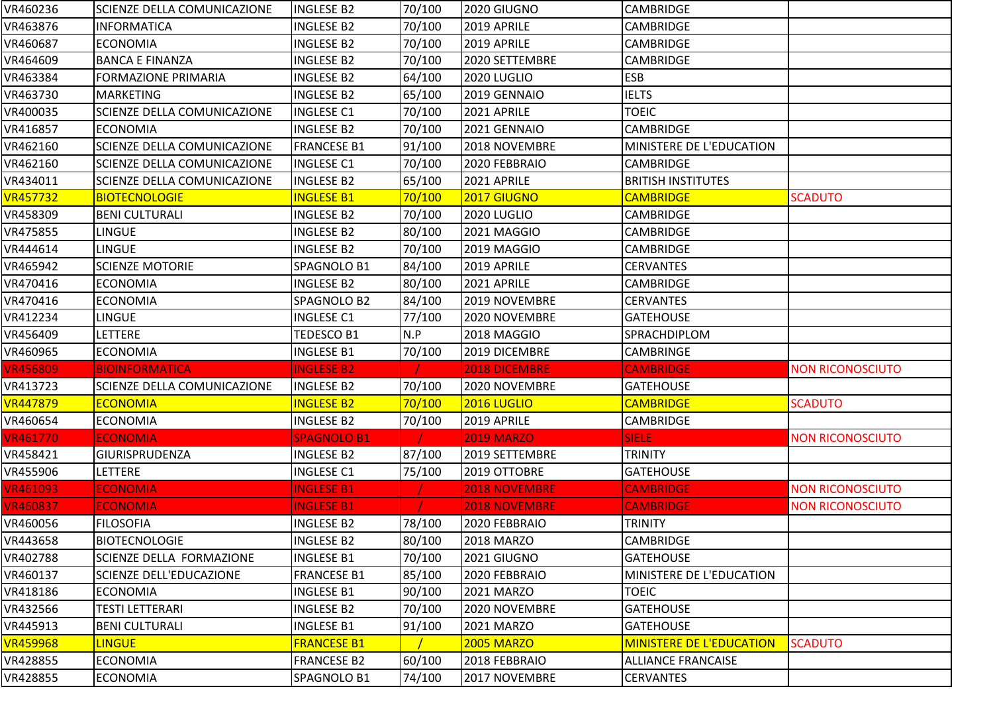| VR460236        | SCIENZE DELLA COMUNICAZIONE    | <b>INGLESE B2</b>  | 70/100 | 2020 GIUGNO          | <b>CAMBRIDGE</b>                |                         |
|-----------------|--------------------------------|--------------------|--------|----------------------|---------------------------------|-------------------------|
| VR463876        | <b>INFORMATICA</b>             | <b>INGLESE B2</b>  | 70/100 | 2019 APRILE          | <b>CAMBRIDGE</b>                |                         |
| VR460687        | <b>ECONOMIA</b>                | <b>INGLESE B2</b>  | 70/100 | 2019 APRILE          | CAMBRIDGE                       |                         |
| VR464609        | <b>BANCA E FINANZA</b>         | <b>INGLESE B2</b>  | 70/100 | 2020 SETTEMBRE       | <b>CAMBRIDGE</b>                |                         |
| VR463384        | <b>FORMAZIONE PRIMARIA</b>     | <b>INGLESE B2</b>  | 64/100 | 2020 LUGLIO          | <b>ESB</b>                      |                         |
| VR463730        | <b>MARKETING</b>               | <b>INGLESE B2</b>  | 65/100 | 2019 GENNAIO         | <b>IELTS</b>                    |                         |
| VR400035        | SCIENZE DELLA COMUNICAZIONE    | <b>INGLESE C1</b>  | 70/100 | 2021 APRILE          | <b>TOEIC</b>                    |                         |
| VR416857        | <b>ECONOMIA</b>                | <b>INGLESE B2</b>  | 70/100 | 2021 GENNAIO         | <b>CAMBRIDGE</b>                |                         |
| VR462160        | SCIENZE DELLA COMUNICAZIONE    | <b>FRANCESE B1</b> | 91/100 | 2018 NOVEMBRE        | MINISTERE DE L'EDUCATION        |                         |
| VR462160        | SCIENZE DELLA COMUNICAZIONE    | <b>INGLESE C1</b>  | 70/100 | 2020 FEBBRAIO        | <b>CAMBRIDGE</b>                |                         |
| VR434011        | SCIENZE DELLA COMUNICAZIONE    | <b>INGLESE B2</b>  | 65/100 | 2021 APRILE          | <b>BRITISH INSTITUTES</b>       |                         |
| <b>VR457732</b> | <b>BIOTECNOLOGIE</b>           | <b>INGLESE B1</b>  | 70/100 | 2017 GIUGNO          | <b>CAMBRIDGE</b>                | <b>SCADUTO</b>          |
| VR458309        | <b>BENI CULTURALI</b>          | INGLESE B2         | 70/100 | <b>2020 LUGLIO</b>   | <b>CAMBRIDGE</b>                |                         |
| VR475855        | <b>LINGUE</b>                  | <b>INGLESE B2</b>  | 80/100 | 2021 MAGGIO          | <b>CAMBRIDGE</b>                |                         |
| VR444614        | <b>LINGUE</b>                  | <b>INGLESE B2</b>  | 70/100 | 2019 MAGGIO          | <b>CAMBRIDGE</b>                |                         |
| VR465942        | <b>SCIENZE MOTORIE</b>         | SPAGNOLO B1        | 84/100 | 2019 APRILE          | <b>CERVANTES</b>                |                         |
| VR470416        | <b>ECONOMIA</b>                | <b>INGLESE B2</b>  | 80/100 | 2021 APRILE          | <b>CAMBRIDGE</b>                |                         |
| VR470416        | <b>ECONOMIA</b>                | SPAGNOLO B2        | 84/100 | 2019 NOVEMBRE        | <b>CERVANTES</b>                |                         |
| VR412234        | <b>LINGUE</b>                  | <b>INGLESE C1</b>  | 77/100 | 2020 NOVEMBRE        | <b>GATEHOUSE</b>                |                         |
| VR456409        | LETTERE                        | TEDESCO B1         | N.P    | 2018 MAGGIO          | SPRACHDIPLOM                    |                         |
| VR460965        | <b>ECONOMIA</b>                | <b>INGLESE B1</b>  | 70/100 | 2019 DICEMBRE        | <b>CAMBRINGE</b>                |                         |
| <b>VR456809</b> | <b>BIOINFORMATICA</b>          | <b>INGLESE B2</b>  |        | <b>2018 DICEMBRE</b> | <b>CAMBRIDGE</b>                | <b>NON RICONOSCIUTO</b> |
| VR413723        | SCIENZE DELLA COMUNICAZIONE    | <b>INGLESE B2</b>  | 70/100 | 2020 NOVEMBRE        | <b>GATEHOUSE</b>                |                         |
| <b>VR447879</b> | <b>ECONOMIA</b>                | <b>INGLESE B2</b>  | 70/100 | 2016 LUGLIO          | <b>CAMBRIDGE</b>                | <b>SCADUTO</b>          |
| VR460654        | <b>ECONOMIA</b>                | INGLESE B2         | 70/100 | 2019 APRILE          | CAMBRIDGE                       |                         |
| <b>VR461770</b> | <b>ECONOMIA</b>                | <b>SPAGNOLO B1</b> |        | <b>2019 MARZO</b>    | <b>SIELE</b>                    | <b>NON RICONOSCIUTO</b> |
| VR458421        | <b>GIURISPRUDENZA</b>          | <b>INGLESE B2</b>  | 87/100 | 2019 SETTEMBRE       | <b>TRINITY</b>                  |                         |
| VR455906        | LETTERE                        | <b>INGLESE C1</b>  | 75/100 | 2019 OTTOBRE         | <b>GATEHOUSE</b>                |                         |
| <b>VR461093</b> | <b>ECONOMIA</b>                | <b>INGLESE B1</b>  |        | <b>2018 NOVEMBRE</b> | <b>CAMBRIDGE</b>                | <b>NON RICONOSCIUTO</b> |
| <b>VR460837</b> | <b>ECONOMIA</b>                | <b>INGLESE B1</b>  |        | <b>2018 NOVEMBRE</b> | <b>CAMBRIDGE</b>                | <b>NON RICONOSCIUTO</b> |
| VR460056        | <b>FILOSOFIA</b>               | <b>INGLESE B2</b>  | 78/100 | 2020 FEBBRAIO        | <b>TRINITY</b>                  |                         |
| VR443658        | <b>BIOTECNOLOGIE</b>           | <b>INGLESE B2</b>  | 80/100 | <b>2018 MARZO</b>    | <b>CAMBRIDGE</b>                |                         |
| VR402788        | SCIENZE DELLA FORMAZIONE       | <b>INGLESE B1</b>  | 70/100 | 2021 GIUGNO          | <b>GATEHOUSE</b>                |                         |
| VR460137        | <b>SCIENZE DELL'EDUCAZIONE</b> | <b>FRANCESE B1</b> | 85/100 | 2020 FEBBRAIO        | MINISTERE DE L'EDUCATION        |                         |
| VR418186        | <b>ECONOMIA</b>                | <b>INGLESE B1</b>  | 90/100 | 2021 MARZO           | <b>TOEIC</b>                    |                         |
| VR432566        | <b>TESTI LETTERARI</b>         | <b>INGLESE B2</b>  | 70/100 | 2020 NOVEMBRE        | <b>GATEHOUSE</b>                |                         |
| VR445913        | <b>BENI CULTURALI</b>          | <b>INGLESE B1</b>  | 91/100 | 2021 MARZO           | <b>GATEHOUSE</b>                |                         |
| <b>VR459968</b> | <b>LINGUE</b>                  | <b>FRANCESE B1</b> |        | <b>2005 MARZO</b>    | <b>MINISTERE DE L'EDUCATION</b> | <b>SCADUTO</b>          |
| VR428855        | <b>ECONOMIA</b>                | <b>FRANCESE B2</b> | 60/100 | 2018 FEBBRAIO        | <b>ALLIANCE FRANCAISE</b>       |                         |
| VR428855        | <b>ECONOMIA</b>                | SPAGNOLO B1        | 74/100 | 2017 NOVEMBRE        | <b>CERVANTES</b>                |                         |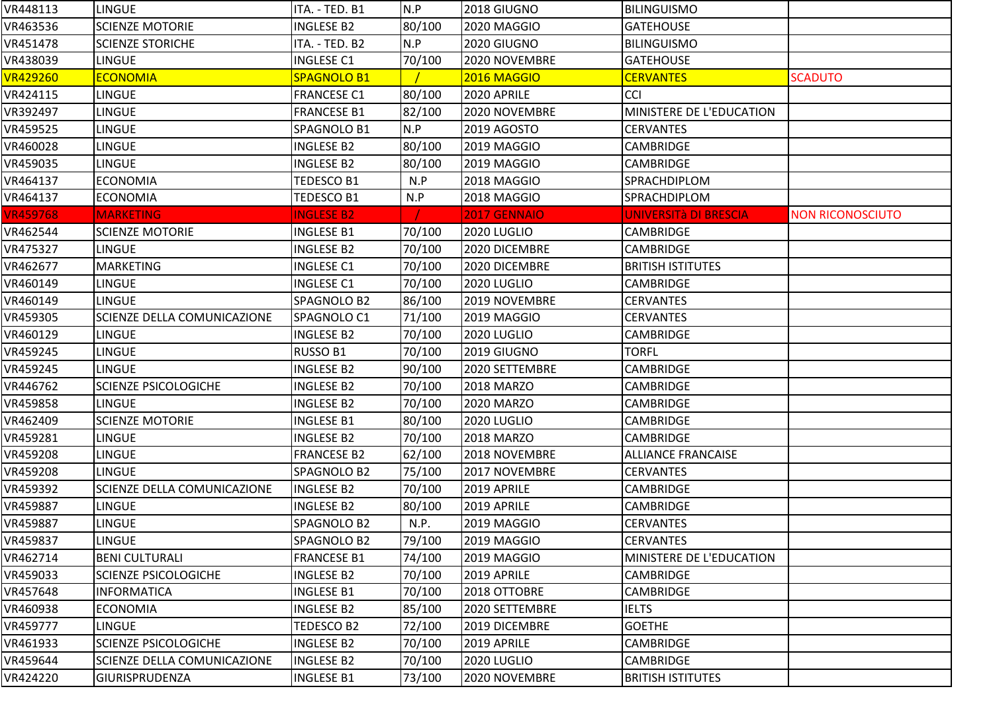| VR448113        | <b>LINGUE</b>                      | ITA. - TED. B1     | N.P    | 2018 GIUGNO       | <b>BILINGUISMO</b>        |                         |
|-----------------|------------------------------------|--------------------|--------|-------------------|---------------------------|-------------------------|
| VR463536        | <b>SCIENZE MOTORIE</b>             | <b>INGLESE B2</b>  | 80/100 | 2020 MAGGIO       | <b>GATEHOUSE</b>          |                         |
| VR451478        | <b>SCIENZE STORICHE</b>            | ITA. - TED. B2     | N.P    | 2020 GIUGNO       | <b>BILINGUISMO</b>        |                         |
| VR438039        | <b>LINGUE</b>                      | <b>INGLESE C1</b>  | 70/100 | 2020 NOVEMBRE     | <b>GATEHOUSE</b>          |                         |
| <b>VR429260</b> | <b>ECONOMIA</b>                    | SPAGNOLO B1        |        | 2016 MAGGIO       | <b>CERVANTES</b>          | <b>SCADUTO</b>          |
| VR424115        | LINGUE                             | <b>FRANCESE C1</b> | 80/100 | 2020 APRILE       | <b>CCI</b>                |                         |
| VR392497        | LINGUE                             | <b>FRANCESE B1</b> | 82/100 | 2020 NOVEMBRE     | MINISTERE DE L'EDUCATION  |                         |
| VR459525        | LINGUE                             | SPAGNOLO B1        | N.P    | 2019 AGOSTO       | <b>CERVANTES</b>          |                         |
| VR460028        | LINGUE                             | <b>INGLESE B2</b>  | 80/100 | 2019 MAGGIO       | <b>CAMBRIDGE</b>          |                         |
| VR459035        | <b>LINGUE</b>                      | <b>INGLESE B2</b>  | 80/100 | 2019 MAGGIO       | <b>CAMBRIDGE</b>          |                         |
| VR464137        | <b>ECONOMIA</b>                    | TEDESCO B1         | N.P    | 2018 MAGGIO       | SPRACHDIPLOM              |                         |
| VR464137        | <b>ECONOMIA</b>                    | TEDESCO B1         | N.P    | 2018 MAGGIO       | SPRACHDIPLOM              |                         |
| <b>VR459768</b> | <b>MARKETING</b>                   | <b>INGLESE B2</b>  |        | 2017 GENNAIO      | UNIVERSITà DI BRESCIA     | <b>NON RICONOSCIUTO</b> |
| VR462544        | <b>SCIENZE MOTORIE</b>             | <b>INGLESE B1</b>  | 70/100 | 2020 LUGLIO       | <b>CAMBRIDGE</b>          |                         |
| VR475327        | <b>LINGUE</b>                      | <b>INGLESE B2</b>  | 70/100 | 2020 DICEMBRE     | <b>CAMBRIDGE</b>          |                         |
| VR462677        | <b>MARKETING</b>                   | <b>INGLESE C1</b>  | 70/100 | 2020 DICEMBRE     | <b>BRITISH ISTITUTES</b>  |                         |
| VR460149        | <b>LINGUE</b>                      | <b>INGLESE C1</b>  | 70/100 | 2020 LUGLIO       | <b>CAMBRIDGE</b>          |                         |
| VR460149        | LINGUE                             | SPAGNOLO B2        | 86/100 | 2019 NOVEMBRE     | <b>CERVANTES</b>          |                         |
| VR459305        | SCIENZE DELLA COMUNICAZIONE        | SPAGNOLO C1        | 71/100 | 2019 MAGGIO       | <b>CERVANTES</b>          |                         |
| VR460129        | LINGUE                             | <b>INGLESE B2</b>  | 70/100 | 2020 LUGLIO       | CAMBRIDGE                 |                         |
| VR459245        | LINGUE                             | RUSSO B1           | 70/100 | 2019 GIUGNO       | <b>TORFL</b>              |                         |
| VR459245        | <b>LINGUE</b>                      | <b>INGLESE B2</b>  | 90/100 | 2020 SETTEMBRE    | CAMBRIDGE                 |                         |
| VR446762        | <b>SCIENZE PSICOLOGICHE</b>        | <b>INGLESE B2</b>  | 70/100 | <b>2018 MARZO</b> | <b>CAMBRIDGE</b>          |                         |
| VR459858        | <b>LINGUE</b>                      | <b>INGLESE B2</b>  | 70/100 | <b>2020 MARZO</b> | <b>CAMBRIDGE</b>          |                         |
| VR462409        | <b>SCIENZE MOTORIE</b>             | <b>INGLESE B1</b>  | 80/100 | 2020 LUGLIO       | CAMBRIDGE                 |                         |
| VR459281        | LINGUE                             | <b>INGLESE B2</b>  | 70/100 | <b>2018 MARZO</b> | CAMBRIDGE                 |                         |
| VR459208        | LINGUE                             | <b>FRANCESE B2</b> | 62/100 | 2018 NOVEMBRE     | <b>ALLIANCE FRANCAISE</b> |                         |
| VR459208        | LINGUE                             | SPAGNOLO B2        | 75/100 | 2017 NOVEMBRE     | <b>CERVANTES</b>          |                         |
| VR459392        | SCIENZE DELLA COMUNICAZIONE        | <b>INGLESE B2</b>  | 70/100 | 2019 APRILE       | <b>CAMBRIDGE</b>          |                         |
| VR459887        | LINGUE                             | <b>INGLESE B2</b>  | 80/100 | 2019 APRILE       | CAMBRIDGE                 |                         |
| VR459887        | LINGUE                             | SPAGNOLO B2        | N.P.   | 2019 MAGGIO       | <b>CERVANTES</b>          |                         |
| VR459837        | <b>LINGUE</b>                      | SPAGNOLO B2        | 79/100 | 2019 MAGGIO       | <b>CERVANTES</b>          |                         |
| VR462714        | <b>BENI CULTURALI</b>              | <b>FRANCESE B1</b> | 74/100 | 2019 MAGGIO       | MINISTERE DE L'EDUCATION  |                         |
| VR459033        | <b>SCIENZE PSICOLOGICHE</b>        | <b>INGLESE B2</b>  | 70/100 | 2019 APRILE       | <b>CAMBRIDGE</b>          |                         |
| VR457648        | <b>INFORMATICA</b>                 | <b>INGLESE B1</b>  | 70/100 | 2018 OTTOBRE      | <b>CAMBRIDGE</b>          |                         |
| VR460938        | <b>ECONOMIA</b>                    | <b>INGLESE B2</b>  | 85/100 | 2020 SETTEMBRE    | <b>IELTS</b>              |                         |
| VR459777        | LINGUE                             | TEDESCO B2         | 72/100 | 2019 DICEMBRE     | <b>GOETHE</b>             |                         |
| VR461933        | SCIENZE PSICOLOGICHE               | <b>INGLESE B2</b>  | 70/100 | 2019 APRILE       | CAMBRIDGE                 |                         |
| VR459644        | <b>SCIENZE DELLA COMUNICAZIONE</b> | <b>INGLESE B2</b>  | 70/100 | 2020 LUGLIO       | <b>CAMBRIDGE</b>          |                         |
| VR424220        | GIURISPRUDENZA                     | <b>INGLESE B1</b>  | 73/100 | 2020 NOVEMBRE     | <b>BRITISH ISTITUTES</b>  |                         |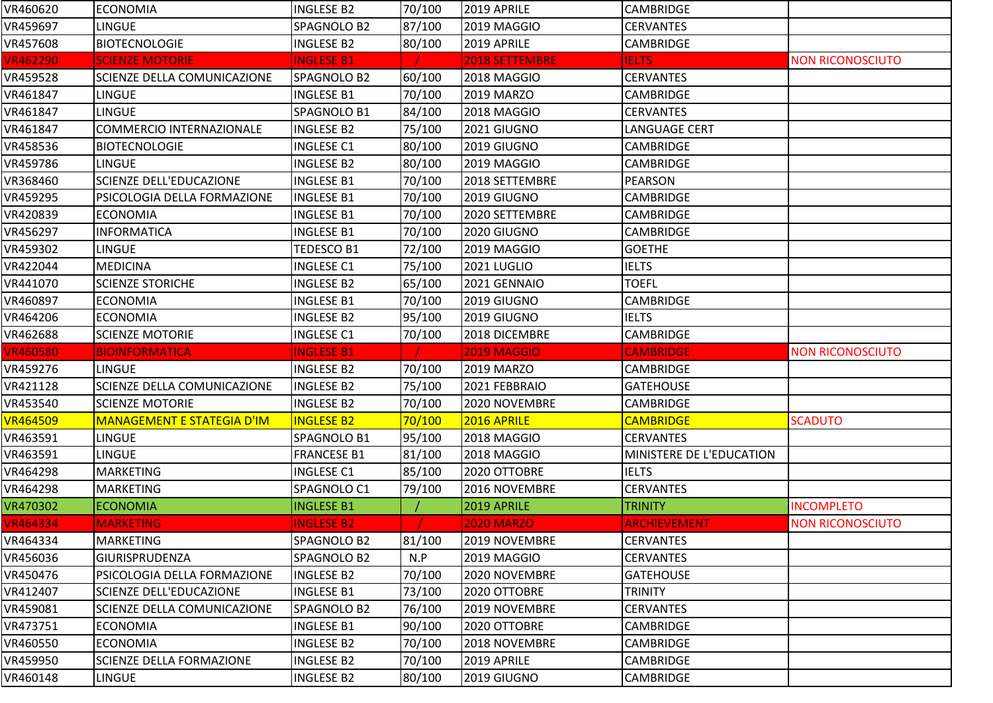| VR460620                                                                                | <b>ECONOMIA</b>                   | <b>INGLESE B2</b>  | 70/100 | 2019 APRILE        | <b>CAMBRIDGE</b>         |                         |
|-----------------------------------------------------------------------------------------|-----------------------------------|--------------------|--------|--------------------|--------------------------|-------------------------|
| VR459697                                                                                | <b>LINGUE</b>                     | SPAGNOLO B2        | 87/100 | 2019 MAGGIO        | <b>CERVANTES</b>         |                         |
| VR457608                                                                                | <b>BIOTECNOLOGIE</b>              | <b>INGLESE B2</b>  | 80/100 | 2019 APRILE        | <b>CAMBRIDGE</b>         |                         |
| <b>VR462290</b>                                                                         | <b>SCIENZE MOTORIE</b>            | <b>INGLESE B1</b>  |        | 2018 SETTEMBRE     | <b>IELTS</b>             | <b>NON RICONOSCIUTO</b> |
| VR459528                                                                                | SCIENZE DELLA COMUNICAZIONE       | SPAGNOLO B2        | 60/100 | 2018 MAGGIO        | <b>CERVANTES</b>         |                         |
| VR461847                                                                                | <b>LINGUE</b>                     | <b>INGLESE B1</b>  | 70/100 | 2019 MARZO         | <b>CAMBRIDGE</b>         |                         |
| VR461847                                                                                | <b>LINGUE</b>                     | SPAGNOLO B1        | 84/100 | 2018 MAGGIO        | <b>CERVANTES</b>         |                         |
| VR461847                                                                                | <b>COMMERCIO INTERNAZIONALE</b>   | <b>INGLESE B2</b>  | 75/100 | 2021 GIUGNO        | LANGUAGE CERT            |                         |
| VR458536                                                                                | <b>BIOTECNOLOGIE</b>              | <b>INGLESE C1</b>  | 80/100 | 2019 GIUGNO        | <b>CAMBRIDGE</b>         |                         |
| VR459786                                                                                | <b>LINGUE</b>                     | <b>INGLESE B2</b>  | 80/100 | 2019 MAGGIO        | CAMBRIDGE                |                         |
| VR368460                                                                                | <b>SCIENZE DELL'EDUCAZIONE</b>    | <b>INGLESE B1</b>  | 70/100 | 2018 SETTEMBRE     | <b>PEARSON</b>           |                         |
| VR459295                                                                                | PSICOLOGIA DELLA FORMAZIONE       | <b>INGLESE B1</b>  | 70/100 | 2019 GIUGNO        | <b>CAMBRIDGE</b>         |                         |
| VR420839                                                                                | <b>ECONOMIA</b>                   | <b>INGLESE B1</b>  | 70/100 | 2020 SETTEMBRE     | <b>CAMBRIDGE</b>         |                         |
| VR456297                                                                                | <b>INFORMATICA</b>                | <b>INGLESE B1</b>  | 70/100 | 2020 GIUGNO        | <b>CAMBRIDGE</b>         |                         |
| VR459302                                                                                | <b>LINGUE</b>                     | TEDESCO B1         | 72/100 | 2019 MAGGIO        | <b>GOETHE</b>            |                         |
| VR422044                                                                                | <b>MEDICINA</b>                   | <b>INGLESE C1</b>  | 75/100 | 2021 LUGLIO        | <b>IELTS</b>             |                         |
| VR441070                                                                                | <b>SCIENZE STORICHE</b>           | <b>INGLESE B2</b>  | 65/100 | 2021 GENNAIO       | <b>TOEFL</b>             |                         |
| VR460897                                                                                | <b>ECONOMIA</b>                   | <b>INGLESE B1</b>  | 70/100 | 2019 GIUGNO        | <b>CAMBRIDGE</b>         |                         |
| VR464206                                                                                | <b>ECONOMIA</b>                   | <b>INGLESE B2</b>  | 95/100 | 2019 GIUGNO        | <b>IELTS</b>             |                         |
| VR462688                                                                                | <b>SCIENZE MOTORIE</b>            | <b>INGLESE C1</b>  | 70/100 | 2018 DICEMBRE      | CAMBRIDGE                |                         |
|                                                                                         |                                   |                    |        |                    |                          |                         |
| <b>VR460580</b>                                                                         | <b>BIOINFORMATICA</b>             | <b>INGLESE B1</b>  |        | <b>2019 MAGGIO</b> | <b>CAMBRIDGE</b>         | <b>NON RICONOSCIUTO</b> |
|                                                                                         | <b>LINGUE</b>                     | <b>INGLESE B2</b>  | 70/100 | 2019 MARZO         | <b>CAMBRIDGE</b>         |                         |
| VR459276<br>VR421128                                                                    | SCIENZE DELLA COMUNICAZIONE       | <b>INGLESE B2</b>  | 75/100 | 2021 FEBBRAIO      | <b>GATEHOUSE</b>         |                         |
|                                                                                         | <b>SCIENZE MOTORIE</b>            | <b>INGLESE B2</b>  | 70/100 | 2020 NOVEMBRE      | <b>CAMBRIDGE</b>         |                         |
| VR453540<br><b>VR464509</b>                                                             | <b>MANAGEMENT E STATEGIA D'IM</b> | <b>INGLESE B2</b>  | 70/100 | 2016 APRILE        | <b>CAMBRIDGE</b>         | <b>SCADUTO</b>          |
|                                                                                         | <b>LINGUE</b>                     | SPAGNOLO B1        | 95/100 | 2018 MAGGIO        | <b>CERVANTES</b>         |                         |
| VR463591                                                                                | LINGUE                            | <b>FRANCESE B1</b> | 81/100 | 2018 MAGGIO        | MINISTERE DE L'EDUCATION |                         |
|                                                                                         | <b>MARKETING</b>                  | <b>INGLESE C1</b>  | 85/100 | 2020 OTTOBRE       | <b>IELTS</b>             |                         |
|                                                                                         | <b>MARKETING</b>                  | SPAGNOLO C1        | 79/100 | 2016 NOVEMBRE      | <b>CERVANTES</b>         |                         |
|                                                                                         | <b>ECONOMIA</b>                   | <b>INGLESE B1</b>  |        | 2019 APRILE        | <b>TRINITY</b>           | <b>INCOMPLETO</b>       |
|                                                                                         | <b>MARKETING</b>                  | <b>INGLESE B2</b>  |        | <b>2020 MARZO</b>  | <b>ARCHIEVEMENT</b>      | <b>NON RICONOSCIUTO</b> |
| VR464334                                                                                | <b>MARKETING</b>                  | SPAGNOLO B2        | 81/100 | 2019 NOVEMBRE      | <b>CERVANTES</b>         |                         |
|                                                                                         | GIURISPRUDENZA                    | SPAGNOLO B2        | N.P    | 2019 MAGGIO        | <b>CERVANTES</b>         |                         |
| VR450476                                                                                | PSICOLOGIA DELLA FORMAZIONE       | <b>INGLESE B2</b>  | 70/100 | 2020 NOVEMBRE      | <b>GATEHOUSE</b>         |                         |
| VR463591<br>VR464298<br>VR464298<br>VR470302<br><b>VR464334</b><br>VR456036<br>VR412407 | SCIENZE DELL'EDUCAZIONE           | <b>INGLESE B1</b>  | 73/100 | 2020 OTTOBRE       | <b>TRINITY</b>           |                         |
|                                                                                         | SCIENZE DELLA COMUNICAZIONE       | SPAGNOLO B2        | 76/100 | 2019 NOVEMBRE      | <b>CERVANTES</b>         |                         |
|                                                                                         | <b>ECONOMIA</b>                   | <b>INGLESE B1</b>  | 90/100 | 2020 OTTOBRE       | <b>CAMBRIDGE</b>         |                         |
| VR459081<br>VR473751<br>VR460550                                                        | <b>ECONOMIA</b>                   | <b>INGLESE B2</b>  | 70/100 | 2018 NOVEMBRE      | <b>CAMBRIDGE</b>         |                         |
| VR459950                                                                                | SCIENZE DELLA FORMAZIONE          | INGLESE B2         | 70/100 | 2019 APRILE        | <b>CAMBRIDGE</b>         |                         |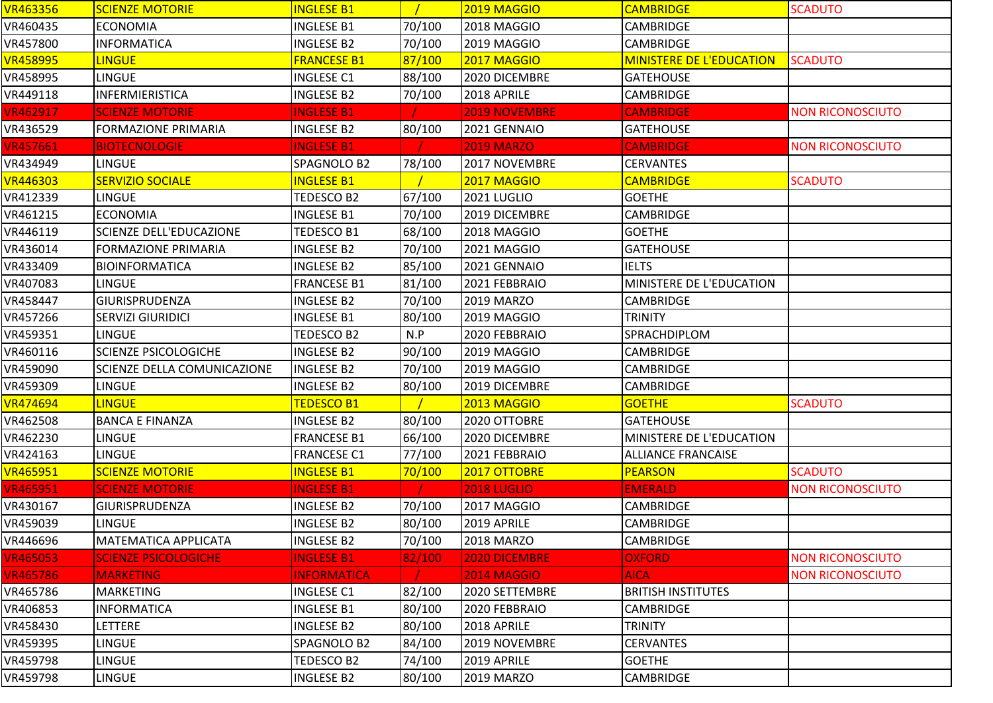| <b>VR463356</b> | <b>SCIENZE MOTORIE</b>             | <b>INGLESE B1</b>  |        | 2019 MAGGIO          | <b>CAMBRIDGE</b>                | <b>SCADUTO</b>          |
|-----------------|------------------------------------|--------------------|--------|----------------------|---------------------------------|-------------------------|
| VR460435        | <b>ECONOMIA</b>                    | <b>INGLESE B1</b>  | 70/100 | 2018 MAGGIO          | <b>CAMBRIDGE</b>                |                         |
| VR457800        | <b>INFORMATICA</b>                 | <b>INGLESE B2</b>  | 70/100 | 2019 MAGGIO          | <b>CAMBRIDGE</b>                |                         |
| <b>VR458995</b> | <b>LINGUE</b>                      | <b>FRANCESE B1</b> | 87/100 | 2017 MAGGIO          | <b>MINISTERE DE L'EDUCATION</b> | <b>SCADUTO</b>          |
| VR458995        | <b>LINGUE</b>                      | <b>INGLESE C1</b>  | 88/100 | 2020 DICEMBRE        | <b>GATEHOUSE</b>                |                         |
| VR449118        | <b>INFERMIERISTICA</b>             | <b>INGLESE B2</b>  | 70/100 | 2018 APRILE          | CAMBRIDGE                       |                         |
| <b>VR462917</b> | <b>SCIENZE MOTORIE</b>             | <b>INGLESE B1</b>  |        | <b>2019 NOVEMBRE</b> | <b>CAMBRIDGE</b>                | <b>NON RICONOSCIUTO</b> |
| VR436529        | <b>FORMAZIONE PRIMARIA</b>         | <b>INGLESE B2</b>  | 80/100 | 2021 GENNAIO         | <b>GATEHOUSE</b>                |                         |
| <b>VR457661</b> | <b>BIOTECNOLOGIE</b>               | <b>INGLESE B1</b>  |        | <b>2019 MARZO</b>    | <b>CAMBRIDGE</b>                | <b>NON RICONOSCIUTO</b> |
| VR434949        | <b>LINGUE</b>                      | SPAGNOLO B2        | 78/100 | 2017 NOVEMBRE        | <b>CERVANTES</b>                |                         |
| <b>VR446303</b> | <b>SERVIZIO SOCIALE</b>            | <b>INGLESE B1</b>  |        | 2017 MAGGIO          | <b>CAMBRIDGE</b>                | <b>SCADUTO</b>          |
| VR412339        | <b>LINGUE</b>                      | <b>TEDESCO B2</b>  | 67/100 | 2021 LUGLIO          | <b>GOETHE</b>                   |                         |
| VR461215        | <b>ECONOMIA</b>                    | <b>INGLESE B1</b>  | 70/100 | 2019 DICEMBRE        | <b>CAMBRIDGE</b>                |                         |
| VR446119        | <b>SCIENZE DELL'EDUCAZIONE</b>     | <b>TEDESCO B1</b>  | 68/100 | 2018 MAGGIO          | <b>GOETHE</b>                   |                         |
| VR436014        | <b>FORMAZIONE PRIMARIA</b>         | <b>INGLESE B2</b>  | 70/100 | 2021 MAGGIO          | <b>GATEHOUSE</b>                |                         |
| VR433409        | <b>BIOINFORMATICA</b>              | <b>INGLESE B2</b>  | 85/100 | 2021 GENNAIO         | <b>IELTS</b>                    |                         |
| VR407083        | <b>LINGUE</b>                      | <b>FRANCESE B1</b> | 81/100 | 2021 FEBBRAIO        | MINISTERE DE L'EDUCATION        |                         |
| VR458447        | <b>GIURISPRUDENZA</b>              | <b>INGLESE B2</b>  | 70/100 | 2019 MARZO           | <b>CAMBRIDGE</b>                |                         |
| VR457266        | <b>SERVIZI GIURIDICI</b>           | <b>INGLESE B1</b>  | 80/100 | 2019 MAGGIO          | <b>TRINITY</b>                  |                         |
| VR459351        | <b>LINGUE</b>                      | TEDESCO B2         | N.P    | 2020 FEBBRAIO        | SPRACHDIPLOM                    |                         |
| VR460116        | <b>SCIENZE PSICOLOGICHE</b>        | <b>INGLESE B2</b>  | 90/100 | 2019 MAGGIO          | <b>CAMBRIDGE</b>                |                         |
| VR459090        | <b>SCIENZE DELLA COMUNICAZIONE</b> | <b>INGLESE B2</b>  | 70/100 | 2019 MAGGIO          | <b>CAMBRIDGE</b>                |                         |
| VR459309        | <b>LINGUE</b>                      | <b>INGLESE B2</b>  | 80/100 | 2019 DICEMBRE        | <b>CAMBRIDGE</b>                |                         |
| <b>VR474694</b> | <b>LINGUE</b>                      | <b>TEDESCO B1</b>  |        | 2013 MAGGIO          | <b>GOETHE</b>                   | <b>SCADUTO</b>          |
| VR462508        | <b>BANCA E FINANZA</b>             | <b>INGLESE B2</b>  | 80/100 | 2020 OTTOBRE         | <b>GATEHOUSE</b>                |                         |
| VR462230        | <b>LINGUE</b>                      | <b>FRANCESE B1</b> | 66/100 | 2020 DICEMBRE        | MINISTERE DE L'EDUCATION        |                         |
| VR424163        | <b>LINGUE</b>                      | <b>FRANCESE C1</b> | 77/100 | 2021 FEBBRAIO        | <b>ALLIANCE FRANCAISE</b>       |                         |
| <b>VR465951</b> | <b>SCIENZE MOTORIE</b>             | <b>INGLESE B1</b>  | 70/100 | 2017 OTTOBRE         | <b>PEARSON</b>                  | <b>SCADUTO</b>          |
| <b>VR465951</b> | <b>SCIENZE MOTORIE</b>             | <b>INGLESE B1</b>  |        | <b>2018 LUGLIO</b>   | <b>EMERALD</b>                  | <b>NON RICONOSCIUTO</b> |
| VR430167        | IGIURISPRUDENZA                    | INGLESE B2         | 70/100 | 2017 MAGGIO          | CAMBRIDGE                       |                         |
| VR459039        | <b>LINGUE</b>                      | <b>INGLESE B2</b>  | 80/100 | 2019 APRILE          | <b>CAMBRIDGE</b>                |                         |
| VR446696        | <b>MATEMATICA APPLICATA</b>        | <b>INGLESE B2</b>  | 70/100 | <b>2018 MARZO</b>    | <b>CAMBRIDGE</b>                |                         |
| <b>VR465053</b> | <b>SCIENZE PSICOLOGICHE</b>        | <b>INGLESE B1</b>  | 82/100 | 2020 DICEMBRE        | <b>OXFORD</b>                   | <b>NON RICONOSCIUTO</b> |
| <b>VR465786</b> | <b>MARKETING</b>                   | <b>INFORMATICA</b> |        | <b>2014 MAGGIO</b>   | <b>AICA</b>                     | <b>NON RICONOSCIUTO</b> |
| VR465786        | <b>MARKETING</b>                   | <b>INGLESE C1</b>  | 82/100 | 2020 SETTEMBRE       | <b>BRITISH INSTITUTES</b>       |                         |
| VR406853        | <b>INFORMATICA</b>                 | <b>INGLESE B1</b>  | 80/100 | 2020 FEBBRAIO        | <b>CAMBRIDGE</b>                |                         |
| VR458430        | <b>LETTERE</b>                     | <b>INGLESE B2</b>  | 80/100 | 2018 APRILE          | <b>TRINITY</b>                  |                         |
| VR459395        | <b>LINGUE</b>                      | SPAGNOLO B2        | 84/100 | 2019 NOVEMBRE        | <b>CERVANTES</b>                |                         |
| VR459798        | LINGUE                             | TEDESCO B2         | 74/100 | 2019 APRILE          | <b>GOETHE</b>                   |                         |
| VR459798        | <b>LINGUE</b>                      | <b>INGLESE B2</b>  | 80/100 | <b>2019 MARZO</b>    | <b>CAMBRIDGE</b>                |                         |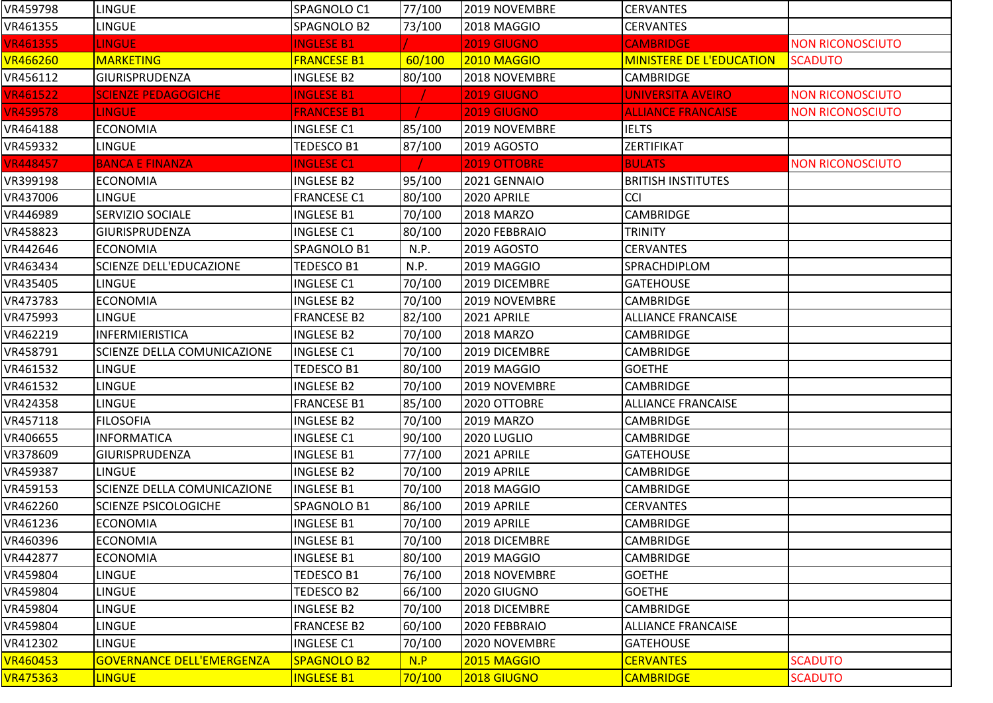| VR459798        | LINGUE                             | SPAGNOLO C1        | 77/100 | 2019 NOVEMBRE       | <b>CERVANTES</b>                |                         |
|-----------------|------------------------------------|--------------------|--------|---------------------|---------------------------------|-------------------------|
| VR461355        | <b>LINGUE</b>                      | SPAGNOLO B2        | 73/100 | 2018 MAGGIO         | <b>CERVANTES</b>                |                         |
| <b>VR461355</b> | <b>LINGUE</b>                      | <b>INGLESE B1</b>  |        | <b>2019 GIUGNO</b>  | <b>CAMBRIDGE</b>                | <b>NON RICONOSCIUTO</b> |
| <b>VR466260</b> | <b>MARKETING</b>                   | <b>FRANCESE B1</b> | 60/100 | <b>2010 MAGGIO</b>  | <b>MINISTERE DE L'EDUCATION</b> | <b>SCADUTO</b>          |
| VR456112        | <b>GIURISPRUDENZA</b>              | <b>INGLESE B2</b>  | 80/100 | 2018 NOVEMBRE       | <b>CAMBRIDGE</b>                |                         |
| <b>VR461522</b> | <b>SCIENZE PEDAGOGICHE</b>         | <b>INGLESE B1</b>  |        | <b>2019 GIUGNO</b>  | <b>UNIVERSITA AVEIRO</b>        | <b>NON RICONOSCIUTO</b> |
| <b>VR459578</b> | <b>LINGUE</b>                      | <b>FRANCESE B1</b> |        | 2019 GIUGNO         | <b>ALLIANCE FRANCAISE</b>       | <b>NON RICONOSCIUTO</b> |
| VR464188        | <b>ECONOMIA</b>                    | <b>INGLESE C1</b>  | 85/100 | 2019 NOVEMBRE       | <b>IELTS</b>                    |                         |
| VR459332        | <b>LINGUE</b>                      | <b>TEDESCO B1</b>  | 87/100 | <b>2019 AGOSTO</b>  | ZERTIFIKAT                      |                         |
| <b>VR448457</b> | <b>BANCA E FINANZA</b>             | <b>INGLESE C1</b>  |        | <b>2019 OTTOBRE</b> | <b>BULATS</b>                   | <b>NON RICONOSCIUTO</b> |
| VR399198        | <b>ECONOMIA</b>                    | <b>INGLESE B2</b>  | 95/100 | 2021 GENNAIO        | <b>BRITISH INSTITUTES</b>       |                         |
| VR437006        | <b>LINGUE</b>                      | <b>FRANCESE C1</b> | 80/100 | 2020 APRILE         | <b>CCI</b>                      |                         |
| VR446989        | <b>SERVIZIO SOCIALE</b>            | <b>INGLESE B1</b>  | 70/100 | <b>2018 MARZO</b>   | <b>CAMBRIDGE</b>                |                         |
| VR458823        | <b>GIURISPRUDENZA</b>              | <b>INGLESE C1</b>  | 80/100 | 2020 FEBBRAIO       | <b>TRINITY</b>                  |                         |
| VR442646        | <b>ECONOMIA</b>                    | SPAGNOLO B1        | N.P.   | 2019 AGOSTO         | <b>CERVANTES</b>                |                         |
| VR463434        | <b>SCIENZE DELL'EDUCAZIONE</b>     | TEDESCO B1         | N.P.   | 2019 MAGGIO         | SPRACHDIPLOM                    |                         |
| VR435405        | LINGUE                             | <b>INGLESE C1</b>  | 70/100 | 2019 DICEMBRE       | <b>GATEHOUSE</b>                |                         |
| VR473783        | <b>ECONOMIA</b>                    | <b>INGLESE B2</b>  | 70/100 | 2019 NOVEMBRE       | CAMBRIDGE                       |                         |
| VR475993        | <b>LINGUE</b>                      | <b>FRANCESE B2</b> | 82/100 | 2021 APRILE         | <b>ALLIANCE FRANCAISE</b>       |                         |
| VR462219        | INFERMIERISTICA                    | <b>INGLESE B2</b>  | 70/100 | 2018 MARZO          | <b>CAMBRIDGE</b>                |                         |
| VR458791        | <b>SCIENZE DELLA COMUNICAZIONE</b> | <b>INGLESE C1</b>  | 70/100 | 2019 DICEMBRE       | <b>CAMBRIDGE</b>                |                         |
| VR461532        | LINGUE                             | <b>TEDESCO B1</b>  | 80/100 | 2019 MAGGIO         | <b>GOETHE</b>                   |                         |
| VR461532        | LINGUE                             | <b>INGLESE B2</b>  | 70/100 | 2019 NOVEMBRE       | <b>CAMBRIDGE</b>                |                         |
| VR424358        | <b>LINGUE</b>                      | <b>FRANCESE B1</b> | 85/100 | 2020 OTTOBRE        | <b>ALLIANCE FRANCAISE</b>       |                         |
| VR457118        | <b>FILOSOFIA</b>                   | <b>INGLESE B2</b>  | 70/100 | <b>2019 MARZO</b>   | <b>CAMBRIDGE</b>                |                         |
| VR406655        | <b>INFORMATICA</b>                 | <b>INGLESE C1</b>  | 90/100 | 2020 LUGLIO         | <b>CAMBRIDGE</b>                |                         |
| VR378609        | <b>GIURISPRUDENZA</b>              | <b>INGLESE B1</b>  | 77/100 | 2021 APRILE         | <b>GATEHOUSE</b>                |                         |
| VR459387        | <b>LINGUE</b>                      | <b>INGLESE B2</b>  | 70/100 | 2019 APRILE         | <b>CAMBRIDGE</b>                |                         |
| VR459153        | SCIENZE DELLA COMUNICAZIONE        | <b>INGLESE B1</b>  | 70/100 | 2018 MAGGIO         | CAMBRIDGE                       |                         |
| VR462260        | <b>SCIENZE PSICOLOGICHE</b>        | SPAGNOLO B1        | 86/100 | 2019 APRILE         | <b>CERVANTES</b>                |                         |
| VR461236        | <b>ECONOMIA</b>                    | <b>INGLESE B1</b>  | 70/100 | 2019 APRILE         | <b>CAMBRIDGE</b>                |                         |
| VR460396        | <b>ECONOMIA</b>                    | <b>INGLESE B1</b>  | 70/100 | 2018 DICEMBRE       | <b>CAMBRIDGE</b>                |                         |
| VR442877        | <b>ECONOMIA</b>                    | <b>INGLESE B1</b>  | 80/100 | 2019 MAGGIO         | <b>CAMBRIDGE</b>                |                         |
| VR459804        | LINGUE                             | <b>TEDESCO B1</b>  | 76/100 | 2018 NOVEMBRE       | <b>GOETHE</b>                   |                         |
| VR459804        | LINGUE                             | <b>TEDESCO B2</b>  | 66/100 | 2020 GIUGNO         | <b>GOETHE</b>                   |                         |
| VR459804        | LINGUE                             | <b>INGLESE B2</b>  | 70/100 | 2018 DICEMBRE       | CAMBRIDGE                       |                         |
| VR459804        | <b>LINGUE</b>                      | <b>FRANCESE B2</b> | 60/100 | 2020 FEBBRAIO       | <b>ALLIANCE FRANCAISE</b>       |                         |
| VR412302        | <b>LINGUE</b>                      | <b>INGLESE C1</b>  | 70/100 | 2020 NOVEMBRE       | <b>GATEHOUSE</b>                |                         |
| <b>VR460453</b> | <b>GOVERNANCE DELL'EMERGENZA</b>   | <b>SPAGNOLO B2</b> | N.P    | 2015 MAGGIO         | <b>CERVANTES</b>                | <b>SCADUTO</b>          |
| <b>VR475363</b> | <b>LINGUE</b>                      | <b>INGLESE B1</b>  | 70/100 | 2018 GIUGNO         | <b>CAMBRIDGE</b>                | <b>SCADUTO</b>          |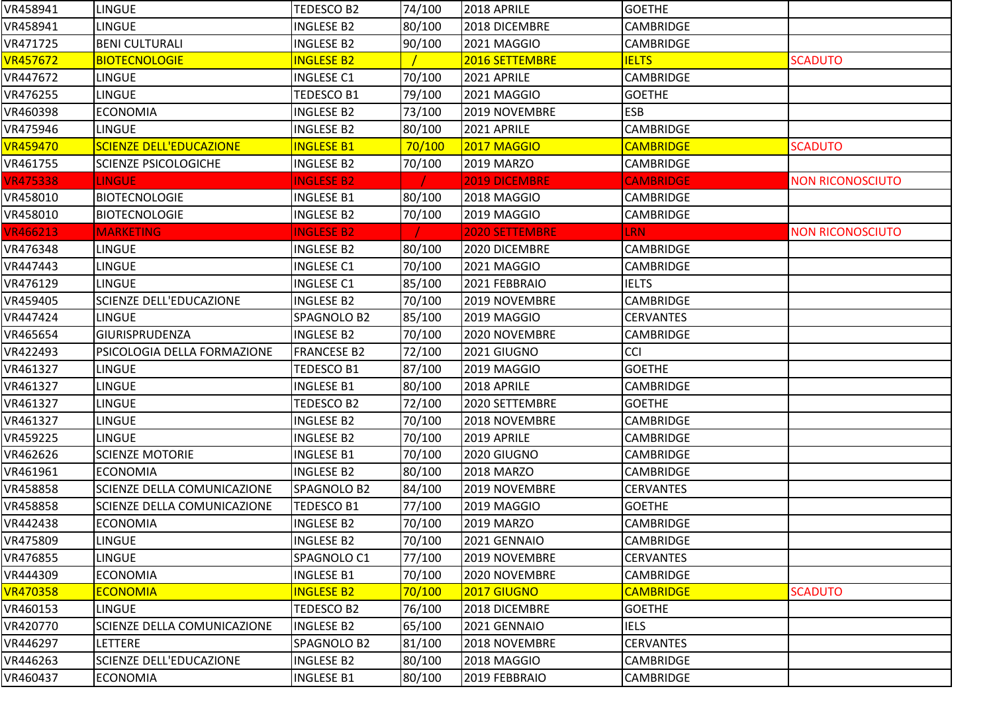| VR458941        | <b>LINGUE</b>                  | TEDESCO B2         | 74/100 | 2018 APRILE           | <b>GOETHE</b>    |                         |
|-----------------|--------------------------------|--------------------|--------|-----------------------|------------------|-------------------------|
| VR458941        | LINGUE                         | <b>INGLESE B2</b>  | 80/100 | 2018 DICEMBRE         | CAMBRIDGE        |                         |
| VR471725        | <b>BENI CULTURALI</b>          | <b>INGLESE B2</b>  | 90/100 | 2021 MAGGIO           | <b>CAMBRIDGE</b> |                         |
| <b>VR457672</b> | <b>BIOTECNOLOGIE</b>           | <b>INGLESE B2</b>  |        | 2016 SETTEMBRE        | <b>IELTS</b>     | <b>SCADUTO</b>          |
| VR447672        | <b>LINGUE</b>                  | <b>INGLESE C1</b>  | 70/100 | 2021 APRILE           | <b>CAMBRIDGE</b> |                         |
| VR476255        | LINGUE                         | TEDESCO B1         | 79/100 | 2021 MAGGIO           | <b>GOETHE</b>    |                         |
| VR460398        | <b>ECONOMIA</b>                | <b>INGLESE B2</b>  | 73/100 | 2019 NOVEMBRE         | <b>ESB</b>       |                         |
| VR475946        | LINGUE                         | <b>INGLESE B2</b>  | 80/100 | 2021 APRILE           | <b>CAMBRIDGE</b> |                         |
| <b>VR459470</b> | <b>SCIENZE DELL'EDUCAZIONE</b> | <b>INGLESE B1</b>  | 70/100 | <b>2017 MAGGIO</b>    | <b>CAMBRIDGE</b> | <b>SCADUTO</b>          |
| VR461755        | <b>SCIENZE PSICOLOGICHE</b>    | <b>INGLESE B2</b>  | 70/100 | 2019 MARZO            | <b>CAMBRIDGE</b> |                         |
| <b>VR475338</b> | <b>LINGUE</b>                  | <b>INGLESE B2</b>  |        | <b>2019 DICEMBRE</b>  | <b>CAMBRIDGE</b> | <b>NON RICONOSCIUTO</b> |
| VR458010        | <b>BIOTECNOLOGIE</b>           | <b>INGLESE B1</b>  | 80/100 | 2018 MAGGIO           | <b>CAMBRIDGE</b> |                         |
| VR458010        | <b>BIOTECNOLOGIE</b>           | <b>INGLESE B2</b>  | 70/100 | 2019 MAGGIO           | <b>CAMBRIDGE</b> |                         |
| <b>VR466213</b> | <b>MARKETING</b>               | <b>INGLESE B2</b>  |        | <b>2020 SETTEMBRE</b> | <b>LRN</b>       | <b>NON RICONOSCIUTO</b> |
| VR476348        | LINGUE                         | <b>INGLESE B2</b>  | 80/100 | 2020 DICEMBRE         | <b>CAMBRIDGE</b> |                         |
| VR447443        | LINGUE                         | <b>INGLESE C1</b>  | 70/100 | 2021 MAGGIO           | <b>CAMBRIDGE</b> |                         |
| VR476129        | <b>LINGUE</b>                  | <b>INGLESE C1</b>  | 85/100 | 2021 FEBBRAIO         | <b>IELTS</b>     |                         |
| VR459405        | SCIENZE DELL'EDUCAZIONE        | <b>INGLESE B2</b>  | 70/100 | 2019 NOVEMBRE         | <b>CAMBRIDGE</b> |                         |
| VR447424        | <b>LINGUE</b>                  | SPAGNOLO B2        | 85/100 | 2019 MAGGIO           | <b>CERVANTES</b> |                         |
| VR465654        | GIURISPRUDENZA                 | <b>INGLESE B2</b>  | 70/100 | 2020 NOVEMBRE         | CAMBRIDGE        |                         |
| VR422493        | PSICOLOGIA DELLA FORMAZIONE    | <b>FRANCESE B2</b> | 72/100 | 2021 GIUGNO           | CCI              |                         |
| VR461327        | LINGUE                         | TEDESCO B1         | 87/100 | 2019 MAGGIO           | <b>GOETHE</b>    |                         |
| VR461327        | LINGUE                         | <b>INGLESE B1</b>  | 80/100 | 2018 APRILE           | <b>CAMBRIDGE</b> |                         |
| VR461327        | <b>LINGUE</b>                  | TEDESCO B2         | 72/100 | 2020 SETTEMBRE        | <b>GOETHE</b>    |                         |
| VR461327        | LINGUE                         | <b>INGLESE B2</b>  | 70/100 | 2018 NOVEMBRE         | CAMBRIDGE        |                         |
| VR459225        | <b>LINGUE</b>                  | <b>INGLESE B2</b>  | 70/100 | 2019 APRILE           | CAMBRIDGE        |                         |
| VR462626        | <b>SCIENZE MOTORIE</b>         | <b>INGLESE B1</b>  | 70/100 | 2020 GIUGNO           | CAMBRIDGE        |                         |
| VR461961        | <b>ECONOMIA</b>                | <b>INGLESE B2</b>  | 80/100 | <b>2018 MARZO</b>     | <b>CAMBRIDGE</b> |                         |
| VR458858        | SCIENZE DELLA COMUNICAZIONE    | SPAGNOLO B2        | 84/100 | 2019 NOVEMBRE         | <b>CERVANTES</b> |                         |
| VR458858        | SCIENZE DELLA COMUNICAZIONE    | TEDESCO B1         | 77/100 | 2019 MAGGIO           | <b>GOETHE</b>    |                         |
| VR442438        | <b>ECONOMIA</b>                | <b>INGLESE B2</b>  | 70/100 | <b>2019 MARZO</b>     | CAMBRIDGE        |                         |
| VR475809        | <b>LINGUE</b>                  | <b>INGLESE B2</b>  | 70/100 | 2021 GENNAIO          | <b>CAMBRIDGE</b> |                         |
| VR476855        | LINGUE                         | SPAGNOLO C1        | 77/100 | 2019 NOVEMBRE         | <b>CERVANTES</b> |                         |
| VR444309        | <b>ECONOMIA</b>                | <b>INGLESE B1</b>  | 70/100 | 2020 NOVEMBRE         | <b>CAMBRIDGE</b> |                         |
| <b>VR470358</b> | <b>ECONOMIA</b>                | <b>INGLESE B2</b>  | 70/100 | 2017 GIUGNO           | <b>CAMBRIDGE</b> | <b>SCADUTO</b>          |
| VR460153        | <b>LINGUE</b>                  | TEDESCO B2         | 76/100 | 2018 DICEMBRE         | <b>GOETHE</b>    |                         |
| VR420770        | SCIENZE DELLA COMUNICAZIONE    | <b>INGLESE B2</b>  | 65/100 | 2021 GENNAIO          | <b>IELS</b>      |                         |
| VR446297        | LETTERE                        | SPAGNOLO B2        | 81/100 | 2018 NOVEMBRE         | <b>CERVANTES</b> |                         |
| VR446263        | SCIENZE DELL'EDUCAZIONE        | <b>INGLESE B2</b>  | 80/100 | 2018 MAGGIO           | <b>CAMBRIDGE</b> |                         |
| VR460437        | <b>ECONOMIA</b>                | <b>INGLESE B1</b>  | 80/100 | 2019 FEBBRAIO         | <b>CAMBRIDGE</b> |                         |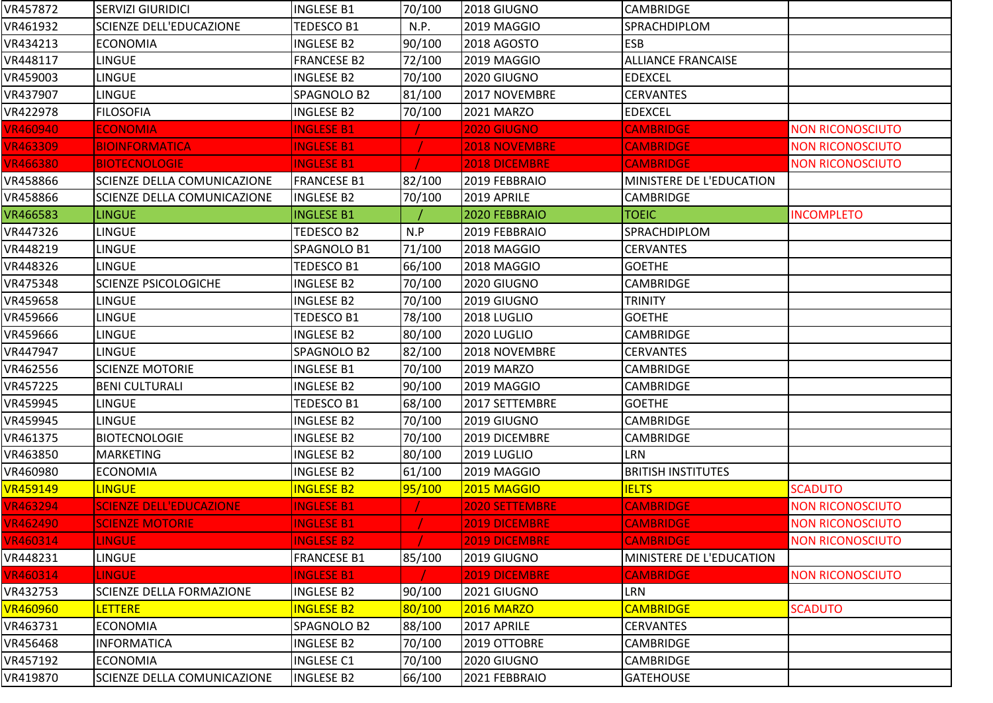| VR457872        | <b>SERVIZI GIURIDICI</b>           | <b>INGLESE B1</b>  | 70/100 | 2018 GIUGNO           | <b>CAMBRIDGE</b>          |                         |
|-----------------|------------------------------------|--------------------|--------|-----------------------|---------------------------|-------------------------|
| VR461932        | <b>SCIENZE DELL'EDUCAZIONE</b>     | TEDESCO B1         | N.P.   | 2019 MAGGIO           | SPRACHDIPLOM              |                         |
| VR434213        | <b>ECONOMIA</b>                    | <b>INGLESE B2</b>  | 90/100 | <b>2018 AGOSTO</b>    | <b>ESB</b>                |                         |
| VR448117        | LINGUE                             | <b>FRANCESE B2</b> | 72/100 | 2019 MAGGIO           | <b>ALLIANCE FRANCAISE</b> |                         |
| VR459003        | <b>LINGUE</b>                      | <b>INGLESE B2</b>  | 70/100 | 2020 GIUGNO           | <b>EDEXCEL</b>            |                         |
| VR437907        | <b>LINGUE</b>                      | SPAGNOLO B2        | 81/100 | 2017 NOVEMBRE         | <b>CERVANTES</b>          |                         |
| VR422978        | <b>FILOSOFIA</b>                   | <b>INGLESE B2</b>  | 70/100 | 2021 MARZO            | <b>EDEXCEL</b>            |                         |
| <b>VR460940</b> | <b>ECONOMIA</b>                    | <b>INGLESE B1</b>  |        | 2020 GIUGNO           | <b>CAMBRIDGE</b>          | <b>NON RICONOSCIUTO</b> |
| <b>VR463309</b> | <b>BIOINFORMATICA</b>              | <b>INGLESE B1</b>  |        | <b>2018 NOVEMBRE</b>  | <b>CAMBRIDGE</b>          | <b>NON RICONOSCIUTO</b> |
| <b>VR466380</b> | <b>BIOTECNOLOGIE</b>               | <b>INGLESE B1</b>  |        | 2018 DICEMBRE         | <b>CAMBRIDGE</b>          | <b>NON RICONOSCIUTO</b> |
| VR458866        | <b>SCIENZE DELLA COMUNICAZIONE</b> | <b>FRANCESE B1</b> | 82/100 | 2019 FEBBRAIO         | MINISTERE DE L'EDUCATION  |                         |
| VR458866        | <b>SCIENZE DELLA COMUNICAZIONE</b> | <b>INGLESE B2</b>  | 70/100 | 2019 APRILE           | <b>CAMBRIDGE</b>          |                         |
| VR466583        | <b>LINGUE</b>                      | <b>INGLESE B1</b>  |        | 2020 FEBBRAIO         | <b>TOEIC</b>              | <b>INCOMPLETO</b>       |
| VR447326        | <b>LINGUE</b>                      | <b>TEDESCO B2</b>  | N.P    | 2019 FEBBRAIO         | SPRACHDIPLOM              |                         |
| VR448219        | <b>LINGUE</b>                      | SPAGNOLO B1        | 71/100 | 2018 MAGGIO           | <b>CERVANTES</b>          |                         |
| VR448326        | LINGUE                             | <b>TEDESCO B1</b>  | 66/100 | 2018 MAGGIO           | <b>GOETHE</b>             |                         |
| VR475348        | <b>SCIENZE PSICOLOGICHE</b>        | <b>INGLESE B2</b>  | 70/100 | 2020 GIUGNO           | <b>CAMBRIDGE</b>          |                         |
| VR459658        | LINGUE                             | <b>INGLESE B2</b>  | 70/100 | 2019 GIUGNO           | <b>TRINITY</b>            |                         |
| VR459666        | <b>LINGUE</b>                      | TEDESCO B1         | 78/100 | 2018 LUGLIO           | <b>GOETHE</b>             |                         |
| VR459666        | <b>LINGUE</b>                      | <b>INGLESE B2</b>  | 80/100 | 2020 LUGLIO           | CAMBRIDGE                 |                         |
| VR447947        | <b>LINGUE</b>                      | SPAGNOLO B2        | 82/100 | 2018 NOVEMBRE         | <b>CERVANTES</b>          |                         |
| VR462556        | <b>SCIENZE MOTORIE</b>             | <b>INGLESE B1</b>  | 70/100 | 2019 MARZO            | <b>CAMBRIDGE</b>          |                         |
| VR457225        | <b>BENI CULTURALI</b>              | <b>INGLESE B2</b>  | 90/100 | 2019 MAGGIO           | <b>CAMBRIDGE</b>          |                         |
| VR459945        | <b>LINGUE</b>                      | TEDESCO B1         | 68/100 | 2017 SETTEMBRE        | <b>GOETHE</b>             |                         |
| VR459945        | <b>LINGUE</b>                      | <b>INGLESE B2</b>  | 70/100 | 2019 GIUGNO           | <b>CAMBRIDGE</b>          |                         |
| VR461375        | <b>BIOTECNOLOGIE</b>               | <b>INGLESE B2</b>  | 70/100 | 2019 DICEMBRE         | CAMBRIDGE                 |                         |
| VR463850        | <b>MARKETING</b>                   | <b>INGLESE B2</b>  | 80/100 | 2019 LUGLIO           | LRN                       |                         |
| VR460980        | <b>ECONOMIA</b>                    | <b>INGLESE B2</b>  | 61/100 | 2019 MAGGIO           | <b>BRITISH INSTITUTES</b> |                         |
| <b>VR459149</b> | <b>LINGUE</b>                      | <b>INGLESE B2</b>  | 95/100 | 2015 MAGGIO           | <b>IELTS</b>              | <b>SCADUTO</b>          |
| <b>VR463294</b> | <b>SCIENZE DELL'EDUCAZIONE</b>     | <b>INGLESE B1</b>  |        | <b>2020 SETTEMBRE</b> | <b>CAMBRIDGE</b>          | <b>NON RICONOSCIUTO</b> |
| <b>VR462490</b> | <b>SCIENZE MOTORIE</b>             | <b>INGLESE B1</b>  |        | 2019 DICEMBRE         | <b>CAMBRIDGE</b>          | <b>NON RICONOSCIUTO</b> |
| <b>VR460314</b> | <b>LINGUE</b>                      | <b>INGLESE B2</b>  |        | 2019 DICEMBRE         | <b>CAMBRIDGE</b>          | <b>NON RICONOSCIUTO</b> |
| VR448231        | <b>LINGUE</b>                      | <b>FRANCESE B1</b> | 85/100 | 2019 GIUGNO           | MINISTERE DE L'EDUCATION  |                         |
| <b>VR460314</b> | <b>LINGUE</b>                      | <b>INGLESE B1</b>  |        | 2019 DICEMBRE         | <b>CAMBRIDGE</b>          | <b>NON RICONOSCIUTO</b> |
| VR432753        | <b>SCIENZE DELLA FORMAZIONE</b>    | <b>INGLESE B2</b>  | 90/100 | 2021 GIUGNO           | LRN                       |                         |
| <b>VR460960</b> | <b>LETTERE</b>                     | <b>INGLESE B2</b>  | 80/100 | <b>2016 MARZO</b>     | <b>CAMBRIDGE</b>          | <b>SCADUTO</b>          |
| VR463731        | <b>ECONOMIA</b>                    | SPAGNOLO B2        | 88/100 | 2017 APRILE           | <b>CERVANTES</b>          |                         |
| VR456468        | <b>INFORMATICA</b>                 | <b>INGLESE B2</b>  | 70/100 | 2019 OTTOBRE          | <b>CAMBRIDGE</b>          |                         |
| VR457192        | <b>ECONOMIA</b>                    | <b>INGLESE C1</b>  | 70/100 | 2020 GIUGNO           | <b>CAMBRIDGE</b>          |                         |
| VR419870        | <b>SCIENZE DELLA COMUNICAZIONE</b> | <b>INGLESE B2</b>  | 66/100 | 2021 FEBBRAIO         | <b>GATEHOUSE</b>          |                         |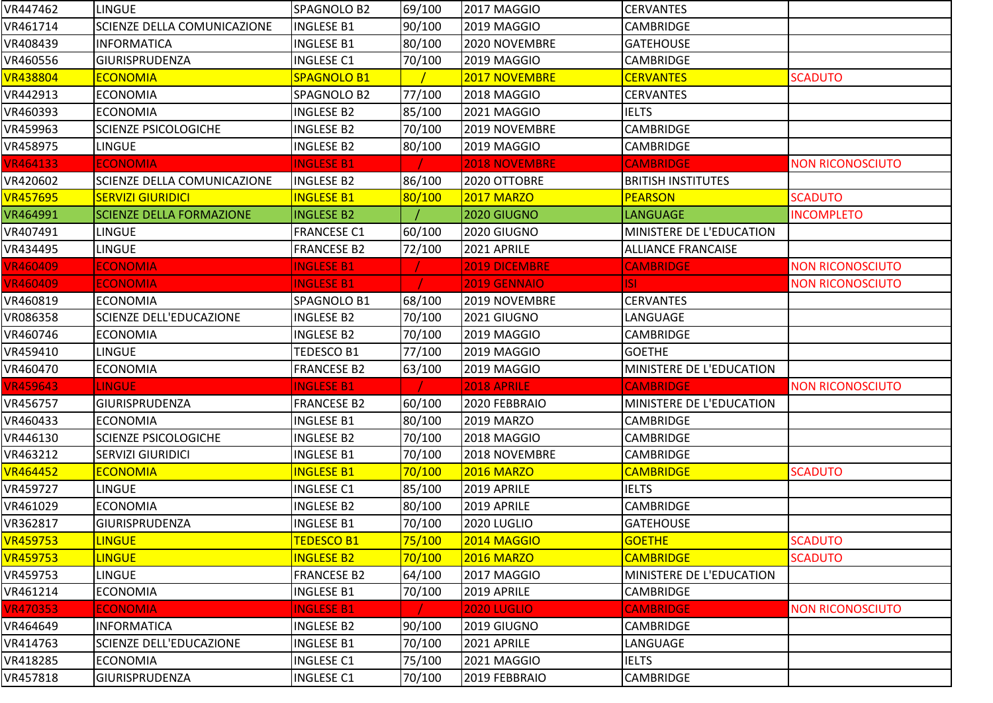| VR447462        | <b>LINGUE</b>                      | SPAGNOLO B2        | 69/100 | 2017 MAGGIO          | <b>CERVANTES</b>          |                         |
|-----------------|------------------------------------|--------------------|--------|----------------------|---------------------------|-------------------------|
| VR461714        | SCIENZE DELLA COMUNICAZIONE        | <b>INGLESE B1</b>  | 90/100 | 2019 MAGGIO          | <b>CAMBRIDGE</b>          |                         |
| VR408439        | <b>INFORMATICA</b>                 | <b>INGLESE B1</b>  | 80/100 | 2020 NOVEMBRE        | <b>GATEHOUSE</b>          |                         |
| VR460556        | <b>GIURISPRUDENZA</b>              | <b>INGLESE C1</b>  | 70/100 | 2019 MAGGIO          | <b>CAMBRIDGE</b>          |                         |
| <b>VR438804</b> | <b>ECONOMIA</b>                    | SPAGNOLO B1        |        | 2017 NOVEMBRE        | <b>CERVANTES</b>          | <b>SCADUTO</b>          |
| VR442913        | <b>ECONOMIA</b>                    | SPAGNOLO B2        | 77/100 | 2018 MAGGIO          | <b>CERVANTES</b>          |                         |
| VR460393        | <b>ECONOMIA</b>                    | <b>INGLESE B2</b>  | 85/100 | 2021 MAGGIO          | <b>IELTS</b>              |                         |
| VR459963        | <b>SCIENZE PSICOLOGICHE</b>        | INGLESE B2         | 70/100 | 2019 NOVEMBRE        | CAMBRIDGE                 |                         |
| VR458975        | <b>LINGUE</b>                      | <b>INGLESE B2</b>  | 80/100 | 2019 MAGGIO          | CAMBRIDGE                 |                         |
| <b>VR464133</b> | <b>ECONOMIA</b>                    | <b>INGLESE B1</b>  |        | <b>2018 NOVEMBRE</b> | <b>CAMBRIDGE</b>          | <b>NON RICONOSCIUTO</b> |
| VR420602        | <b>SCIENZE DELLA COMUNICAZIONE</b> | <b>INGLESE B2</b>  | 86/100 | 2020 OTTOBRE         | <b>BRITISH INSTITUTES</b> |                         |
| <b>VR457695</b> | <b>SERVIZI GIURIDICI</b>           | <b>INGLESE B1</b>  | 80/100 | <b>2017 MARZO</b>    | <b>PEARSON</b>            | <b>SCADUTO</b>          |
| VR464991        | <b>SCIENZE DELLA FORMAZIONE</b>    | <b>INGLESE B2</b>  |        | 2020 GIUGNO          | LANGUAGE                  | <b>INCOMPLETO</b>       |
| VR407491        | <b>LINGUE</b>                      | <b>FRANCESE C1</b> | 60/100 | 2020 GIUGNO          | MINISTERE DE L'EDUCATION  |                         |
| VR434495        | <b>LINGUE</b>                      | <b>FRANCESE B2</b> | 72/100 | 2021 APRILE          | <b>ALLIANCE FRANCAISE</b> |                         |
| <b>VR460409</b> | <b>ECONOMIA</b>                    | <b>INGLESE B1</b>  |        | <b>2019 DICEMBRE</b> | <b>CAMBRIDGE</b>          | <b>NON RICONOSCIUTO</b> |
| <b>VR460409</b> | <b>ECONOMIA</b>                    | <b>INGLESE B1</b>  |        | 2019 GENNAIO         | ISL                       | <b>NON RICONOSCIUTO</b> |
| VR460819        | <b>ECONOMIA</b>                    | SPAGNOLO B1        | 68/100 | 2019 NOVEMBRE        | <b>CERVANTES</b>          |                         |
| VR086358        | <b>SCIENZE DELL'EDUCAZIONE</b>     | <b>INGLESE B2</b>  | 70/100 | 2021 GIUGNO          | LANGUAGE                  |                         |
| VR460746        | <b>ECONOMIA</b>                    | <b>INGLESE B2</b>  | 70/100 | 2019 MAGGIO          | <b>CAMBRIDGE</b>          |                         |
| VR459410        | <b>LINGUE</b>                      | TEDESCO B1         | 77/100 | 2019 MAGGIO          | <b>GOETHE</b>             |                         |
| VR460470        | <b>ECONOMIA</b>                    | <b>FRANCESE B2</b> | 63/100 | 2019 MAGGIO          | MINISTERE DE L'EDUCATION  |                         |
| <b>VR459643</b> | <b>LINGUE</b>                      | <b>INGLESE B1</b>  |        | 2018 APRILE          | <b>CAMBRIDGE</b>          | <b>NON RICONOSCIUTO</b> |
| VR456757        | <b>GIURISPRUDENZA</b>              | <b>FRANCESE B2</b> | 60/100 | 2020 FEBBRAIO        | MINISTERE DE L'EDUCATION  |                         |
| VR460433        | <b>ECONOMIA</b>                    | <b>INGLESE B1</b>  | 80/100 | 2019 MARZO           | <b>CAMBRIDGE</b>          |                         |
| VR446130        | <b>SCIENZE PSICOLOGICHE</b>        | <b>INGLESE B2</b>  | 70/100 | 2018 MAGGIO          | <b>CAMBRIDGE</b>          |                         |
| VR463212        | <b>SERVIZI GIURIDICI</b>           | <b>INGLESE B1</b>  | 70/100 | 2018 NOVEMBRE        | CAMBRIDGE                 |                         |
| <b>VR464452</b> | <b>ECONOMIA</b>                    | <b>INGLESE B1</b>  | 70/100 | <b>2016 MARZO</b>    | <b>CAMBRIDGE</b>          | <b>SCADUTO</b>          |
| VR459727        | <b>LINGUE</b>                      | <b>INGLESE C1</b>  | 85/100 | 2019 APRILE          | <b>IELTS</b>              |                         |
| VR461029        | <b>ECONOMIA</b>                    | <b>INGLESE B2</b>  | 80/100 | 2019 APRILE          | <b>CAMBRIDGE</b>          |                         |
| VR362817        | <b>GIURISPRUDENZA</b>              | <b>INGLESE B1</b>  | 70/100 | 2020 LUGLIO          | <b>GATEHOUSE</b>          |                         |
| <b>VR459753</b> | <b>LINGUE</b>                      | <b>TEDESCO B1</b>  | 75/100 | <b>2014 MAGGIO</b>   | <b>GOETHE</b>             | <b>SCADUTO</b>          |
| <b>VR459753</b> | <b>LINGUE</b>                      | <b>INGLESE B2</b>  | 70/100 | <b>2016 MARZO</b>    | <b>CAMBRIDGE</b>          | <b>SCADUTO</b>          |
| VR459753        | <b>LINGUE</b>                      | <b>FRANCESE B2</b> | 64/100 | 2017 MAGGIO          | MINISTERE DE L'EDUCATION  |                         |
| VR461214        | <b>ECONOMIA</b>                    | <b>INGLESE B1</b>  | 70/100 | 2019 APRILE          | <b>CAMBRIDGE</b>          |                         |
| <b>VR470353</b> |                                    |                    |        |                      | <b>CAMBRIDGE</b>          |                         |
|                 | <b>ECONOMIA</b>                    | <b>INGLESE B1</b>  |        | <b>2020 LUGLIO</b>   |                           | <b>NON RICONOSCIUTO</b> |
| VR464649        | <b>INFORMATICA</b>                 | <b>INGLESE B2</b>  | 90/100 | 2019 GIUGNO          | <b>CAMBRIDGE</b>          |                         |
| VR414763        | <b>SCIENZE DELL'EDUCAZIONE</b>     | <b>INGLESE B1</b>  | 70/100 | 2021 APRILE          | LANGUAGE                  |                         |
| VR418285        | <b>ECONOMIA</b>                    | <b>INGLESE C1</b>  | 75/100 | 2021 MAGGIO          | <b>IELTS</b>              |                         |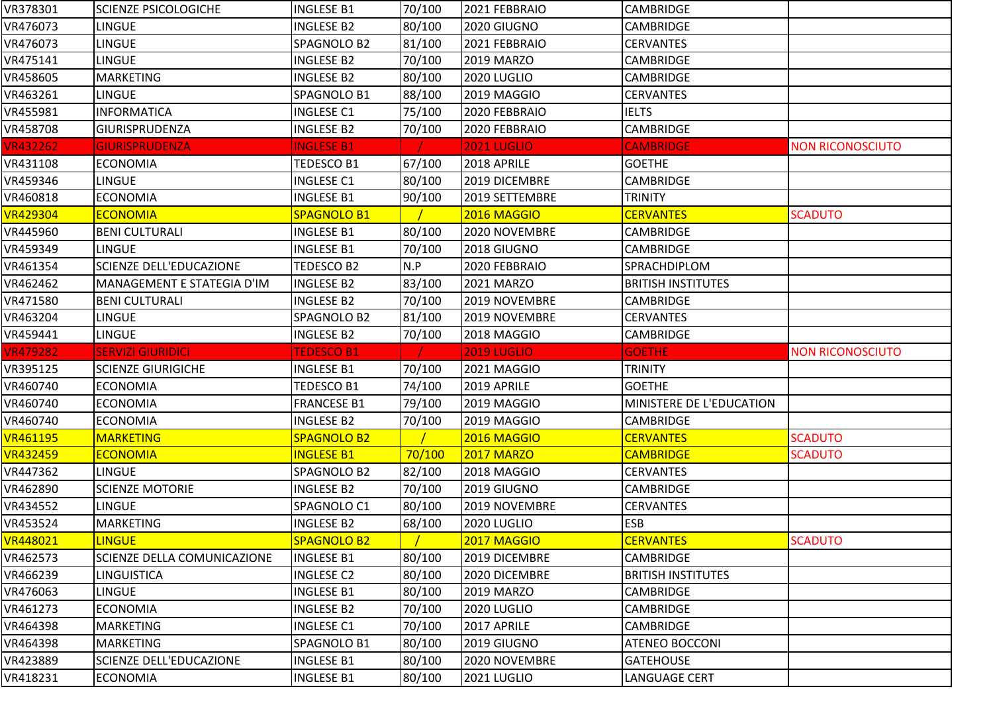| VR378301                         | <b>SCIENZE PSICOLOGICHE</b>    | <b>INGLESE B1</b>  | 70/100 | 2021 FEBBRAIO      | <b>CAMBRIDGE</b>          |                         |
|----------------------------------|--------------------------------|--------------------|--------|--------------------|---------------------------|-------------------------|
| VR476073                         | <b>LINGUE</b>                  | <b>INGLESE B2</b>  | 80/100 | 2020 GIUGNO        | <b>CAMBRIDGE</b>          |                         |
| VR476073                         | <b>LINGUE</b>                  | SPAGNOLO B2        | 81/100 | 2021 FEBBRAIO      | <b>CERVANTES</b>          |                         |
| VR475141                         | <b>LINGUE</b>                  | <b>INGLESE B2</b>  | 70/100 | <b>2019 MARZO</b>  | <b>CAMBRIDGE</b>          |                         |
| VR458605                         | <b>MARKETING</b>               | INGLESE B2         | 80/100 | 2020 LUGLIO        | <b>CAMBRIDGE</b>          |                         |
| VR463261                         | <b>LINGUE</b>                  | SPAGNOLO B1        | 88/100 | 2019 MAGGIO        | <b>CERVANTES</b>          |                         |
| VR455981                         | <b>INFORMATICA</b>             | <b>INGLESE C1</b>  | 75/100 | 2020 FEBBRAIO      | <b>IELTS</b>              |                         |
| VR458708                         | GIURISPRUDENZA                 | <b>INGLESE B2</b>  | 70/100 | 2020 FEBBRAIO      | CAMBRIDGE                 |                         |
| <b>VR432262</b>                  | <b>GIURISPRUDENZA</b>          | <b>INGLESE B1</b>  |        | <b>2021 LUGLIO</b> | <b>CAMBRIDGE</b>          | <b>NON RICONOSCIUTO</b> |
| VR431108                         | <b>ECONOMIA</b>                | TEDESCO B1         | 67/100 | 2018 APRILE        | <b>GOETHE</b>             |                         |
| VR459346                         | LINGUE                         | <b>INGLESE C1</b>  | 80/100 | 2019 DICEMBRE      | <b>CAMBRIDGE</b>          |                         |
| VR460818                         | <b>ECONOMIA</b>                | <b>INGLESE B1</b>  | 90/100 | 2019 SETTEMBRE     | <b>TRINITY</b>            |                         |
| <b>VR429304</b>                  | <b>ECONOMIA</b>                | SPAGNOLO B1        |        | 2016 MAGGIO        | <b>CERVANTES</b>          | <b>SCADUTO</b>          |
| VR445960                         | <b>BENI CULTURALI</b>          | <b>INGLESE B1</b>  | 80/100 | 2020 NOVEMBRE      | CAMBRIDGE                 |                         |
| VR459349                         | <b>LINGUE</b>                  | <b>INGLESE B1</b>  | 70/100 | 2018 GIUGNO        | CAMBRIDGE                 |                         |
| VR461354                         | <b>SCIENZE DELL'EDUCAZIONE</b> | TEDESCO B2         | N.P    | 2020 FEBBRAIO      | SPRACHDIPLOM              |                         |
| VR462462                         | MANAGEMENT E STATEGIA D'IM     | <b>INGLESE B2</b>  | 83/100 | 2021 MARZO         | <b>BRITISH INSTITUTES</b> |                         |
| VR471580                         | <b>BENI CULTURALI</b>          | <b>INGLESE B2</b>  | 70/100 | 2019 NOVEMBRE      | <b>CAMBRIDGE</b>          |                         |
| VR463204                         | <b>LINGUE</b>                  | SPAGNOLO B2        | 81/100 | 2019 NOVEMBRE      | <b>CERVANTES</b>          |                         |
| VR459441                         | <b>LINGUE</b>                  | <b>INGLESE B2</b>  | 70/100 | 2018 MAGGIO        | CAMBRIDGE                 |                         |
|                                  |                                |                    |        |                    |                           |                         |
| <b>VR479282</b>                  | <b>SERVIZI GIURIDICI</b>       | <b>TEDESCO B1</b>  |        | <b>2019 LUGLIO</b> | <b>GOETHE</b>             | <b>NON RICONOSCIUTO</b> |
|                                  | <b>SCIENZE GIURIGICHE</b>      | <b>INGLESE B1</b>  | 70/100 | 2021 MAGGIO        | <b>TRINITY</b>            |                         |
| VR395125<br>VR460740             | <b>ECONOMIA</b>                | TEDESCO B1         | 74/100 | 2019 APRILE        | <b>GOETHE</b>             |                         |
| VR460740                         | <b>ECONOMIA</b>                | <b>FRANCESE B1</b> | 79/100 | 2019 MAGGIO        | MINISTERE DE L'EDUCATION  |                         |
| VR460740                         | <b>ECONOMIA</b>                | INGLESE B2         | 70/100 | 2019 MAGGIO        | <b>CAMBRIDGE</b>          |                         |
| VR461195                         | <b>MARKETING</b>               | <b>SPAGNOLO B2</b> |        | 2016 MAGGIO        | <b>CERVANTES</b>          | <b>SCADUTO</b>          |
| <b>VR432459</b>                  | <b>ECONOMIA</b>                | <b>INGLESE B1</b>  | 70/100 | <b>2017 MARZO</b>  | <b>CAMBRIDGE</b>          | <b>SCADUTO</b>          |
|                                  | <b>LINGUE</b>                  | SPAGNOLO B2        | 82/100 | 2018 MAGGIO        | <b>CERVANTES</b>          |                         |
|                                  | <b>SCIENZE MOTORIE</b>         | <b>INGLESE B2</b>  | 70/100 | 2019 GIUGNO        | <b>CAMBRIDGE</b>          |                         |
| VR447362<br>VR462890<br>VR434552 | LINGUE                         | SPAGNOLO C1        | 80/100 | 2019 NOVEMBRE      | <b>CERVANTES</b>          |                         |
| VR453524                         | <b>MARKETING</b>               | <b>INGLESE B2</b>  | 68/100 | 2020 LUGLIO        | <b>ESB</b>                |                         |
| <b>VR448021</b>                  | <b>LINGUE</b>                  | <b>SPAGNOLO B2</b> |        | 2017 MAGGIO        | <b>CERVANTES</b>          | <b>SCADUTO</b>          |
| VR462573                         | SCIENZE DELLA COMUNICAZIONE    | <b>INGLESE B1</b>  | 80/100 | 2019 DICEMBRE      | <b>CAMBRIDGE</b>          |                         |
|                                  | <b>LINGUISTICA</b>             | <b>INGLESE C2</b>  | 80/100 | 2020 DICEMBRE      | <b>BRITISH INSTITUTES</b> |                         |
|                                  | <b>LINGUE</b>                  | <b>INGLESE B1</b>  | 80/100 | 2019 MARZO         | <b>CAMBRIDGE</b>          |                         |
| VR466239<br>VR476063<br>VR461273 | <b>ECONOMIA</b>                | <b>INGLESE B2</b>  | 70/100 | 2020 LUGLIO        | <b>CAMBRIDGE</b>          |                         |
| VR464398                         | <b>MARKETING</b>               | <b>INGLESE C1</b>  | 70/100 | 2017 APRILE        | <b>CAMBRIDGE</b>          |                         |
| VR464398                         | <b>MARKETING</b>               | SPAGNOLO B1        | 80/100 | 2019 GIUGNO        | <b>ATENEO BOCCONI</b>     |                         |
| VR423889                         | SCIENZE DELL'EDUCAZIONE        | <b>INGLESE B1</b>  | 80/100 | 2020 NOVEMBRE      | <b>GATEHOUSE</b>          |                         |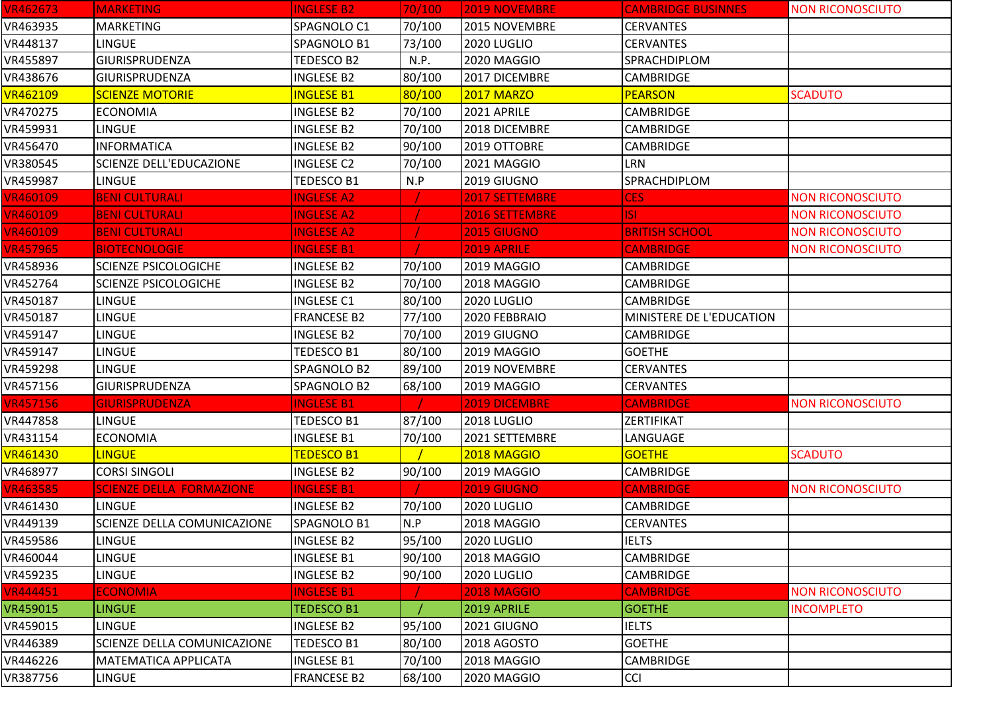| <b>VR462673</b> | <b>MARKETING</b>                   | <b>INGLESE B2</b>  | 70/100 | <b>2019 NOVEMBRE</b>  | <b>CAMBRIDGE BUSINNES</b> | <b>NON RICONOSCIUTO</b> |
|-----------------|------------------------------------|--------------------|--------|-----------------------|---------------------------|-------------------------|
| VR463935        | <b>MARKETING</b>                   | SPAGNOLO C1        | 70/100 | 2015 NOVEMBRE         | <b>CERVANTES</b>          |                         |
| VR448137        | <b>LINGUE</b>                      | SPAGNOLO B1        | 73/100 | 2020 LUGLIO           | <b>CERVANTES</b>          |                         |
| VR455897        | <b>GIURISPRUDENZA</b>              | TEDESCO B2         | N.P.   | 2020 MAGGIO           | SPRACHDIPLOM              |                         |
| VR438676        | <b>GIURISPRUDENZA</b>              | <b>INGLESE B2</b>  | 80/100 | 2017 DICEMBRE         | <b>CAMBRIDGE</b>          |                         |
| <b>VR462109</b> | <b>SCIENZE MOTORIE</b>             | <b>INGLESE B1</b>  | 80/100 | <b>2017 MARZO</b>     | <b>PEARSON</b>            | <b>SCADUTO</b>          |
| VR470275        | <b>ECONOMIA</b>                    | <b>INGLESE B2</b>  | 70/100 | 2021 APRILE           | <b>CAMBRIDGE</b>          |                         |
| VR459931        | LINGUE                             | <b>INGLESE B2</b>  | 70/100 | 2018 DICEMBRE         | <b>CAMBRIDGE</b>          |                         |
| VR456470        | <b>INFORMATICA</b>                 | <b>INGLESE B2</b>  | 90/100 | 2019 OTTOBRE          | <b>CAMBRIDGE</b>          |                         |
| VR380545        | <b>SCIENZE DELL'EDUCAZIONE</b>     | <b>INGLESE C2</b>  | 70/100 | 2021 MAGGIO           | <b>LRN</b>                |                         |
| VR459987        | <b>LINGUE</b>                      | TEDESCO B1         | N.P    | 2019 GIUGNO           | SPRACHDIPLOM              |                         |
| <b>VR460109</b> | <b>BENI CULTURALI</b>              | <b>INGLESE A2</b>  |        | <b>2017 SETTEMBRE</b> | <b>CES</b>                | <b>NON RICONOSCIUTO</b> |
| <b>VR460109</b> | <b>BENI CULTURALI</b>              | <b>INGLESE A2</b>  |        | <b>2016 SETTEMBRE</b> | ISI.                      | <b>NON RICONOSCIUTO</b> |
| <b>VR460109</b> | <b>BENI CULTURALI</b>              | <b>INGLESE A2</b>  |        | <b>2015 GIUGNO</b>    | <b>BRITISH SCHOOL</b>     | <b>NON RICONOSCIUTO</b> |
| <b>VR457965</b> | <b>BIOTECNOLOGIE</b>               | <b>INGLESE B1</b>  |        | 2019 APRILE           | <b>CAMBRIDGE</b>          | <b>NON RICONOSCIUTO</b> |
| VR458936        | <b>SCIENZE PSICOLOGICHE</b>        | <b>INGLESE B2</b>  | 70/100 | 2019 MAGGIO           | <b>CAMBRIDGE</b>          |                         |
| VR452764        | <b>SCIENZE PSICOLOGICHE</b>        | <b>INGLESE B2</b>  | 70/100 | 2018 MAGGIO           | <b>CAMBRIDGE</b>          |                         |
| VR450187        | <b>LINGUE</b>                      | <b>INGLESE C1</b>  | 80/100 | 2020 LUGLIO           | <b>CAMBRIDGE</b>          |                         |
| VR450187        | <b>LINGUE</b>                      | <b>FRANCESE B2</b> | 77/100 | 2020 FEBBRAIO         | MINISTERE DE L'EDUCATION  |                         |
| VR459147        | LINGUE                             | <b>INGLESE B2</b>  | 70/100 | 2019 GIUGNO           | <b>CAMBRIDGE</b>          |                         |
| VR459147        | LINGUE                             | TEDESCO B1         | 80/100 | 2019 MAGGIO           | <b>GOETHE</b>             |                         |
| VR459298        | <b>LINGUE</b>                      | SPAGNOLO B2        | 89/100 | 2019 NOVEMBRE         | <b>CERVANTES</b>          |                         |
| VR457156        | <b>GIURISPRUDENZA</b>              | SPAGNOLO B2        | 68/100 | 2019 MAGGIO           | <b>CERVANTES</b>          |                         |
| <b>VR457156</b> | <b>GIURISPRUDENZA</b>              | <b>INGLESE B1</b>  |        | 2019 DICEMBRE         | <b>CAMBRIDGE</b>          | <b>NON RICONOSCIUTO</b> |
| VR447858        | LINGUE                             | TEDESCO B1         | 87/100 | 2018 LUGLIO           | ZERTIFIKAT                |                         |
| VR431154        | <b>ECONOMIA</b>                    | <b>INGLESE B1</b>  | 70/100 | 2021 SETTEMBRE        | LANGUAGE                  |                         |
| <b>VR461430</b> | <b>LINGUE</b>                      | <b>TEDESCO B1</b>  |        | 2018 MAGGIO           | <b>GOETHE</b>             | <b>SCADUTO</b>          |
| VR468977        | <b>CORSI SINGOLI</b>               | <b>INGLESE B2</b>  | 90/100 | 2019 MAGGIO           | CAMBRIDGE                 |                         |
| <b>VR463585</b> | <b>SCIENZE DELLA FORMAZIONE</b>    | <b>INGLESE B1</b>  |        | <b>2019 GIUGNO</b>    | <b>CAMBRIDGE</b>          | <b>NON RICONOSCIUTO</b> |
| VR461430        | <b>LINGUE</b>                      | <b>INGLESE B2</b>  | 70/100 | 2020 LUGLIO           | CAMBRIDGE                 |                         |
| VR449139        | <b>SCIENZE DELLA COMUNICAZIONE</b> | SPAGNOLO B1        | N.P    | 2018 MAGGIO           | <b>CERVANTES</b>          |                         |
| VR459586        | <b>LINGUE</b>                      | <b>INGLESE B2</b>  | 95/100 | 2020 LUGLIO           | <b>IELTS</b>              |                         |
| VR460044        | <b>LINGUE</b>                      | <b>INGLESE B1</b>  | 90/100 | 2018 MAGGIO           | CAMBRIDGE                 |                         |
| VR459235        | <b>LINGUE</b>                      | <b>INGLESE B2</b>  | 90/100 | 2020 LUGLIO           | CAMBRIDGE                 |                         |
| <b>VR444451</b> | <b>ECONOMIA</b>                    | <b>INGLESE B1</b>  |        | <b>2018 MAGGIO</b>    | <b>CAMBRIDGE</b>          | <b>NON RICONOSCIUTO</b> |
| VR459015        | <b>LINGUE</b>                      | <b>TEDESCO B1</b>  |        | 2019 APRILE           | <b>GOETHE</b>             | <b>INCOMPLETO</b>       |
| VR459015        | LINGUE                             | <b>INGLESE B2</b>  | 95/100 | 2021 GIUGNO           | <b>IELTS</b>              |                         |
| VR446389        | SCIENZE DELLA COMUNICAZIONE        | <b>TEDESCO B1</b>  | 80/100 | 2018 AGOSTO           | <b>GOETHE</b>             |                         |
| VR446226        | <b>MATEMATICA APPLICATA</b>        | <b>INGLESE B1</b>  | 70/100 | 2018 MAGGIO           | <b>CAMBRIDGE</b>          |                         |
| VR387756        | <b>LINGUE</b>                      | <b>FRANCESE B2</b> | 68/100 | 2020 MAGGIO           | <b>CCI</b>                |                         |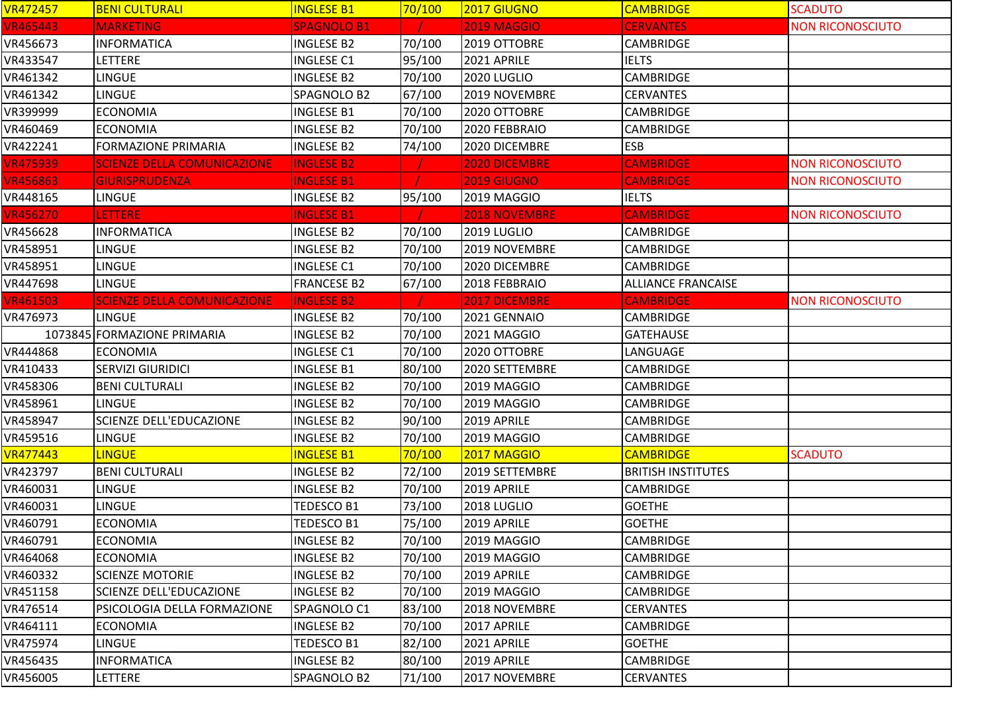| <b>VR472457</b> | <b>BENI CULTURALI</b>              | <b>INGLESE B1</b>  | 70/100 | <b>2017 GIUGNO</b>   | <b>CAMBRIDGE</b>          | <b>SCADUTO</b>          |
|-----------------|------------------------------------|--------------------|--------|----------------------|---------------------------|-------------------------|
| <b>VR465443</b> | <b>MARKETING</b>                   | <b>SPAGNOLO B1</b> |        | <b>2019 MAGGIO</b>   | <b>CERVANTES</b>          | <b>NON RICONOSCIUTO</b> |
| VR456673        | <b>INFORMATICA</b>                 | <b>INGLESE B2</b>  | 70/100 | 2019 OTTOBRE         | <b>CAMBRIDGE</b>          |                         |
| VR433547        | LETTERE                            | <b>INGLESE C1</b>  | 95/100 | 2021 APRILE          | <b>IELTS</b>              |                         |
| VR461342        | <b>LINGUE</b>                      | <b>INGLESE B2</b>  | 70/100 | 2020 LUGLIO          | <b>CAMBRIDGE</b>          |                         |
| VR461342        | <b>LINGUE</b>                      | SPAGNOLO B2        | 67/100 | 2019 NOVEMBRE        | <b>CERVANTES</b>          |                         |
| VR399999        | <b>ECONOMIA</b>                    | <b>INGLESE B1</b>  | 70/100 | 2020 OTTOBRE         | <b>CAMBRIDGE</b>          |                         |
| VR460469        | <b>ECONOMIA</b>                    | <b>INGLESE B2</b>  | 70/100 | 2020 FEBBRAIO        | <b>CAMBRIDGE</b>          |                         |
| VR422241        | <b>FORMAZIONE PRIMARIA</b>         | <b>INGLESE B2</b>  | 74/100 | 2020 DICEMBRE        | <b>ESB</b>                |                         |
| <b>VR475939</b> | <b>SCIENZE DELLA COMUNICAZIONE</b> | <b>INGLESE B2</b>  |        | 2020 DICEMBRE        | <b>CAMBRIDGE</b>          | <b>NON RICONOSCIUTO</b> |
| <b>VR456863</b> | <b>GIURISPRUDENZA</b>              | <b>INGLESE B1</b>  |        | <b>2019 GIUGNO</b>   | <b>CAMBRIDGE</b>          | <b>NON RICONOSCIUTO</b> |
| VR448165        | LINGUE                             | <b>INGLESE B2</b>  | 95/100 | 2019 MAGGIO          | <b>IELTS</b>              |                         |
| <b>VR456270</b> | LETTERE                            | <b>INGLESE B1</b>  |        | <b>2018 NOVEMBRE</b> | <b>CAMBRIDGE</b>          | <b>NON RICONOSCIUTO</b> |
| VR456628        | <b>INFORMATICA</b>                 | <b>INGLESE B2</b>  | 70/100 | 2019 LUGLIO          | <b>CAMBRIDGE</b>          |                         |
| VR458951        | LINGUE                             | <b>INGLESE B2</b>  | 70/100 | 2019 NOVEMBRE        | CAMBRIDGE                 |                         |
| VR458951        | <b>LINGUE</b>                      | <b>INGLESE C1</b>  | 70/100 | 2020 DICEMBRE        | <b>CAMBRIDGE</b>          |                         |
| VR447698        | LINGUE                             | <b>FRANCESE B2</b> | 67/100 | 2018 FEBBRAIO        | <b>ALLIANCE FRANCAISE</b> |                         |
| <b>VR461503</b> | <b>SCIENZE DELLA COMUNICAZIONE</b> | <b>INGLESE B2</b>  |        | 2017 DICEMBRE        | <b>CAMBRIDGE</b>          | <b>NON RICONOSCIUTO</b> |
| VR476973        | <b>LINGUE</b>                      | <b>INGLESE B2</b>  | 70/100 | 2021 GENNAIO         | <b>CAMBRIDGE</b>          |                         |
|                 | 1073845 FORMAZIONE PRIMARIA        | <b>INGLESE B2</b>  | 70/100 | 2021 MAGGIO          | <b>GATEHAUSE</b>          |                         |
| VR444868        | <b>ECONOMIA</b>                    | <b>INGLESE C1</b>  | 70/100 | 2020 OTTOBRE         | LANGUAGE                  |                         |
| VR410433        | <b>SERVIZI GIURIDICI</b>           | <b>INGLESE B1</b>  | 80/100 | 2020 SETTEMBRE       | <b>CAMBRIDGE</b>          |                         |
| VR458306        | <b>BENI CULTURALI</b>              | <b>INGLESE B2</b>  | 70/100 | 2019 MAGGIO          | <b>CAMBRIDGE</b>          |                         |
| VR458961        | <b>LINGUE</b>                      | <b>INGLESE B2</b>  | 70/100 | 2019 MAGGIO          | <b>CAMBRIDGE</b>          |                         |
| VR458947        | <b>SCIENZE DELL'EDUCAZIONE</b>     | <b>INGLESE B2</b>  | 90/100 | 2019 APRILE          | <b>CAMBRIDGE</b>          |                         |
| VR459516        | <b>LINGUE</b>                      | <b>INGLESE B2</b>  | 70/100 | 2019 MAGGIO          | <b>CAMBRIDGE</b>          |                         |
| <b>VR477443</b> | <b>LINGUE</b>                      | <b>INGLESE B1</b>  | 70/100 | 2017 MAGGIO          | <b>CAMBRIDGE</b>          | <b>SCADUTO</b>          |
| VR423797        | <b>BENI CULTURALI</b>              | <b>INGLESE B2</b>  | 72/100 | 2019 SETTEMBRE       | <b>BRITISH INSTITUTES</b> |                         |
| VR460031        | <b>LINGUE</b>                      | INGLESE B2         | 70/100 | 2019 APRILE          | CAMBRIDGE                 |                         |
| VR460031        | <b>LINGUE</b>                      | TEDESCO B1         | 73/100 | 2018 LUGLIO          | <b>GOETHE</b>             |                         |
| VR460791        | <b>ECONOMIA</b>                    | TEDESCO B1         | 75/100 | 2019 APRILE          | <b>GOETHE</b>             |                         |
| VR460791        | <b>ECONOMIA</b>                    | <b>INGLESE B2</b>  | 70/100 | 2019 MAGGIO          | <b>CAMBRIDGE</b>          |                         |
| VR464068        | <b>ECONOMIA</b>                    | <b>INGLESE B2</b>  | 70/100 | 2019 MAGGIO          | <b>CAMBRIDGE</b>          |                         |
| VR460332        | <b>SCIENZE MOTORIE</b>             | <b>INGLESE B2</b>  | 70/100 | 2019 APRILE          | <b>CAMBRIDGE</b>          |                         |
| VR451158        | <b>SCIENZE DELL'EDUCAZIONE</b>     | <b>INGLESE B2</b>  | 70/100 | 2019 MAGGIO          | <b>CAMBRIDGE</b>          |                         |
| VR476514        | PSICOLOGIA DELLA FORMAZIONE        | SPAGNOLO C1        | 83/100 | 2018 NOVEMBRE        | <b>CERVANTES</b>          |                         |
| VR464111        | <b>ECONOMIA</b>                    | <b>INGLESE B2</b>  | 70/100 | 2017 APRILE          | <b>CAMBRIDGE</b>          |                         |
| VR475974        | <b>LINGUE</b>                      | TEDESCO B1         | 82/100 | 2021 APRILE          | <b>GOETHE</b>             |                         |
| VR456435        | <b>INFORMATICA</b>                 | <b>INGLESE B2</b>  | 80/100 | 2019 APRILE          | <b>CAMBRIDGE</b>          |                         |
| VR456005        | <b>LETTERE</b>                     | SPAGNOLO B2        | 71/100 | 2017 NOVEMBRE        | <b>CERVANTES</b>          |                         |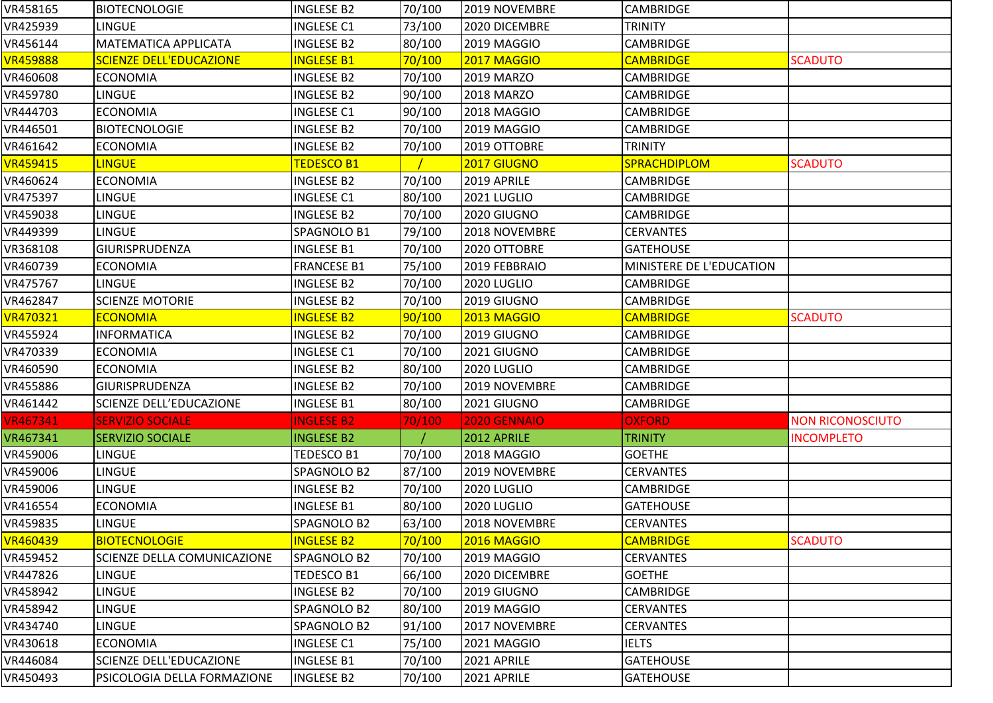| VR458165        | <b>BIOTECNOLOGIE</b>           | <b>INGLESE B2</b>  | 70/100 | 2019 NOVEMBRE       | <b>CAMBRIDGE</b>         |                         |
|-----------------|--------------------------------|--------------------|--------|---------------------|--------------------------|-------------------------|
| VR425939        | LINGUE                         | <b>INGLESE C1</b>  | 73/100 | 2020 DICEMBRE       | <b>TRINITY</b>           |                         |
| VR456144        | <b>MATEMATICA APPLICATA</b>    | <b>INGLESE B2</b>  | 80/100 | 2019 MAGGIO         | CAMBRIDGE                |                         |
| <b>VR459888</b> | <b>SCIENZE DELL'EDUCAZIONE</b> | <b>INGLESE B1</b>  | 70/100 | <b>2017 MAGGIO</b>  | <b>CAMBRIDGE</b>         | <b>SCADUTO</b>          |
| VR460608        | <b>ECONOMIA</b>                | <b>INGLESE B2</b>  | 70/100 | <b>2019 MARZO</b>   | <b>CAMBRIDGE</b>         |                         |
| VR459780        | LINGUE                         | <b>INGLESE B2</b>  | 90/100 | <b>2018 MARZO</b>   | <b>CAMBRIDGE</b>         |                         |
| VR444703        | <b>ECONOMIA</b>                | <b>INGLESE C1</b>  | 90/100 | 2018 MAGGIO         | CAMBRIDGE                |                         |
| VR446501        | <b>BIOTECNOLOGIE</b>           | <b>INGLESE B2</b>  | 70/100 | 2019 MAGGIO         | CAMBRIDGE                |                         |
| VR461642        | <b>ECONOMIA</b>                | <b>INGLESE B2</b>  | 70/100 | 2019 OTTOBRE        | <b>TRINITY</b>           |                         |
| VR459415        | <b>LINGUE</b>                  | <b>TEDESCO B1</b>  |        | <b>2017 GIUGNO</b>  | <b>SPRACHDIPLOM</b>      | <b>SCADUTO</b>          |
| VR460624        | <b>ECONOMIA</b>                | <b>INGLESE B2</b>  | 70/100 | 2019 APRILE         | <b>CAMBRIDGE</b>         |                         |
| VR475397        | LINGUE                         | <b>INGLESE C1</b>  | 80/100 | 2021 LUGLIO         | CAMBRIDGE                |                         |
| VR459038        | LINGUE                         | <b>INGLESE B2</b>  | 70/100 | 2020 GIUGNO         | <b>CAMBRIDGE</b>         |                         |
| VR449399        | LINGUE                         | SPAGNOLO B1        | 79/100 | 2018 NOVEMBRE       | <b>CERVANTES</b>         |                         |
| VR368108        | <b>GIURISPRUDENZA</b>          | <b>INGLESE B1</b>  | 70/100 | 2020 OTTOBRE        | <b>GATEHOUSE</b>         |                         |
| VR460739        | <b>ECONOMIA</b>                | <b>FRANCESE B1</b> | 75/100 | 2019 FEBBRAIO       | MINISTERE DE L'EDUCATION |                         |
| VR475767        | <b>LINGUE</b>                  | <b>INGLESE B2</b>  | 70/100 | <b>2020 LUGLIO</b>  | <b>CAMBRIDGE</b>         |                         |
| VR462847        | <b>SCIENZE MOTORIE</b>         | <b>INGLESE B2</b>  | 70/100 | 2019 GIUGNO         | <b>CAMBRIDGE</b>         |                         |
| <b>VR470321</b> | <b>ECONOMIA</b>                | <b>INGLESE B2</b>  | 90/100 | 2013 MAGGIO         | <b>CAMBRIDGE</b>         | <b>SCADUTO</b>          |
| VR455924        | <b>INFORMATICA</b>             | <b>INGLESE B2</b>  | 70/100 | 2019 GIUGNO         | <b>CAMBRIDGE</b>         |                         |
| VR470339        | <b>ECONOMIA</b>                | <b>INGLESE C1</b>  | 70/100 | 2021 GIUGNO         | <b>CAMBRIDGE</b>         |                         |
| VR460590        | <b>ECONOMIA</b>                | <b>INGLESE B2</b>  | 80/100 | 2020 LUGLIO         | <b>CAMBRIDGE</b>         |                         |
| VR455886        | <b>GIURISPRUDENZA</b>          | <b>INGLESE B2</b>  | 70/100 | 2019 NOVEMBRE       | <b>CAMBRIDGE</b>         |                         |
| VR461442        | SCIENZE DELL'EDUCAZIONE        | <b>INGLESE B1</b>  | 80/100 | 2021 GIUGNO         | CAMBRIDGE                |                         |
| <b>VR467341</b> | <b>SERVIZIO SOCIALE</b>        | <b>INGLESE B2</b>  | 70/100 | <b>2020 GENNAIO</b> | <b>OXFORD</b>            | <b>NON RICONOSCIUTO</b> |
| VR467341        | <b>SERVIZIO SOCIALE</b>        | <b>INGLESE B2</b>  |        | 2012 APRILE         | <b>TRINITY</b>           | <b>INCOMPLETO</b>       |
| VR459006        | LINGUE                         | TEDESCO B1         | 70/100 | 2018 MAGGIO         | <b>GOETHE</b>            |                         |
| VR459006        | LINGUE                         | SPAGNOLO B2        | 87/100 | 2019 NOVEMBRE       | <b>CERVANTES</b>         |                         |
| VR459006        | <b>LINGUE</b>                  | <b>INGLESE B2</b>  | 70/100 | <b>2020 LUGLIO</b>  | <b>CAMBRIDGE</b>         |                         |
| VR416554        | <b>ECONOMIA</b>                | <b>INGLESE B1</b>  | 80/100 | 2020 LUGLIO         | <b>GATEHOUSE</b>         |                         |
| VR459835        | LINGUE                         | SPAGNOLO B2        | 63/100 | 2018 NOVEMBRE       | <b>CERVANTES</b>         |                         |
| VR460439        | <b>BIOTECNOLOGIE</b>           | <b>INGLESE B2</b>  | 70/100 | <b>2016 MAGGIO</b>  | <b>CAMBRIDGE</b>         | <b>SCADUTO</b>          |
| VR459452        | SCIENZE DELLA COMUNICAZIONE    | SPAGNOLO B2        | 70/100 | 2019 MAGGIO         | <b>CERVANTES</b>         |                         |
| VR447826        | <b>LINGUE</b>                  | TEDESCO B1         | 66/100 | 2020 DICEMBRE       | <b>GOETHE</b>            |                         |
| VR458942        | <b>LINGUE</b>                  | <b>INGLESE B2</b>  | 70/100 | <b>2019 GIUGNO</b>  | <b>CAMBRIDGE</b>         |                         |
| VR458942        | <b>LINGUE</b>                  | SPAGNOLO B2        | 80/100 | 2019 MAGGIO         | <b>CERVANTES</b>         |                         |
| VR434740        | LINGUE                         | SPAGNOLO B2        | 91/100 | 2017 NOVEMBRE       | <b>CERVANTES</b>         |                         |
| VR430618        | <b>ECONOMIA</b>                | <b>INGLESE C1</b>  | 75/100 | 2021 MAGGIO         | <b>IELTS</b>             |                         |
| VR446084        | SCIENZE DELL'EDUCAZIONE        | <b>INGLESE B1</b>  | 70/100 | 2021 APRILE         | <b>GATEHOUSE</b>         |                         |
| VR450493        | PSICOLOGIA DELLA FORMAZIONE    | <b>INGLESE B2</b>  | 70/100 | 2021 APRILE         | <b>GATEHOUSE</b>         |                         |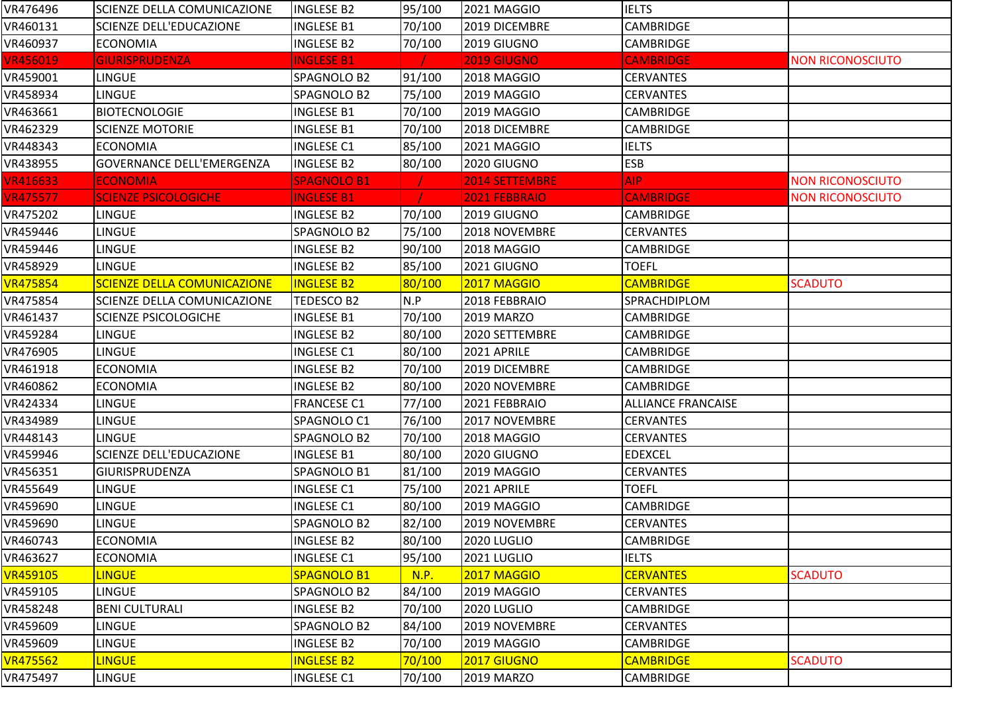| VR476496        | <b>SCIENZE DELLA COMUNICAZIONE</b> | <b>INGLESE B2</b>  | 95/100 | 2021 MAGGIO           | <b>IELTS</b>              |                         |
|-----------------|------------------------------------|--------------------|--------|-----------------------|---------------------------|-------------------------|
| VR460131        | SCIENZE DELL'EDUCAZIONE            | <b>INGLESE B1</b>  | 70/100 | 2019 DICEMBRE         | <b>CAMBRIDGE</b>          |                         |
| VR460937        | <b>ECONOMIA</b>                    | <b>INGLESE B2</b>  | 70/100 | 2019 GIUGNO           | <b>CAMBRIDGE</b>          |                         |
| <b>VR456019</b> | <b>GIURISPRUDENZA</b>              | <b>INGLESE B1</b>  |        | <b>2019 GIUGNO</b>    | <b>CAMBRIDGE</b>          | <b>NON RICONOSCIUTO</b> |
| VR459001        | <b>LINGUE</b>                      | SPAGNOLO B2        | 91/100 | 2018 MAGGIO           | <b>CERVANTES</b>          |                         |
| VR458934        | LINGUE                             | SPAGNOLO B2        | 75/100 | 2019 MAGGIO           | <b>CERVANTES</b>          |                         |
| VR463661        | <b>BIOTECNOLOGIE</b>               | <b>INGLESE B1</b>  | 70/100 | 2019 MAGGIO           | <b>CAMBRIDGE</b>          |                         |
| VR462329        | <b>SCIENZE MOTORIE</b>             | <b>INGLESE B1</b>  | 70/100 | 2018 DICEMBRE         | <b>CAMBRIDGE</b>          |                         |
| VR448343        | <b>ECONOMIA</b>                    | <b>INGLESE C1</b>  | 85/100 | 2021 MAGGIO           | <b>IELTS</b>              |                         |
| VR438955        | <b>GOVERNANCE DELL'EMERGENZA</b>   | <b>INGLESE B2</b>  | 80/100 | 2020 GIUGNO           | <b>ESB</b>                |                         |
| <b>VR416633</b> | <b>ECONOMIA</b>                    | <b>SPAGNOLO B1</b> |        | <b>2014 SETTEMBRE</b> | AIP.                      | <b>NON RICONOSCIUTO</b> |
| <b>VR475577</b> | <b>SCIENZE PSICOLOGICHE</b>        | <b>INGLESE B1</b>  |        | 2021 FEBBRAIO         | <b>CAMBRIDGE</b>          | <b>NON RICONOSCIUTO</b> |
| VR475202        | LINGUE                             | <b>INGLESE B2</b>  | 70/100 | 2019 GIUGNO           | <b>CAMBRIDGE</b>          |                         |
| VR459446        | <b>LINGUE</b>                      | SPAGNOLO B2        | 75/100 | 2018 NOVEMBRE         | <b>CERVANTES</b>          |                         |
| VR459446        | <b>LINGUE</b>                      | <b>INGLESE B2</b>  | 90/100 | 2018 MAGGIO           | <b>CAMBRIDGE</b>          |                         |
| VR458929        | <b>LINGUE</b>                      | <b>INGLESE B2</b>  | 85/100 | 2021 GIUGNO           | <b>TOEFL</b>              |                         |
| <b>VR475854</b> | <b>SCIENZE DELLA COMUNICAZIONE</b> | <b>INGLESE B2</b>  | 80/100 | <b>2017 MAGGIO</b>    | <b>CAMBRIDGE</b>          | <b>SCADUTO</b>          |
| VR475854        | SCIENZE DELLA COMUNICAZIONE        | <b>TEDESCO B2</b>  | N.P    | 2018 FEBBRAIO         | <b>SPRACHDIPLOM</b>       |                         |
| VR461437        | <b>SCIENZE PSICOLOGICHE</b>        | <b>INGLESE B1</b>  | 70/100 | <b>2019 MARZO</b>     | <b>CAMBRIDGE</b>          |                         |
| VR459284        | LINGUE                             | <b>INGLESE B2</b>  | 80/100 | 2020 SETTEMBRE        | CAMBRIDGE                 |                         |
| VR476905        | <b>LINGUE</b>                      | <b>INGLESE C1</b>  | 80/100 | 2021 APRILE           | <b>CAMBRIDGE</b>          |                         |
| VR461918        | <b>ECONOMIA</b>                    | <b>INGLESE B2</b>  | 70/100 | 2019 DICEMBRE         | <b>CAMBRIDGE</b>          |                         |
| VR460862        | <b>ECONOMIA</b>                    | <b>INGLESE B2</b>  | 80/100 | 2020 NOVEMBRE         | <b>CAMBRIDGE</b>          |                         |
| VR424334        | <b>LINGUE</b>                      | <b>FRANCESE C1</b> | 77/100 | 2021 FEBBRAIO         | <b>ALLIANCE FRANCAISE</b> |                         |
| VR434989        | LINGUE                             | SPAGNOLO C1        | 76/100 | 2017 NOVEMBRE         | <b>CERVANTES</b>          |                         |
| VR448143        | LINGUE                             | SPAGNOLO B2        | 70/100 | 2018 MAGGIO           | <b>CERVANTES</b>          |                         |
| VR459946        | <b>SCIENZE DELL'EDUCAZIONE</b>     | <b>INGLESE B1</b>  | 80/100 | 2020 GIUGNO           | <b>EDEXCEL</b>            |                         |
| VR456351        | <b>GIURISPRUDENZA</b>              | SPAGNOLO B1        | 81/100 | 2019 MAGGIO           | <b>CERVANTES</b>          |                         |
| VR455649        | <b>LINGUE</b>                      | <b>INGLESE C1</b>  | 75/100 | 2021 APRILE           | <b>TOEFL</b>              |                         |
| VR459690        | LINGUE                             | <b>INGLESE C1</b>  | 80/100 | 2019 MAGGIO           | <b>CAMBRIDGE</b>          |                         |
| VR459690        | <b>LINGUE</b>                      | SPAGNOLO B2        | 82/100 | 2019 NOVEMBRE         | <b>CERVANTES</b>          |                         |
| VR460743        | <b>ECONOMIA</b>                    | <b>INGLESE B2</b>  | 80/100 | 2020 LUGLIO           | <b>CAMBRIDGE</b>          |                         |
| VR463627        | <b>ECONOMIA</b>                    | <b>INGLESE C1</b>  | 95/100 | 2021 LUGLIO           | <b>IELTS</b>              |                         |
| <b>VR459105</b> | <b>LINGUE</b>                      | SPAGNOLO B1        | N.P.   | <b>2017 MAGGIO</b>    | <b>CERVANTES</b>          | <b>SCADUTO</b>          |
| VR459105        | <b>LINGUE</b>                      | SPAGNOLO B2        | 84/100 | 2019 MAGGIO           | <b>CERVANTES</b>          |                         |
| VR458248        | <b>BENI CULTURALI</b>              | <b>INGLESE B2</b>  | 70/100 | 2020 LUGLIO           | <b>CAMBRIDGE</b>          |                         |
| VR459609        | LINGUE                             | SPAGNOLO B2        | 84/100 | 2019 NOVEMBRE         | <b>CERVANTES</b>          |                         |
| VR459609        | <b>LINGUE</b>                      | <b>INGLESE B2</b>  | 70/100 | 2019 MAGGIO           | <b>CAMBRIDGE</b>          |                         |
| <b>VR475562</b> | <b>LINGUE</b>                      | <b>INGLESE B2</b>  | 70/100 | 2017 GIUGNO           | <b>CAMBRIDGE</b>          | <b>SCADUTO</b>          |
| VR475497        | <b>LINGUE</b>                      | <b>INGLESE C1</b>  | 70/100 | 2019 MARZO            | <b>CAMBRIDGE</b>          |                         |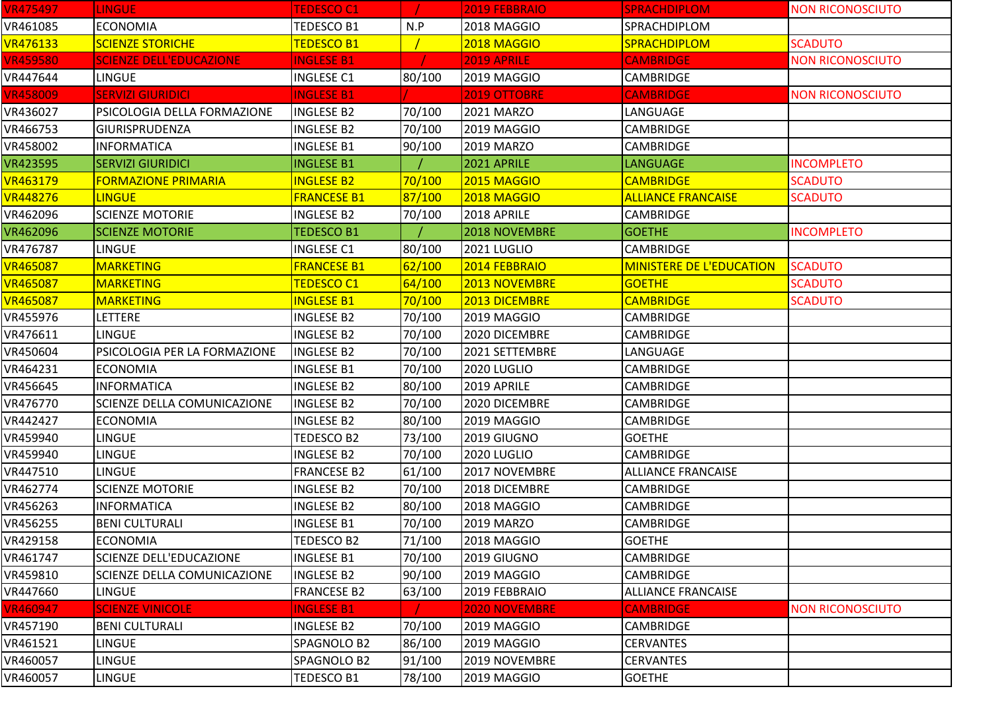| <b>VR475497</b> | <b>LINGUE</b>                  | <b>TEDESCO C1</b>  |        | 2019 FEBBRAIO        | <b>SPRACHDIPLOM</b>             | <b>NON RICONOSCIUTO</b> |
|-----------------|--------------------------------|--------------------|--------|----------------------|---------------------------------|-------------------------|
| VR461085        | <b>ECONOMIA</b>                | <b>TEDESCO B1</b>  | N.P    | 2018 MAGGIO          | SPRACHDIPLOM                    |                         |
| <b>VR476133</b> | <b>SCIENZE STORICHE</b>        | <b>TEDESCO B1</b>  |        | 2018 MAGGIO          | <b>SPRACHDIPLOM</b>             | <b>SCADUTO</b>          |
| <b>VR459580</b> | <b>SCIENZE DELL'EDUCAZIONE</b> | <b>INGLESE B1</b>  |        | 2019 APRILE          | <b>CAMBRIDGE</b>                | <b>NON RICONOSCIUTO</b> |
| VR447644        | <b>LINGUE</b>                  | <b>INGLESE C1</b>  | 80/100 | <b>2019 MAGGIO</b>   | <b>CAMBRIDGE</b>                |                         |
| <b>VR458009</b> | <b>SERVIZI GIURIDICI</b>       | <b>INGLESE B1</b>  |        | 2019 OTTOBRE         | <b>CAMBRIDGE</b>                | <b>NON RICONOSCIUTO</b> |
| VR436027        | PSICOLOGIA DELLA FORMAZIONE    | <b>INGLESE B2</b>  | 70/100 | 2021 MARZO           | LANGUAGE                        |                         |
| VR466753        | <b>GIURISPRUDENZA</b>          | <b>INGLESE B2</b>  | 70/100 | 2019 MAGGIO          | CAMBRIDGE                       |                         |
| VR458002        | <b>INFORMATICA</b>             | <b>INGLESE B1</b>  | 90/100 | 2019 MARZO           | <b>CAMBRIDGE</b>                |                         |
| VR423595        | <b>SERVIZI GIURIDICI</b>       | <b>INGLESE B1</b>  |        | 2021 APRILE          | <b>LANGUAGE</b>                 | <b>INCOMPLETO</b>       |
| <b>VR463179</b> | <b>FORMAZIONE PRIMARIA</b>     | <b>INGLESE B2</b>  | 70/100 | 2015 MAGGIO          | <b>CAMBRIDGE</b>                | <b>SCADUTO</b>          |
| <b>VR448276</b> | <b>LINGUE</b>                  | <b>FRANCESE B1</b> | 87/100 | 2018 MAGGIO          | <b>ALLIANCE FRANCAISE</b>       | <b>SCADUTO</b>          |
| VR462096        | <b>SCIENZE MOTORIE</b>         | <b>INGLESE B2</b>  | 70/100 | 2018 APRILE          | CAMBRIDGE                       |                         |
| VR462096        | <b>SCIENZE MOTORIE</b>         | <b>TEDESCO B1</b>  |        | 2018 NOVEMBRE        | <b>GOETHE</b>                   | <b>INCOMPLETO</b>       |
| VR476787        | <b>LINGUE</b>                  | <b>INGLESE C1</b>  | 80/100 | 2021 LUGLIO          | <b>CAMBRIDGE</b>                |                         |
| <b>VR465087</b> | <b>MARKETING</b>               | <b>FRANCESE B1</b> | 62/100 | 2014 FEBBRAIO        | <b>MINISTERE DE L'EDUCATION</b> | <b>SCADUTO</b>          |
| <b>VR465087</b> | <b>MARKETING</b>               | <b>TEDESCO C1</b>  | 64/100 | 2013 NOVEMBRE        | <b>GOETHE</b>                   | <b>SCADUTO</b>          |
| <b>VR465087</b> | <b>MARKETING</b>               | <b>INGLESE B1</b>  | 70/100 | 2013 DICEMBRE        | <b>CAMBRIDGE</b>                | <b>SCADUTO</b>          |
| VR455976        | <b>LETTERE</b>                 | <b>INGLESE B2</b>  | 70/100 | 2019 MAGGIO          | <b>CAMBRIDGE</b>                |                         |
| VR476611        | LINGUE                         | <b>INGLESE B2</b>  | 70/100 | 2020 DICEMBRE        | CAMBRIDGE                       |                         |
| VR450604        | PSICOLOGIA PER LA FORMAZIONE   | <b>INGLESE B2</b>  | 70/100 | 2021 SETTEMBRE       | LANGUAGE                        |                         |
| VR464231        | <b>ECONOMIA</b>                | <b>INGLESE B1</b>  | 70/100 | 2020 LUGLIO          | <b>CAMBRIDGE</b>                |                         |
| VR456645        | <b>INFORMATICA</b>             | <b>INGLESE B2</b>  | 80/100 | 2019 APRILE          | <b>CAMBRIDGE</b>                |                         |
| VR476770        | SCIENZE DELLA COMUNICAZIONE    | <b>INGLESE B2</b>  | 70/100 | 2020 DICEMBRE        | <b>CAMBRIDGE</b>                |                         |
| VR442427        | <b>ECONOMIA</b>                | <b>INGLESE B2</b>  | 80/100 | 2019 MAGGIO          | <b>CAMBRIDGE</b>                |                         |
| VR459940        | <b>LINGUE</b>                  | <b>TEDESCO B2</b>  | 73/100 | 2019 GIUGNO          | <b>GOETHE</b>                   |                         |
| VR459940        | <b>LINGUE</b>                  | <b>INGLESE B2</b>  | 70/100 | 2020 LUGLIO          | <b>CAMBRIDGE</b>                |                         |
| VR447510        | <b>LINGUE</b>                  | <b>FRANCESE B2</b> | 61/100 | 2017 NOVEMBRE        | <b>ALLIANCE FRANCAISE</b>       |                         |
| VR462774        | <b>SCIENZE MOTORIE</b>         | <b>INGLESE B2</b>  | 70/100 | 2018 DICEMBRE        | <b>CAMBRIDGE</b>                |                         |
| VR456263        | <b>INFORMATICA</b>             | <b>INGLESE B2</b>  | 80/100 | 2018 MAGGIO          | CAMBRIDGE                       |                         |
| VR456255        | <b>BENI CULTURALI</b>          | <b>INGLESE B1</b>  | 70/100 | 2019 MARZO           | <b>CAMBRIDGE</b>                |                         |
| VR429158        | <b>ECONOMIA</b>                | <b>TEDESCO B2</b>  | 71/100 | 2018 MAGGIO          | <b>GOETHE</b>                   |                         |
| VR461747        | <b>SCIENZE DELL'EDUCAZIONE</b> | <b>INGLESE B1</b>  | 70/100 | 2019 GIUGNO          | <b>CAMBRIDGE</b>                |                         |
| VR459810        | SCIENZE DELLA COMUNICAZIONE    | <b>INGLESE B2</b>  | 90/100 | 2019 MAGGIO          | <b>CAMBRIDGE</b>                |                         |
| VR447660        | <b>LINGUE</b>                  | <b>FRANCESE B2</b> | 63/100 | 2019 FEBBRAIO        | <b>ALLIANCE FRANCAISE</b>       |                         |
| <b>VR460947</b> | <b>SCIENZE VINICOLE</b>        | <b>INGLESE B1</b>  |        | <b>2020 NOVEMBRE</b> | <b>CAMBRIDGE</b>                | <b>NON RICONOSCIUTO</b> |
| VR457190        | <b>BENI CULTURALI</b>          | <b>INGLESE B2</b>  | 70/100 | 2019 MAGGIO          | <b>CAMBRIDGE</b>                |                         |
| VR461521        | <b>LINGUE</b>                  | SPAGNOLO B2        | 86/100 | 2019 MAGGIO          | <b>CERVANTES</b>                |                         |
| VR460057        | LINGUE                         | SPAGNOLO B2        | 91/100 | 2019 NOVEMBRE        | <b>CERVANTES</b>                |                         |
| VR460057        | <b>LINGUE</b>                  | <b>TEDESCO B1</b>  | 78/100 | 2019 MAGGIO          | <b>GOETHE</b>                   |                         |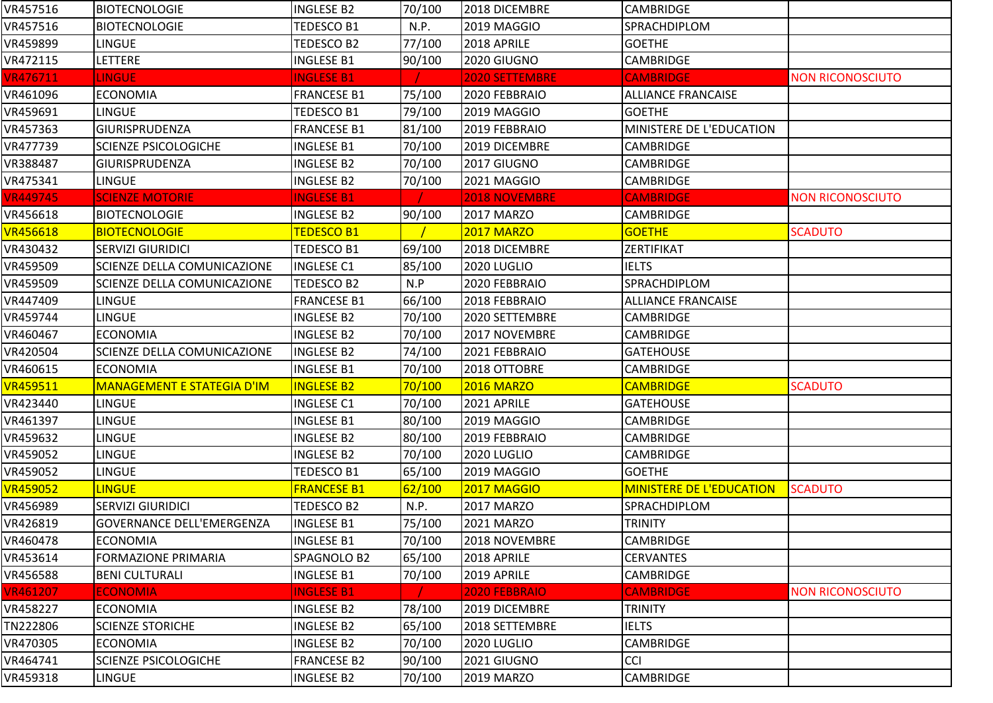| VR457516        | <b>BIOTECNOLOGIE</b>              | <b>INGLESE B2</b>  | 70/100 | 2018 DICEMBRE        | CAMBRIDGE                       |                         |
|-----------------|-----------------------------------|--------------------|--------|----------------------|---------------------------------|-------------------------|
| VR457516        | <b>BIOTECNOLOGIE</b>              | TEDESCO B1         | N.P.   | 2019 MAGGIO          | SPRACHDIPLOM                    |                         |
| VR459899        | <b>LINGUE</b>                     | TEDESCO B2         | 77/100 | 2018 APRILE          | <b>GOETHE</b>                   |                         |
| VR472115        | <b>LETTERE</b>                    | <b>INGLESE B1</b>  | 90/100 | 2020 GIUGNO          | <b>CAMBRIDGE</b>                |                         |
| <b>VR476711</b> | <b>LINGUE</b>                     | <b>INGLESE B1</b>  |        | 2020 SETTEMBRE       | <b>CAMBRIDGE</b>                | <b>NON RICONOSCIUTO</b> |
| VR461096        | <b>ECONOMIA</b>                   | <b>FRANCESE B1</b> | 75/100 | 2020 FEBBRAIO        | <b>ALLIANCE FRANCAISE</b>       |                         |
| VR459691        | <b>LINGUE</b>                     | TEDESCO B1         | 79/100 | 2019 MAGGIO          | <b>GOETHE</b>                   |                         |
| VR457363        | GIURISPRUDENZA                    | <b>FRANCESE B1</b> | 81/100 | 2019 FEBBRAIO        | MINISTERE DE L'EDUCATION        |                         |
| VR477739        | <b>SCIENZE PSICOLOGICHE</b>       | <b>INGLESE B1</b>  | 70/100 | 2019 DICEMBRE        | <b>CAMBRIDGE</b>                |                         |
| VR388487        | <b>GIURISPRUDENZA</b>             | <b>INGLESE B2</b>  | 70/100 | 2017 GIUGNO          | <b>CAMBRIDGE</b>                |                         |
| VR475341        | <b>LINGUE</b>                     | INGLESE B2         | 70/100 | 2021 MAGGIO          | CAMBRIDGE                       |                         |
| <b>VR449745</b> | <b>SCIENZE MOTORIE</b>            | <b>INGLESE B1</b>  |        | <b>2018 NOVEMBRE</b> | <b>CAMBRIDGE</b>                | <b>NON RICONOSCIUTO</b> |
| VR456618        | <b>BIOTECNOLOGIE</b>              | <b>INGLESE B2</b>  | 90/100 | 2017 MARZO           | <b>CAMBRIDGE</b>                |                         |
| <b>VR456618</b> | <b>BIOTECNOLOGIE</b>              | <b>TEDESCO B1</b>  |        | <b>2017 MARZO</b>    | <b>GOETHE</b>                   | <b>SCADUTO</b>          |
| VR430432        | <b>SERVIZI GIURIDICI</b>          | TEDESCO B1         | 69/100 | 2018 DICEMBRE        | ZERTIFIKAT                      |                         |
| VR459509        | SCIENZE DELLA COMUNICAZIONE       | <b>INGLESE C1</b>  | 85/100 | 2020 LUGLIO          | <b>IELTS</b>                    |                         |
| VR459509        | SCIENZE DELLA COMUNICAZIONE       | TEDESCO B2         | N.P    | 2020 FEBBRAIO        | SPRACHDIPLOM                    |                         |
| VR447409        | LINGUE                            | <b>FRANCESE B1</b> | 66/100 | 2018 FEBBRAIO        | <b>ALLIANCE FRANCAISE</b>       |                         |
| VR459744        | <b>LINGUE</b>                     | <b>INGLESE B2</b>  | 70/100 | 2020 SETTEMBRE       | CAMBRIDGE                       |                         |
| VR460467        | <b>ECONOMIA</b>                   | <b>INGLESE B2</b>  | 70/100 | 2017 NOVEMBRE        | CAMBRIDGE                       |                         |
| VR420504        | SCIENZE DELLA COMUNICAZIONE       | <b>INGLESE B2</b>  | 74/100 | 2021 FEBBRAIO        | <b>GATEHOUSE</b>                |                         |
| VR460615        | <b>ECONOMIA</b>                   | <b>INGLESE B1</b>  | 70/100 | 2018 OTTOBRE         | <b>CAMBRIDGE</b>                |                         |
| <b>VR459511</b> | <b>MANAGEMENT E STATEGIA D'IM</b> | <b>INGLESE B2</b>  | 70/100 | <b>2016 MARZO</b>    | <b>CAMBRIDGE</b>                | <b>SCADUTO</b>          |
| VR423440        | <b>LINGUE</b>                     | <b>INGLESE C1</b>  | 70/100 | 2021 APRILE          | <b>GATEHOUSE</b>                |                         |
| VR461397        | LINGUE                            | <b>INGLESE B1</b>  | 80/100 | 2019 MAGGIO          | CAMBRIDGE                       |                         |
| VR459632        | LINGUE                            | <b>INGLESE B2</b>  | 80/100 | 2019 FEBBRAIO        | CAMBRIDGE                       |                         |
| VR459052        | LINGUE                            | <b>INGLESE B2</b>  | 70/100 | 2020 LUGLIO          | CAMBRIDGE                       |                         |
| VR459052        | LINGUE                            | TEDESCO B1         | 65/100 | 2019 MAGGIO          | <b>GOETHE</b>                   |                         |
| <b>VR459052</b> | <b>LINGUE</b>                     | <b>FRANCESE B1</b> | 62/100 | <b>2017 MAGGIO</b>   | <b>MINISTERE DE L'EDUCATION</b> | <b>SCADUTO</b>          |
| VR456989        | <b>SERVIZI GIURIDICI</b>          | TEDESCO B2         | N.P.   | 2017 MARZO           | SPRACHDIPLOM                    |                         |
| VR426819        | <b>GOVERNANCE DELL'EMERGENZA</b>  | <b>INGLESE B1</b>  | 75/100 | 2021 MARZO           | <b>TRINITY</b>                  |                         |
| VR460478        | <b>ECONOMIA</b>                   | <b>INGLESE B1</b>  | 70/100 | 2018 NOVEMBRE        | <b>CAMBRIDGE</b>                |                         |
| VR453614        | <b>FORMAZIONE PRIMARIA</b>        | SPAGNOLO B2        | 65/100 | 2018 APRILE          | <b>CERVANTES</b>                |                         |
| VR456588        | <b>BENI CULTURALI</b>             | <b>INGLESE B1</b>  | 70/100 | 2019 APRILE          | <b>CAMBRIDGE</b>                |                         |
| <b>VR461207</b> | <b>ECONOMIA</b>                   | <b>INGLESE B1</b>  |        | 2020 FEBBRAIO        | <b>CAMBRIDGE</b>                | <b>NON RICONOSCIUTO</b> |
| VR458227        | <b>ECONOMIA</b>                   | <b>INGLESE B2</b>  | 78/100 | 2019 DICEMBRE        | <b>TRINITY</b>                  |                         |
| TN222806        | <b>SCIENZE STORICHE</b>           | INGLESE B2         | 65/100 | 2018 SETTEMBRE       | <b>IELTS</b>                    |                         |
| VR470305        | <b>ECONOMIA</b>                   | <b>INGLESE B2</b>  | 70/100 | 2020 LUGLIO          | CAMBRIDGE                       |                         |
| VR464741        | <b>SCIENZE PSICOLOGICHE</b>       | <b>FRANCESE B2</b> | 90/100 | 2021 GIUGNO          | <b>CCI</b>                      |                         |
| VR459318        | <b>LINGUE</b>                     | INGLESE B2         | 70/100 | 2019 MARZO           | <b>CAMBRIDGE</b>                |                         |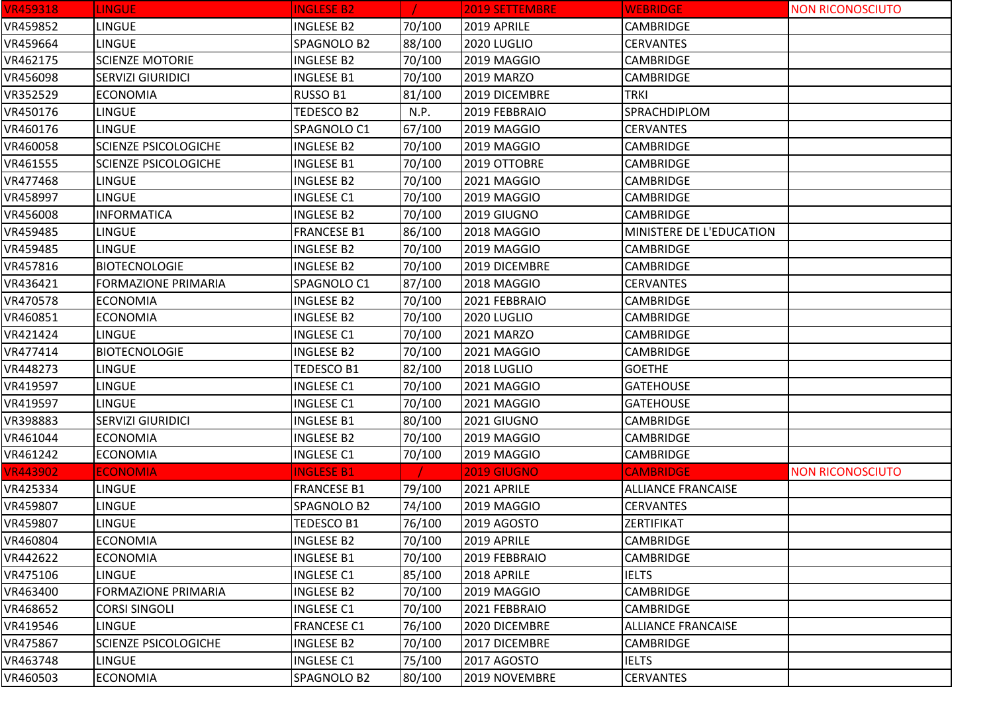| <b>VR459318</b> | <b>LINGUE</b>               | <b>INGLESE B2</b>  |        | 2019 SETTEMBRE | <b>WEBRIDGE</b>           | <b>NON RICONOSCIUTO</b> |
|-----------------|-----------------------------|--------------------|--------|----------------|---------------------------|-------------------------|
| VR459852        | <b>LINGUE</b>               | <b>INGLESE B2</b>  | 70/100 | 2019 APRILE    | <b>CAMBRIDGE</b>          |                         |
| VR459664        | <b>LINGUE</b>               | SPAGNOLO B2        | 88/100 | 2020 LUGLIO    | <b>CERVANTES</b>          |                         |
| VR462175        | <b>SCIENZE MOTORIE</b>      | <b>INGLESE B2</b>  | 70/100 | 2019 MAGGIO    | <b>CAMBRIDGE</b>          |                         |
| VR456098        | <b>SERVIZI GIURIDICI</b>    | <b>INGLESE B1</b>  | 70/100 | 2019 MARZO     | <b>CAMBRIDGE</b>          |                         |
| VR352529        | <b>ECONOMIA</b>             | RUSSO B1           | 81/100 | 2019 DICEMBRE  | TRKI                      |                         |
| VR450176        | <b>LINGUE</b>               | TEDESCO B2         | N.P.   | 2019 FEBBRAIO  | SPRACHDIPLOM              |                         |
| VR460176        | <b>LINGUE</b>               | SPAGNOLO C1        | 67/100 | 2019 MAGGIO    | <b>CERVANTES</b>          |                         |
| VR460058        | <b>SCIENZE PSICOLOGICHE</b> | <b>INGLESE B2</b>  | 70/100 | 2019 MAGGIO    | CAMBRIDGE                 |                         |
| VR461555        | <b>SCIENZE PSICOLOGICHE</b> | <b>INGLESE B1</b>  | 70/100 | 2019 OTTOBRE   | <b>CAMBRIDGE</b>          |                         |
| VR477468        | <b>LINGUE</b>               | <b>INGLESE B2</b>  | 70/100 | 2021 MAGGIO    | <b>CAMBRIDGE</b>          |                         |
| VR458997        | <b>LINGUE</b>               | <b>INGLESE C1</b>  | 70/100 | 2019 MAGGIO    | <b>CAMBRIDGE</b>          |                         |
| VR456008        | <b>INFORMATICA</b>          | <b>INGLESE B2</b>  | 70/100 | 2019 GIUGNO    | <b>CAMBRIDGE</b>          |                         |
| VR459485        | <b>LINGUE</b>               | <b>FRANCESE B1</b> | 86/100 | 2018 MAGGIO    | MINISTERE DE L'EDUCATION  |                         |
| VR459485        | LINGUE                      | <b>INGLESE B2</b>  | 70/100 | 2019 MAGGIO    | <b>CAMBRIDGE</b>          |                         |
| VR457816        | <b>BIOTECNOLOGIE</b>        | <b>INGLESE B2</b>  | 70/100 | 2019 DICEMBRE  | <b>CAMBRIDGE</b>          |                         |
| VR436421        | <b>FORMAZIONE PRIMARIA</b>  | SPAGNOLO C1        | 87/100 | 2018 MAGGIO    | <b>CERVANTES</b>          |                         |
| VR470578        | <b>ECONOMIA</b>             | <b>INGLESE B2</b>  | 70/100 | 2021 FEBBRAIO  | <b>CAMBRIDGE</b>          |                         |
| VR460851        | <b>ECONOMIA</b>             | <b>INGLESE B2</b>  | 70/100 | 2020 LUGLIO    | <b>CAMBRIDGE</b>          |                         |
| VR421424        | <b>LINGUE</b>               | <b>INGLESE C1</b>  | 70/100 | 2021 MARZO     | <b>CAMBRIDGE</b>          |                         |
| VR477414        | <b>BIOTECNOLOGIE</b>        | <b>INGLESE B2</b>  | 70/100 | 2021 MAGGIO    | <b>CAMBRIDGE</b>          |                         |
| VR448273        | <b>LINGUE</b>               | TEDESCO B1         | 82/100 | 2018 LUGLIO    | <b>GOETHE</b>             |                         |
| VR419597        | <b>LINGUE</b>               | <b>INGLESE C1</b>  | 70/100 | 2021 MAGGIO    | <b>GATEHOUSE</b>          |                         |
| VR419597        | <b>LINGUE</b>               | <b>INGLESE C1</b>  | 70/100 | 2021 MAGGIO    | <b>GATEHOUSE</b>          |                         |
| VR398883        | <b>SERVIZI GIURIDICI</b>    | <b>INGLESE B1</b>  | 80/100 | 2021 GIUGNO    | <b>CAMBRIDGE</b>          |                         |
| VR461044        | <b>ECONOMIA</b>             | <b>INGLESE B2</b>  | 70/100 | 2019 MAGGIO    | <b>CAMBRIDGE</b>          |                         |
| VR461242        | <b>ECONOMIA</b>             | <b>INGLESE C1</b>  | 70/100 | 2019 MAGGIO    | <b>CAMBRIDGE</b>          |                         |
| <b>VR443902</b> | <b>ECONOMIA</b>             | <b>INGLESE B1</b>  |        | 2019 GIUGNO    | <b>CAMBRIDGE</b>          | <b>NON RICONOSCIUTO</b> |
| VR425334        | <b>LINGUE</b>               | <b>FRANCESE B1</b> | 79/100 | 2021 APRILE    | <b>ALLIANCE FRANCAISE</b> |                         |
| VR459807        | <b>LINGUE</b>               | SPAGNOLO B2        | 74/100 | 2019 MAGGIO    | <b>CERVANTES</b>          |                         |
| VR459807        | <b>LINGUE</b>               | TEDESCO B1         | 76/100 | 2019 AGOSTO    | <b>ZERTIFIKAT</b>         |                         |
| VR460804        | <b>ECONOMIA</b>             | <b>INGLESE B2</b>  | 70/100 | 2019 APRILE    | <b>CAMBRIDGE</b>          |                         |
| VR442622        | <b>ECONOMIA</b>             | <b>INGLESE B1</b>  | 70/100 | 2019 FEBBRAIO  | <b>CAMBRIDGE</b>          |                         |
| VR475106        | <b>LINGUE</b>               | <b>INGLESE C1</b>  | 85/100 | 2018 APRILE    | <b>IELTS</b>              |                         |
| VR463400        | <b>FORMAZIONE PRIMARIA</b>  | <b>INGLESE B2</b>  | 70/100 | 2019 MAGGIO    | <b>CAMBRIDGE</b>          |                         |
| VR468652        | <b>CORSI SINGOLI</b>        | <b>INGLESE C1</b>  | 70/100 | 2021 FEBBRAIO  | <b>CAMBRIDGE</b>          |                         |
| VR419546        | <b>LINGUE</b>               | <b>FRANCESE C1</b> | 76/100 | 2020 DICEMBRE  | <b>ALLIANCE FRANCAISE</b> |                         |
| VR475867        | <b>SCIENZE PSICOLOGICHE</b> | <b>INGLESE B2</b>  | 70/100 | 2017 DICEMBRE  | <b>CAMBRIDGE</b>          |                         |
| VR463748        | <b>LINGUE</b>               | <b>INGLESE C1</b>  | 75/100 | 2017 AGOSTO    | <b>IELTS</b>              |                         |
| VR460503        | <b>ECONOMIA</b>             | SPAGNOLO B2        | 80/100 | 2019 NOVEMBRE  | <b>CERVANTES</b>          |                         |